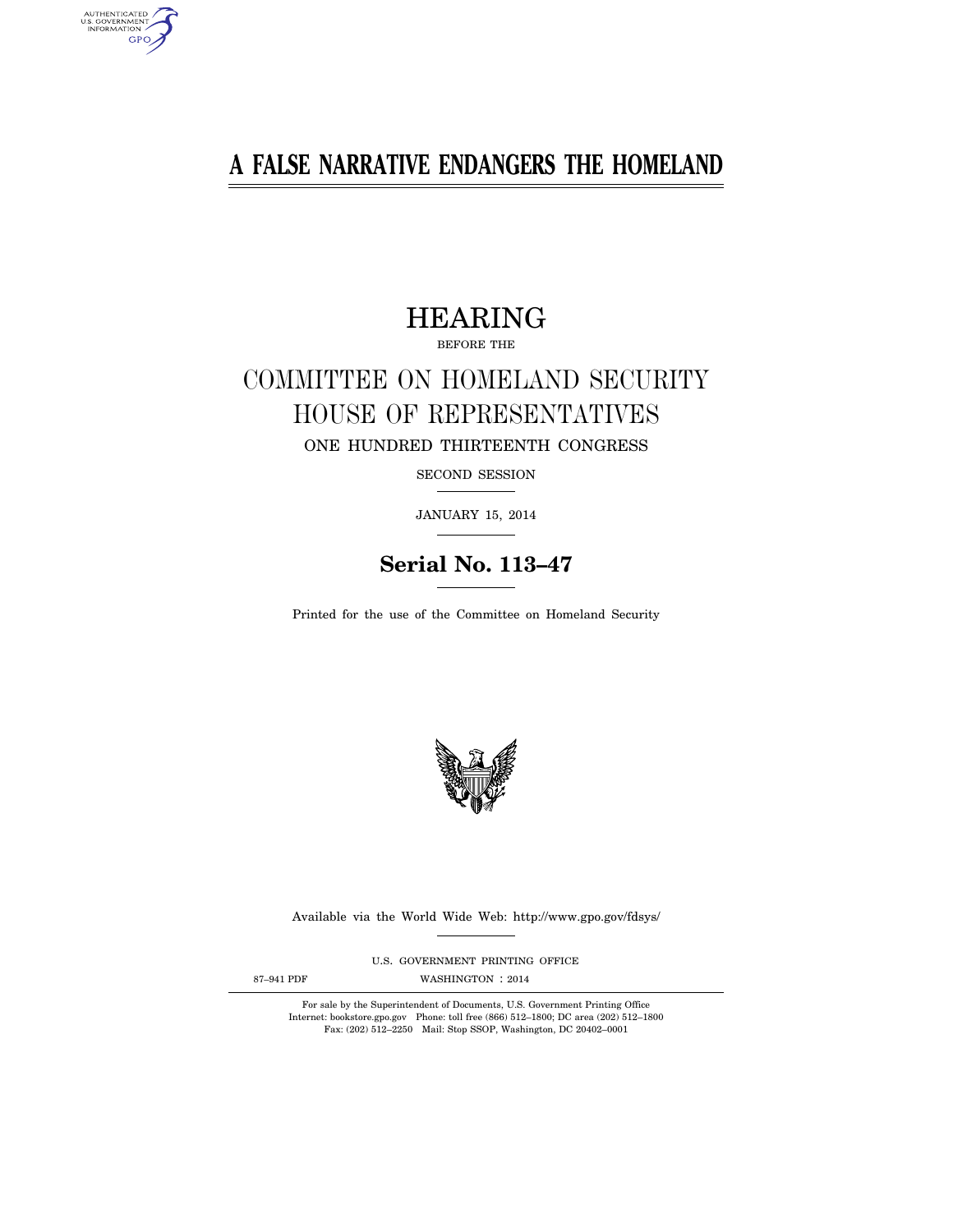# **A FALSE NARRATIVE ENDANGERS THE HOMELAND**

# HEARING

BEFORE THE

# COMMITTEE ON HOMELAND SECURITY HOUSE OF REPRESENTATIVES ONE HUNDRED THIRTEENTH CONGRESS

SECOND SESSION

JANUARY 15, 2014

# **Serial No. 113–47**

Printed for the use of the Committee on Homeland Security



Available via the World Wide Web: http://www.gpo.gov/fdsys/

U.S. GOVERNMENT PRINTING OFFICE

AUTHENTICATED<br>U.S. GOVERNMENT<br>INFORMATION GPO

87-941 PDF WASHINGTON : 2014

For sale by the Superintendent of Documents, U.S. Government Printing Office Internet: bookstore.gpo.gov Phone: toll free (866) 512–1800; DC area (202) 512–1800 Fax: (202) 512–2250 Mail: Stop SSOP, Washington, DC 20402–0001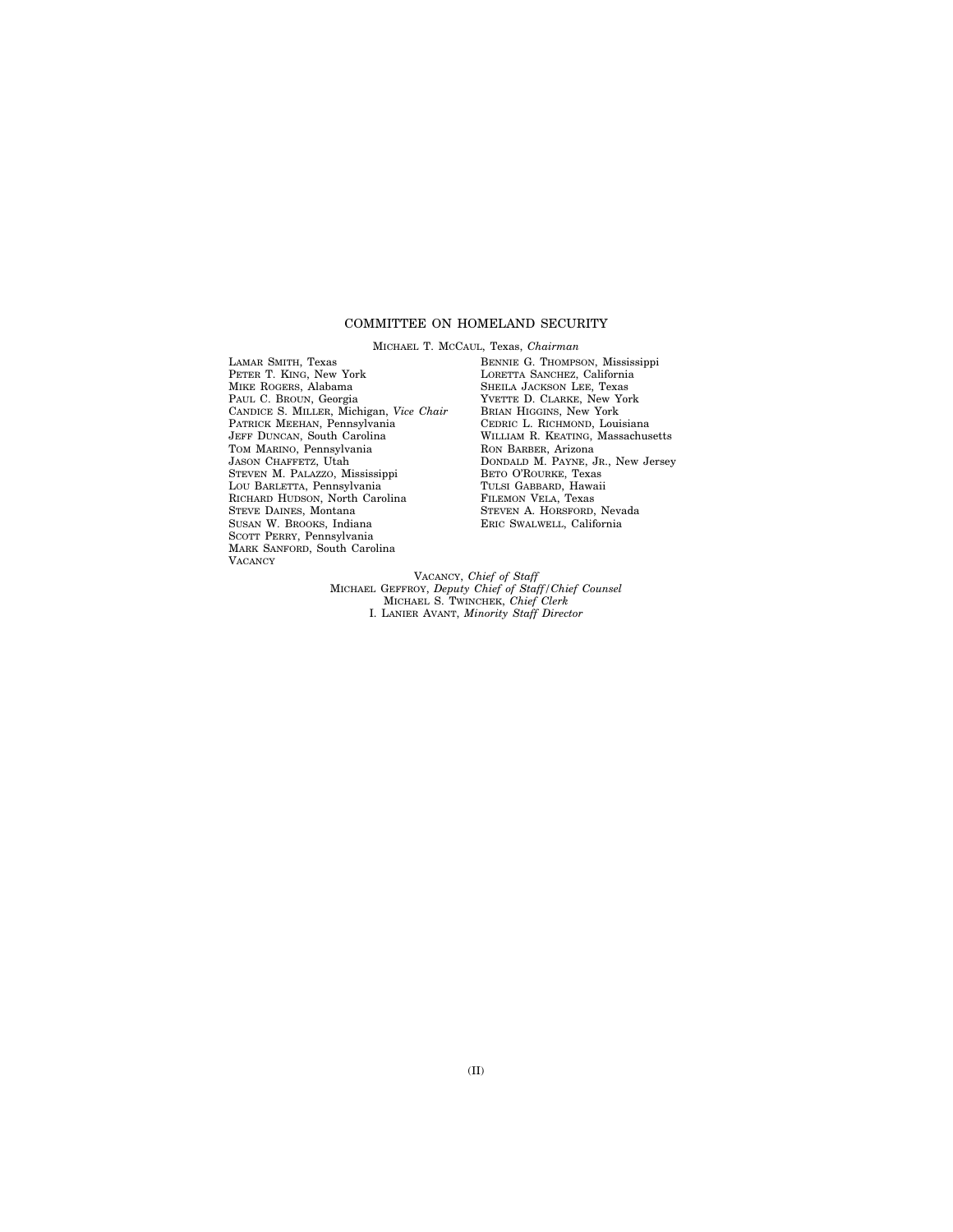# COMMITTEE ON HOMELAND SECURITY

MICHAEL T. MCCAUL, Texas, *Chairman*  LAMAR SMITH, Texas PETER T. KING, New York MIKE ROGERS, Alabama PAUL C. BROUN, Georgia CANDICE S. MILLER, Michigan, *Vice Chair*  PATRICK MEEHAN, Pennsylvania JEFF DUNCAN, South Carolina TOM MARINO, Pennsylvania JASON CHAFFETZ, Utah STEVEN M. PALAZZO, Mississippi LOU BARLETTA, Pennsylvania RICHARD HUDSON, North Carolina STEVE DAINES, Montana SUSAN W. BROOKS, Indiana SCOTT PERRY, Pennsylvania MARK SANFORD, South Carolina **VACANCY** 

BENNIE G. THOMPSON, Mississippi LORETTA SANCHEZ, California SHEILA JACKSON LEE, Texas YVETTE D. CLARKE, New York BRIAN HIGGINS, New York CEDRIC L. RICHMOND, Louisiana WILLIAM R. KEATING, Massachusetts RON BARBER, Arizona DONDALD M. PAYNE, JR., New Jersey BETO O'ROURKE, Texas TULSI GABBARD, Hawaii FILEMON VELA, Texas STEVEN A. HORSFORD, Nevada ERIC SWALWELL, California

VACANCY, *Chief of Staff*  MICHAEL GEFFROY, *Deputy Chief of Staff/Chief Counsel*  MICHAEL S. TWINCHEK, *Chief Clerk*  I. LANIER AVANT, *Minority Staff Director*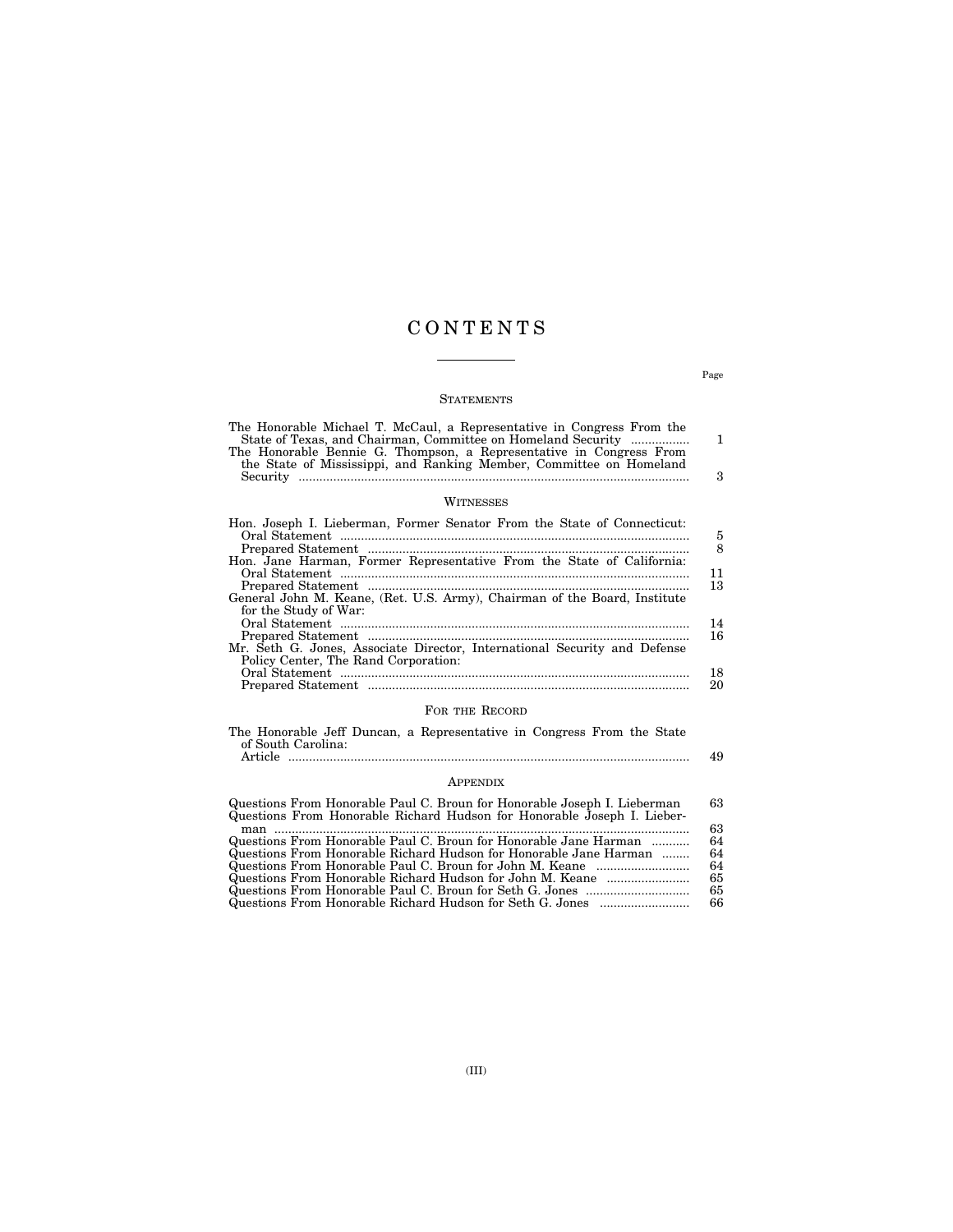# C O N T E N T S

### **STATEMENTS**

| The Honorable Michael T. McCaul, a Representative in Congress From the<br>State of Texas, and Chairman, Committee on Homeland Security<br>The Honorable Bennie G. Thompson, a Representative in Congress From<br>the State of Mississippi, and Ranking Member, Committee on Homeland | 1<br>з       |
|--------------------------------------------------------------------------------------------------------------------------------------------------------------------------------------------------------------------------------------------------------------------------------------|--------------|
| WITNESSES                                                                                                                                                                                                                                                                            |              |
| Hon. Joseph I. Lieberman, Former Senator From the State of Connecticut:<br>Hon. Jane Harman, Former Representative From the State of California:                                                                                                                                     | 5<br>8<br>11 |
| General John M. Keane, (Ret. U.S. Army), Chairman of the Board, Institute<br>for the Study of War:                                                                                                                                                                                   | 13<br>14     |
| Mr. Seth G. Jones, Associate Director, International Security and Defense<br>Policy Center, The Rand Corporation:                                                                                                                                                                    | 16           |

# Prepared Statement ............................................................................................. 20 FOR THE RECORD

Oral Statement ..................................................................................................... 18

|                    |  | The Honorable Jeff Duncan, a Representative in Congress From the State |  |  |    |
|--------------------|--|------------------------------------------------------------------------|--|--|----|
| of South Carolina: |  |                                                                        |  |  |    |
| Article            |  |                                                                        |  |  | 49 |

### APPENDIX

| Questions From Honorable Paul C. Broun for Honorable Joseph I. Lieberman | 63. |
|--------------------------------------------------------------------------|-----|
| Questions From Honorable Richard Hudson for Honorable Joseph I. Lieber-  |     |
| man                                                                      | 63. |
| Questions From Honorable Paul C. Broun for Honorable Jane Harman         | 64  |
| Questions From Honorable Richard Hudson for Honorable Jane Harman        | 64  |
|                                                                          | 64  |
| Questions From Honorable Richard Hudson for John M. Keane                | 65  |
|                                                                          | 65  |
|                                                                          | 66  |

Page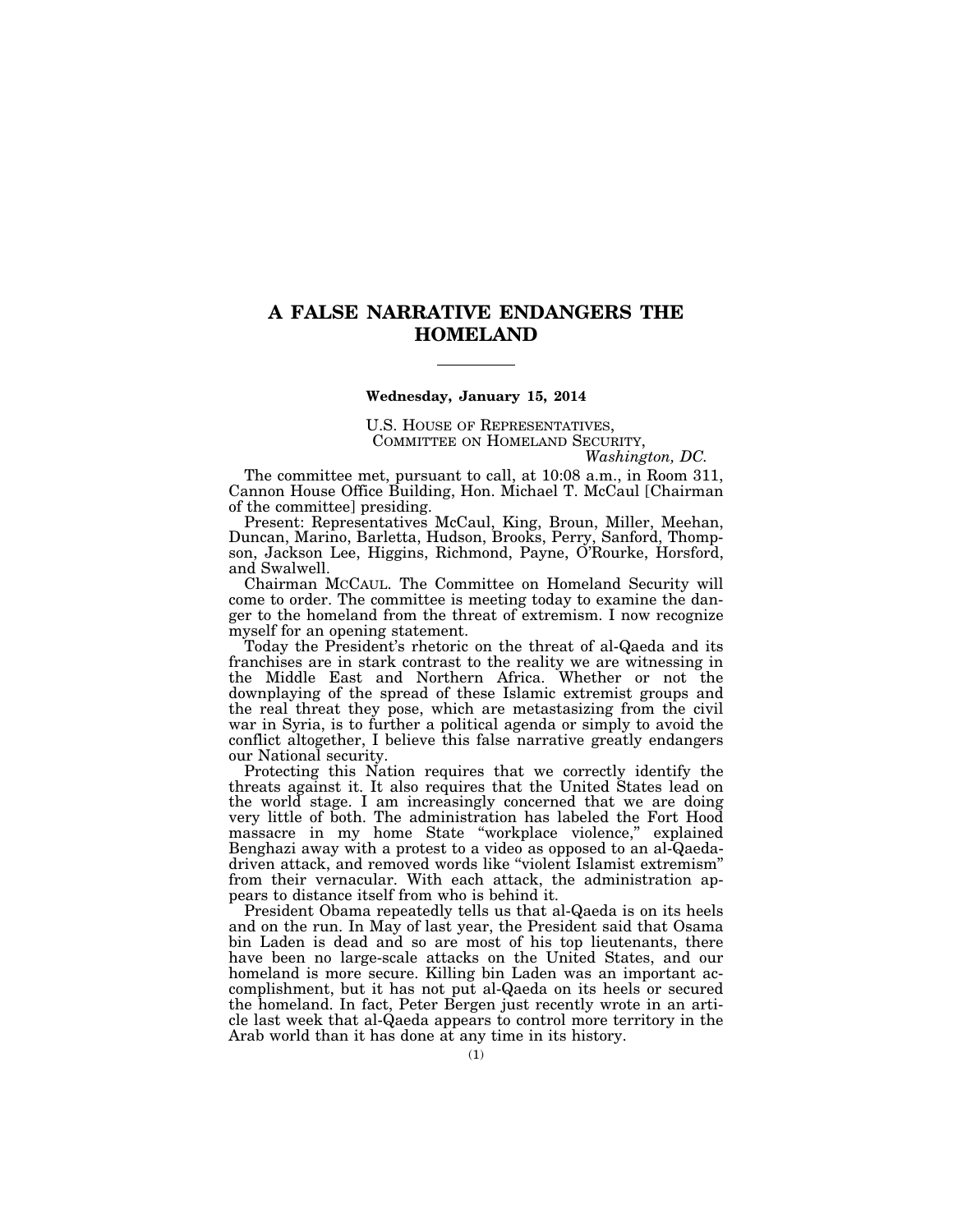# **A FALSE NARRATIVE ENDANGERS THE HOMELAND**

#### **Wednesday, January 15, 2014**

U.S. HOUSE OF REPRESENTATIVES, COMMITTEE ON HOMELAND SECURITY, *Washington, DC.* 

The committee met, pursuant to call, at 10:08 a.m., in Room 311, Cannon House Office Building, Hon. Michael T. McCaul [Chairman of the committee] presiding.

Present: Representatives McCaul, King, Broun, Miller, Meehan, Duncan, Marino, Barletta, Hudson, Brooks, Perry, Sanford, Thompson, Jackson Lee, Higgins, Richmond, Payne, O'Rourke, Horsford, and Swalwell.

Chairman MCCAUL. The Committee on Homeland Security will come to order. The committee is meeting today to examine the danger to the homeland from the threat of extremism. I now recognize myself for an opening statement.

Today the President's rhetoric on the threat of al-Qaeda and its franchises are in stark contrast to the reality we are witnessing in the Middle East and Northern Africa. Whether or not the downplaying of the spread of these Islamic extremist groups and the real threat they pose, which are metastasizing from the civil war in Syria, is to further a political agenda or simply to avoid the conflict altogether, I believe this false narrative greatly endangers our National security.

Protecting this Nation requires that we correctly identify the threats against it. It also requires that the United States lead on the world stage. I am increasingly concerned that we are doing very little of both. The administration has labeled the Fort Hood massacre in my home State "workplace violence," explained Benghazi away with a protest to a video as opposed to an al-Qaedadriven attack, and removed words like ''violent Islamist extremism'' from their vernacular. With each attack, the administration appears to distance itself from who is behind it.

President Obama repeatedly tells us that al-Qaeda is on its heels and on the run. In May of last year, the President said that Osama bin Laden is dead and so are most of his top lieutenants, there have been no large-scale attacks on the United States, and our homeland is more secure. Killing bin Laden was an important accomplishment, but it has not put al-Qaeda on its heels or secured the homeland. In fact, Peter Bergen just recently wrote in an article last week that al-Qaeda appears to control more territory in the Arab world than it has done at any time in its history.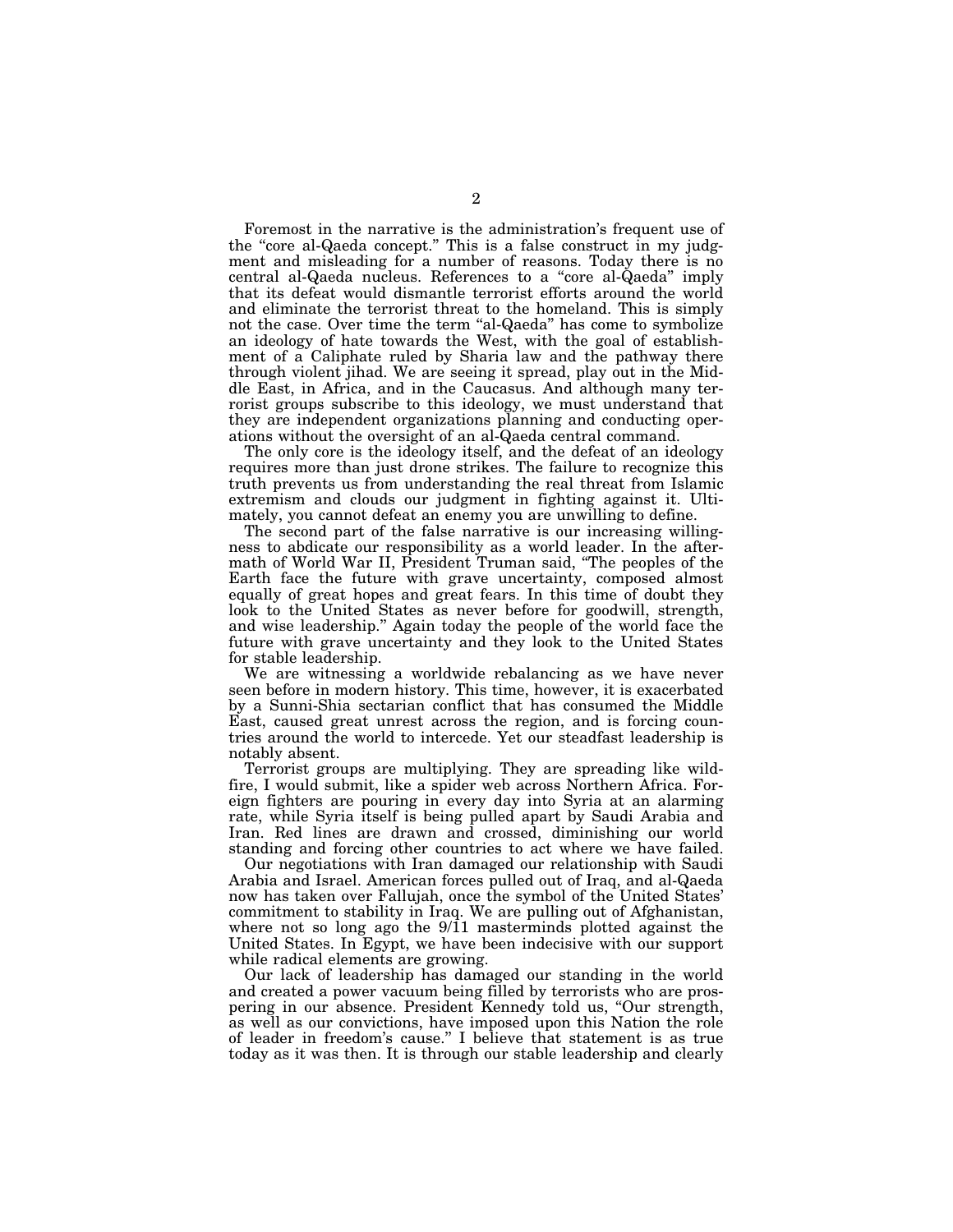Foremost in the narrative is the administration's frequent use of the ''core al-Qaeda concept.'' This is a false construct in my judgment and misleading for a number of reasons. Today there is no central al-Qaeda nucleus. References to a ''core al-Qaeda'' imply that its defeat would dismantle terrorist efforts around the world and eliminate the terrorist threat to the homeland. This is simply not the case. Over time the term ''al-Qaeda'' has come to symbolize an ideology of hate towards the West, with the goal of establishment of a Caliphate ruled by Sharia law and the pathway there through violent jihad. We are seeing it spread, play out in the Middle East, in Africa, and in the Caucasus. And although many terrorist groups subscribe to this ideology, we must understand that they are independent organizations planning and conducting operations without the oversight of an al-Qaeda central command.

The only core is the ideology itself, and the defeat of an ideology requires more than just drone strikes. The failure to recognize this truth prevents us from understanding the real threat from Islamic extremism and clouds our judgment in fighting against it. Ultimately, you cannot defeat an enemy you are unwilling to define.

The second part of the false narrative is our increasing willingness to abdicate our responsibility as a world leader. In the aftermath of World War II, President Truman said, "The peoples of the Earth face the future with grave uncertainty, composed almost equally of great hopes and great fears. In this time of doubt they look to the United States as never before for goodwill, strength, and wise leadership.'' Again today the people of the world face the future with grave uncertainty and they look to the United States for stable leadership.

We are witnessing a worldwide rebalancing as we have never seen before in modern history. This time, however, it is exacerbated by a Sunni-Shia sectarian conflict that has consumed the Middle East, caused great unrest across the region, and is forcing countries around the world to intercede. Yet our steadfast leadership is notably absent.

Terrorist groups are multiplying. They are spreading like wildfire, I would submit, like a spider web across Northern Africa. Foreign fighters are pouring in every day into Syria at an alarming rate, while Syria itself is being pulled apart by Saudi Arabia and Iran. Red lines are drawn and crossed, diminishing our world standing and forcing other countries to act where we have failed.

Our negotiations with Iran damaged our relationship with Saudi Arabia and Israel. American forces pulled out of Iraq, and al-Qaeda now has taken over Fallujah, once the symbol of the United States' commitment to stability in Iraq. We are pulling out of Afghanistan, where not so long ago the 9/11 masterminds plotted against the United States. In Egypt, we have been indecisive with our support while radical elements are growing.

Our lack of leadership has damaged our standing in the world and created a power vacuum being filled by terrorists who are prospering in our absence. President Kennedy told us, "Our strength, as well as our convictions, have imposed upon this Nation the role of leader in freedom's cause.'' I believe that statement is as true today as it was then. It is through our stable leadership and clearly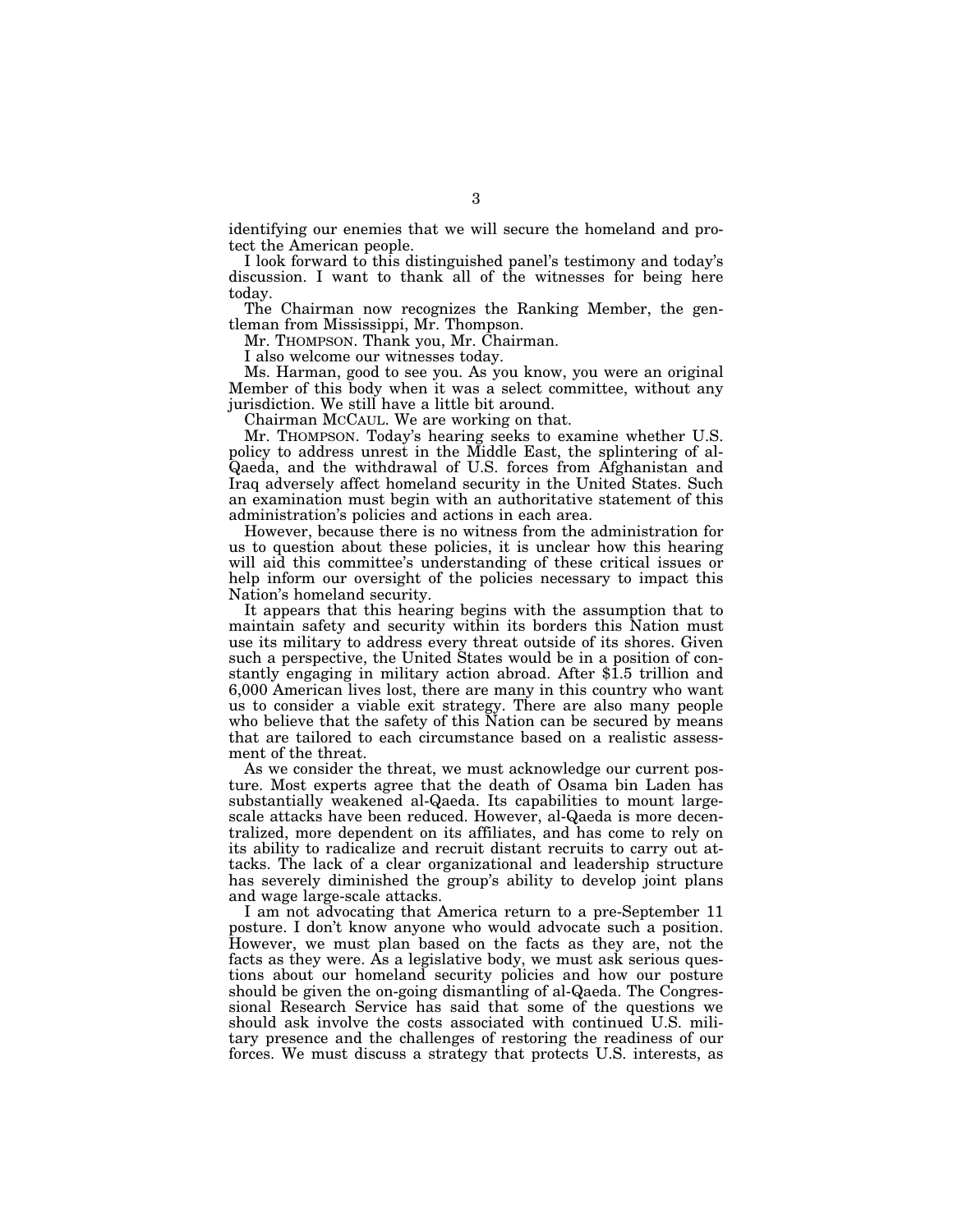identifying our enemies that we will secure the homeland and protect the American people.

I look forward to this distinguished panel's testimony and today's discussion. I want to thank all of the witnesses for being here today.

The Chairman now recognizes the Ranking Member, the gentleman from Mississippi, Mr. Thompson.

Mr. THOMPSON. Thank you, Mr. Chairman.

I also welcome our witnesses today.

Ms. Harman, good to see you. As you know, you were an original Member of this body when it was a select committee, without any jurisdiction. We still have a little bit around.

Chairman MCCAUL. We are working on that.

Mr. THOMPSON. Today's hearing seeks to examine whether U.S. policy to address unrest in the Middle East, the splintering of al-Qaeda, and the withdrawal of U.S. forces from Afghanistan and Iraq adversely affect homeland security in the United States. Such an examination must begin with an authoritative statement of this administration's policies and actions in each area.

However, because there is no witness from the administration for us to question about these policies, it is unclear how this hearing will aid this committee's understanding of these critical issues or help inform our oversight of the policies necessary to impact this Nation's homeland security.

It appears that this hearing begins with the assumption that to maintain safety and security within its borders this Nation must use its military to address every threat outside of its shores. Given such a perspective, the United States would be in a position of constantly engaging in military action abroad. After \$1.5 trillion and 6,000 American lives lost, there are many in this country who want us to consider a viable exit strategy. There are also many people who believe that the safety of this Nation can be secured by means that are tailored to each circumstance based on a realistic assessment of the threat.

As we consider the threat, we must acknowledge our current posture. Most experts agree that the death of Osama bin Laden has substantially weakened al-Qaeda. Its capabilities to mount largescale attacks have been reduced. However, al-Qaeda is more decentralized, more dependent on its affiliates, and has come to rely on its ability to radicalize and recruit distant recruits to carry out attacks. The lack of a clear organizational and leadership structure has severely diminished the group's ability to develop joint plans and wage large-scale attacks.

I am not advocating that America return to a pre-September 11 posture. I don't know anyone who would advocate such a position. However, we must plan based on the facts as they are, not the facts as they were. As a legislative body, we must ask serious questions about our homeland security policies and how our posture should be given the on-going dismantling of al-Qaeda. The Congressional Research Service has said that some of the questions we should ask involve the costs associated with continued U.S. military presence and the challenges of restoring the readiness of our forces. We must discuss a strategy that protects U.S. interests, as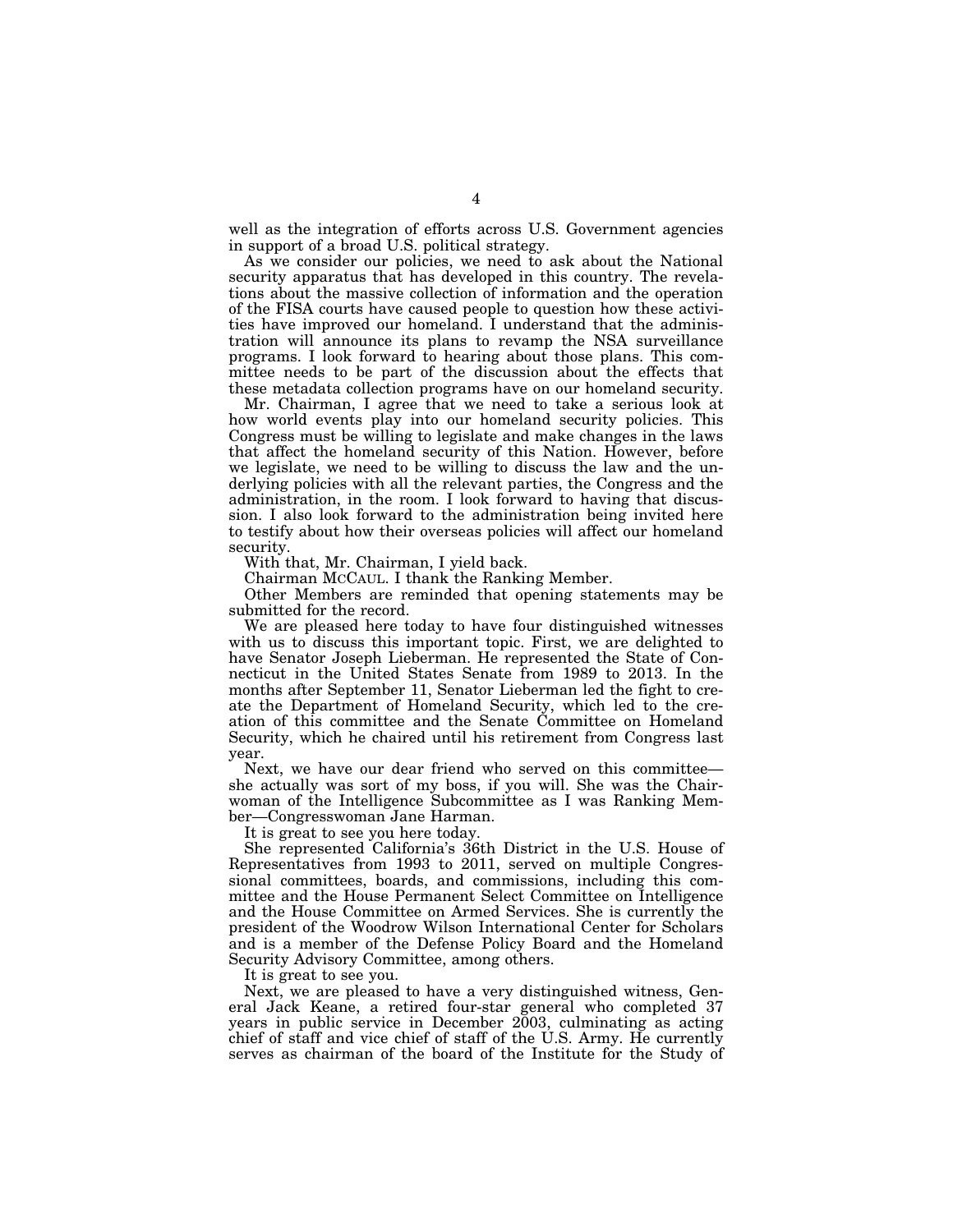well as the integration of efforts across U.S. Government agencies in support of a broad U.S. political strategy.

As we consider our policies, we need to ask about the National security apparatus that has developed in this country. The revelations about the massive collection of information and the operation of the FISA courts have caused people to question how these activities have improved our homeland. I understand that the administration will announce its plans to revamp the NSA surveillance programs. I look forward to hearing about those plans. This committee needs to be part of the discussion about the effects that these metadata collection programs have on our homeland security.

Mr. Chairman, I agree that we need to take a serious look at how world events play into our homeland security policies. This Congress must be willing to legislate and make changes in the laws that affect the homeland security of this Nation. However, before we legislate, we need to be willing to discuss the law and the underlying policies with all the relevant parties, the Congress and the administration, in the room. I look forward to having that discussion. I also look forward to the administration being invited here to testify about how their overseas policies will affect our homeland security.

With that, Mr. Chairman, I yield back.

Chairman MCCAUL. I thank the Ranking Member.

Other Members are reminded that opening statements may be submitted for the record.

We are pleased here today to have four distinguished witnesses with us to discuss this important topic. First, we are delighted to have Senator Joseph Lieberman. He represented the State of Connecticut in the United States Senate from 1989 to 2013. In the months after September 11, Senator Lieberman led the fight to create the Department of Homeland Security, which led to the creation of this committee and the Senate Committee on Homeland Security, which he chaired until his retirement from Congress last year.

Next, we have our dear friend who served on this committee she actually was sort of my boss, if you will. She was the Chairwoman of the Intelligence Subcommittee as I was Ranking Member—Congresswoman Jane Harman.

It is great to see you here today.

She represented California's 36th District in the U.S. House of Representatives from 1993 to 2011, served on multiple Congressional committees, boards, and commissions, including this committee and the House Permanent Select Committee on Intelligence and the House Committee on Armed Services. She is currently the president of the Woodrow Wilson International Center for Scholars and is a member of the Defense Policy Board and the Homeland Security Advisory Committee, among others.

It is great to see you.

Next, we are pleased to have a very distinguished witness, General Jack Keane, a retired four-star general who completed 37 years in public service in December 2003, culminating as acting chief of staff and vice chief of staff of the U.S. Army. He currently serves as chairman of the board of the Institute for the Study of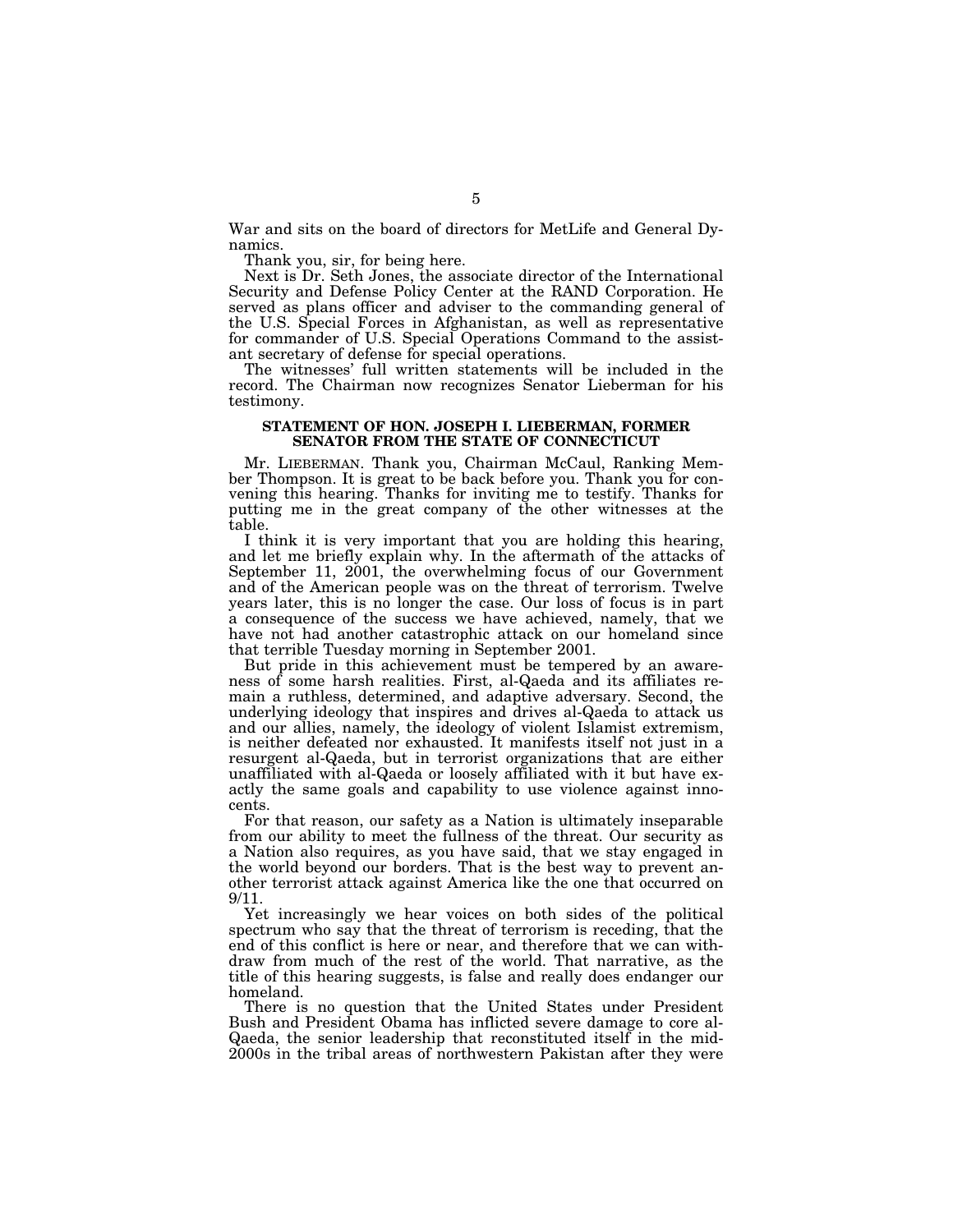War and sits on the board of directors for MetLife and General Dynamics.

Thank you, sir, for being here.

Next is Dr. Seth Jones, the associate director of the International Security and Defense Policy Center at the RAND Corporation. He served as plans officer and adviser to the commanding general of the U.S. Special Forces in Afghanistan, as well as representative for commander of U.S. Special Operations Command to the assistant secretary of defense for special operations.

The witnesses' full written statements will be included in the record. The Chairman now recognizes Senator Lieberman for his testimony.

## **STATEMENT OF HON. JOSEPH I. LIEBERMAN, FORMER SENATOR FROM THE STATE OF CONNECTICUT**

Mr. LIEBERMAN. Thank you, Chairman McCaul, Ranking Member Thompson. It is great to be back before you. Thank you for convening this hearing. Thanks for inviting me to testify. Thanks for putting me in the great company of the other witnesses at the table.

I think it is very important that you are holding this hearing, and let me briefly explain why. In the aftermath of the attacks of September 11, 2001, the overwhelming focus of our Government and of the American people was on the threat of terrorism. Twelve years later, this is no longer the case. Our loss of focus is in part a consequence of the success we have achieved, namely, that we have not had another catastrophic attack on our homeland since that terrible Tuesday morning in September 2001.

But pride in this achievement must be tempered by an awareness of some harsh realities. First, al-Qaeda and its affiliates remain a ruthless, determined, and adaptive adversary. Second, the underlying ideology that inspires and drives al-Qaeda to attack us and our allies, namely, the ideology of violent Islamist extremism, is neither defeated nor exhausted. It manifests itself not just in a resurgent al-Qaeda, but in terrorist organizations that are either unaffiliated with al-Qaeda or loosely affiliated with it but have exactly the same goals and capability to use violence against innocents.

For that reason, our safety as a Nation is ultimately inseparable from our ability to meet the fullness of the threat. Our security as a Nation also requires, as you have said, that we stay engaged in the world beyond our borders. That is the best way to prevent another terrorist attack against America like the one that occurred on 9/11.

Yet increasingly we hear voices on both sides of the political spectrum who say that the threat of terrorism is receding, that the end of this conflict is here or near, and therefore that we can withdraw from much of the rest of the world. That narrative, as the title of this hearing suggests, is false and really does endanger our homeland.

There is no question that the United States under President Bush and President Obama has inflicted severe damage to core al-Qaeda, the senior leadership that reconstituted itself in the mid-2000s in the tribal areas of northwestern Pakistan after they were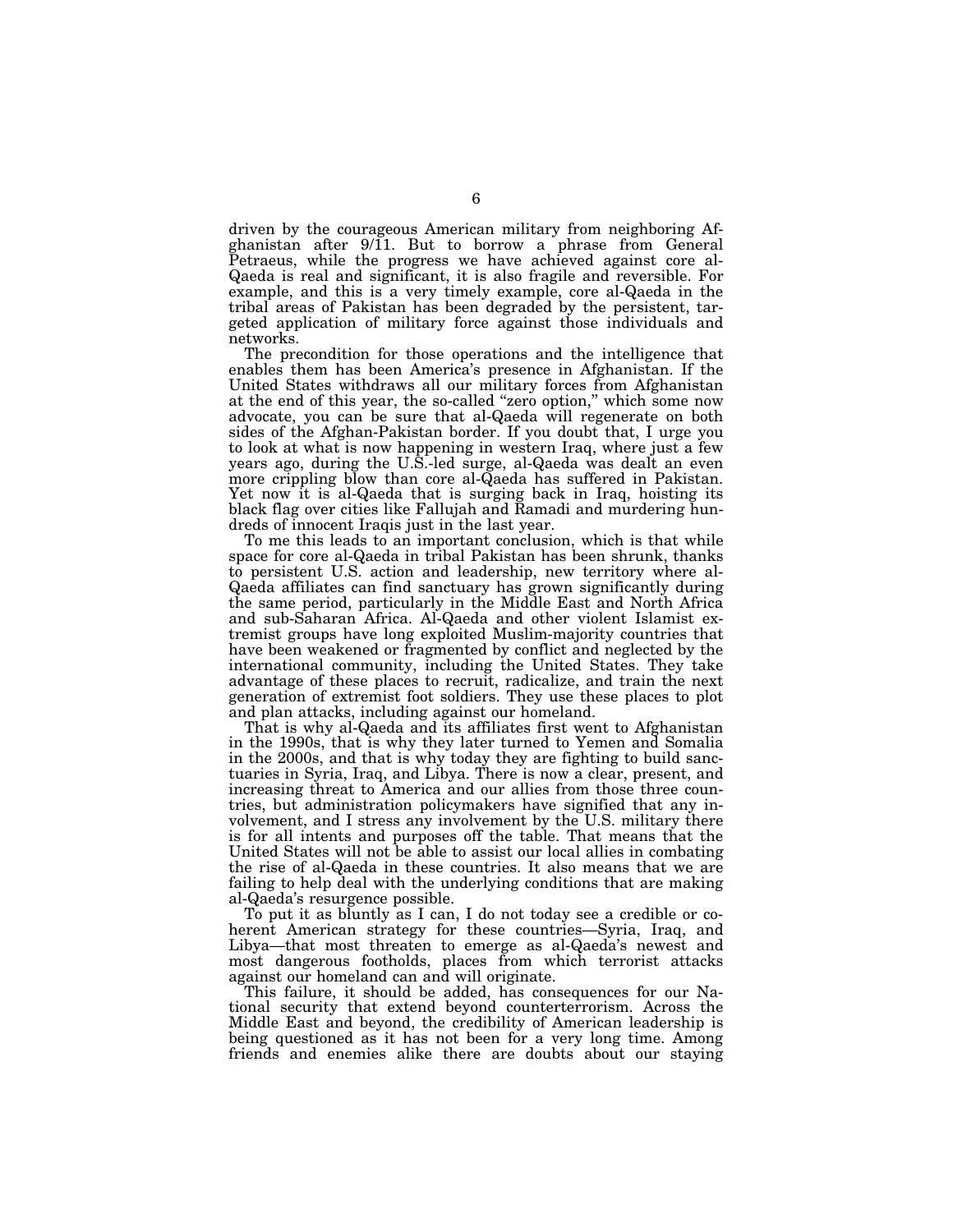driven by the courageous American military from neighboring Afghanistan after 9/11. But to borrow a phrase from General Petraeus, while the progress we have achieved against core al-Qaeda is real and significant, it is also fragile and reversible. For example, and this is a very timely example, core al-Qaeda in the tribal areas of Pakistan has been degraded by the persistent, targeted application of military force against those individuals and networks.

The precondition for those operations and the intelligence that enables them has been America's presence in Afghanistan. If the United States withdraws all our military forces from Afghanistan at the end of this year, the so-called "zero option," which some now advocate, you can be sure that al-Qaeda will regenerate on both sides of the Afghan-Pakistan border. If you doubt that, I urge you to look at what is now happening in western Iraq, where just a few years ago, during the U.S.-led surge, al-Qaeda was dealt an even more crippling blow than core al-Qaeda has suffered in Pakistan. Yet now it is al-Qaeda that is surging back in Iraq, hoisting its black flag over cities like Fallujah and Ramadi and murdering hundreds of innocent Iraqis just in the last year.

To me this leads to an important conclusion, which is that while space for core al-Qaeda in tribal Pakistan has been shrunk, thanks to persistent U.S. action and leadership, new territory where al-Qaeda affiliates can find sanctuary has grown significantly during the same period, particularly in the Middle East and North Africa and sub-Saharan Africa. Al-Qaeda and other violent Islamist extremist groups have long exploited Muslim-majority countries that have been weakened or fragmented by conflict and neglected by the international community, including the United States. They take advantage of these places to recruit, radicalize, and train the next generation of extremist foot soldiers. They use these places to plot and plan attacks, including against our homeland.

That is why al-Qaeda and its affiliates first went to Afghanistan in the 1990s, that is why they later turned to Yemen and Somalia in the 2000s, and that is why today they are fighting to build sanctuaries in Syria, Iraq, and Libya. There is now a clear, present, and increasing threat to America and our allies from those three countries, but administration policymakers have signified that any involvement, and I stress any involvement by the U.S. military there is for all intents and purposes off the table. That means that the United States will not be able to assist our local allies in combating the rise of al-Qaeda in these countries. It also means that we are failing to help deal with the underlying conditions that are making al-Qaeda's resurgence possible.

To put it as bluntly as I can, I do not today see a credible or coherent American strategy for these countries—Syria, Iraq, and Libya—that most threaten to emerge as al-Qaeda's newest and most dangerous footholds, places from which terrorist attacks against our homeland can and will originate.

This failure, it should be added, has consequences for our National security that extend beyond counterterrorism. Across the Middle East and beyond, the credibility of American leadership is being questioned as it has not been for a very long time. Among friends and enemies alike there are doubts about our staying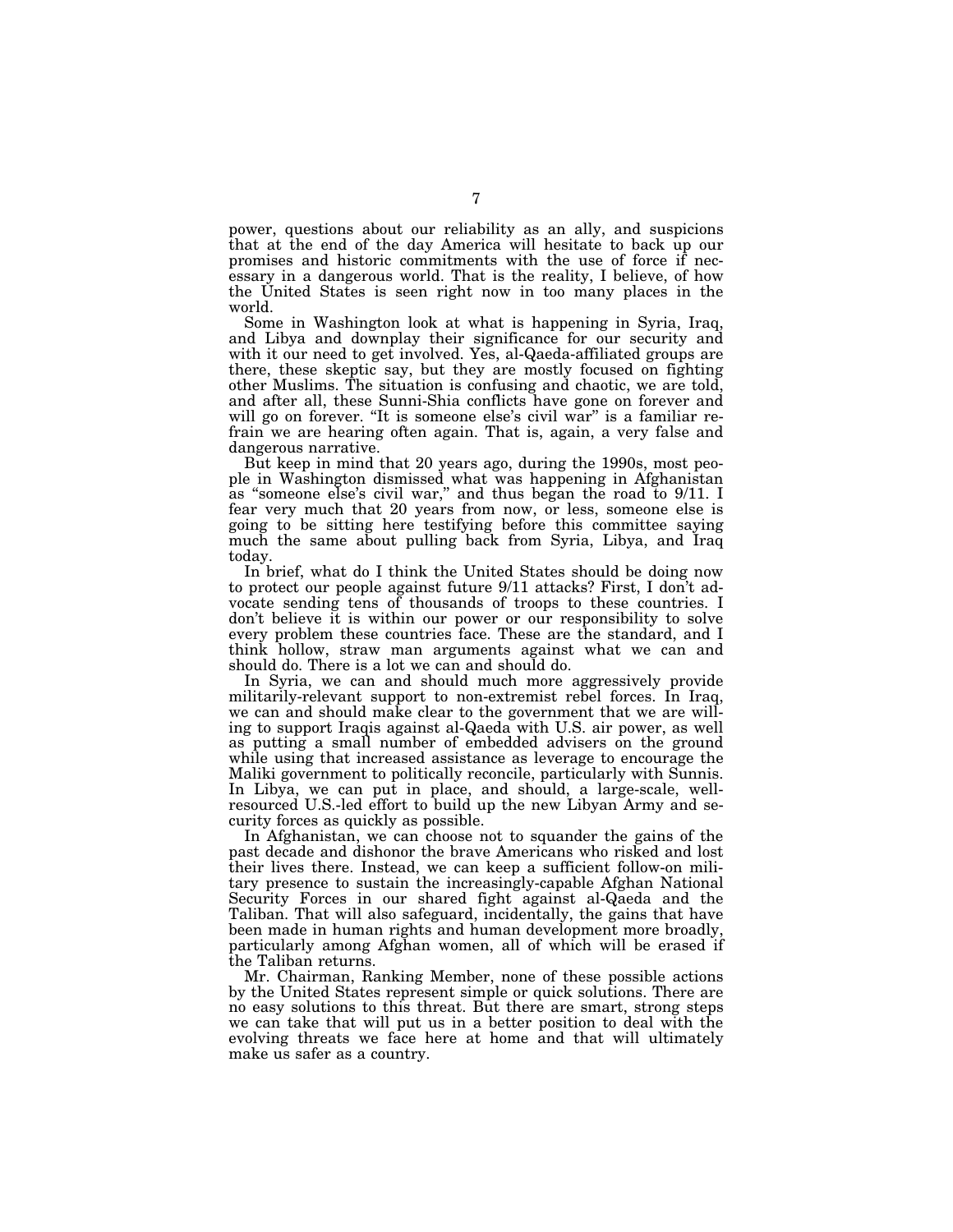power, questions about our reliability as an ally, and suspicions that at the end of the day America will hesitate to back up our promises and historic commitments with the use of force if necessary in a dangerous world. That is the reality, I believe, of how the United States is seen right now in too many places in the world.

Some in Washington look at what is happening in Syria, Iraq, and Libya and downplay their significance for our security and with it our need to get involved. Yes, al-Qaeda-affiliated groups are there, these skeptic say, but they are mostly focused on fighting other Muslims. The situation is confusing and chaotic, we are told, and after all, these Sunni-Shia conflicts have gone on forever and will go on forever. "It is someone else's civil war" is a familiar refrain we are hearing often again. That is, again, a very false and dangerous narrative.

But keep in mind that 20 years ago, during the 1990s, most people in Washington dismissed what was happening in Afghanistan as ''someone else's civil war,'' and thus began the road to 9/11. I fear very much that 20 years from now, or less, someone else is going to be sitting here testifying before this committee saying much the same about pulling back from Syria, Libya, and Iraq today.

In brief, what do I think the United States should be doing now to protect our people against future 9/11 attacks? First, I don't advocate sending tens of thousands of troops to these countries. I don't believe it is within our power or our responsibility to solve every problem these countries face. These are the standard, and I think hollow, straw man arguments against what we can and should do. There is a lot we can and should do.

In Syria, we can and should much more aggressively provide militarily-relevant support to non-extremist rebel forces. In Iraq, we can and should make clear to the government that we are willing to support Iraqis against al-Qaeda with U.S. air power, as well as putting a small number of embedded advisers on the ground while using that increased assistance as leverage to encourage the Maliki government to politically reconcile, particularly with Sunnis. In Libya, we can put in place, and should, a large-scale, wellresourced U.S.-led effort to build up the new Libyan Army and security forces as quickly as possible.

In Afghanistan, we can choose not to squander the gains of the past decade and dishonor the brave Americans who risked and lost their lives there. Instead, we can keep a sufficient follow-on military presence to sustain the increasingly-capable Afghan National Security Forces in our shared fight against al-Qaeda and the Taliban. That will also safeguard, incidentally, the gains that have been made in human rights and human development more broadly, particularly among Afghan women, all of which will be erased if the Taliban returns.

Mr. Chairman, Ranking Member, none of these possible actions by the United States represent simple or quick solutions. There are no easy solutions to this threat. But there are smart, strong steps we can take that will put us in a better position to deal with the evolving threats we face here at home and that will ultimately make us safer as a country.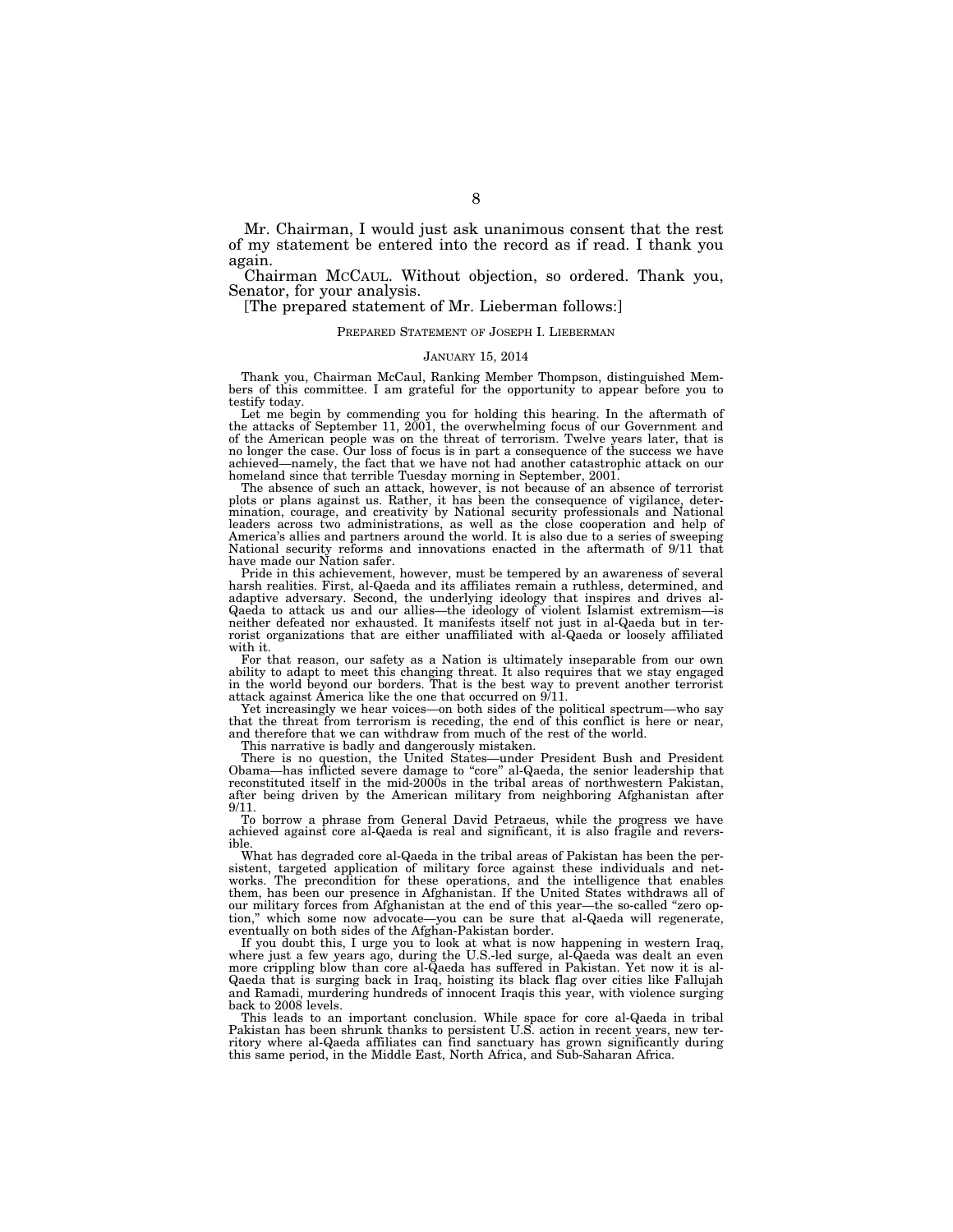Mr. Chairman, I would just ask unanimous consent that the rest of my statement be entered into the record as if read. I thank you again.

Chairman MCCAUL. Without objection, so ordered. Thank you, Senator, for your analysis.

[The prepared statement of Mr. Lieberman follows:]

#### PREPARED STATEMENT OF JOSEPH I. LIEBERMAN

### JANUARY 15, 2014

Thank you, Chairman McCaul, Ranking Member Thompson, distinguished Members of this committee. I am grateful for the opportunity to appear before you to testify today.

Let me begin by commending you for holding this hearing. In the aftermath of the attacks of September 11, 2001, the overwhelming focus of our Government and of the American people was on the threat of terrorism. Twelve years later, that is no longer the case. Our loss of focus is in part a consequence of the success we have achieved—namely, the fact that we have not had another catastrophic attack on our homeland since that terrible Tuesday morning in September, 2001.

The absence of such an attack, however, is not because of an absence of terrorist plots or plans against us. Rather, it has been the consequence of vigilance, determination, courage, and creativity by National security professionals and National leaders across two administrations, as well as the close cooperation and help of America's allies and partners around the world. It is also due to a series of sweeping National security reforms and innovations enacted in the aftermath of 9/11 that have made our Nation safer.

Pride in this achievement, however, must be tempered by an awareness of several harsh realities. First, al-Qaeda and its affiliates remain a ruthless, determined, and adaptive adversary. Second, the underlying ideology that inspires and drives al-Qaeda to attack us and our allies—the ideology of violent Islamist extremism—is neither defeated nor exhausted. It manifests itself not just in al-Qaeda but in ter-rorist organizations that are either unaffiliated with al-Qaeda or loosely affiliated with it.

For that reason, our safety as a Nation is ultimately inseparable from our own ability to adapt to meet this changing threat. It also requires that we stay engaged in the world beyond our borders. That is the best way to prevent another terrorist attack against America like the one that occurred on 9/11.

Yet increasingly we hear voices—on both sides of the political spectrum—who say that the threat from terrorism is receding, the end of this conflict is here or near, and therefore that we can withdraw from much of the rest of the world.

This narrative is badly and dangerously mistaken.

There is no question, the United States—under President Bush and President Obama—has inflicted severe damage to ''core'' al-Qaeda, the senior leadership that reconstituted itself in the mid-2000s in the tribal areas of northwestern Pakistan, after being driven by the American military from neighboring Afghanistan after 9/11.

To borrow a phrase from General David Petraeus, while the progress we have achieved against core al-Qaeda is real and significant, it is also fragile and reversible.

What has degraded core al-Qaeda in the tribal areas of Pakistan has been the persistent, targeted application of military force against these individuals and networks. The precondition for these operations, and the intelligence that enables them, has been our presence in Afghanistan. If the United States withdraws all of our military forces from Afghanistan at the end of this year—the so-called "zero option,'' which some now advocate—you can be sure that al-Qaeda will regenerate, eventually on both sides of the Afghan-Pakistan border.

If you doubt this, I urge you to look at what is now happening in western Iraq, where just a few years ago, during the U.S.-led surge, al-Qaeda was dealt an even more crippling blow than core al-Qaeda has suffered in Pakistan. Yet now it is al-Qaeda that is surging back in Iraq, hoisting its black flag over cities like Fallujah and Ramadi, murdering hundreds of innocent Iraqis this year, with violence surging back to 2008 levels.

This leads to an important conclusion. While space for core al-Qaeda in tribal Pakistan has been shrunk thanks to persistent U.S. action in recent years, new ter-ritory where al-Qaeda affiliates can find sanctuary has grown significantly during this same period, in the Middle East, North Africa, and Sub-Saharan Africa.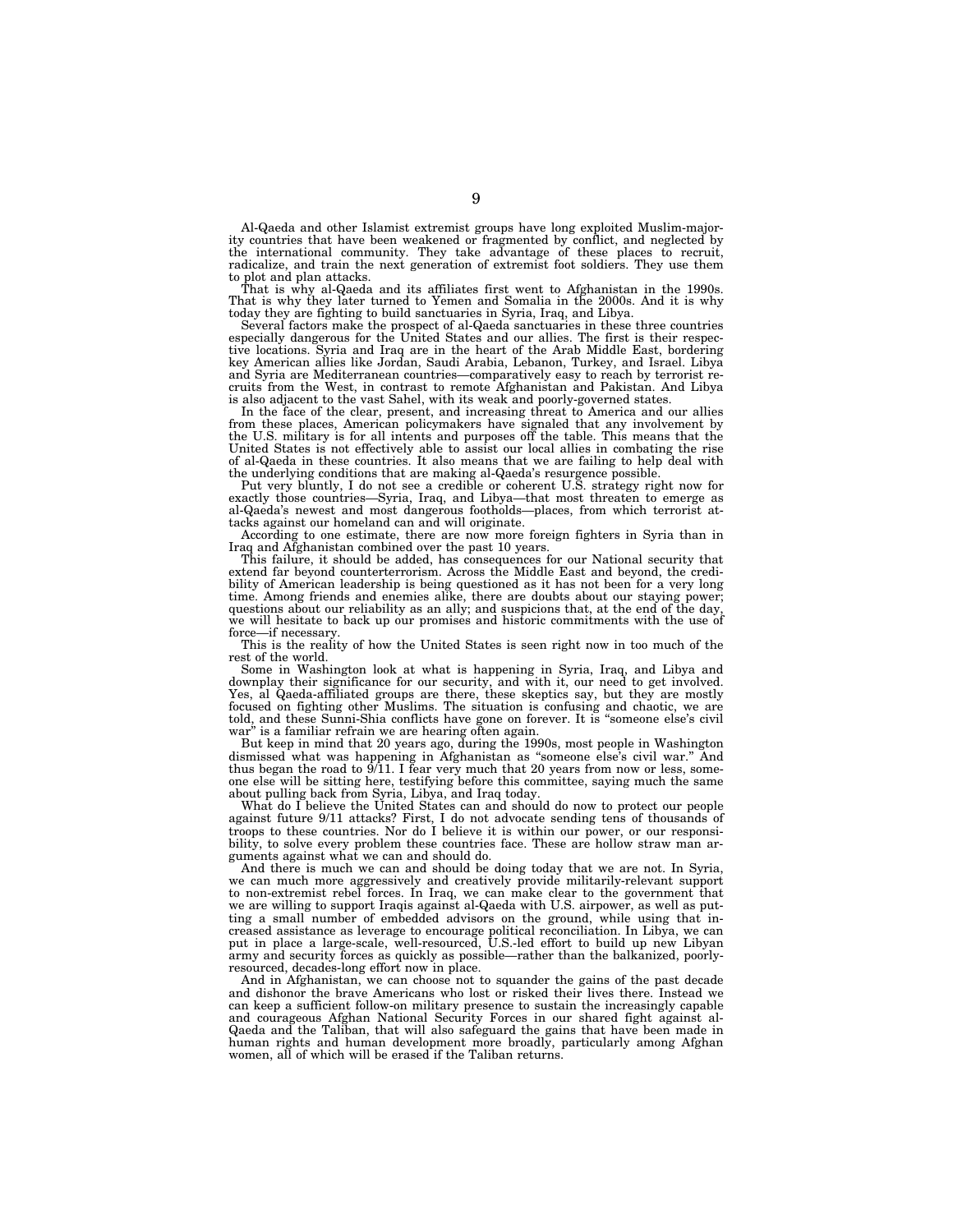Al-Qaeda and other Islamist extremist groups have long exploited Muslim-majority countries that have been weakened or fragmented by conflict, and neglected by the international community. They take advantage of these places to recruit, radicalize, and train the next generation of extremist foot soldiers. They use them to plot and plan attacks.

That is why al-Qaeda and its affiliates first went to Afghanistan in the 1990s. That is why they later turned to Yemen and Somalia in the 2000s. And it is why today they are fighting to build sanctuaries in Syria, Iraq, and Libya.

Several factors make the prospect of al-Qaeda sanctuaries in these three countries especially dangerous for the United States and our allies. The first is their respective locations. Syria and Iraq are in the heart of the Arab Middle East, bordering key American allies like Jordan, Saudi Arabia, Lebanon, Turkey, and Israel. Libya and Syria are Mediterranean countries—comparatively easy to reach by terrorist recruits from the West, in contrast to remote Afghanistan and Pakistan. And Libya is also adjacent to the vast Sahel, with its weak and poorly-governed states.

In the face of the clear, present, and increasing threat to America and our allies from these places, American policymakers have signaled that any involvement by the U.S. military is for all intents and purposes off the table. This means that the United States is not effectively able to assist our local allies in combating the rise of al-Qaeda in these countries. It also means that we are failing to help deal with the underlying conditions that are making al-Qaeda's resurgence possible.

Put very bluntly, I do not see a credible or coherent U.S. strategy right now for exactly those countries—Syria, Iraq, and Libya—that most threaten to emerge as al-Qaeda's newest and most dangerous footholds—places, from which terrorist attacks against our homeland can and will originate.

According to one estimate, there are now more foreign fighters in Syria than in Iraq and Afghanistan combined over the past 10 years.

This failure, it should be added, has consequences for our National security that extend far beyond counterterrorism. Across the Middle East and beyond, the credibility of American leadership is being questioned as it has not been for a very long time. Among friends and enemies alike, there are doubts about our staying power; questions about our reliability as an ally; and suspicions that, at the end of the day, we will hesitate to back up our promises and historic commitments with the use of force—if necessary.

This is the reality of how the United States is seen right now in too much of the rest of the world.

Some in Washington look at what is happening in Syria, Iraq, and Libya and downplay their significance for our security, and with it, our need to get involved.<br>Yes, al Qaeda-affiliated groups are there, these skeptics say, focused on fighting other Muslims. The situation is confusing and chaotic, we are told, and these Sunni-Shia conflicts have gone on forever. It is ''someone else's civil war'' is a familiar refrain we are hearing often again.

But keep in mind that 20 years ago, during the 1990s, most people in Washington dismissed what was happening in Afghanistan as ''someone else's civil war.'' And thus began the road to 9/11. I fear very much that 20 years from now or less, someone else will be sitting here, testifying before this committee, saying much the same about pulling back from Syria, Libya, and Iraq today.

What do I believe the United States can and should do now to protect our people against future 9/11 attacks? First, I do not advocate sending tens of thousands of troops to these countries. Nor do I believe it is within our power, or our responsibility, to solve every problem these countries face. These are hollow straw man arguments against what we can and should do.

And there is much we can and should be doing today that we are not. In Syria, we can much more aggressively and creatively provide militarily-relevant support to non-extremist rebel forces. In Iraq, we can make clear to the government that we are willing to support Iraqis against al-Qaeda with U.S. airpower, as well as putting a small number of embedded advisors on the ground, while using that increased assistance as leverage to encourage political reconciliation. In Libya, we can put in place a large-scale, well-resourced, U.S.-led effort to build up new Libyan army and security forces as quickly as possible—rather than the balkanized, poorlyresourced, decades-long effort now in place.

And in Afghanistan, we can choose not to squander the gains of the past decade and dishonor the brave Americans who lost or risked their lives there. Instead we can keep a sufficient follow-on military presence to sustain the increasingly capable and courageous Afghan National Security Forces in our shared fight against al-Qaeda and the Taliban, that will also safeguard the gains that have been made in human rights and human development more broadly, particularly among Afghan women, all of which will be erased if the Taliban returns.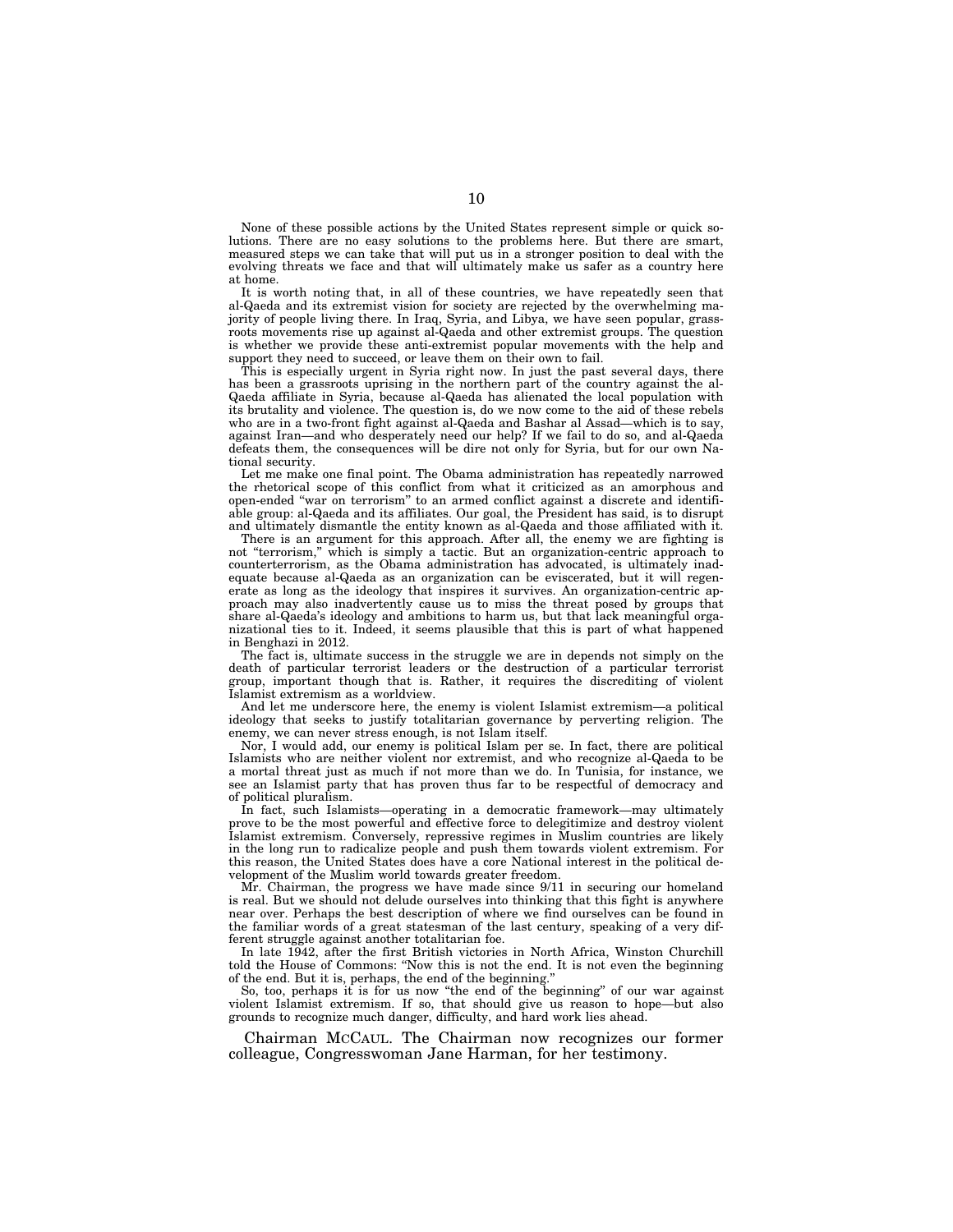None of these possible actions by the United States represent simple or quick solutions. There are no easy solutions to the problems here. But there are smart, measured steps we can take that will put us in a stronger position to deal with the evolving threats we face and that will ultimately make us safer as a country here at home.

It is worth noting that, in all of these countries, we have repeatedly seen that al-Qaeda and its extremist vision for society are rejected by the overwhelming majority of people living there. In Iraq, Syria, and Libya, we have seen popular, grassroots movements rise up against al-Qaeda and other extremist groups. The question is whether we provide these anti-extremist popular movements with the help and support they need to succeed, or leave them on their own to fail.

This is especially urgent in Syria right now. In just the past several days, there has been a grassroots uprising in the northern part of the country against the al-Qaeda affiliate in Syria, because al-Qaeda has alienated the local population with its brutality and violence. The question is, do we now come to the aid of these rebels who are in a two-front fight against al-Qaeda and Bashar al Assad—which is to say, against Iran—and who desperately need our help? If we fail to do so, and al-Qaeda defeats them, the consequences will be dire not only for Syria, but for our own National security.

Let me make one final point. The Obama administration has repeatedly narrowed the rhetorical scope of this conflict from what it criticized as an amorphous and open-ended ''war on terrorism'' to an armed conflict against a discrete and identifiable group: al-Qaeda and its affiliates. Our goal, the President has said, is to disrupt and ultimately dismantle the entity known as al-Qaeda and those affiliated with it.

There is an argument for this approach. After all, the enemy we are fighting is not ''terrorism,'' which is simply a tactic. But an organization-centric approach to counterterrorism, as the Obama administration has advocated, is ultimately inadequate because al-Qaeda as an organization can be eviscerated, but it will regenerate as long as the ideology that inspires it survives. An organization-centric approach may also inadvertently cause us to miss the threat posed by groups that share al-Qaeda's ideology and ambitions to harm us, but that lack meaningful organizational ties to it. Indeed, it seems plausible that this is part of what happened in Benghazi in 2012.

The fact is, ultimate success in the struggle we are in depends not simply on the death of particular terrorist leaders or the destruction of a particular terrorist group, important though that is. Rather, it requires the discrediting of violent Islamist extremism as a worldview.

And let me underscore here, the enemy is violent Islamist extremism—a political ideology that seeks to justify totalitarian governance by perverting religion. The enemy, we can never stress enough, is not Islam itself.

Nor, I would add, our enemy is political Islam per se. In fact, there are political Islamists who are neither violent nor extremist, and who recognize al-Qaeda to be a mortal threat just as much if not more than we do. In Tunisia, for instance, we see an Islamist party that has proven thus far to be respectful of democracy and of political pluralism.

In fact, such Islamists—operating in a democratic framework—may ultimately prove to be the most powerful and effective force to delegitimize and destroy violent Islamist extremism. Conversely, repressive regimes in Muslim countries are likely in the long run to radicalize people and push them towards violent extremism. For this reason, the United States does have a core National interest in the political development of the Muslim world towards greater freedom.

Mr. Chairman, the progress we have made since 9/11 in securing our homeland is real. But we should not delude ourselves into thinking that this fight is anywhere near over. Perhaps the best description of where we find ourselves can be found in the familiar words of a great statesman of the last century, speaking of a very different struggle against another totalitarian foe.

In late 1942, after the first British victories in North Africa, Winston Churchill told the House of Commons: ''Now this is not the end. It is not even the beginning of the end. But it is, perhaps, the end of the beginning.''

So, too, perhaps it is for us now ''the end of the beginning'' of our war against violent Islamist extremism. If so, that should give us reason to hope—but also grounds to recognize much danger, difficulty, and hard work lies ahead.

Chairman MCCAUL. The Chairman now recognizes our former colleague, Congresswoman Jane Harman, for her testimony.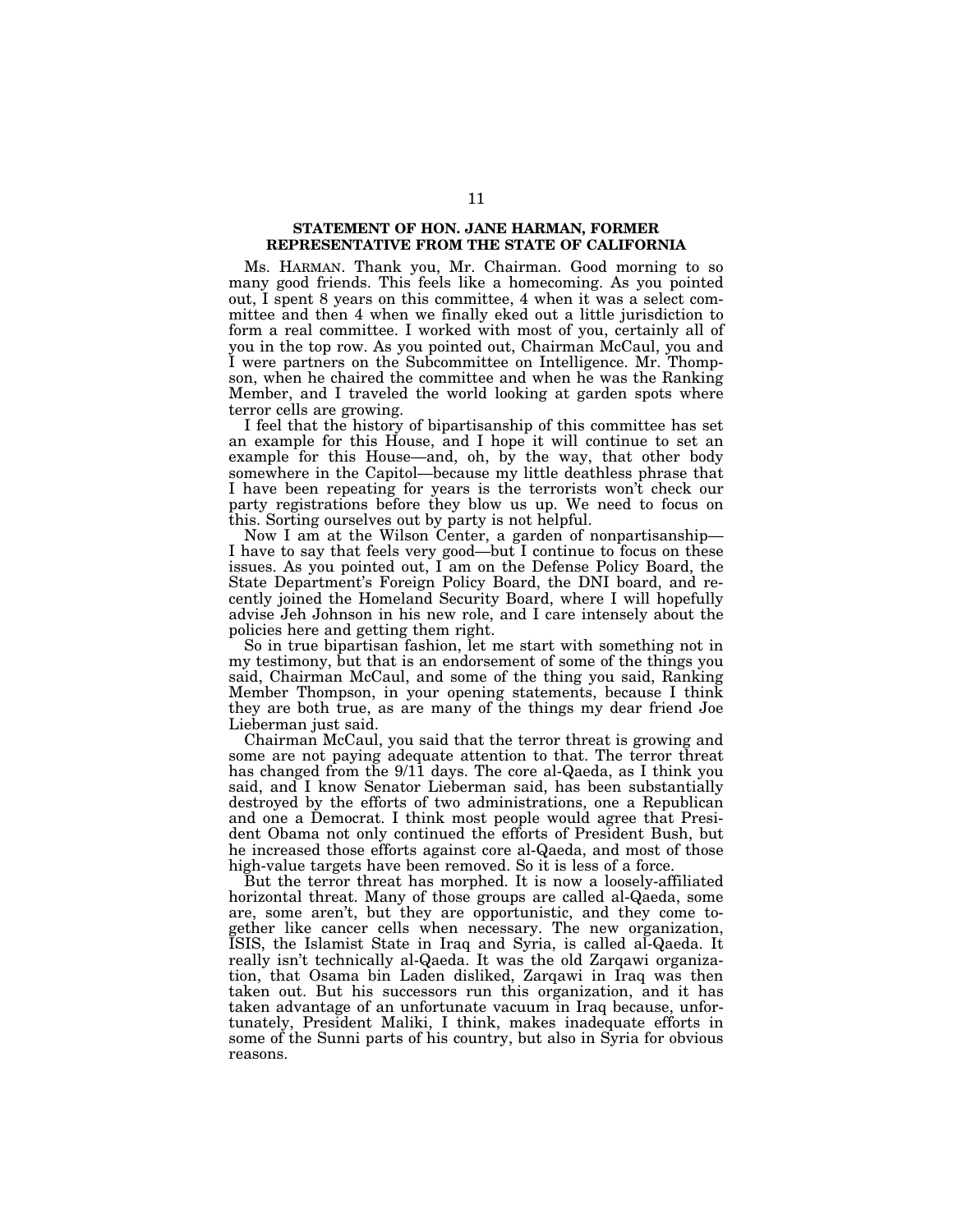# **STATEMENT OF HON. JANE HARMAN, FORMER REPRESENTATIVE FROM THE STATE OF CALIFORNIA**

Ms. HARMAN. Thank you, Mr. Chairman. Good morning to so many good friends. This feels like a homecoming. As you pointed out, I spent 8 years on this committee, 4 when it was a select committee and then 4 when we finally eked out a little jurisdiction to form a real committee. I worked with most of you, certainly all of you in the top row. As you pointed out, Chairman McCaul, you and I were partners on the Subcommittee on Intelligence. Mr. Thompson, when he chaired the committee and when he was the Ranking Member, and I traveled the world looking at garden spots where terror cells are growing.

I feel that the history of bipartisanship of this committee has set an example for this House, and I hope it will continue to set an example for this House—and, oh, by the way, that other body somewhere in the Capitol—because my little deathless phrase that I have been repeating for years is the terrorists won't check our party registrations before they blow us up. We need to focus on this. Sorting ourselves out by party is not helpful.

Now I am at the Wilson Center, a garden of nonpartisanship— I have to say that feels very good—but I continue to focus on these issues. As you pointed out, I am on the Defense Policy Board, the State Department's Foreign Policy Board, the DNI board, and recently joined the Homeland Security Board, where I will hopefully advise Jeh Johnson in his new role, and I care intensely about the policies here and getting them right.

So in true bipartisan fashion, let me start with something not in my testimony, but that is an endorsement of some of the things you said, Chairman McCaul, and some of the thing you said, Ranking Member Thompson, in your opening statements, because I think they are both true, as are many of the things my dear friend Joe Lieberman just said.

Chairman McCaul, you said that the terror threat is growing and some are not paying adequate attention to that. The terror threat has changed from the 9/11 days. The core al-Qaeda, as I think you said, and I know Senator Lieberman said, has been substantially destroyed by the efforts of two administrations, one a Republican and one a Democrat. I think most people would agree that President Obama not only continued the efforts of President Bush, but he increased those efforts against core al-Qaeda, and most of those high-value targets have been removed. So it is less of a force.

But the terror threat has morphed. It is now a loosely-affiliated horizontal threat. Many of those groups are called al-Qaeda, some are, some aren't, but they are opportunistic, and they come together like cancer cells when necessary. The new organization, ISIS, the Islamist State in Iraq and Syria, is called al-Qaeda. It really isn't technically al-Qaeda. It was the old Zarqawi organization, that Osama bin Laden disliked, Zarqawi in Iraq was then taken out. But his successors run this organization, and it has taken advantage of an unfortunate vacuum in Iraq because, unfortunately, President Maliki, I think, makes inadequate efforts in some of the Sunni parts of his country, but also in Syria for obvious reasons.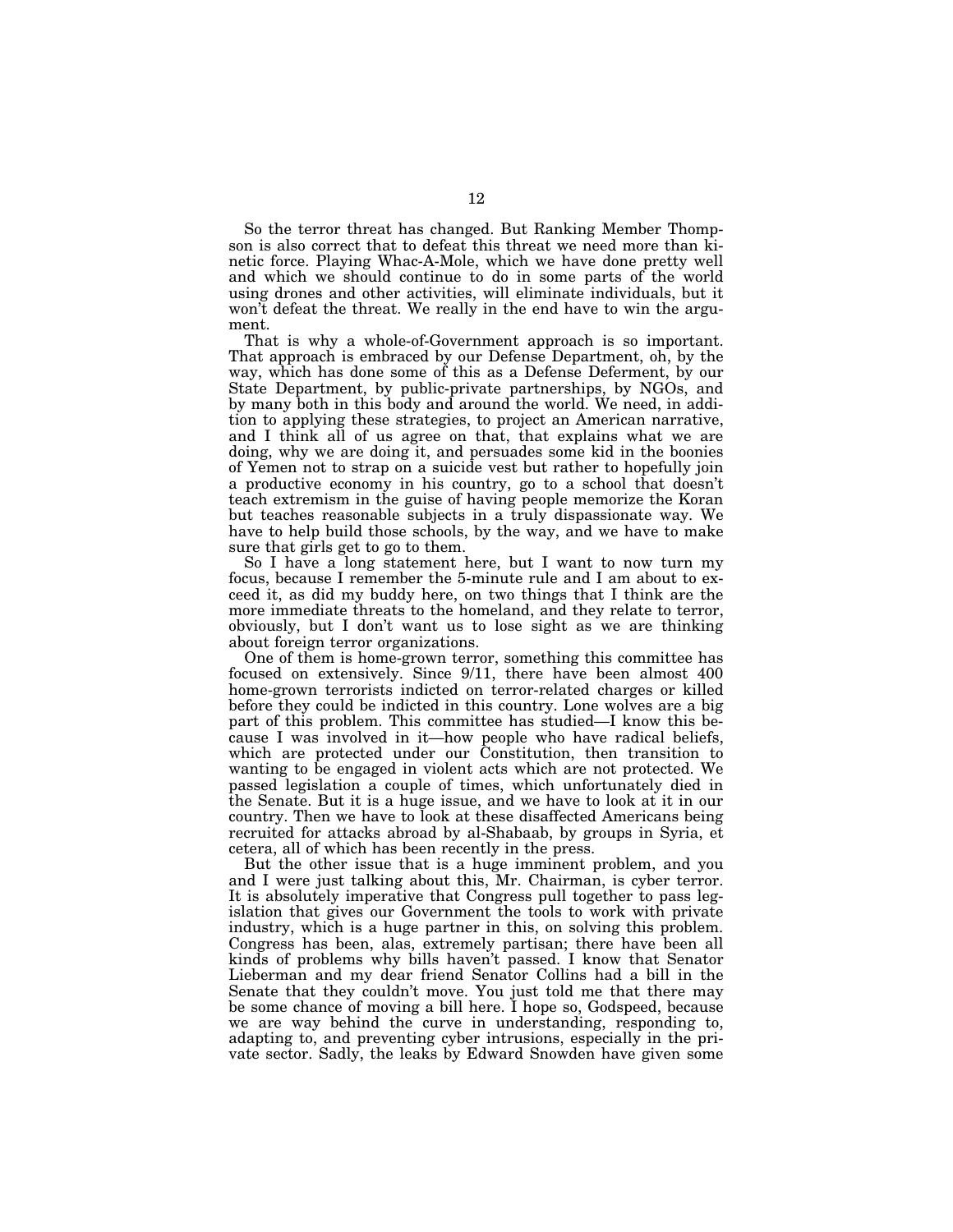So the terror threat has changed. But Ranking Member Thompson is also correct that to defeat this threat we need more than kinetic force. Playing Whac-A-Mole, which we have done pretty well and which we should continue to do in some parts of the world using drones and other activities, will eliminate individuals, but it won't defeat the threat. We really in the end have to win the argument.

That is why a whole-of-Government approach is so important. That approach is embraced by our Defense Department, oh, by the way, which has done some of this as a Defense Deferment, by our State Department, by public-private partnerships, by NGOs, and by many both in this body and around the world. We need, in addition to applying these strategies, to project an American narrative, and I think all of us agree on that, that explains what we are doing, why we are doing it, and persuades some kid in the boonies of Yemen not to strap on a suicide vest but rather to hopefully join a productive economy in his country, go to a school that doesn't teach extremism in the guise of having people memorize the Koran but teaches reasonable subjects in a truly dispassionate way. We have to help build those schools, by the way, and we have to make sure that girls get to go to them.

So I have a long statement here, but I want to now turn my focus, because I remember the 5-minute rule and I am about to exceed it, as did my buddy here, on two things that I think are the more immediate threats to the homeland, and they relate to terror, obviously, but I don't want us to lose sight as we are thinking about foreign terror organizations.

One of them is home-grown terror, something this committee has focused on extensively. Since 9/11, there have been almost 400 home-grown terrorists indicted on terror-related charges or killed before they could be indicted in this country. Lone wolves are a big part of this problem. This committee has studied—I know this because I was involved in it—how people who have radical beliefs, which are protected under our Constitution, then transition to wanting to be engaged in violent acts which are not protected. We passed legislation a couple of times, which unfortunately died in the Senate. But it is a huge issue, and we have to look at it in our country. Then we have to look at these disaffected Americans being recruited for attacks abroad by al-Shabaab, by groups in Syria, et cetera, all of which has been recently in the press.

But the other issue that is a huge imminent problem, and you and I were just talking about this, Mr. Chairman, is cyber terror. It is absolutely imperative that Congress pull together to pass legislation that gives our Government the tools to work with private industry, which is a huge partner in this, on solving this problem. Congress has been, alas, extremely partisan; there have been all kinds of problems why bills haven't passed. I know that Senator Lieberman and my dear friend Senator Collins had a bill in the Senate that they couldn't move. You just told me that there may be some chance of moving a bill here. I hope so, Godspeed, because we are way behind the curve in understanding, responding to, adapting to, and preventing cyber intrusions, especially in the private sector. Sadly, the leaks by Edward Snowden have given some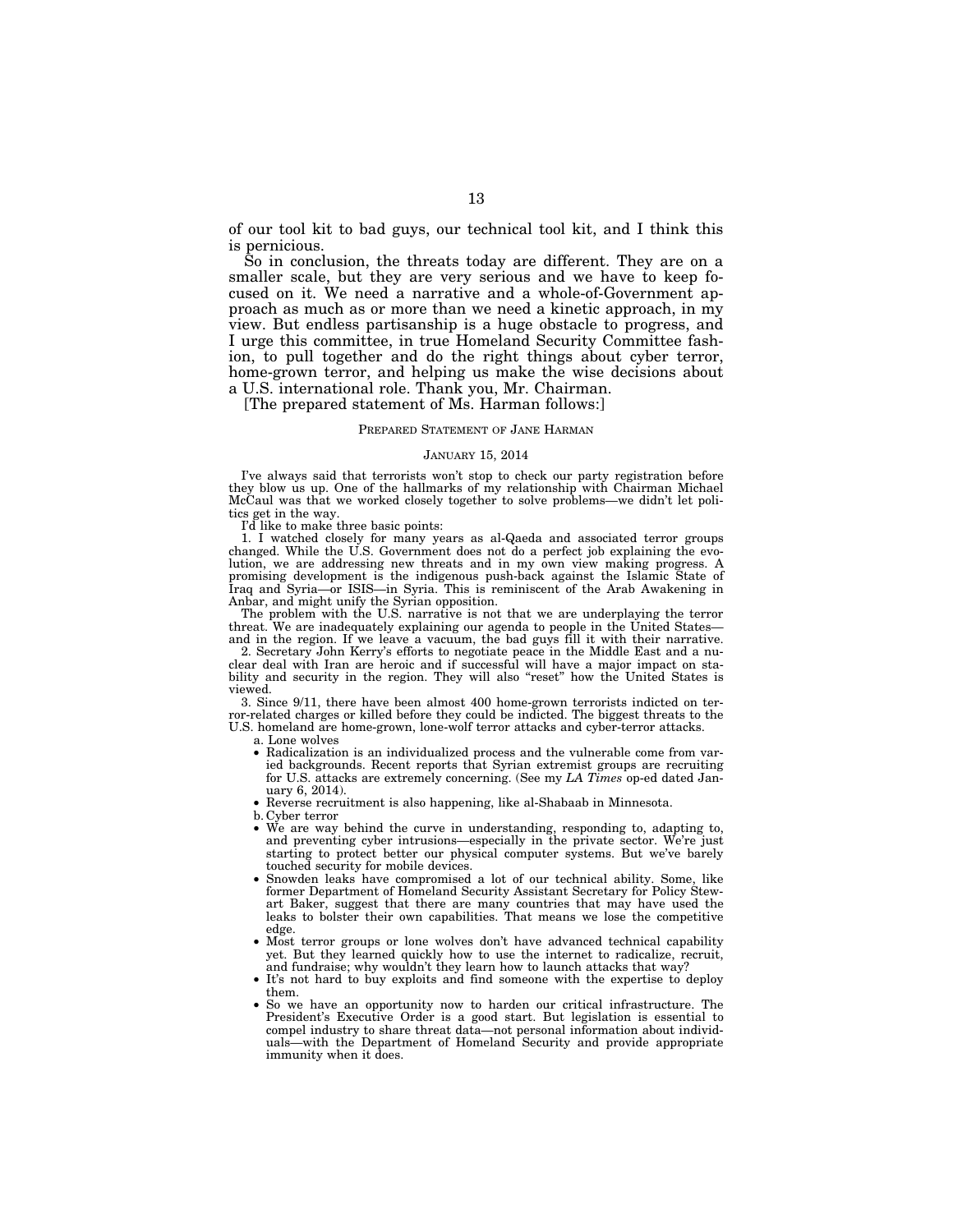of our tool kit to bad guys, our technical tool kit, and I think this is pernicious.

So in conclusion, the threats today are different. They are on a smaller scale, but they are very serious and we have to keep focused on it. We need a narrative and a whole-of-Government approach as much as or more than we need a kinetic approach, in my view. But endless partisanship is a huge obstacle to progress, and I urge this committee, in true Homeland Security Committee fashion, to pull together and do the right things about cyber terror, home-grown terror, and helping us make the wise decisions about a U.S. international role. Thank you, Mr. Chairman.

[The prepared statement of Ms. Harman follows:]

#### PREPARED STATEMENT OF JANE HARMAN

#### JANUARY 15, 2014

I've always said that terrorists won't stop to check our party registration before they blow us up. One of the hallmarks of my relationship with Chairman Michael McCaul was that we worked closely together to solve problems—we didn't let politics get in the way.

I'd like to make three basic points:

1. I watched closely for many years as al-Qaeda and associated terror groups changed. While the U.S. Government does not do a perfect job explaining the evolution, we are addressing new threats and in my own view making progress. A promising development is the indigenous push-back against the Islamic State of Iraq and Syria—or ISIS—in Syria. This is reminiscent of the Arab Awakening in Anbar, and might unify the Syrian opposition.

The problem with the U.S. narrative is not that we are underplaying the terror threat. We are inadequately explaining our agenda to people in the United States and in the region. If we leave a vacuum, the bad guys fill it with their narrative.

2. Secretary John Kerry's efforts to negotiate peace in the Middle East and a nuclear deal with Iran are heroic and if successful will have a major impact on stability and security in the region. They will also "reset" how the United States is viewed.

3. Since 9/11, there have been almost 400 home-grown terrorists indicted on terror-related charges or killed before they could be indicted. The biggest threats to the U.S. homeland are home-grown, lone-wolf terror attacks and cyber-terror attacks.

a. Lone wolves

- Radicalization is an individualized process and the vulnerable come from varied backgrounds. Recent reports that Syrian extremist groups are recruiting for U.S. attacks are extremely concerning. (See my *LA Times* op-ed dated January 6, 2014).
- Reverse recruitment is also happening, like al-Shabaab in Minnesota.
- b. Cyber terror
- We are way behind the curve in understanding, responding to, adapting to, and preventing cyber intrusions—especially in the private sector. We're just starting to protect better our physical computer systems. But we've barely touched security for mobile devices.
- Snowden leaks have compromised a lot of our technical ability. Some, like former Department of Homeland Security Assistant Secretary for Policy Stewart Baker, suggest that there are many countries that may have used the leaks to bolster their own capabilities. That means we lose the competitive edge.
- Most terror groups or lone wolves don't have advanced technical capability yet. But they learned quickly how to use the internet to radicalize, recruit, and fundraise; why wouldn't they learn how to launch attacks that way?
- It's not hard to buy exploits and find someone with the expertise to deploy them.
- So we have an opportunity now to harden our critical infrastructure. The President's Executive Order is a good start. But legislation is essential to compel industry to share threat data—not personal information about individuals—with the Department of Homeland Security and provide appropriate immunity when it does.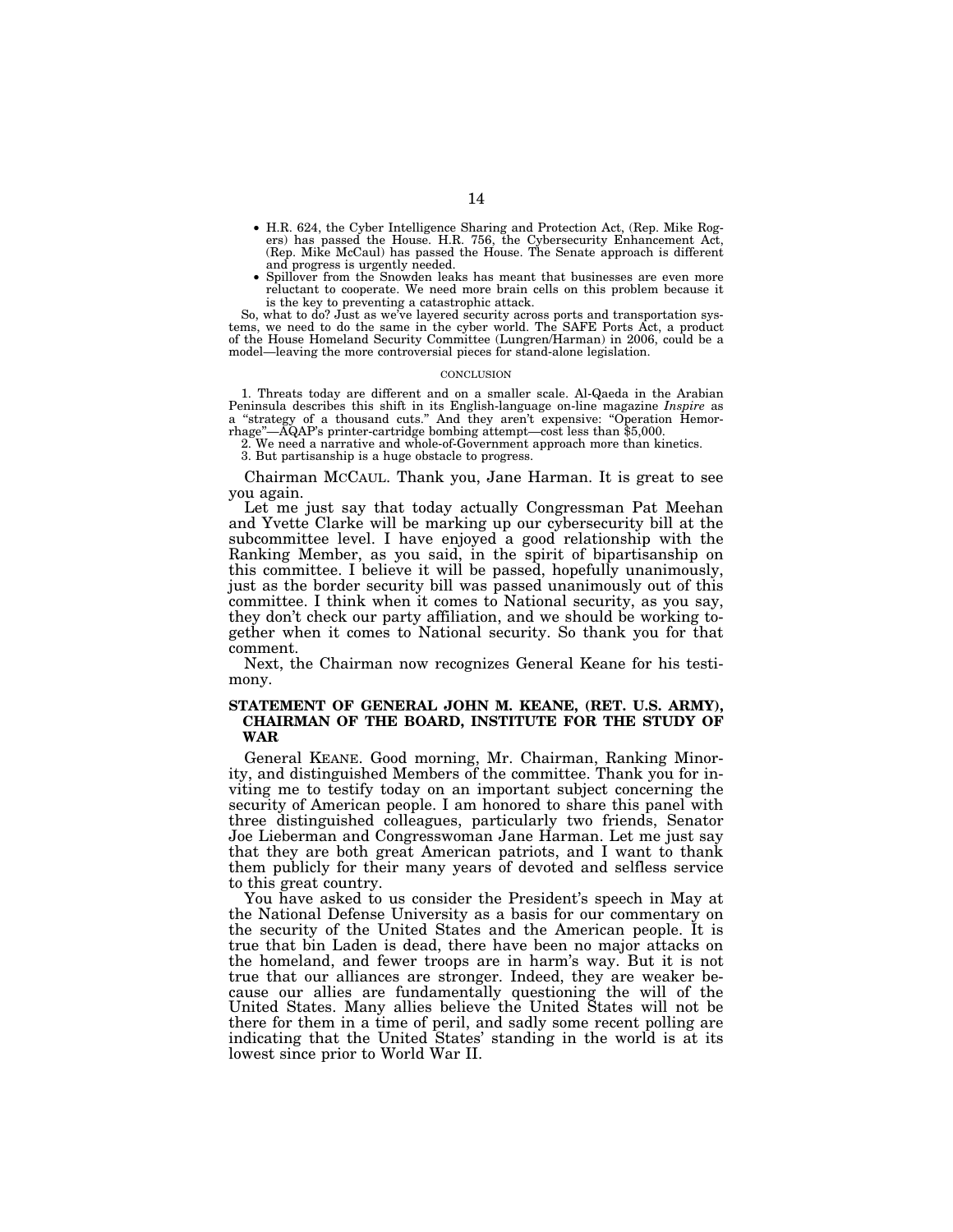- H.R. 624, the Cyber Intelligence Sharing and Protection Act, (Rep. Mike Rog-ers) has passed the House. H.R. 756, the Cybersecurity Enhancement Act, (Rep. Mike McCaul) has passed the House. The Senate approach is different and progress is urgently needed.
- Spillover from the Snowden leaks has meant that businesses are even more reluctant to cooperate. We need more brain cells on this problem because it is the key to preventing a catastrophic attack.

So, what to do? Just as we've layered security across ports and transportation systems, we need to do the same in the cyber world. The SAFE Ports Act, a product of the House Homeland Security Committee (Lungren/Harman) in 2006, could be a model—leaving the more controversial pieces for stand-alone legislation.

#### **CONCLUSION**

1. Threats today are different and on a smaller scale. Al-Qaeda in the Arabian Peninsula describes this shift in its English-language on-line magazine *Inspire* as a ''strategy of a thousand cuts.'' And they aren't expensive: ''Operation Hemorrhage''—AQAP's printer-cartridge bombing attempt—cost less than \$5,000.

2. We need a narrative and whole-of-Government approach more than kinetics.

3. But partisanship is a huge obstacle to progress.

Chairman MCCAUL. Thank you, Jane Harman. It is great to see you again.

Let me just say that today actually Congressman Pat Meehan and Yvette Clarke will be marking up our cybersecurity bill at the subcommittee level. I have enjoyed a good relationship with the Ranking Member, as you said, in the spirit of bipartisanship on this committee. I believe it will be passed, hopefully unanimously, just as the border security bill was passed unanimously out of this committee. I think when it comes to National security, as you say, they don't check our party affiliation, and we should be working together when it comes to National security. So thank you for that comment.

Next, the Chairman now recognizes General Keane for his testimony.

### **STATEMENT OF GENERAL JOHN M. KEANE, (RET. U.S. ARMY), CHAIRMAN OF THE BOARD, INSTITUTE FOR THE STUDY OF WAR**

General KEANE. Good morning, Mr. Chairman, Ranking Minority, and distinguished Members of the committee. Thank you for inviting me to testify today on an important subject concerning the security of American people. I am honored to share this panel with three distinguished colleagues, particularly two friends, Senator Joe Lieberman and Congresswoman Jane Harman. Let me just say that they are both great American patriots, and I want to thank them publicly for their many years of devoted and selfless service to this great country.

You have asked to us consider the President's speech in May at the National Defense University as a basis for our commentary on the security of the United States and the American people. It is true that bin Laden is dead, there have been no major attacks on the homeland, and fewer troops are in harm's way. But it is not true that our alliances are stronger. Indeed, they are weaker because our allies are fundamentally questioning the will of the United States. Many allies believe the United States will not be there for them in a time of peril, and sadly some recent polling are indicating that the United States' standing in the world is at its lowest since prior to World War II.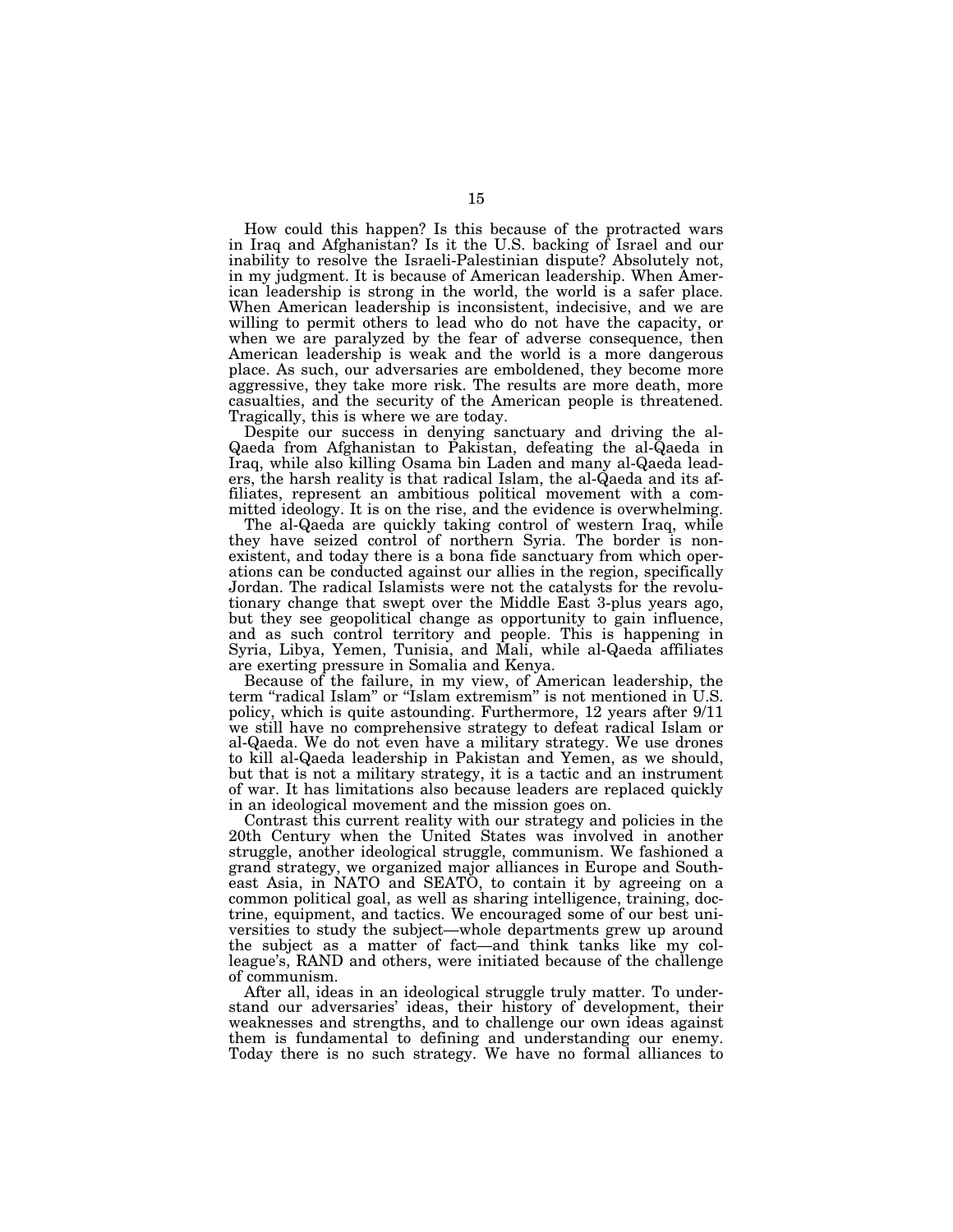How could this happen? Is this because of the protracted wars in Iraq and Afghanistan? Is it the U.S. backing of Israel and our inability to resolve the Israeli-Palestinian dispute? Absolutely not, in my judgment. It is because of American leadership. When American leadership is strong in the world, the world is a safer place. When American leadership is inconsistent, indecisive, and we are willing to permit others to lead who do not have the capacity, or when we are paralyzed by the fear of adverse consequence, then American leadership is weak and the world is a more dangerous place. As such, our adversaries are emboldened, they become more aggressive, they take more risk. The results are more death, more casualties, and the security of the American people is threatened. Tragically, this is where we are today.

Despite our success in denying sanctuary and driving the al-Qaeda from Afghanistan to Pakistan, defeating the al-Qaeda in Iraq, while also killing Osama bin Laden and many al-Qaeda leaders, the harsh reality is that radical Islam, the al-Qaeda and its affiliates, represent an ambitious political movement with a committed ideology. It is on the rise, and the evidence is overwhelming.

The al-Qaeda are quickly taking control of western Iraq, while they have seized control of northern Syria. The border is nonexistent, and today there is a bona fide sanctuary from which operations can be conducted against our allies in the region, specifically Jordan. The radical Islamists were not the catalysts for the revolutionary change that swept over the Middle East 3-plus years ago, but they see geopolitical change as opportunity to gain influence, and as such control territory and people. This is happening in Syria, Libya, Yemen, Tunisia, and Mali, while al-Qaeda affiliates are exerting pressure in Somalia and Kenya.

Because of the failure, in my view, of American leadership, the term "radical Islam" or "Islam extremism" is not mentioned in U.S. policy, which is quite astounding. Furthermore, 12 years after 9/11 we still have no comprehensive strategy to defeat radical Islam or al-Qaeda. We do not even have a military strategy. We use drones to kill al-Qaeda leadership in Pakistan and Yemen, as we should, but that is not a military strategy, it is a tactic and an instrument of war. It has limitations also because leaders are replaced quickly in an ideological movement and the mission goes on.

Contrast this current reality with our strategy and policies in the 20th Century when the United States was involved in another struggle, another ideological struggle, communism. We fashioned a grand strategy, we organized major alliances in Europe and Southeast Asia, in NATO and SEATO, to contain it by agreeing on a common political goal, as well as sharing intelligence, training, doctrine, equipment, and tactics. We encouraged some of our best universities to study the subject—whole departments grew up around the subject as a matter of fact—and think tanks like my colleague's, RAND and others, were initiated because of the challenge of communism.

After all, ideas in an ideological struggle truly matter. To understand our adversaries' ideas, their history of development, their weaknesses and strengths, and to challenge our own ideas against them is fundamental to defining and understanding our enemy. Today there is no such strategy. We have no formal alliances to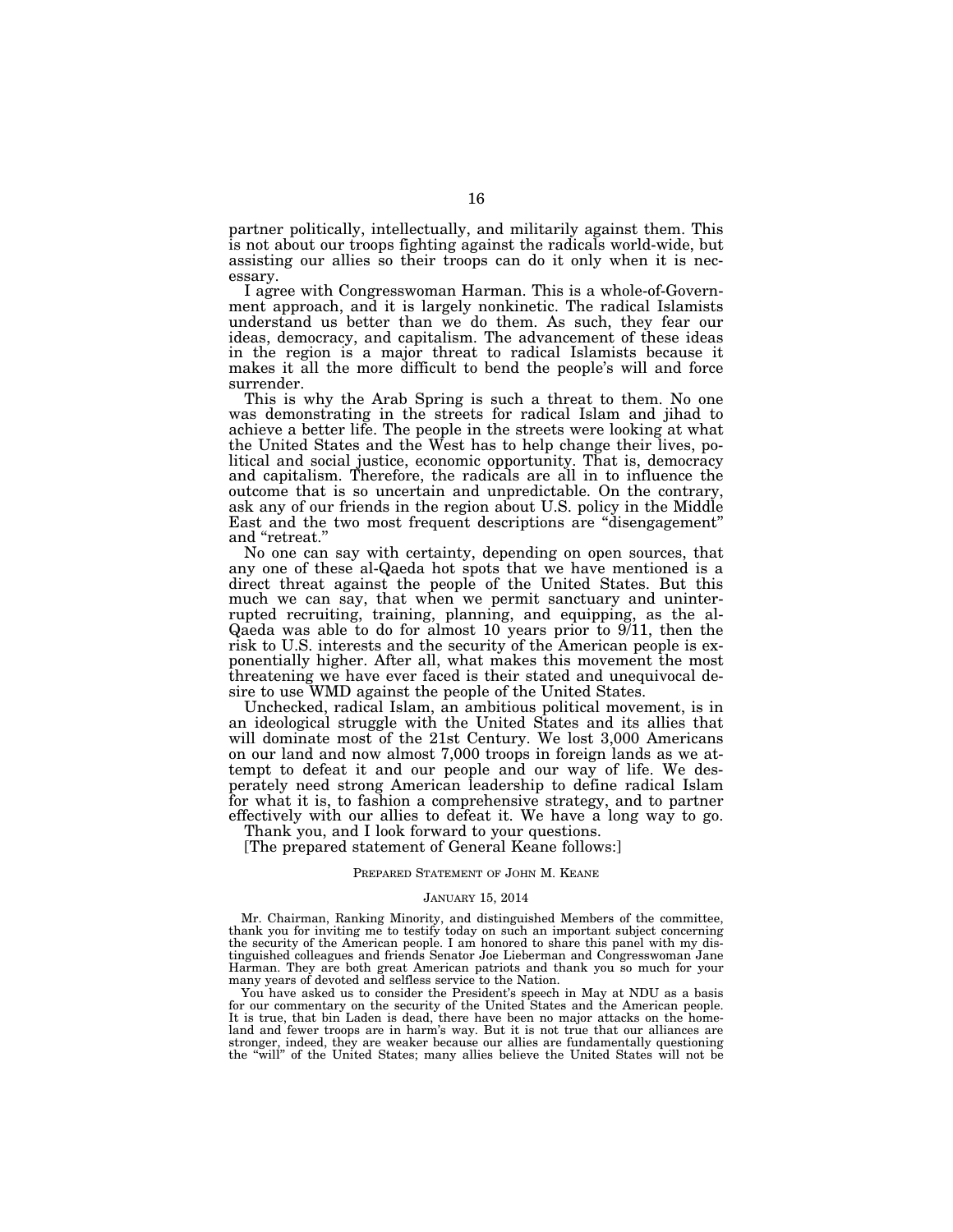partner politically, intellectually, and militarily against them. This is not about our troops fighting against the radicals world-wide, but assisting our allies so their troops can do it only when it is necessary.

I agree with Congresswoman Harman. This is a whole-of-Government approach, and it is largely nonkinetic. The radical Islamists understand us better than we do them. As such, they fear our ideas, democracy, and capitalism. The advancement of these ideas in the region is a major threat to radical Islamists because it makes it all the more difficult to bend the people's will and force surrender.

This is why the Arab Spring is such a threat to them. No one was demonstrating in the streets for radical Islam and jihad to achieve a better life. The people in the streets were looking at what the United States and the West has to help change their lives, political and social justice, economic opportunity. That is, democracy and capitalism. Therefore, the radicals are all in to influence the outcome that is so uncertain and unpredictable. On the contrary, ask any of our friends in the region about U.S. policy in the Middle East and the two most frequent descriptions are ''disengagement'' and ''retreat.''

No one can say with certainty, depending on open sources, that any one of these al-Qaeda hot spots that we have mentioned is a direct threat against the people of the United States. But this much we can say, that when we permit sanctuary and uninterrupted recruiting, training, planning, and equipping, as the al-Qaeda was able to do for almost 10 years prior to 9/11, then the risk to U.S. interests and the security of the American people is exponentially higher. After all, what makes this movement the most threatening we have ever faced is their stated and unequivocal desire to use WMD against the people of the United States.

Unchecked, radical Islam, an ambitious political movement, is in an ideological struggle with the United States and its allies that will dominate most of the 21st Century. We lost 3,000 Americans on our land and now almost 7,000 troops in foreign lands as we attempt to defeat it and our people and our way of life. We desperately need strong American leadership to define radical Islam for what it is, to fashion a comprehensive strategy, and to partner effectively with our allies to defeat it. We have a long way to go.

Thank you, and I look forward to your questions.

[The prepared statement of General Keane follows:]

#### PREPARED STATEMENT OF JOHN M. KEANE

#### JANUARY 15, 2014

Mr. Chairman, Ranking Minority, and distinguished Members of the committee, thank you for inviting me to testify today on such an important subject concerning the security of the American people. I am honored to share this panel with my distinguished colleagues and friends Senator Joe Lieberman and Congresswoman Jane Harman. They are both great American patriots and thank you so much for your many years of devoted and selfless service to the Nation.

You have asked us to consider the President's speech in May at NDU as a basis for our commentary on the security of the United States and the American people. It is true, that bin Laden is dead, there have been no major attacks on the homeland and fewer troops are in harm's way. But it is not true that our alliances are stronger, indeed, they are weaker because our allies are fundamentally questioning the "will" of the United States; many allies believe the United States will not be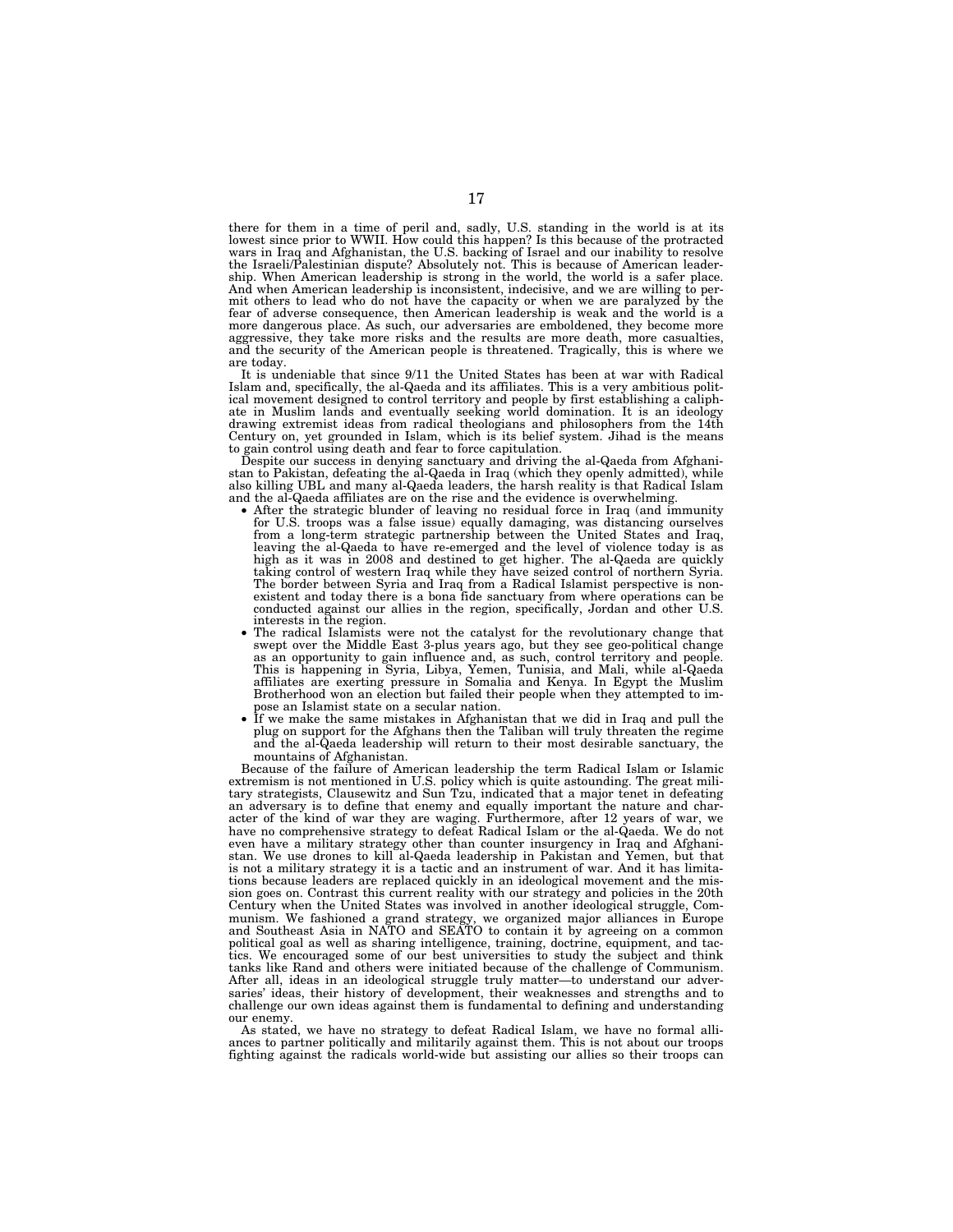there for them in a time of peril and, sadly, U.S. standing in the world is at its lowest since prior to WWII. How could this happen? Is this because of the protracted wars in Iraq and Afghanistan, the U.S. backing of Isra ship. When American leadership is strong in the world, the world is a safer place. And when American leadership is inconsistent, indecisive, and we are willing to permit others to lead who do not have the capacity or when we are paralyzed by the fear of adverse consequence, then American leadership is weak and the world is a more dangerous place. As such, our adversaries are emboldened, they become more aggressive, they take more risks and the results are more death, more casualties, and the security of the American people is threatened. Tragically, this is where we are today.

It is undeniable that since 9/11 the United States has been at war with Radical Islam and, specifically, the al-Qaeda and its affiliates. This is a very ambitious polit-ical movement designed to control territory and people by first establishing a caliphate in Muslim lands and eventually seeking world domination. It is an ideology drawing extremist ideas from radical theologians and philosophers from the 14th Century on, yet grounded in Islam, which is its belief system. Jihad is the means to gain control using death and fear to force capitulation.

Despite our success in denying sanctuary and driving the al-Qaeda from Afghani-stan to Pakistan, defeating the al-Qaeda in Iraq (which they openly admitted), while also killing UBL and many al-Qaeda leaders, the harsh reality is that Radical Islam<br>and the al-Qaeda affiliates are on the rise and the evidence is overwhelming.

- After the strategic blunder of leaving no residual force in Iraq (and immunity for U.S. troops was a false issue) equally damaging, was distancing ourselves from a long-term strategic partnership between the United States and Iraq, leaving the al-Qaeda to have re-emerged and the level of violence today is as high as it was in 2008 and destined to get higher. The al-Qaeda are quickly taking control of western Iraq while they have seized control of northern Syria. The border between Syria and Iraq from a Radical Islamist perspec conducted against our allies in the region, specifically, Jordan and other U.S.
- The radical Islamists were not the catalyst for the revolutionary change that swept over the Middle East 3-plus years ago, but they see geo-political change as an opportunity to gain influence and, as such, control territory and people.<br>This is happening in Syria, Libya, Yemen, Tunisia, and Mali, while al-Qaeda<br>affiliates are exerting pressure in Somalia and Kenya. In Egypt th Brotherhood won an election but failed their people when they attempted to im-
- If we make the same mistakes in Afghanistan that we did in Iraq and pull the plug on support for the Afghans then the Taliban will truly threaten the regime and the al-Qaeda leadership will return to their most desirable sanctuary, the mountains of Afghanistan.

Because of the failure of American leadership the term Radical Islam or Islamic extremism is not mentioned in U.S. policy which is quite astounding. The great military strategists, Clausewitz and Sun Tzu, indicated that a major tenet in defeating an adversary is to define that enemy and equally important the nature and character of the kind of war they are waging. Furthermore, after 12 years of war, we have no comprehensive strategy to defeat Radical Islam or the al-Qaeda. We do not even have a military strategy other than counter insurgency in Iraq and Afghanistan. We use drones to kill al-Qaeda leadership in Pakistan and Yemen, but that is not a military strategy it is a tactic and an instrument of war. And it has limitations because leaders are replaced quickly in an ideological movement and the mission goes on. Contrast this current reality with our strategy and policies in the 20th Century when the United States was involved in another ideological struggle, Communism. We fashioned a grand strategy, we organized major alliances in Europe and Southeast Asia in NATO and SEATO to contain it by agreeing on a common political goal as well as sharing intelligence, training, doctrine, equipment, and tactics. We encouraged some of our best universities to study the subject and think tanks like Rand and others were initiated because of the challenge of Communism. After all, ideas in an ideological struggle truly matter—to understand our adversaries' ideas, their history of development, their weaknesses and strengths and to challenge our own ideas against them is fundamental to defining and understanding our enemy.

As stated, we have no strategy to defeat Radical Islam, we have no formal alliances to partner politically and militarily against them. This is not about our troops fighting against the radicals world-wide but assisting our allies so their troops can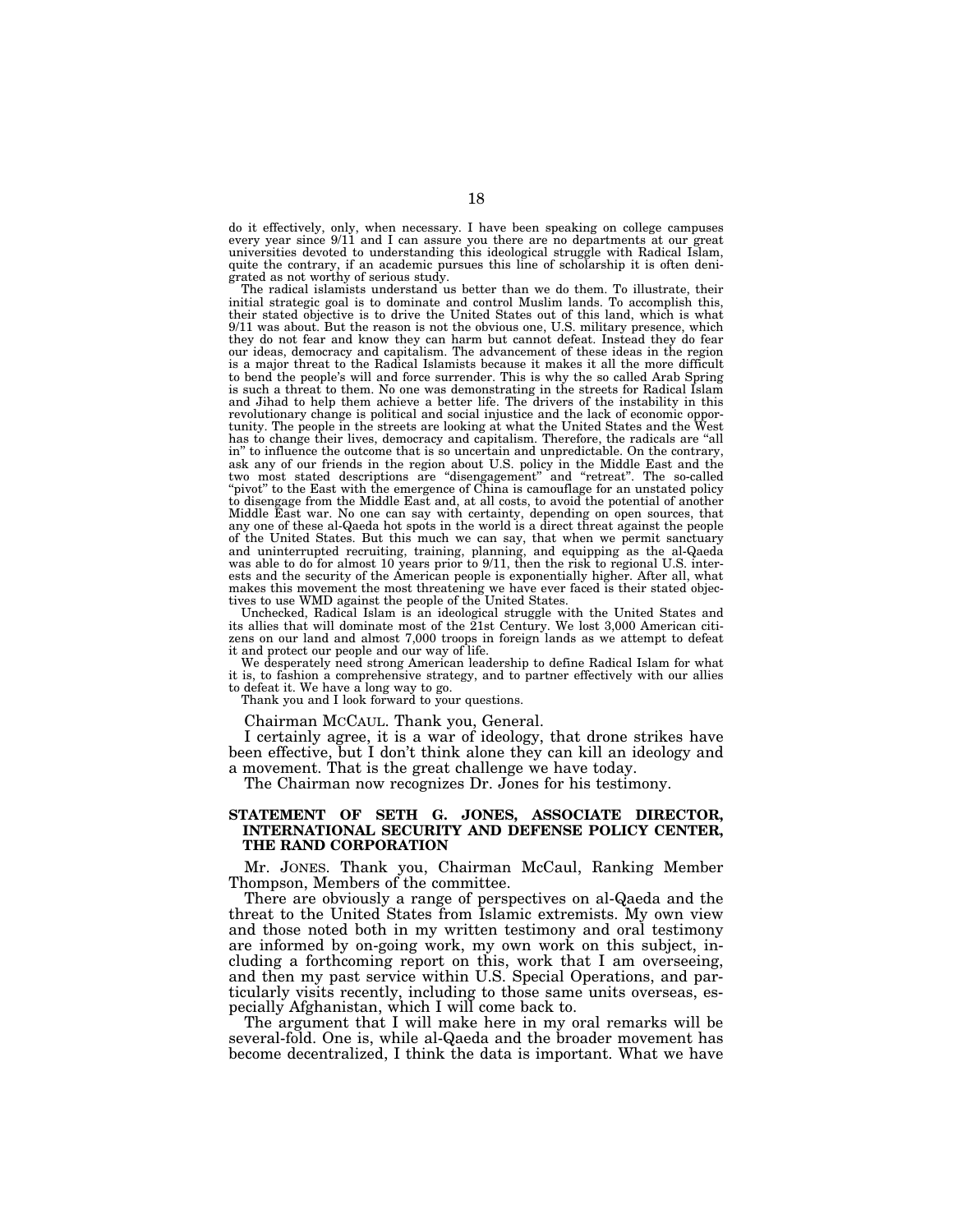do it effectively, only, when necessary. I have been speaking on college campuses every year since 9/11 and I can assure you there are no departments at our great universities devoted to understanding this ideological struggle with Radical Islam, quite the contrary, if an academic pursues this line of scholarship it is often denigrated as not worthy of serious study.

The radical islamists understand us better than we do them. To illustrate, their initial strategic goal is to dominate and control Muslim lands. To accomplish this, their stated objective is to drive the United States out of this land, which is what 9/11 was about. But the reason is not the obvious one, U.S. military presence, which they do not fear and know they can harm but cannot defeat. Instead they do fear our ideas, democracy and capitalism. The advancement of these ideas in the region is a major threat to the Radical Islamists because it makes it all the more difficult to bend the people's will and force surrender. This is why the so called Arab Spring is such a threat to them. No one was demonstrating in the streets for Radical Islam and Jihad to help them achieve a better life. The drivers of the instability in this revolutionary change is political and social injustice and the lack of economic opportunity. The people in the streets are looking at what the United States and the  $W$ has to change their lives, democracy and capitalism. Therefore, the radicals are ''all in'' to influence the outcome that is so uncertain and unpredictable. On the contrary, ask any of our friends in the region about U.S. policy in the Middle East and the two most stated descriptions are ''disengagement'' and ''retreat''. The so-called "pivot" to the East with the emergence of China is camouflage for an unstated policy to disengage from the Middle East and, at all costs, to avoid the potential of another Middle East war. No one can say with certainty, depending on open sources, that any one of these al-Qaeda hot spots in the world is a direct threat against the people of the United States. But this much we can say, that when we permit sanctuary and uninterrupted recruiting, training, planning, and equipping as the al-Qaeda was able to do for almost 10 years prior to 9/11, then the risk to regional U.S. interests and the security of the American people is exponentially higher. After all, what makes this movement the most threatening we have ever faced is their stated objectives to use WMD against the people of the United States.

Unchecked, Radical Islam is an ideological struggle with the United States and its allies that will dominate most of the 21st Century. We lost 3,000 American citizens on our land and almost 7,000 troops in foreign lands as we attempt to defeat it and protect our people and our way of life.

We desperately need strong American leadership to define Radical Islam for what it is, to fashion a comprehensive strategy, and to partner effectively with our allies to defeat it. We have a long way to go.

Thank you and I look forward to your questions.

Chairman MCCAUL. Thank you, General.

I certainly agree, it is a war of ideology, that drone strikes have been effective, but I don't think alone they can kill an ideology and a movement. That is the great challenge we have today.

The Chairman now recognizes Dr. Jones for his testimony.

### **STATEMENT OF SETH G. JONES, ASSOCIATE DIRECTOR, INTERNATIONAL SECURITY AND DEFENSE POLICY CENTER, THE RAND CORPORATION**

Mr. JONES. Thank you, Chairman McCaul, Ranking Member Thompson, Members of the committee.

There are obviously a range of perspectives on al-Qaeda and the threat to the United States from Islamic extremists. My own view and those noted both in my written testimony and oral testimony are informed by on-going work, my own work on this subject, including a forthcoming report on this, work that I am overseeing, and then my past service within U.S. Special Operations, and particularly visits recently, including to those same units overseas, especially Afghanistan, which I will come back to.

The argument that I will make here in my oral remarks will be several-fold. One is, while al-Qaeda and the broader movement has become decentralized, I think the data is important. What we have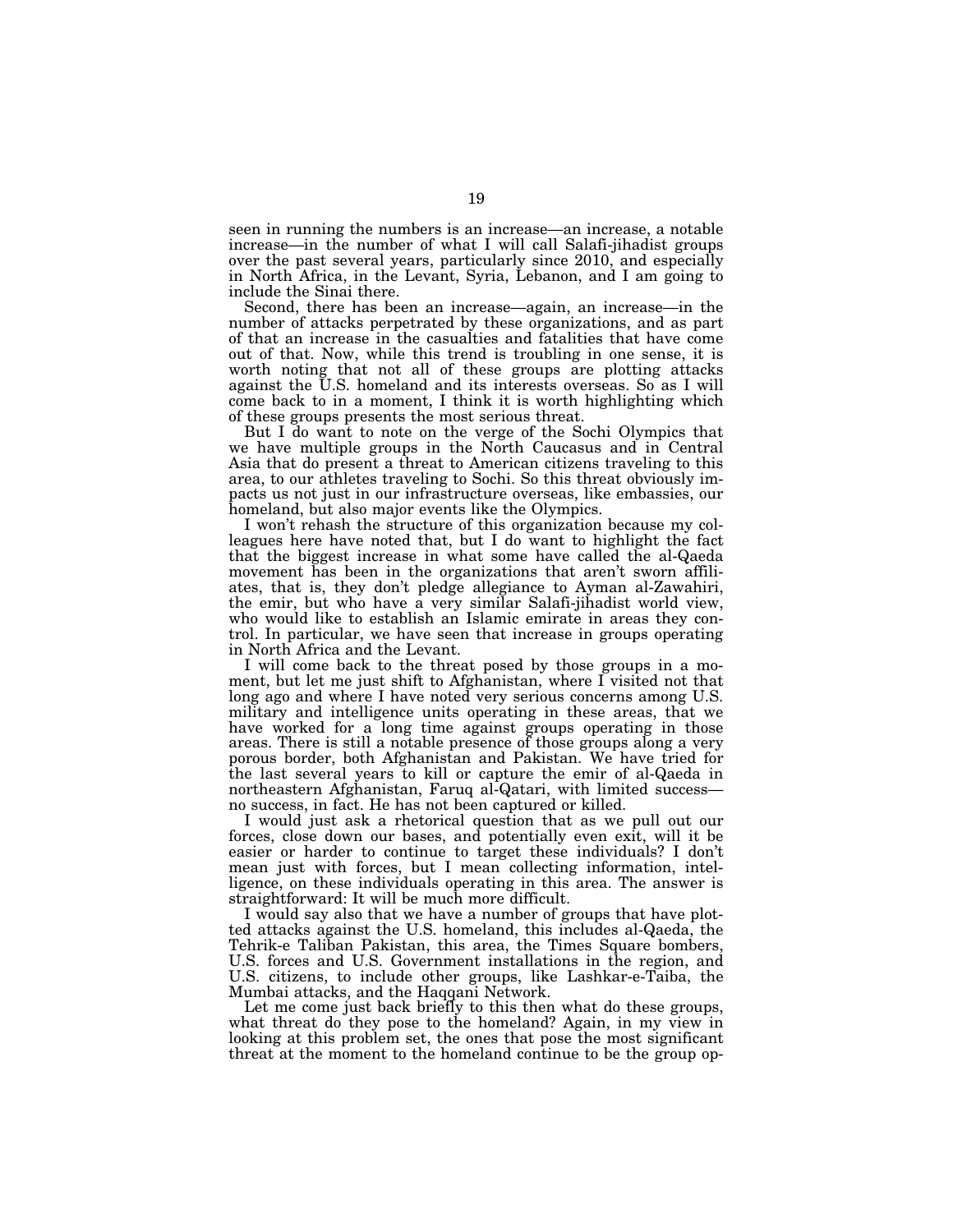seen in running the numbers is an increase—an increase, a notable increase—in the number of what I will call Salafi-jihadist groups over the past several years, particularly since 2010, and especially in North Africa, in the Levant, Syria, Lebanon, and I am going to include the Sinai there.

Second, there has been an increase—again, an increase—in the number of attacks perpetrated by these organizations, and as part of that an increase in the casualties and fatalities that have come out of that. Now, while this trend is troubling in one sense, it is worth noting that not all of these groups are plotting attacks against the U.S. homeland and its interests overseas. So as I will come back to in a moment, I think it is worth highlighting which of these groups presents the most serious threat.

But I do want to note on the verge of the Sochi Olympics that we have multiple groups in the North Caucasus and in Central Asia that do present a threat to American citizens traveling to this area, to our athletes traveling to Sochi. So this threat obviously impacts us not just in our infrastructure overseas, like embassies, our homeland, but also major events like the Olympics.

I won't rehash the structure of this organization because my colleagues here have noted that, but I do want to highlight the fact that the biggest increase in what some have called the al-Qaeda movement has been in the organizations that aren't sworn affiliates, that is, they don't pledge allegiance to Ayman al-Zawahiri, the emir, but who have a very similar Salafi-jihadist world view, who would like to establish an Islamic emirate in areas they control. In particular, we have seen that increase in groups operating in North Africa and the Levant.

I will come back to the threat posed by those groups in a moment, but let me just shift to Afghanistan, where I visited not that long ago and where I have noted very serious concerns among U.S. military and intelligence units operating in these areas, that we have worked for a long time against groups operating in those areas. There is still a notable presence of those groups along a very porous border, both Afghanistan and Pakistan. We have tried for the last several years to kill or capture the emir of al-Qaeda in northeastern Afghanistan, Faruq al-Qatari, with limited success no success, in fact. He has not been captured or killed.

I would just ask a rhetorical question that as we pull out our forces, close down our bases, and potentially even exit, will it be easier or harder to continue to target these individuals? I don't mean just with forces, but I mean collecting information, intelligence, on these individuals operating in this area. The answer is straightforward: It will be much more difficult.

I would say also that we have a number of groups that have plotted attacks against the U.S. homeland, this includes al-Qaeda, the Tehrik-e Taliban Pakistan, this area, the Times Square bombers, U.S. forces and U.S. Government installations in the region, and U.S. citizens, to include other groups, like Lashkar-e-Taiba, the Mumbai attacks, and the Haqqani Network.

Let me come just back briefly to this then what do these groups, what threat do they pose to the homeland? Again, in my view in looking at this problem set, the ones that pose the most significant threat at the moment to the homeland continue to be the group op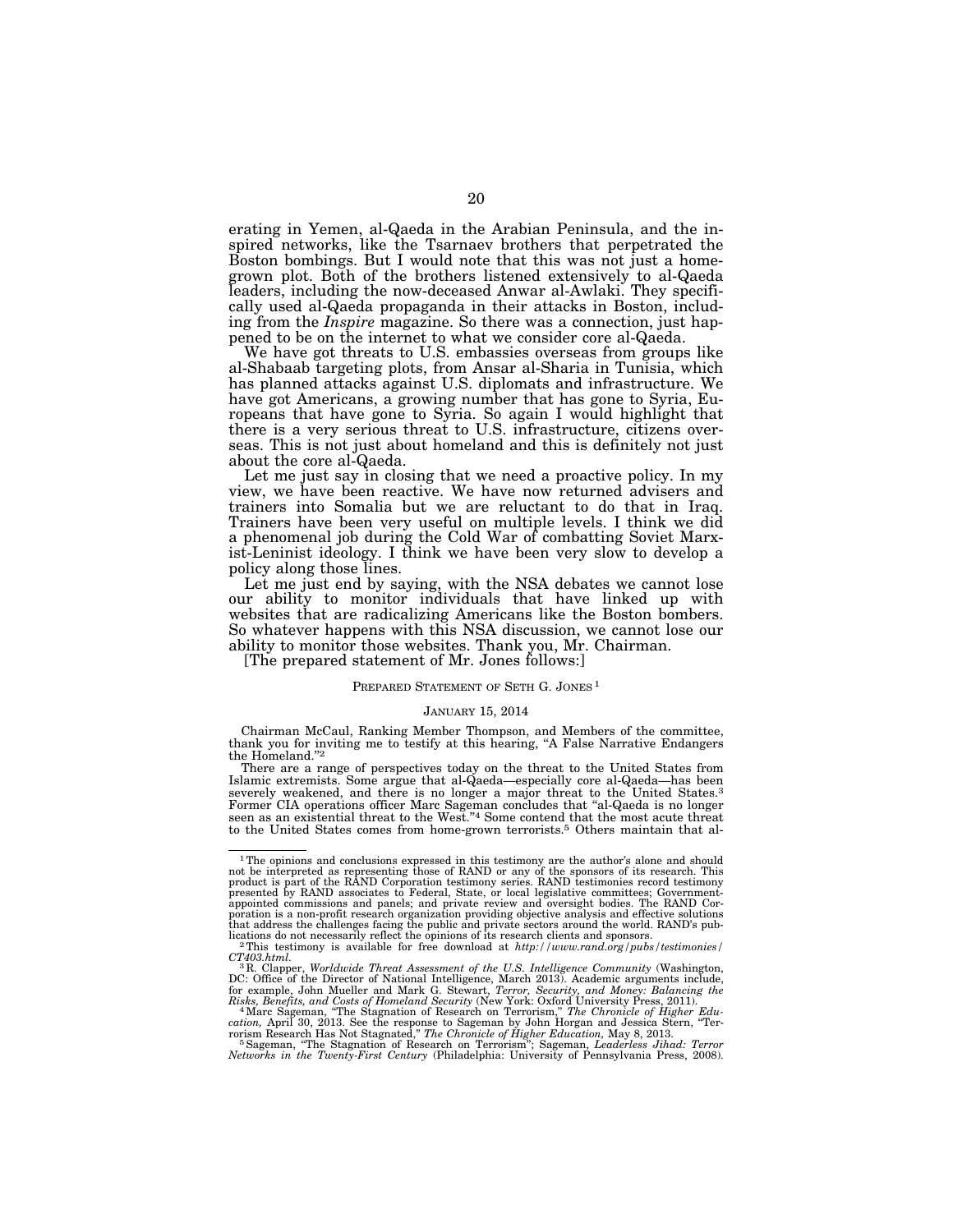erating in Yemen, al-Qaeda in the Arabian Peninsula, and the inspired networks, like the Tsarnaev brothers that perpetrated the Boston bombings. But I would note that this was not just a homegrown plot. Both of the brothers listened extensively to al-Qaeda leaders, including the now-deceased Anwar al-Awlaki. They specifically used al-Qaeda propaganda in their attacks in Boston, including from the *Inspire* magazine. So there was a connection, just happened to be on the internet to what we consider core al-Qaeda.

We have got threats to U.S. embassies overseas from groups like al-Shabaab targeting plots, from Ansar al-Sharia in Tunisia, which has planned attacks against U.S. diplomats and infrastructure. We have got Americans, a growing number that has gone to Syria, Europeans that have gone to Syria. So again I would highlight that there is a very serious threat to U.S. infrastructure, citizens overseas. This is not just about homeland and this is definitely not just about the core al-Qaeda.

Let me just say in closing that we need a proactive policy. In my view, we have been reactive. We have now returned advisers and trainers into Somalia but we are reluctant to do that in Iraq. Trainers have been very useful on multiple levels. I think we did a phenomenal job during the Cold War of combatting Soviet Marxist-Leninist ideology. I think we have been very slow to develop a policy along those lines.

Let me just end by saying, with the NSA debates we cannot lose our ability to monitor individuals that have linked up with websites that are radicalizing Americans like the Boston bombers. So whatever happens with this NSA discussion, we cannot lose our ability to monitor those websites. Thank you, Mr. Chairman.

[The prepared statement of Mr. Jones follows:]

#### PREPARED STATEMENT OF SETH G. JONES<sup>1</sup>

#### JANUARY 15, 2014

Chairman McCaul, Ranking Member Thompson, and Members of the committee, thank you for inviting me to testify at this hearing, ''A False Narrative Endangers the Homeland.''2

There are a range of perspectives today on the threat to the United States from Islamic extremists. Some argue that al-Qaeda—especially core al-Qaeda—has been severely weakened, and there is no longer a major threat to the United States.3 Former CIA operations officer Marc Sageman concludes that ''al-Qaeda is no longer seen as an existential threat to the West.''4 Some contend that the most acute threat to the United States comes from home-grown terrorists.5 Others maintain that al-

 $^{1}$ The opinions and conclusions expressed in this testimony are the author's alone and should<br>not be interpreted as representing those of RAND or any of the sponsors of its research. This<br>product is part of the RAND Cor poration is a non-profit research organization providing objective analysis and effective solutions that address the challenges facing the public and private sectors around the world. RAND's pub-

 $^2$  This testimony is available for free download at  $\hbar t$ *p*://www.rand.org/pubs/testimonies/  $CT403.\hbar t$ *ml.* 

*CT403.html.* <sup>3</sup> R. Clapper, *Worldwide Threat Assessment of the U.S. Intelligence Community* (Washington, DC: Office of the Director of National Intelligence, March 2013). Academic arguments include, for example, John Mueller and Mark G. Stewart, *Terror*, Security, and *Money: Balancing the Risks, Benefits, and Costs of Homel* 

*Networks in the Twenty-First Century* (Philadelphia: University of Pennsylvania Press, 2008).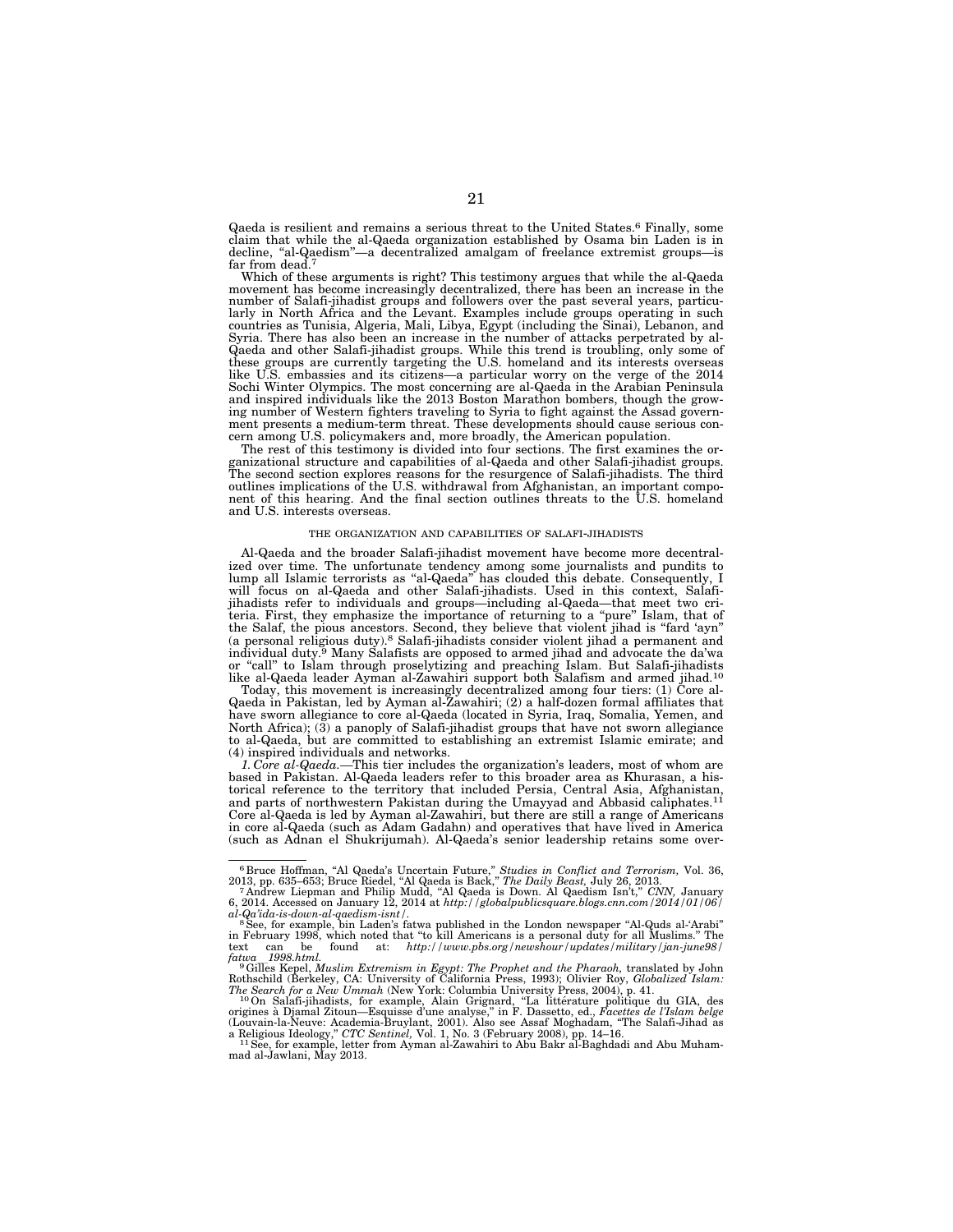Qaeda is resilient and remains a serious threat to the United States.6 Finally, some claim that while the al-Qaeda organization established by Osama bin Laden is in decline, ''al-Qaedism''—a decentralized amalgam of freelance extremist groups—is far from dead.<sup>7</sup>

Which of these arguments is right? This testimony argues that while the al-Qaeda movement has become increasingly decentralized, there has been an increase in the number of Salafi-jihadist groups and followers over the past several years, particularly in North Africa and the Levant. Examples include groups operating in such countries as Tunisia, Algeria, Mali, Libya, Egypt (including the Sinai), Lebanon, and Syria. There has also been an increase in the number of attacks perpetrated by al-Qaeda and other Salafi-jihadist groups. While this trend is troubling, only some of these groups are currently targeting the U.S. homeland and its interests overseas like U.S. embassies and its citizens—a particular worry on the verge of the 2014 Sochi Winter Olympics. The most concerning are al-Qaeda in the Arabian Peninsula and inspired individuals like the 2013 Boston Marathon bombers, though the growing number of Western fighters traveling to Syria to fight against the Assad government presents a medium-term threat. These developments should cause serious concern among U.S. policymakers and, more broadly, the American population.

The rest of this testimony is divided into four sections. The first examines the organizational structure and capabilities of al-Qaeda and other Salafi-jihadist groups. The second section explores reasons for the resurgence of Salafi-jihadists. The third outlines implications of the U.S. withdrawal from Afghanistan, an important component of this hearing. And the final section outlines threats to the U.S. homeland and U.S. interests overseas.

#### THE ORGANIZATION AND CAPABILITIES OF SALAFI-JIHADISTS

Al-Qaeda and the broader Salafi-jihadist movement have become more decentralized over time. The unfortunate tendency among some journalists and pundits to lump all Islamic terrorists as "al-Qaeda" has clouded this debate. Consequently, I will focus on al-Qaeda and other Salafi-jihadists. Used in this context, Salafijihadists refer to individuals and groups—including al-Qaeda—that meet two criteria. First, they emphasize the importance of returning to a ''pure'' Islam, that of the Salaf, the pious ancestors. Second, they believe that violent jihad is ''fard 'ayn'' (a personal religious duty).8 Salafi-jihadists consider violent jihad a permanent and individual duty.9 Many Salafists are opposed to armed jihad and advocate the da'wa or "call" to Islam through proselytizing and preaching Islam. But Salafi-jihadists<br>like al-Qaeda leader Ayman al-Zawahiri support both Salafism and armed jihad.<sup>10</sup>

Today, this movement is increasingly decentralized among four tiers: (1) Core al-Qaeda in Pakistan, led by Ayman al-Zawahiri; (2) a half-dozen formal affiliates that have sworn allegiance to core al-Qaeda (located in Syria, Iraq, Somalia, Yemen, and North Africa); (3) a panoply of Salafi-jihadist groups that have not sworn allegiance to al-Qaeda, but are committed to establishing an extremist Islamic emirate; and (4) inspired individuals and networks.

*1. Core al-Qaeda.—*This tier includes the organization's leaders, most of whom are based in Pakistan. Al-Qaeda leaders refer to this broader area as Khurasan, a historical reference to the territory that included Persia, Central Asia, Afghanistan,<br>and parts of northwestern Pakistan during the Umayyad and Abbasid caliphates.<sup>11</sup> Core al-Qaeda is led by Ayman al-Zawahiri, but there are still a range of Americans in core al-Qaeda (such as Adam Gadahn) and operatives that have lived in America (such as Adnan el Shukrijumah). Al-Qaeda's senior leadership retains some over-

<sup>&</sup>lt;sup>6</sup> Bruce Hoffman, "Al Qaeda's Uncertain Future," *Studies in Conflict and Terrorism*, Vol. 36, 2013, pp. 635–653; Bruce Riedel, "Al Qaeda is Back," *The Daily Beast*, July 26, 2013.<br><sup>7</sup> Andrew Liepman and Philip Mudd, "A

al-Qa'ida-is-down-al-qaedism-isnt/.<br>"See, for example, bin Laden's fatwa published in the London newspaper "Al-Quds al-'Arabi"<br>in February 1998, which noted that "to kill Americans is a personal duty for all Muslims." The text can be found at: *http://www.pbs.org/newshour/updates/military/jan-june98/*  $\int$ *fatwa\_1998.html.* 

<sup>&</sup>lt;sup>9</sup>Gilles Kepel, *Muslim Extremism in Egypt: The Prophet and the Pharaoh, translated by John* 

Rothschild (Berkeley, CA: University of California Press, 1993); Olivier Roy, *Globalized Islam:*<br>The Search for a New Vomah (New York: Columbia University Press, 2004), p. 41.<br><sup>10</sup>On Salafi-jihadists, for example, Alain G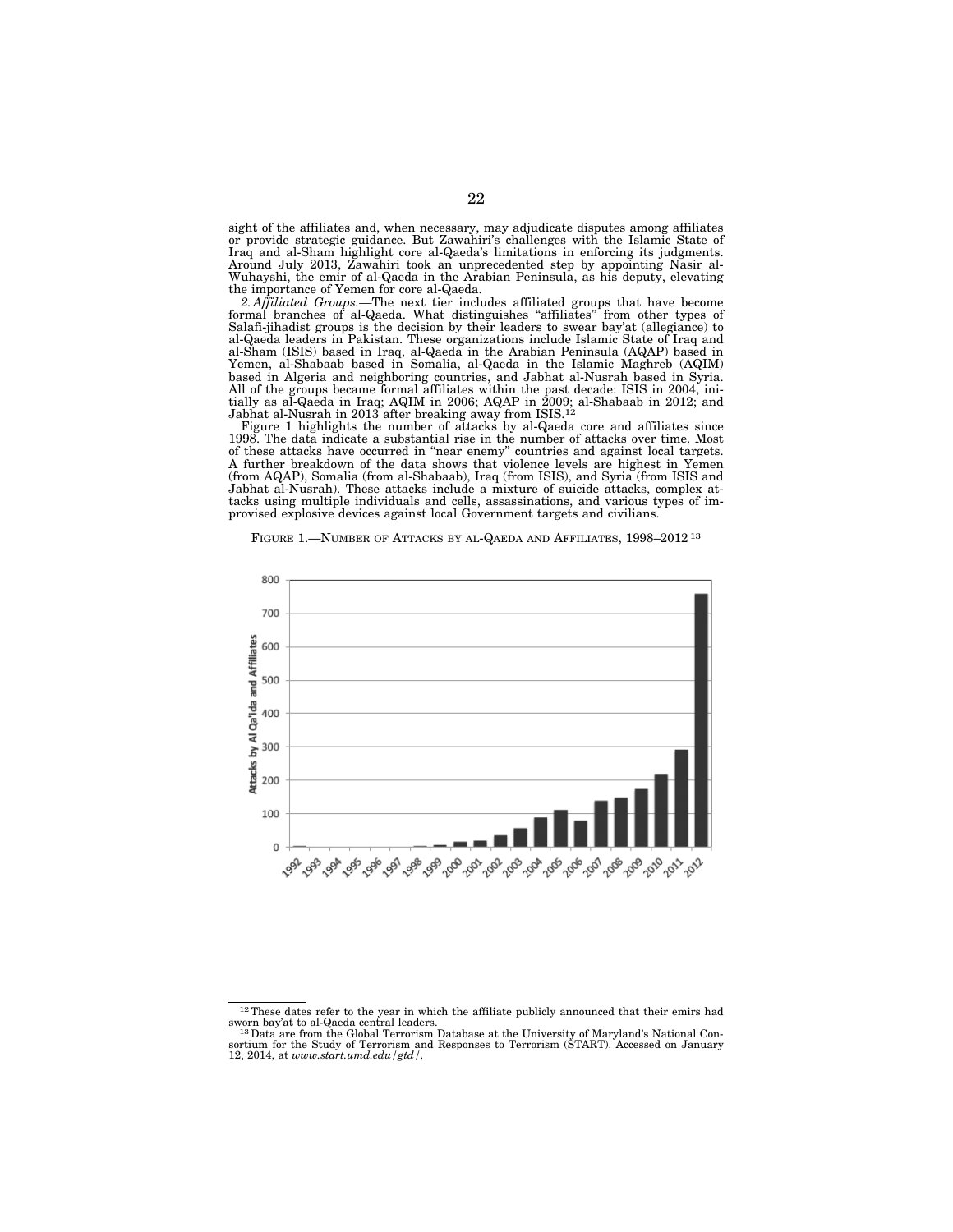sight of the affiliates and, when necessary, may adjudicate disputes among affiliates or provide strategic guidance. But Zawahiri's challenges with the Islamic State of Iraq and al-Sham highlight core al-Qaeda's limitations in enforcing its judgments. Around July 2013, Zawahiri took an unprecedented step by appointing Nasir al-Wuhayshi, the emir of al-Qaeda in the Arabian Peninsula, as his deputy, elevating the importance of Yemen for core al-Qaeda.

*2. Affiliated Groups.—*The next tier includes affiliated groups that have become formal branches of al-Qaeda. What distinguishes ''affiliates'' from other types of Salafi-jihadist groups is the decision by their leaders to swear bay'at (allegiance) to al-Qaeda leaders in Pakistan. These organizations include Islamic State of Iraq and al-Sham (ISIS) based in Iraq, al-Qaeda in the Arabian Peninsula (AQAP) based in Yemen, al-Shabaab based in Somalia, al-Qaeda in the Islamic Maghreb (AQIM) based in Algeria and neighboring countries, and Jabhat al-Nusrah based in Syria. All of the groups became formal affiliates within the past decade: ISIS in 2004, initially as al-Qaeda in Iraq; AQIM in 2006; AQAP in 2009; al-Shabaab in 2012; and Jabhat al-Nusrah in 2013 after breaking away from ISIS.<sup>12</sup>

Figure 1 highlights the number of attacks by al-Qaeda core and affiliates since 1998. The data indicate a substantial rise in the number of attacks over time. Most of these attacks have occurred in ''near enemy'' countries and against local targets. A further breakdown of the data shows that violence levels are highest in Yemen (from AQAP), Somalia (from al-Shabaab), Iraq (from ISIS), and Syria (from ISIS and Jabhat al-Nusrah). These attacks include a mixture of suicide attacks, complex attacks using multiple individuals and cells, assassinations, and various types of improvised explosive devices against local Government targets and civilians.

FIGURE 1.—NUMBER OF ATTACKS BY AL-QAEDA AND AFFILIATES, 1998–2012 13



 $^{12}\rm{These}$  dates refer to the year in which the affiliate publicly announced that their emirs had sworn bay'at to al-Qaeda central leaders.

<sup>&</sup>lt;sup>13</sup> Data are from the Global Terrorism Database at the University of Maryland's National Consortium for the Study of Terrorism and Responses to Terrorism (START). Accessed on January 12, 2014, at *www.start.umd.edu/gtd/.*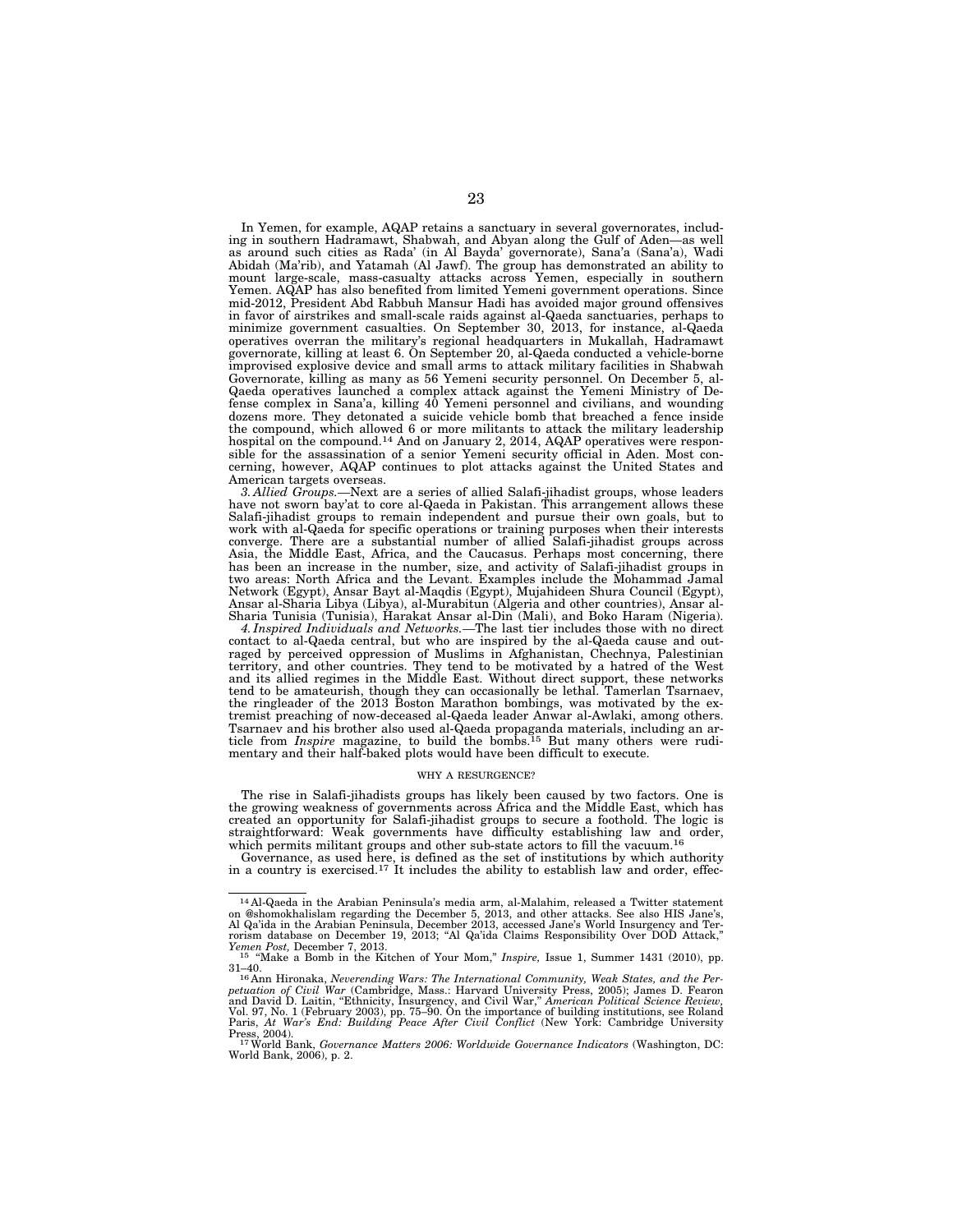In Yemen, for example, AQAP retains a sanctuary in several governorates, including in southern Hadramawt, Shabwah, and Abyan along the Gulf of Aden—as well as around such cities as Rada' (in Al Bayda' governorate), Sana'a (Sana'a), Wadi Abidah (Ma'rib), and Yatamah (Al Jawf). The group has demonstrated an ability to mount large-scale, mass-casualty attacks across Yemen, especially in southern Yemen. AQAP has also benefited from limited Yemeni government operations. Since mid-2012, President Abd Rabbuh Mansur Hadi has avoided major ground offensives in favor of airstrikes and small-scale raids against al-Qaeda sanctuaries, perhaps to minimize government casualties. On September 30, 2013, for instance, al-Qaeda operatives overran the military's regional headquarters in Mukallah, Hadramawt governorate, killing at least 6. On September 20, al-Qaeda conducted a vehicle-borne improvised explosive device and small arms to attack military facilities in Shabwah Governorate, killing as many as 56 Yemeni security personnel. On December 5, al-Qaeda operatives launched a complex attack against the Yemeni Ministry of Defense complex in Sana'a, killing 40 Yemeni personnel and civilians, and wounding dozens more. They detonated a suicide vehicle bomb that breached a fence inside the compound, which allowed 6 or more militants to attack the military leadership hospital on the compound.<sup>14</sup> And on January 2, 2014, AQAP operatives were responsible for the assassination of a senior Yemeni security official in Aden. Most concerning, however, AQAP continues to plot attacks against the United States and American targets overseas.

*3. Allied Groups.—*Next are a series of allied Salafi-jihadist groups, whose leaders have not sworn bay'at to core al-Qaeda in Pakistan. This arrangement allows these Salafi-jihadist groups to remain independent and pursue their own goals, but to work with al-Qaeda for specific operations or training purposes when their interests converge. There are a substantial number of allied Salafi-jihadist groups across Asia, the Middle East, Africa, and the Caucasus. Perhaps most concerning, there has been an increase in the number, size, and activity of Salafi-jihadist groups in two areas: North Africa and the Levant. Examples include the Mohammad Jamal Network (Egypt), Ansar Bayt al-Maqdis (Egypt), Mujahideen Shura Council (Egypt), Ansar al-Sharia Libya (Libya), al-Murabitun (Algeria and other countries), Ansar al-Sharia Tunisia (Tunisia), Harakat Ansar al-Din (Mali), and Boko Haram (Nigeria).

*4. Inspired Individuals and Networks.—*The last tier includes those with no direct contact to al-Qaeda central, but who are inspired by the al-Qaeda cause and outraged by perceived oppression of Muslims in Afghanistan, Chechnya, Palestinian territory, and other countries. They tend to be motivated by a hatred of the West and its allied regimes in the Middle East. Without direct support, these networks tend to be amateurish, though they can occasionally be lethal. Tamerlan Tsarnaev, the ringleader of the 2013 Boston Marathon bombings, was motivated by the extremist preaching of now-deceased al-Qaeda leader Anwar al-Awlaki, among others. Tsarnaev and his brother also used al-Qaeda propaganda materials, including an article from *Inspire* magazine, to build the bombs.15 But many others were rudi-mentary and their half-baked plots would have been difficult to execute.

#### WHY A RESURGENCE?

The rise in Salafi-jihadists groups has likely been caused by two factors. One is the growing weakness of governments across Africa and the Middle East, which has created an opportunity for Salafi-jihadist groups to secure a foothold. The logic is straightforward: Weak governments have difficulty establishing law and order, which permits militant groups and other sub-state actors to fill the vacuum.<sup>16</sup>

Governance, as used here, is defined as the set of institutions by which authority in a country is exercised.<sup>17</sup> It includes the ability to establish law and order, effec-

<sup>14</sup> Al-Qaeda in the Arabian Peninsula's media arm, al-Malahim, released a Twitter statement on @shomokhalislam regarding the December 5, 2013, and other attacks. See also HIS Jane's,<br>Al Qa'ida in the Arabian Peninsula, December 2013, accessed Jane's World Insurgency and Ter-<br>rorism database on December 19, 2013;

*Yemen Post, December 7, 2013.* 15 ''Make a Bomb in the Kitchen of Your Mom," *Inspire, Issue 1, Summer 1431 (2010), pp.* 31–40.

<sup>31–40.&</sup>lt;br><sup>16</sup> Ann Hironaka, *Neverending Wars: The International Community, Weak States, and the Per-*<br>p*etuation of Civil War* (Cambridge, Mass.: Harvard University Press, 2005); James D. Fearon<br>and David D. Laitin, "Ethnic Vol. 97, No. 1 (February 2003), pp. 75–90. On the importance of building institutions, see Roland Paris, *At War's End: Building Peace After Civil Conflict* (New York: Cambridge University

Press, 2004). 17World Bank, *Governance Matters 2006: Worldwide Governance Indicators* (Washington, DC: World Bank, 2006), p. 2.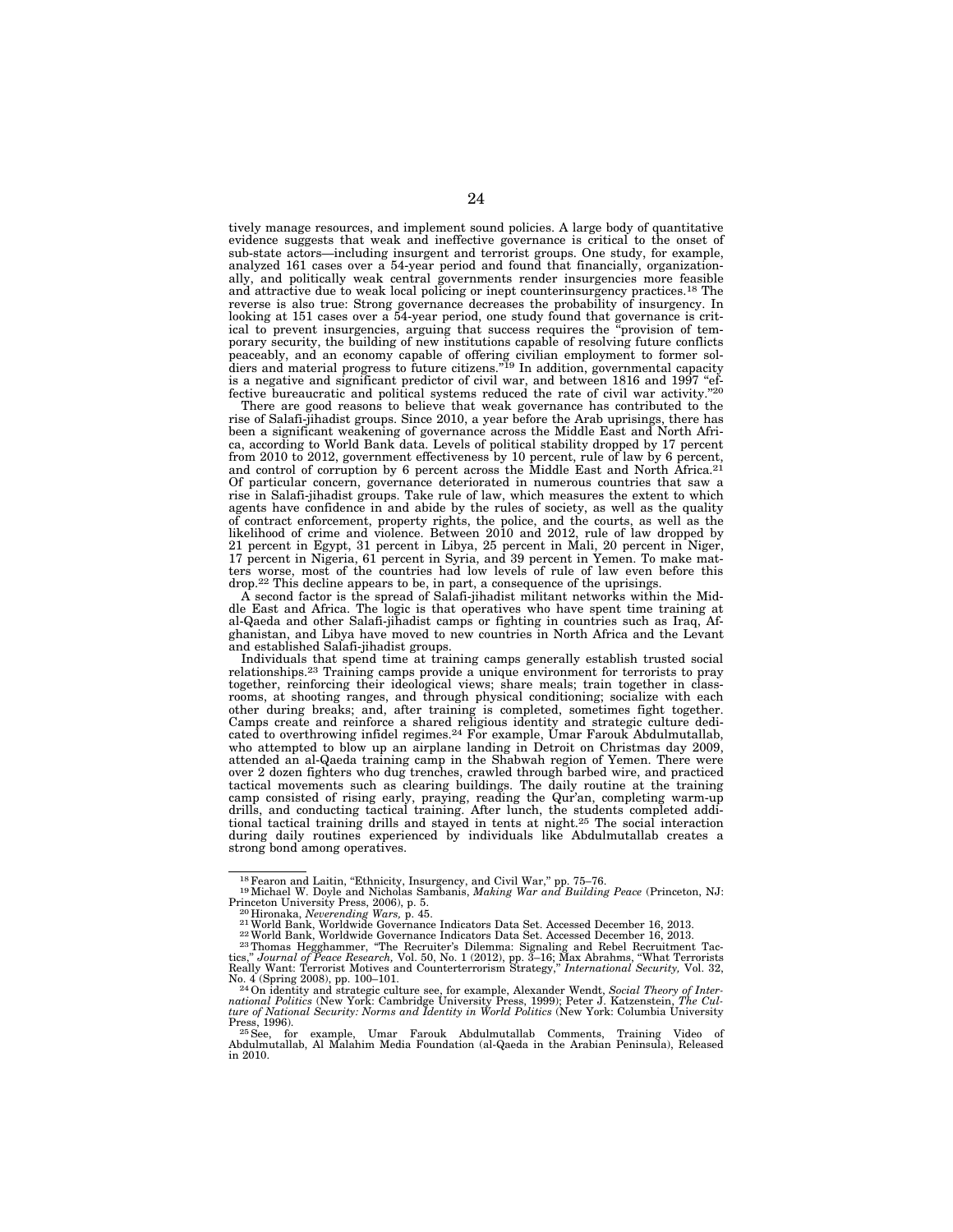tively manage resources, and implement sound policies. A large body of quantitative evidence suggests that weak and ineffective governance is critical to the onset of sub-state actors—including insurgent and terrorist groups. One study, for example, analyzed 161 cases over a 54-year period and found that financially, organizationally, and politically weak central governments render insurgencies more feasible and attractive due to weak local policing or inept counterinsurgency practices.18 The reverse is also true: Strong governance decreases the probability of insurgency. In looking at 151 cases over a 54-year period, one study found that governance is critical to prevent insurgencies, arguing that success requires the ''provision of temporary security, the building of new institutions capable of resolving future conflicts peaceably, and an economy capable of offering civilian employment to former sol-<br>diers and material progress to future citizens."<sup>19</sup> In addition, governmental capacity is a negative and significant predictor of civil war, and between 1816 and 1997 "effective bureaucratic and political systems reduced the rate of civil war activity."20

There are good reasons to believe that weak governance has contributed to the rise of Salafi-jihadist groups. Since 2010, a year before the Arab uprisings, there has been a significant weakening of governance across the Middle East and North Africa, according to World Bank data. Levels of political stability dropped by 17 percent from 2010 to 2012, government effectiveness by 10 percent, rule of law by 6 percent, and control of corruption by 6 percent across the Middle East and North Africa.<sup>21</sup> Of particular concern, governance deteriorated in numerous countries that saw a rise in Salafi-jihadist groups. Take rule of law, which measures the extent to which agents have confidence in and abide by the rules of society, as well as the quality of contract enforcement, property rights, the police, and the courts, as well as the likelihood of crime and violence. Between 2010 and 2012, rule of law dropped by 21 percent in Egypt, 31 percent in Libya, 25 percent in Mali, 20 percent in Niger, 17 percent in Nigeria, 61 percent in Syria, and 39 percent in Yemen. To make matters worse, most of the countries had low levels of rule of law even before this drop.22 This decline appears to be, in part, a consequence of the uprisings.

A second factor is the spread of Salafi-jihadist militant networks within the Middle East and Africa. The logic is that operatives who have spent time training at al-Qaeda and other Salafi-jihadist camps or fighting in countries such as Iraq, Afghanistan, and Libya have moved to new countries in North Africa and the Levant and established Salafi-jihadist groups.

Individuals that spend time at training camps generally establish trusted social relationships.23 Training camps provide a unique environment for terrorists to pray together, reinforcing their ideological views; share meals; train together in classrooms, at shooting ranges, and through physical conditioning; socialize with each other during breaks; and, after training is completed, sometimes fight together. Camps create and reinforce a shared religious identity and strategic culture dedicated to overthrowing infidel regimes.<sup>24</sup> For example, Umar Farouk Abdulmutallab, who attempted to blow up an airplane landing in Detroit on Christmas day 2009, attended an al-Qaeda training camp in the Shabwah region of Yemen. There were over 2 dozen fighters who dug trenches, crawled through barbed wire, and practiced tactical movements such as clearing buildings. The daily routine at the training camp consisted of rising early, praying, reading the Qur'an, completing warm-up drills, and conducting tactical training. After lunch, the students completed additional tactical training drills and stayed in tents at night.25 The social interaction during daily routines experienced by individuals like Abdulmutallab creates a strong bond among operatives.

<sup>&</sup>lt;sup>18</sup> Fearon and Laitin, "Ethnicity, Insurgency, and Civil War," pp. 75–76.<br><sup>19</sup> Michael W. Doyle and Nicholas Sambanis, *Making War and Building Peace* (Princeton, NJ:<br>Princeton University Press, 2006), p. 5.

<sup>20</sup> Hironaka, *Neverending Wars*, p. 45.<br><sup>21</sup> World Bank, Worldwide Governance Indicators Data Set. Accessed December 16, 2013.<br><sup>22</sup> World Bank, Worldwide Governance Indicators Data Set. Accessed December 16, 2013.

tics,'' *Journal of Peace Research,* Vol. 50, No. 1 (2012), pp. 3–16; Max Abrahms, ''What Terrorists Really Want: Terrorist Motives and Counterterrorism Strategy,'' *International Security,* Vol. 32,

No. 4 (Spring 2008), pp. 100–101.<br><sup>24</sup> On identity and strategic culture see, for example, Alexander Wendt, *Social Theory of Inter-*<br>national Politics (New York: Cambridge University Press, 1999); Peter J. Katzenstein, *T ture of National Security: Norms and Identity in World Politics* (New York: Columbia University

<sup>&</sup>lt;sup>25</sup> See, for example, Umar Farouk Abdulmutallab Comments, Training Video of Abdulmutallab, Al Malahim Media Foundation (al-Qaeda in the Arabian Peninsula), Released in 2010.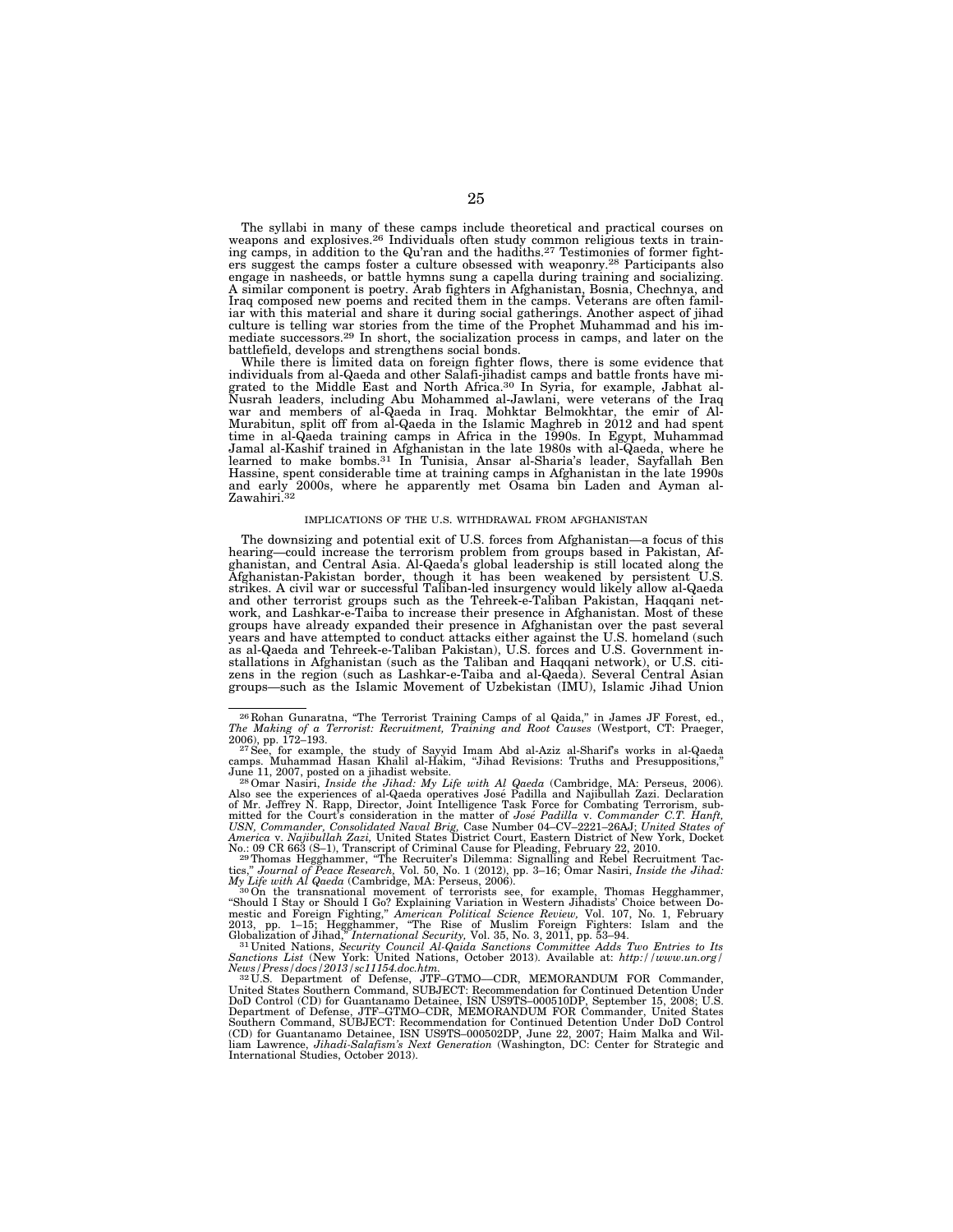The syllabi in many of these camps include theoretical and practical courses on weapons and explosives.<sup>26</sup> Individuals often study common religious texts in training camps, in addition to the Qu'ran and the hadiths.<sup>27</sup> Testimonies of former fighters suggest the camps foster a culture obsessed with weaponry.28 Participants also engage in nasheeds, or battle hymns sung a capella during training and socializing. A similar component is poetry. Arab fighters in Afghanistan, Bosnia, Chechnya, and Iraq composed new poems and recited them in the camps. Veterans are often familiar with this material and share it during social gatherings. Another aspect of jihad culture is telling war stories from the time of the Prophet Muhammad and his immediate successors.<sup>29</sup> In short, the socialization process in camps, and later on the battlefield, develops and strengthens social bonds.

While there is limited data on foreign fighter flows, there is some evidence that individuals from al-Qaeda and other Salafi-jihadist camps and battle fronts have migrated to the Middle East and North Africa.30 In Syria, for example, Jabhat al-Nusrah leaders, including Abu Mohammed al-Jawlani, were veterans of the Iraq war and members of al-Qaeda in Iraq. Mohktar Belmokhtar, the emir of Al-Murabitun, split off from al-Qaeda in the Islamic Maghreb in 2012 and had spent time in al-Qaeda training camps in Africa in the 1990s. In Egypt, Muhammad Jamal al-Kashif trained in Afghanistan in the late 1980s with al-Qaeda, where he learned to make bombs.31 In Tunisia, Ansar al-Sharia's leader, Sayfallah Ben Hassine, spent considerable time at training camps in Afghanistan in the late 1990s and early 2000s, where he apparently met Osama bin Laden and Ayman al-Zawahiri.32

#### IMPLICATIONS OF THE U.S. WITHDRAWAL FROM AFGHANISTAN

The downsizing and potential exit of U.S. forces from Afghanistan—a focus of this hearing—could increase the terrorism problem from groups based in Pakistan, Af-ghanistan, and Central Asia. Al-Qaeda's global leadership is still located along the Afghanistan-Pakistan border, though it has been weakened by persistent U.S. strikes. A civil war or successful Taliban-led insurgency would likely allow al-Qaeda and other terrorist groups such as the Tehreek-e-Taliban Pakistan, Haqqani net-work, and Lashkar-e-Taiba to increase their presence in Afghanistan. Most of these groups have already expanded their presence in Afghanistan over the past several years and have attempted to conduct attacks either against the U.S. homeland (such as al-Qaeda and Tehreek-e-Taliban Pakistan), U.S. forces and U.S. Government in-stallations in Afghanistan (such as the Taliban and Haqqani network), or U.S. citizens in the region (such as Lashkar-e-Taiba and al-Qaeda). Several Central Asian groups—such as the Islamic Movement of Uzbekistan (IMU), Islamic Jihad Union

June 11, 2007, posted on a jihadist website.<br><sup>280</sup> Omar Nasiri, *Inside the Jihad: My Life with Al Qaeda* (Cambridge, MA: Perseus, 2006).<br>Also see the experiences of al-Qaeda operatives José Padilla and Najibullah Zazi. De mitted for the Court's consideration in the matter of José Padilla v. Commander C.T. Hanft,<br>USN, Commander, Consolidated Naval Brig, Case Number 04–CV–2221–26AJ; United States of<br>America v. Najibullah Zazi, United States D

No.: 09 CR 663 (S–1), Transcript of Criminal Cause for Pleading, February 22, 2010.<br><sup>29 m</sup>homas Hegghammer, "The Recruite's Dilemma: Signalling and Rebel Recruitment Tac-<br>tics," Journal of Peace Research, Vol. 50, No. 1 (2

*My Life with Al Qaeda* (Cambridge, MA: Perseus, 2006).<br><sup>30</sup>On the transnational movement of terrorists see, for example, Thomas Hegghammer,<br>"Should I Stay or Should I Go? Explaining Variation in Western Jihadists' Choice mestic and Foreign Fighting,'' *American Political Science Review,* Vol. 107, No. 1, February 2013, pp. 1–15; Hegghammer, ''The Rise of Muslim Foreign Fighters: Islam and the

Globalization of Jihad," International Security, Vol. 35, No. 3, 2011, pp. 53–94.<br><sup>311</sup>United Nations, Security Council Al-Qaida Sanctions Committee Adds Two Entries to Its<br>Sanctions List (New York: United Nations, October

News/Press/docs/2013/sc11154.doc.htm.<br><sup>32</sup>U.S. Department of Defense, JTF-GTMO—CDR, MEMORANDUM FOR Commander,<br>United States Southern Command, SUBJECT: Recommendation for Continued Detention Under<br>DoD Control (CD) for Guant Department of Defense, JTF–GTMO–CDR, MEMORANDUM FOR Commander, United States Southern Command, SUBJECT: Recommendation for Continued Detention Under DoD Control (CD) for Guantanamo Detainee, ISN US9TS–000502DP, June 22, 2007; Haim Malka and William Lawrence, *Jihadi-Salafism's Next Generation* (Washington, DC: Center for Strategic and International Studies, October 2013).

<sup>&</sup>lt;sup>26</sup> Rohan Gunaratna, "The Terrorist Training Camps of al Qaida," in James JF Forest, ed., *The Making of a Terrorist: Recruitment, Training and Root Causes* (Westport, CT: Praeger,

<sup>2006),</sup> pp. 172–193.<br><sup>– 27</sup>See, for example, the study of Sayyid Imam Abd al-Aziz al-Sharif's works in al-Qaeda<br>camps. Muhammad Hasan Khalil al-Hakim, "Jihad Revisions: Truths and Presuppositions,"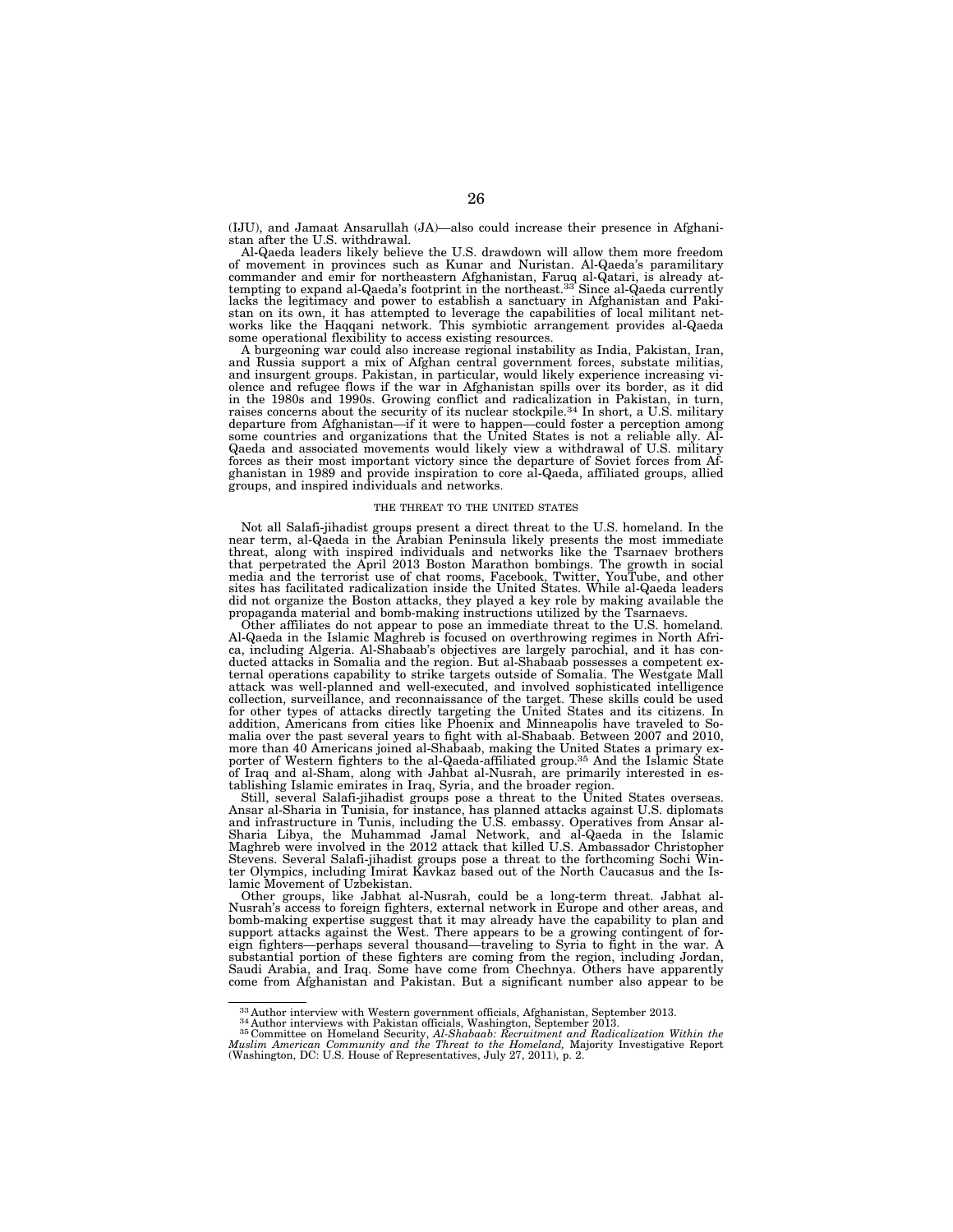(IJU), and Jamaat Ansarullah (JA)—also could increase their presence in Afghanistan after the U.S. withdrawal.

Al-Qaeda leaders likely believe the U.S. drawdown will allow them more freedom of movement in provinces such as Kunar and Nuristan. Al-Qaeda's paramilitary commander and emir for northeastern Afghanistan, Faruq al-Qatari, is already at-tempting to expand al-Qaeda's footprint in the northeast.33 Since al-Qaeda currently lacks the legitimacy and power to establish a sanctuary in Afghanistan and Pakistan on its own, it has attempted to leverage the capabilities of local militant net-works like the Haqqani network. This symbiotic arrangement provides al-Qaeda some operational flexibility to access existing resources.

A burgeoning war could also increase regional instability as India, Pakistan, Iran, and Russia support a mix of Afghan central government forces, substate militias, and insurgent groups. Pakistan, in particular, would likely experience increasing violence and refugee flows if the war in Afghanistan spills over its border, as it did in the 1980s and 1990s. Growing conflict and radicalization in Pakistan, in turn, raises concerns about the security of its nuclear stockpile.34 In short, a U.S. military departure from Afghanistan—if it were to happen—could foster a perception among some countries and organizations that the United States is not a reliable ally. Al-Qaeda and associated movements would likely view a withdrawal of U.S. military forces as their most important victory since the departure of Soviet forces from Afghanistan in 1989 and provide inspiration to core al-Qaeda, affiliated groups, allied groups, and inspired individuals and networks.

#### THE THREAT TO THE UNITED STATES

Not all Salafi-jihadist groups present a direct threat to the U.S. homeland. In the near term, al-Qaeda in the Arabian Peninsula likely presents the most immediate threat, along with inspired individuals and networks like the Tsarnaev brothers that perpetrated the April 2013 Boston Marathon bombings. The growth in social media and the terrorist use of chat rooms, Facebook, Twitter, YouTube, and other sites has facilitated radicalization inside the United States. While al-Qaeda leaders did not organize the Boston attacks, they played a key role by making available the propaganda material and bomb-making instructions utilized by the Tsarnaevs.

Other affiliates do not appear to pose an immediate threat to the U.S. homeland. Al-Qaeda in the Islamic Maghreb is focused on overthrowing regimes in North Africa, including Algeria. Al-Shabaab's objectives are largely parochial, and it has con-ducted attacks in Somalia and the region. But al-Shabaab possesses a competent external operations capability to strike targets outside of Somalia. The Westgate Mall attack was well-planned and well-executed, and involved sophisticated intelligence<br>collection, surveillance, and reconnaissance of the target. These skills could be used<br>for other types of attacks directly targeting the Un addition, Americans from cities like Phoenix and Minneapolis have traveled to Somalia over the past several years to fight with al-Shabaab. Between 2007 and 2010, more than 40 Americans joined al-Shabaab, making the United States a primary exporter of Western fighters to the al-Qaeda-affiliated group.35 And the Islamic State of Iraq and al-Sham, along with Jahbat al-Nusrah, are primarily interested in establishing Islamic emirates in Iraq, Syria, and the broader region.

Still, several Salafi-jihadist groups pose a threat to the United States overseas. Ansar al-Sharia in Tunisia, for instance, has planned attacks against U.S. diplomats<br>and infrastructure in Tunis, including the U.S. embassy. Operatives from Ansar al-<br>Sharia Libya, the Muhammad Jamal Network, and al-Qaeda Stevens. Several Salafi-jihadist groups pose a threat to the forthcoming Sochi Winter Olympics, including Imirat Kavkaz based out of the North Caucasus and the Is-lamic Movement of Uzbekistan.

Other groups, like Jabhat al-Nusrah, could be a long-term threat. Jabhat al-Nusrah's access to foreign fighters, external network in Europe and other areas, and bomb-making expertise suggest that it may already have the capability to plan and support attacks against the West. There appears to be a growing contingent of foreign fighters—perhaps several thousand—traveling to Syria to fight in the war. A substantial portion of these fighters are coming from the region, including Jordan, Saudi Arabia, and Iraq. Some have come from Chechnya. Others have apparently come from Afghanistan and Pakistan. But a significant number also appear to be

 $^{33}$  Author interview with Western government officials, Afghanistan, September 2013.<br> $^{34}$  Author interviews with Pakistan officials, Washington, September 2013.<br> $^{35}$  Committee on Homeland Security, Al-Shabaab: Recr *Muslim American Community and the Threat to the Homeland,* Majority Investigative Report (Washington, DC: U.S. House of Representatives, July 27, 2011), p. 2.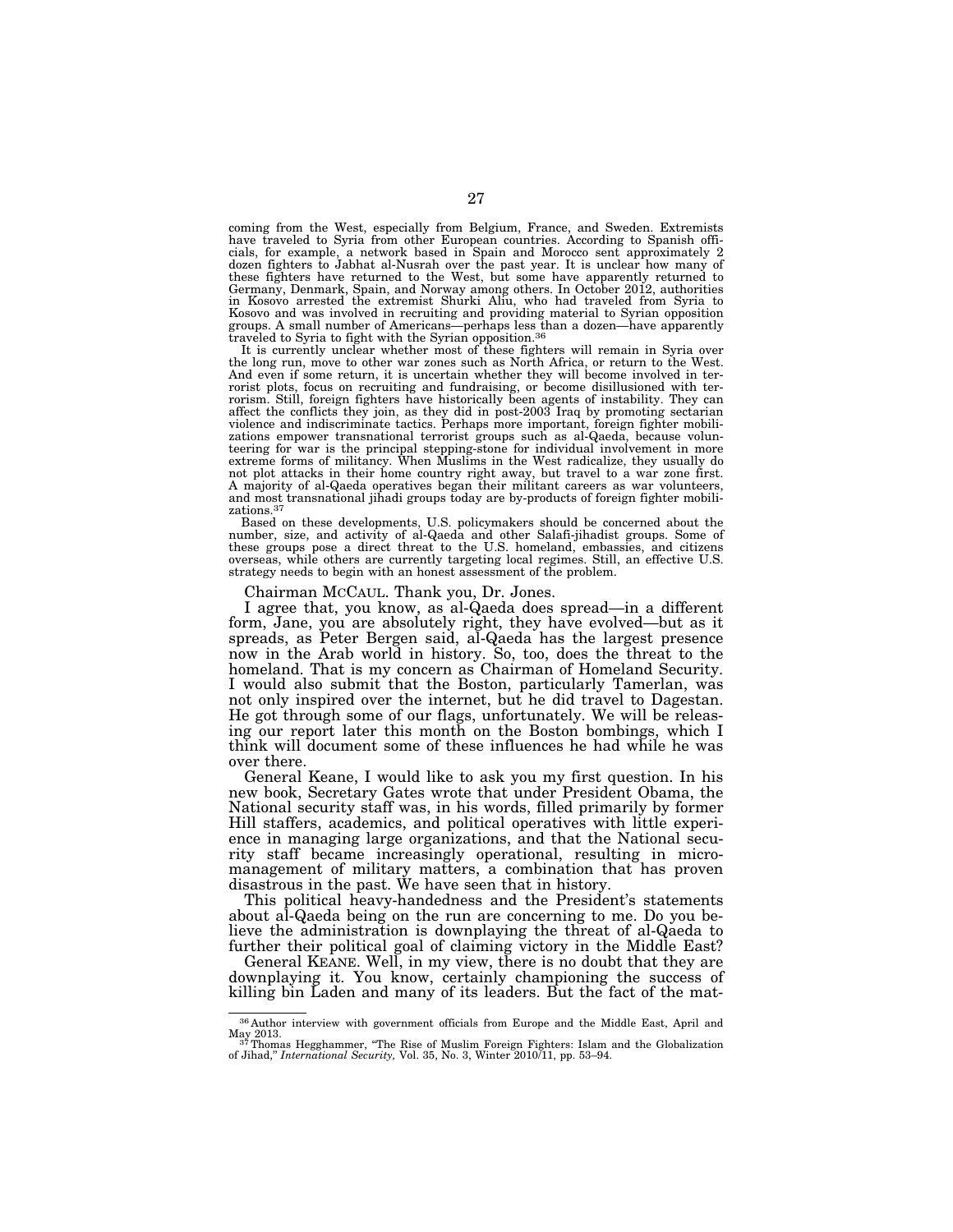coming from the West, especially from Belgium, France, and Sweden. Extremists have traveled to Syria from other European countries. According to Spanish officials, for example, a network based in Spain and Morocco sent approximately 2 dozen fighters to Jabhat al-Nusrah over the past year. It is unclear how many of these fighters have returned to the West, but some have apparently returned to Germany, Denmark, Spain, and Norway among others. In October 2012, authorities in Kosovo arrested the extremist Shurki Aliu, who had traveled from Syria to Kosovo and was involved in recruiting and providing material to Syrian opposition groups. A small number of Americans—perhaps less than a dozen—have apparently traveled to Syria to fight with the Syrian opposition.36 It is currently unclear whether most of these fighters will remain in Syria over

the long run, move to other war zones such as North Africa, or return to the West. And even if some return, it is uncertain whether they will become involved in terrorist plots, focus on recruiting and fundraising, or become disillusioned with ter-rorism. Still, foreign fighters have historically been agents of instability. They can affect the conflicts they join, as they did in post-2003 Iraq by promoting sectarian violence and indiscriminate tactics. Perhaps more important, foreign fighter mobilizations empower transnational terrorist groups such as al-Qaeda, because volun-teering for war is the principal stepping-stone for individual involvement in more extreme forms of militancy. When Muslims in the West radicalize, they usually do not plot attacks in their home country right away, but travel to a war zone first. A majority of al-Qaeda operatives began their militant careers as war volunteers, and most transnational jihadi groups today are by-products of foreign fighter mobilizations.37

Based on these developments, U.S. policymakers should be concerned about the number, size, and activity of al-Qaeda and other Salafi-jihadist groups. Some of these groups pose a direct threat to the U.S. homeland, embassies, and citizens overseas, while others are currently targeting local regimes. Still, an effective U.S. strategy needs to begin with an honest assessment of the problem.

Chairman MCCAUL. Thank you, Dr. Jones.

I agree that, you know, as al-Qaeda does spread—in a different form, Jane, you are absolutely right, they have evolved—but as it spreads, as Peter Bergen said, al-Qaeda has the largest presence now in the Arab world in history. So, too, does the threat to the homeland. That is my concern as Chairman of Homeland Security. I would also submit that the Boston, particularly Tamerlan, was not only inspired over the internet, but he did travel to Dagestan. He got through some of our flags, unfortunately. We will be releasing our report later this month on the Boston bombings, which I think will document some of these influences he had while he was over there.

General Keane, I would like to ask you my first question. In his new book, Secretary Gates wrote that under President Obama, the National security staff was, in his words, filled primarily by former Hill staffers, academics, and political operatives with little experience in managing large organizations, and that the National security staff became increasingly operational, resulting in micromanagement of military matters, a combination that has proven disastrous in the past. We have seen that in history.

This political heavy-handedness and the President's statements about al-Qaeda being on the run are concerning to me. Do you believe the administration is downplaying the threat of al-Qaeda to further their political goal of claiming victory in the Middle East?

General KEANE. Well, in my view, there is no doubt that they are downplaying it. You know, certainly championing the success of killing bin Laden and many of its leaders. But the fact of the mat-

<sup>36</sup> Author interview with government officials from Europe and the Middle East, April and

May 2013.<br><sup>33</sup> Thomas Hegghammer, "The Rise of Muslim Foreign Fighters: Islam and the Globalization<br>of Jihad," *International Security,* Vol. 35, No. 3, Winter 2010/11, pp. 53–94.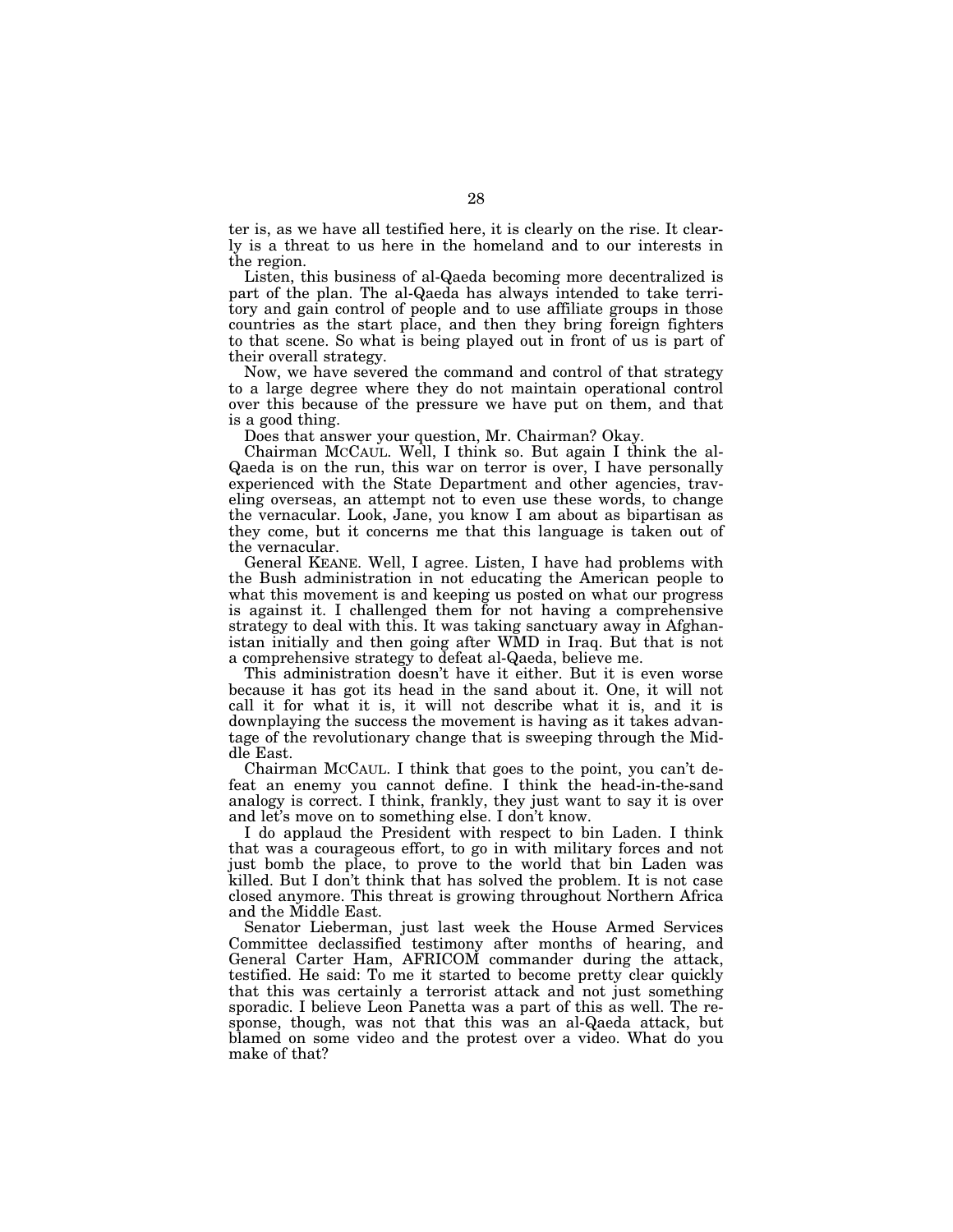ter is, as we have all testified here, it is clearly on the rise. It clearly is a threat to us here in the homeland and to our interests in the region.

Listen, this business of al-Qaeda becoming more decentralized is part of the plan. The al-Qaeda has always intended to take territory and gain control of people and to use affiliate groups in those countries as the start place, and then they bring foreign fighters to that scene. So what is being played out in front of us is part of their overall strategy.

Now, we have severed the command and control of that strategy to a large degree where they do not maintain operational control over this because of the pressure we have put on them, and that is a good thing.

Does that answer your question, Mr. Chairman? Okay.

Chairman MCCAUL. Well, I think so. But again I think the al-Qaeda is on the run, this war on terror is over, I have personally experienced with the State Department and other agencies, traveling overseas, an attempt not to even use these words, to change the vernacular. Look, Jane, you know I am about as bipartisan as they come, but it concerns me that this language is taken out of the vernacular.

General KEANE. Well, I agree. Listen, I have had problems with the Bush administration in not educating the American people to what this movement is and keeping us posted on what our progress is against it. I challenged them for not having a comprehensive strategy to deal with this. It was taking sanctuary away in Afghanistan initially and then going after WMD in Iraq. But that is not a comprehensive strategy to defeat al-Qaeda, believe me.

This administration doesn't have it either. But it is even worse because it has got its head in the sand about it. One, it will not call it for what it is, it will not describe what it is, and it is downplaying the success the movement is having as it takes advantage of the revolutionary change that is sweeping through the Middle East.

Chairman MCCAUL. I think that goes to the point, you can't defeat an enemy you cannot define. I think the head-in-the-sand analogy is correct. I think, frankly, they just want to say it is over and let's move on to something else. I don't know.

I do applaud the President with respect to bin Laden. I think that was a courageous effort, to go in with military forces and not just bomb the place, to prove to the world that bin Laden was killed. But I don't think that has solved the problem. It is not case closed anymore. This threat is growing throughout Northern Africa and the Middle East.

Senator Lieberman, just last week the House Armed Services Committee declassified testimony after months of hearing, and General Carter Ham, AFRICOM commander during the attack, testified. He said: To me it started to become pretty clear quickly that this was certainly a terrorist attack and not just something sporadic. I believe Leon Panetta was a part of this as well. The response, though, was not that this was an al-Qaeda attack, but blamed on some video and the protest over a video. What do you make of that?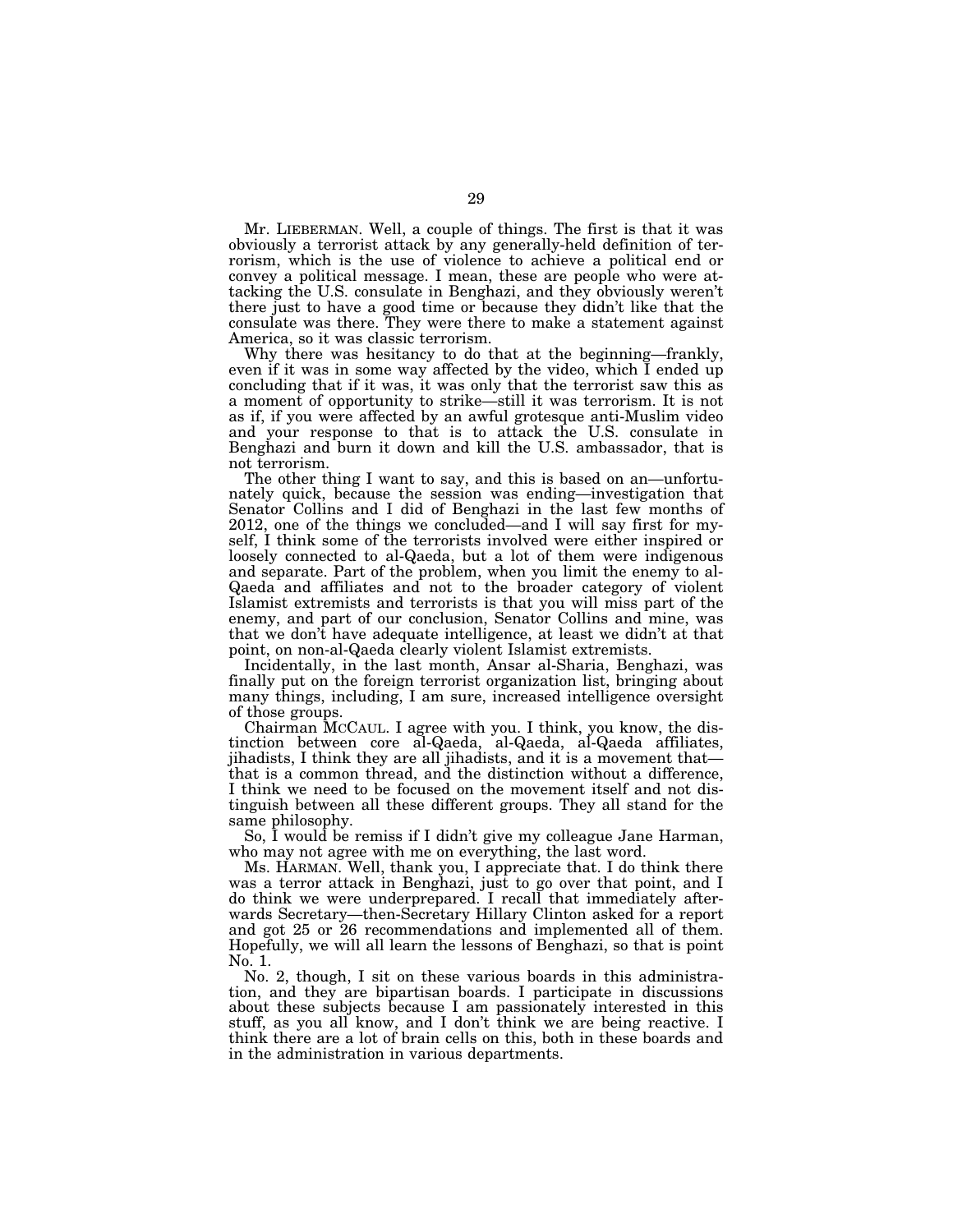Mr. LIEBERMAN. Well, a couple of things. The first is that it was obviously a terrorist attack by any generally-held definition of terrorism, which is the use of violence to achieve a political end or convey a political message. I mean, these are people who were attacking the U.S. consulate in Benghazi, and they obviously weren't there just to have a good time or because they didn't like that the consulate was there. They were there to make a statement against America, so it was classic terrorism.

Why there was hesitancy to do that at the beginning—frankly, even if it was in some way affected by the video, which I ended up concluding that if it was, it was only that the terrorist saw this as a moment of opportunity to strike—still it was terrorism. It is not as if, if you were affected by an awful grotesque anti-Muslim video and your response to that is to attack the U.S. consulate in Benghazi and burn it down and kill the U.S. ambassador, that is not terrorism.

The other thing I want to say, and this is based on an—unfortunately quick, because the session was ending—investigation that Senator Collins and I did of Benghazi in the last few months of 2012, one of the things we concluded—and I will say first for myself, I think some of the terrorists involved were either inspired or loosely connected to al-Qaeda, but a lot of them were indigenous and separate. Part of the problem, when you limit the enemy to al-Qaeda and affiliates and not to the broader category of violent Islamist extremists and terrorists is that you will miss part of the enemy, and part of our conclusion, Senator Collins and mine, was that we don't have adequate intelligence, at least we didn't at that point, on non-al-Qaeda clearly violent Islamist extremists.

Incidentally, in the last month, Ansar al-Sharia, Benghazi, was finally put on the foreign terrorist organization list, bringing about many things, including, I am sure, increased intelligence oversight of those groups.

Chairman MCCAUL. I agree with you. I think, you know, the distinction between core al-Qaeda, al-Qaeda, al-Qaeda affiliates, jihadists, I think they are all jihadists, and it is a movement that that is a common thread, and the distinction without a difference, I think we need to be focused on the movement itself and not distinguish between all these different groups. They all stand for the same philosophy.

So, I would be remiss if I didn't give my colleague Jane Harman, who may not agree with me on everything, the last word.

Ms. HARMAN. Well, thank you, I appreciate that. I do think there was a terror attack in Benghazi, just to go over that point, and I do think we were underprepared. I recall that immediately afterwards Secretary—then-Secretary Hillary Clinton asked for a report and got 25 or 26 recommendations and implemented all of them. Hopefully, we will all learn the lessons of Benghazi, so that is point No. 1.

No. 2, though, I sit on these various boards in this administration, and they are bipartisan boards. I participate in discussions about these subjects because I am passionately interested in this stuff, as you all know, and I don't think we are being reactive. I think there are a lot of brain cells on this, both in these boards and in the administration in various departments.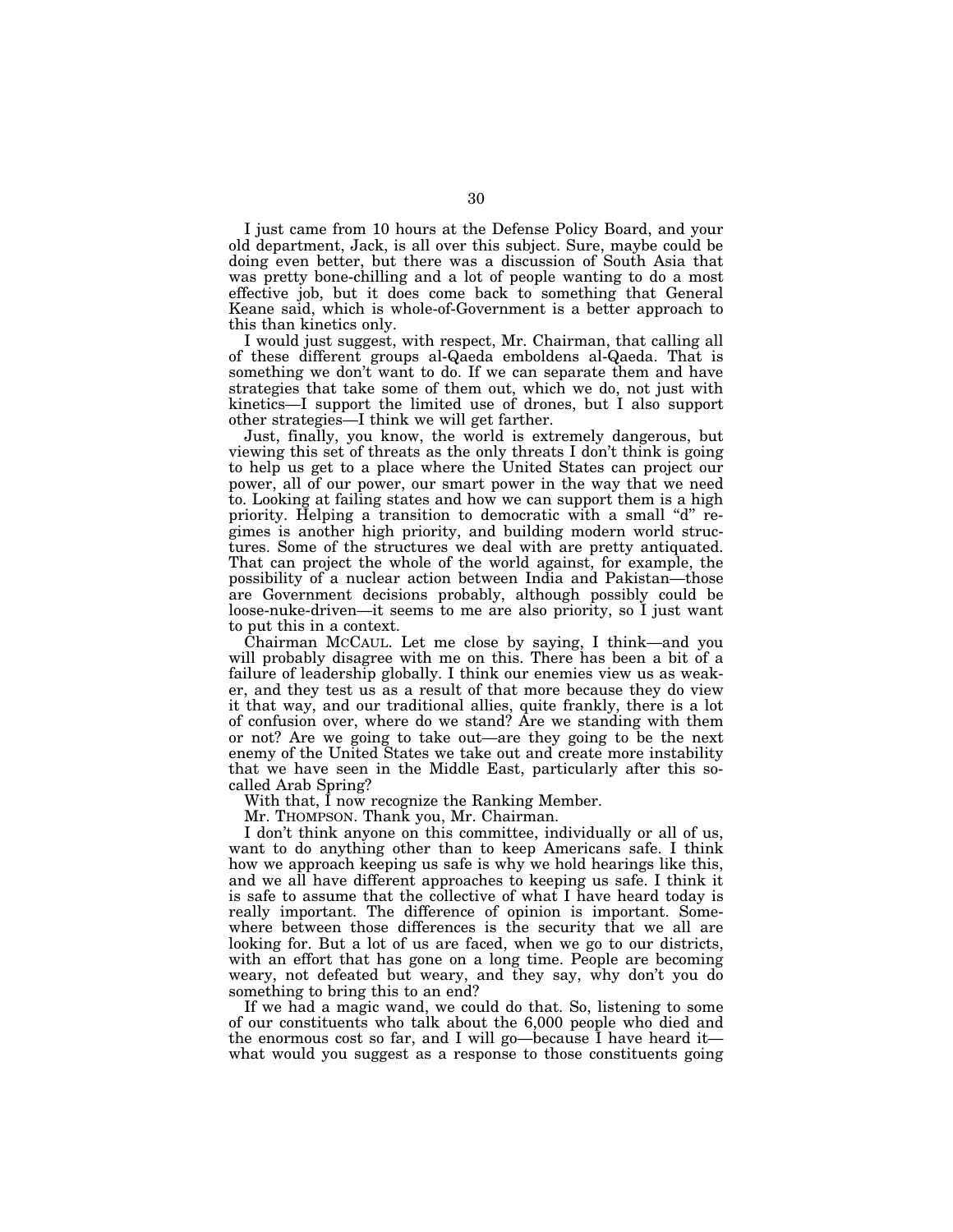I just came from 10 hours at the Defense Policy Board, and your old department, Jack, is all over this subject. Sure, maybe could be doing even better, but there was a discussion of South Asia that was pretty bone-chilling and a lot of people wanting to do a most effective job, but it does come back to something that General Keane said, which is whole-of-Government is a better approach to this than kinetics only.

I would just suggest, with respect, Mr. Chairman, that calling all of these different groups al-Qaeda emboldens al-Qaeda. That is something we don't want to do. If we can separate them and have strategies that take some of them out, which we do, not just with kinetics—I support the limited use of drones, but I also support other strategies—I think we will get farther.

Just, finally, you know, the world is extremely dangerous, but viewing this set of threats as the only threats I don't think is going to help us get to a place where the United States can project our power, all of our power, our smart power in the way that we need to. Looking at failing states and how we can support them is a high priority. Helping a transition to democratic with a small "d" regimes is another high priority, and building modern world structures. Some of the structures we deal with are pretty antiquated. That can project the whole of the world against, for example, the possibility of a nuclear action between India and Pakistan—those are Government decisions probably, although possibly could be loose-nuke-driven—it seems to me are also priority, so I just want to put this in a context.

Chairman MCCAUL. Let me close by saying, I think—and you will probably disagree with me on this. There has been a bit of a failure of leadership globally. I think our enemies view us as weaker, and they test us as a result of that more because they do view it that way, and our traditional allies, quite frankly, there is a lot of confusion over, where do we stand? Are we standing with them or not? Are we going to take out—are they going to be the next enemy of the United States we take out and create more instability that we have seen in the Middle East, particularly after this socalled Arab Spring?

With that, I now recognize the Ranking Member.

Mr. THOMPSON. Thank you, Mr. Chairman.

I don't think anyone on this committee, individually or all of us, want to do anything other than to keep Americans safe. I think how we approach keeping us safe is why we hold hearings like this, and we all have different approaches to keeping us safe. I think it is safe to assume that the collective of what I have heard today is really important. The difference of opinion is important. Somewhere between those differences is the security that we all are looking for. But a lot of us are faced, when we go to our districts, with an effort that has gone on a long time. People are becoming weary, not defeated but weary, and they say, why don't you do something to bring this to an end?

If we had a magic wand, we could do that. So, listening to some of our constituents who talk about the 6,000 people who died and the enormous cost so far, and I will go—because I have heard it what would you suggest as a response to those constituents going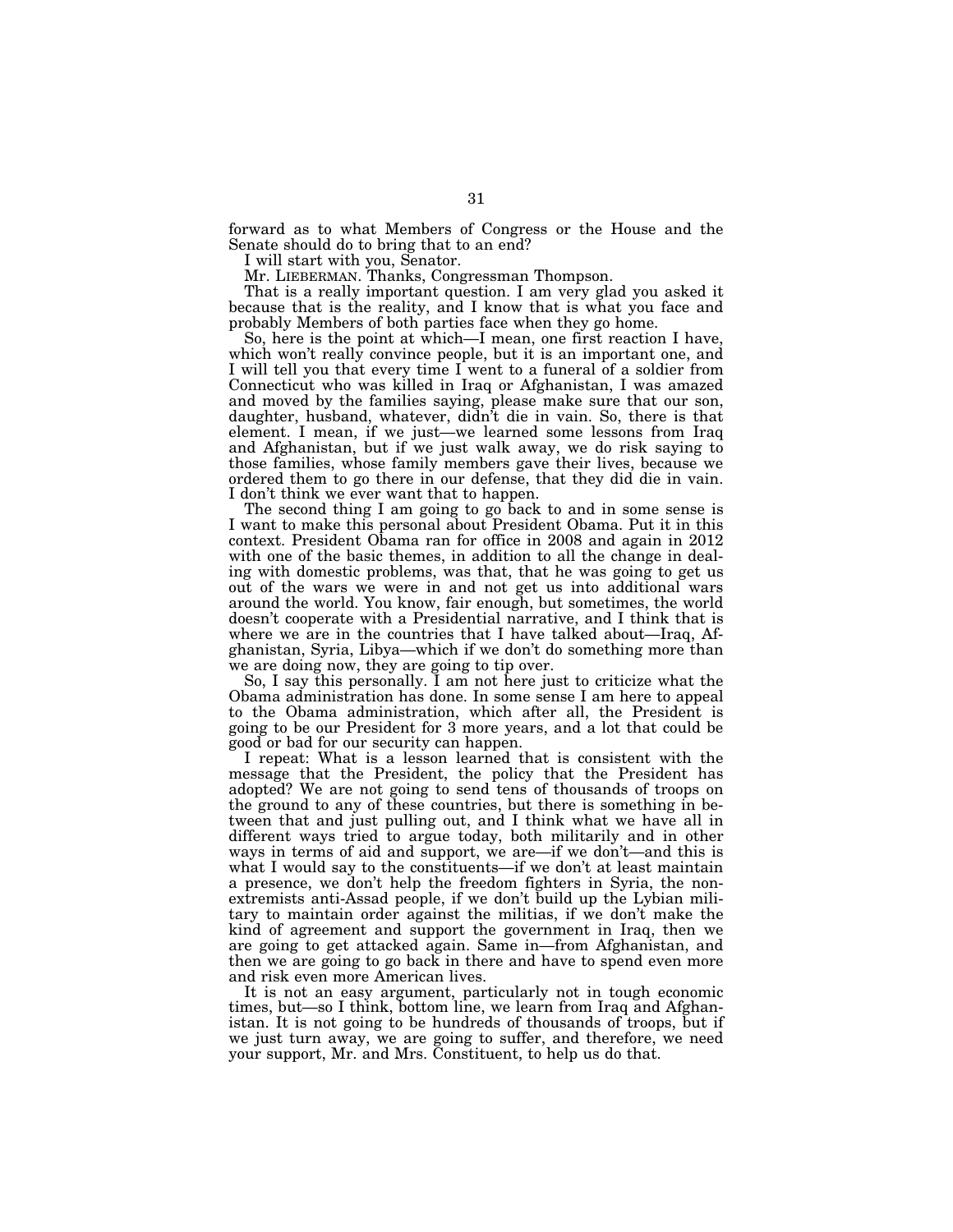forward as to what Members of Congress or the House and the Senate should do to bring that to an end?

I will start with you, Senator.

Mr. LIEBERMAN. Thanks, Congressman Thompson.

That is a really important question. I am very glad you asked it because that is the reality, and I know that is what you face and probably Members of both parties face when they go home.

So, here is the point at which—I mean, one first reaction I have, which won't really convince people, but it is an important one, and I will tell you that every time I went to a funeral of a soldier from Connecticut who was killed in Iraq or Afghanistan, I was amazed and moved by the families saying, please make sure that our son, daughter, husband, whatever, didn't die in vain. So, there is that element. I mean, if we just—we learned some lessons from Iraq and Afghanistan, but if we just walk away, we do risk saying to those families, whose family members gave their lives, because we ordered them to go there in our defense, that they did die in vain. I don't think we ever want that to happen.

The second thing I am going to go back to and in some sense is I want to make this personal about President Obama. Put it in this context. President Obama ran for office in 2008 and again in 2012 with one of the basic themes, in addition to all the change in dealing with domestic problems, was that, that he was going to get us out of the wars we were in and not get us into additional wars around the world. You know, fair enough, but sometimes, the world doesn't cooperate with a Presidential narrative, and I think that is where we are in the countries that I have talked about—Iraq, Afghanistan, Syria, Libya—which if we don't do something more than we are doing now, they are going to tip over.

So, I say this personally. I am not here just to criticize what the Obama administration has done. In some sense I am here to appeal to the Obama administration, which after all, the President is going to be our President for 3 more years, and a lot that could be good or bad for our security can happen.

I repeat: What is a lesson learned that is consistent with the message that the President, the policy that the President has adopted? We are not going to send tens of thousands of troops on the ground to any of these countries, but there is something in between that and just pulling out, and I think what we have all in different ways tried to argue today, both militarily and in other ways in terms of aid and support, we are—if we don't—and this is what I would say to the constituents—if we don't at least maintain a presence, we don't help the freedom fighters in Syria, the nonextremists anti-Assad people, if we don't build up the Lybian military to maintain order against the militias, if we don't make the kind of agreement and support the government in Iraq, then we are going to get attacked again. Same in—from Afghanistan, and then we are going to go back in there and have to spend even more and risk even more American lives.

It is not an easy argument, particularly not in tough economic times, but—so I think, bottom line, we learn from Iraq and Afghanistan. It is not going to be hundreds of thousands of troops, but if we just turn away, we are going to suffer, and therefore, we need your support, Mr. and Mrs. Constituent, to help us do that.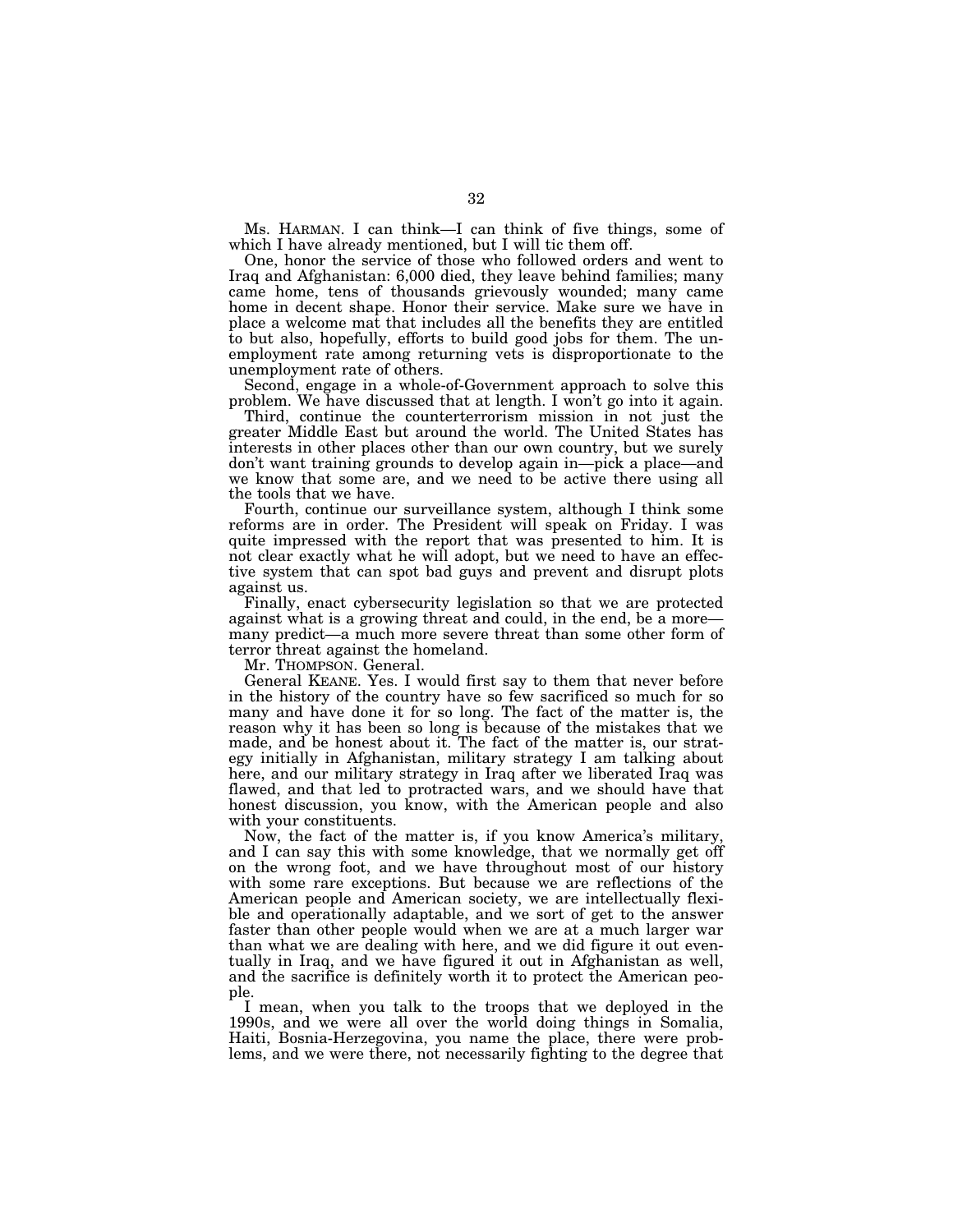Ms. HARMAN. I can think—I can think of five things, some of which I have already mentioned, but I will tic them off.

One, honor the service of those who followed orders and went to Iraq and Afghanistan: 6,000 died, they leave behind families; many came home, tens of thousands grievously wounded; many came home in decent shape. Honor their service. Make sure we have in place a welcome mat that includes all the benefits they are entitled to but also, hopefully, efforts to build good jobs for them. The unemployment rate among returning vets is disproportionate to the unemployment rate of others.

Second, engage in a whole-of-Government approach to solve this problem. We have discussed that at length. I won't go into it again.

Third, continue the counterterrorism mission in not just the greater Middle East but around the world. The United States has interests in other places other than our own country, but we surely don't want training grounds to develop again in—pick a place—and we know that some are, and we need to be active there using all the tools that we have.

Fourth, continue our surveillance system, although I think some reforms are in order. The President will speak on Friday. I was quite impressed with the report that was presented to him. It is not clear exactly what he will adopt, but we need to have an effective system that can spot bad guys and prevent and disrupt plots against us.

Finally, enact cybersecurity legislation so that we are protected against what is a growing threat and could, in the end, be a more many predict—a much more severe threat than some other form of terror threat against the homeland.

Mr. THOMPSON. General.

General KEANE. Yes. I would first say to them that never before in the history of the country have so few sacrificed so much for so many and have done it for so long. The fact of the matter is, the reason why it has been so long is because of the mistakes that we made, and be honest about it. The fact of the matter is, our strategy initially in Afghanistan, military strategy I am talking about here, and our military strategy in Iraq after we liberated Iraq was flawed, and that led to protracted wars, and we should have that honest discussion, you know, with the American people and also with your constituents.

Now, the fact of the matter is, if you know America's military, and I can say this with some knowledge, that we normally get off on the wrong foot, and we have throughout most of our history with some rare exceptions. But because we are reflections of the American people and American society, we are intellectually flexible and operationally adaptable, and we sort of get to the answer faster than other people would when we are at a much larger war than what we are dealing with here, and we did figure it out eventually in Iraq, and we have figured it out in Afghanistan as well, and the sacrifice is definitely worth it to protect the American people.

I mean, when you talk to the troops that we deployed in the 1990s, and we were all over the world doing things in Somalia, Haiti, Bosnia-Herzegovina, you name the place, there were problems, and we were there, not necessarily fighting to the degree that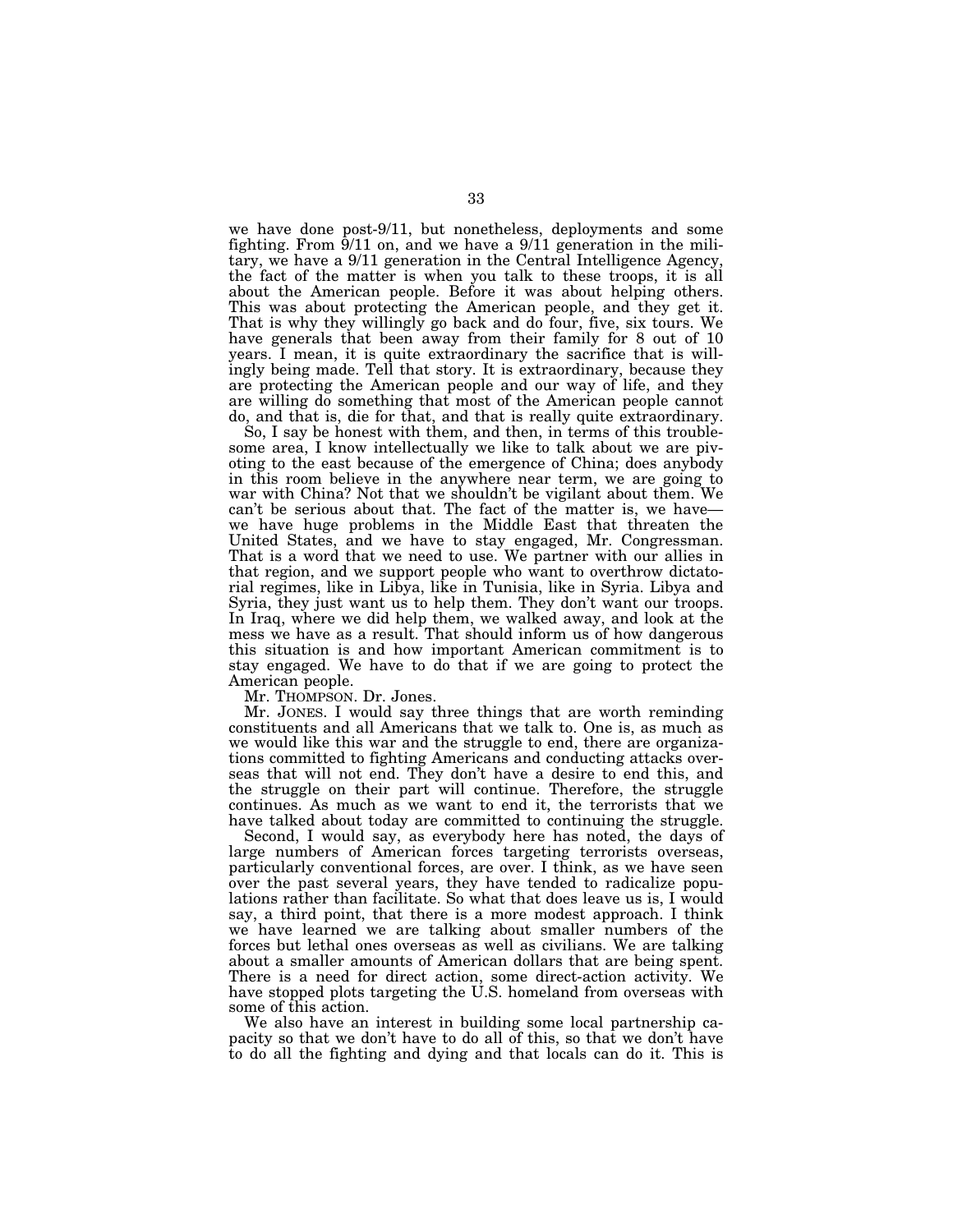we have done post-9/11, but nonetheless, deployments and some fighting. From  $\frac{9}{11}$  on, and we have a  $\frac{9}{11}$  generation in the military, we have a 9/11 generation in the Central Intelligence Agency, the fact of the matter is when you talk to these troops, it is all about the American people. Before it was about helping others. This was about protecting the American people, and they get it. That is why they willingly go back and do four, five, six tours. We have generals that been away from their family for 8 out of 10 years. I mean, it is quite extraordinary the sacrifice that is willingly being made. Tell that story. It is extraordinary, because they are protecting the American people and our way of life, and they are willing do something that most of the American people cannot do, and that is, die for that, and that is really quite extraordinary.

So, I say be honest with them, and then, in terms of this troublesome area, I know intellectually we like to talk about we are pivoting to the east because of the emergence of China; does anybody in this room believe in the anywhere near term, we are going to war with China? Not that we shouldn't be vigilant about them. We can't be serious about that. The fact of the matter is, we have we have huge problems in the Middle East that threaten the United States, and we have to stay engaged, Mr. Congressman. That is a word that we need to use. We partner with our allies in that region, and we support people who want to overthrow dictatorial regimes, like in Libya, like in Tunisia, like in Syria. Libya and Syria, they just want us to help them. They don't want our troops. In Iraq, where we did help them, we walked away, and look at the mess we have as a result. That should inform us of how dangerous this situation is and how important American commitment is to stay engaged. We have to do that if we are going to protect the American people.

Mr. THOMPSON. Dr. Jones.

Mr. JONES. I would say three things that are worth reminding constituents and all Americans that we talk to. One is, as much as we would like this war and the struggle to end, there are organizations committed to fighting Americans and conducting attacks overseas that will not end. They don't have a desire to end this, and the struggle on their part will continue. Therefore, the struggle continues. As much as we want to end it, the terrorists that we have talked about today are committed to continuing the struggle.

Second, I would say, as everybody here has noted, the days of large numbers of American forces targeting terrorists overseas, particularly conventional forces, are over. I think, as we have seen over the past several years, they have tended to radicalize populations rather than facilitate. So what that does leave us is, I would say, a third point, that there is a more modest approach. I think we have learned we are talking about smaller numbers of the forces but lethal ones overseas as well as civilians. We are talking about a smaller amounts of American dollars that are being spent. There is a need for direct action, some direct-action activity. We have stopped plots targeting the U.S. homeland from overseas with some of this action.

We also have an interest in building some local partnership capacity so that we don't have to do all of this, so that we don't have to do all the fighting and dying and that locals can do it. This is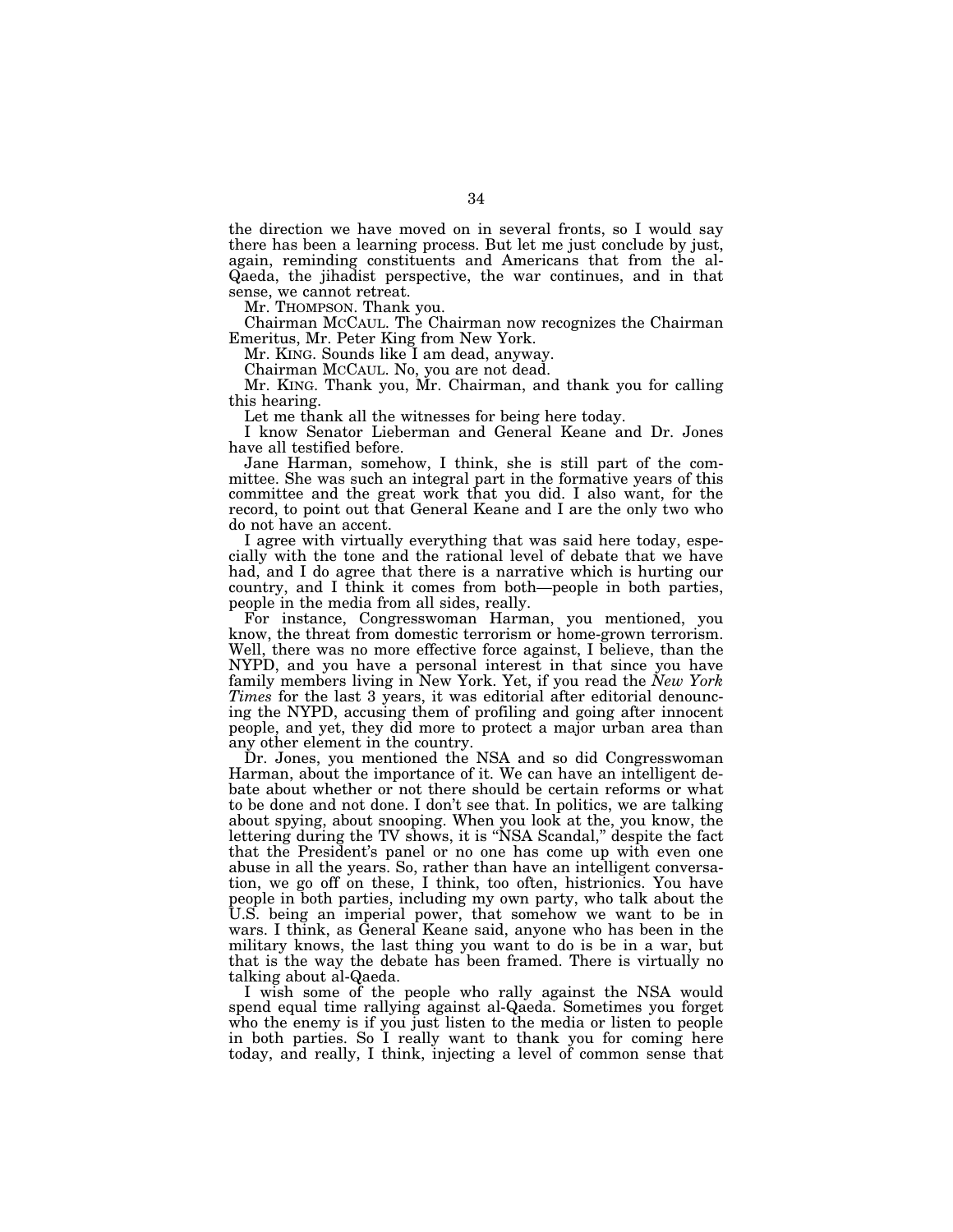the direction we have moved on in several fronts, so I would say there has been a learning process. But let me just conclude by just, again, reminding constituents and Americans that from the al-Qaeda, the jihadist perspective, the war continues, and in that sense, we cannot retreat.

Mr. THOMPSON. Thank you.

Chairman MCCAUL. The Chairman now recognizes the Chairman Emeritus, Mr. Peter King from New York.

Mr. KING. Sounds like I am dead, anyway.

Chairman MCCAUL. No, you are not dead.

Mr. KING. Thank you, Mr. Chairman, and thank you for calling this hearing.

Let me thank all the witnesses for being here today.

I know Senator Lieberman and General Keane and Dr. Jones have all testified before.

Jane Harman, somehow, I think, she is still part of the committee. She was such an integral part in the formative years of this committee and the great work that you did. I also want, for the record, to point out that General Keane and I are the only two who do not have an accent.

I agree with virtually everything that was said here today, especially with the tone and the rational level of debate that we have had, and I do agree that there is a narrative which is hurting our country, and I think it comes from both—people in both parties, people in the media from all sides, really.

For instance, Congresswoman Harman, you mentioned, you know, the threat from domestic terrorism or home-grown terrorism. Well, there was no more effective force against, I believe, than the NYPD, and you have a personal interest in that since you have family members living in New York. Yet, if you read the *New York Times* for the last 3 years, it was editorial after editorial denouncing the NYPD, accusing them of profiling and going after innocent people, and yet, they did more to protect a major urban area than any other element in the country.

Dr. Jones, you mentioned the NSA and so did Congresswoman Harman, about the importance of it. We can have an intelligent debate about whether or not there should be certain reforms or what to be done and not done. I don't see that. In politics, we are talking about spying, about snooping. When you look at the, you know, the lettering during the TV shows, it is ''NSA Scandal,'' despite the fact that the President's panel or no one has come up with even one abuse in all the years. So, rather than have an intelligent conversation, we go off on these, I think, too often, histrionics. You have people in both parties, including my own party, who talk about the U.S. being an imperial power, that somehow we want to be in wars. I think, as General Keane said, anyone who has been in the military knows, the last thing you want to do is be in a war, but that is the way the debate has been framed. There is virtually no talking about al-Qaeda.

I wish some of the people who rally against the NSA would spend equal time rallying against al-Qaeda. Sometimes you forget who the enemy is if you just listen to the media or listen to people in both parties. So I really want to thank you for coming here today, and really, I think, injecting a level of common sense that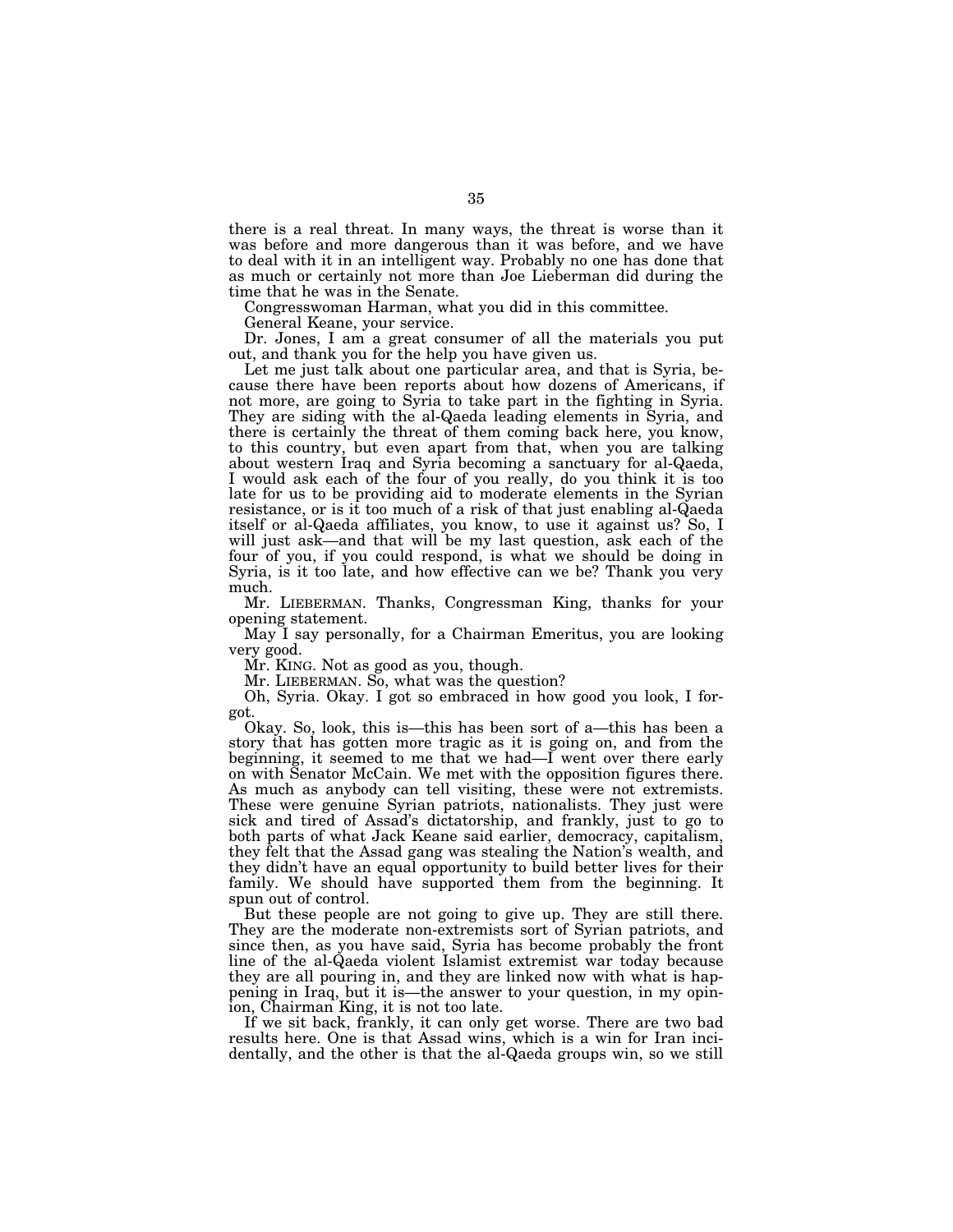there is a real threat. In many ways, the threat is worse than it was before and more dangerous than it was before, and we have to deal with it in an intelligent way. Probably no one has done that as much or certainly not more than Joe Lieberman did during the time that he was in the Senate.

Congresswoman Harman, what you did in this committee.

General Keane, your service.

Dr. Jones, I am a great consumer of all the materials you put out, and thank you for the help you have given us.

Let me just talk about one particular area, and that is Syria, because there have been reports about how dozens of Americans, if not more, are going to Syria to take part in the fighting in Syria. They are siding with the al-Qaeda leading elements in Syria, and there is certainly the threat of them coming back here, you know, to this country, but even apart from that, when you are talking about western Iraq and Syria becoming a sanctuary for al-Qaeda, I would ask each of the four of you really, do you think it is too late for us to be providing aid to moderate elements in the Syrian resistance, or is it too much of a risk of that just enabling al-Qaeda itself or al-Qaeda affiliates, you know, to use it against us? So, I will just ask—and that will be my last question, ask each of the four of you, if you could respond, is what we should be doing in Syria, is it too late, and how effective can we be? Thank you very much.

Mr. LIEBERMAN. Thanks, Congressman King, thanks for your opening statement.

May I say personally, for a Chairman Emeritus, you are looking very good.

Mr. KING. Not as good as you, though.

Mr. LIEBERMAN. So, what was the question?

Oh, Syria. Okay. I got so embraced in how good you look, I forgot.

Okay. So, look, this is—this has been sort of a—this has been a story that has gotten more tragic as it is going on, and from the beginning, it seemed to me that we had—I went over there early on with Senator McCain. We met with the opposition figures there. As much as anybody can tell visiting, these were not extremists. These were genuine Syrian patriots, nationalists. They just were sick and tired of Assad's dictatorship, and frankly, just to go to both parts of what Jack Keane said earlier, democracy, capitalism, they felt that the Assad gang was stealing the Nation's wealth, and they didn't have an equal opportunity to build better lives for their family. We should have supported them from the beginning. It spun out of control.

But these people are not going to give up. They are still there. They are the moderate non-extremists sort of Syrian patriots, and since then, as you have said, Syria has become probably the front line of the al-Qaeda violent Islamist extremist war today because they are all pouring in, and they are linked now with what is happening in Iraq, but it is—the answer to your question, in my opinion, Chairman King, it is not too late.

If we sit back, frankly, it can only get worse. There are two bad results here. One is that Assad wins, which is a win for Iran incidentally, and the other is that the al-Qaeda groups win, so we still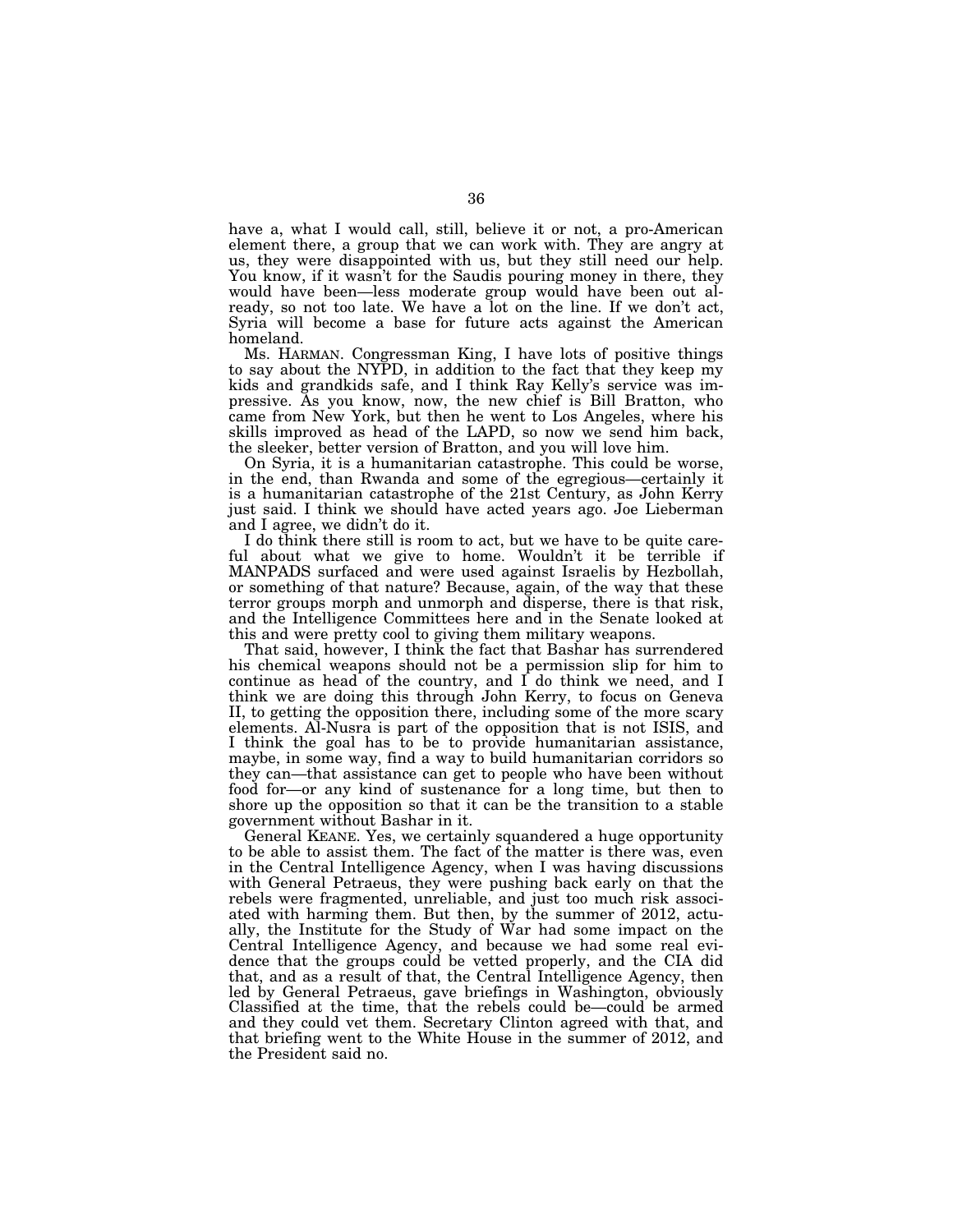have a, what I would call, still, believe it or not, a pro-American element there, a group that we can work with. They are angry at us, they were disappointed with us, but they still need our help. You know, if it wasn't for the Saudis pouring money in there, they would have been—less moderate group would have been out already, so not too late. We have a lot on the line. If we don't act, Syria will become a base for future acts against the American homeland.

Ms. HARMAN. Congressman King, I have lots of positive things to say about the NYPD, in addition to the fact that they keep my kids and grandkids safe, and I think Ray Kelly's service was impressive. As you know, now, the new chief is Bill Bratton, who came from New York, but then he went to Los Angeles, where his skills improved as head of the LAPD, so now we send him back, the sleeker, better version of Bratton, and you will love him.

On Syria, it is a humanitarian catastrophe. This could be worse, in the end, than Rwanda and some of the egregious—certainly it is a humanitarian catastrophe of the 21st Century, as John Kerry just said. I think we should have acted years ago. Joe Lieberman and I agree, we didn't do it.

I do think there still is room to act, but we have to be quite careful about what we give to home. Wouldn't it be terrible if MANPADS surfaced and were used against Israelis by Hezbollah, or something of that nature? Because, again, of the way that these terror groups morph and unmorph and disperse, there is that risk, and the Intelligence Committees here and in the Senate looked at this and were pretty cool to giving them military weapons.

That said, however, I think the fact that Bashar has surrendered his chemical weapons should not be a permission slip for him to continue as head of the country, and I do think we need, and I think we are doing this through John Kerry, to focus on Geneva II, to getting the opposition there, including some of the more scary elements. Al-Nusra is part of the opposition that is not ISIS, and I think the goal has to be to provide humanitarian assistance, maybe, in some way, find a way to build humanitarian corridors so they can—that assistance can get to people who have been without food for—or any kind of sustenance for a long time, but then to shore up the opposition so that it can be the transition to a stable government without Bashar in it.

General KEANE. Yes, we certainly squandered a huge opportunity to be able to assist them. The fact of the matter is there was, even in the Central Intelligence Agency, when I was having discussions with General Petraeus, they were pushing back early on that the rebels were fragmented, unreliable, and just too much risk associated with harming them. But then, by the summer of 2012, actually, the Institute for the Study of War had some impact on the Central Intelligence Agency, and because we had some real evidence that the groups could be vetted properly, and the CIA did that, and as a result of that, the Central Intelligence Agency, then led by General Petraeus, gave briefings in Washington, obviously Classified at the time, that the rebels could be—could be armed and they could vet them. Secretary Clinton agreed with that, and that briefing went to the White House in the summer of 2012, and the President said no.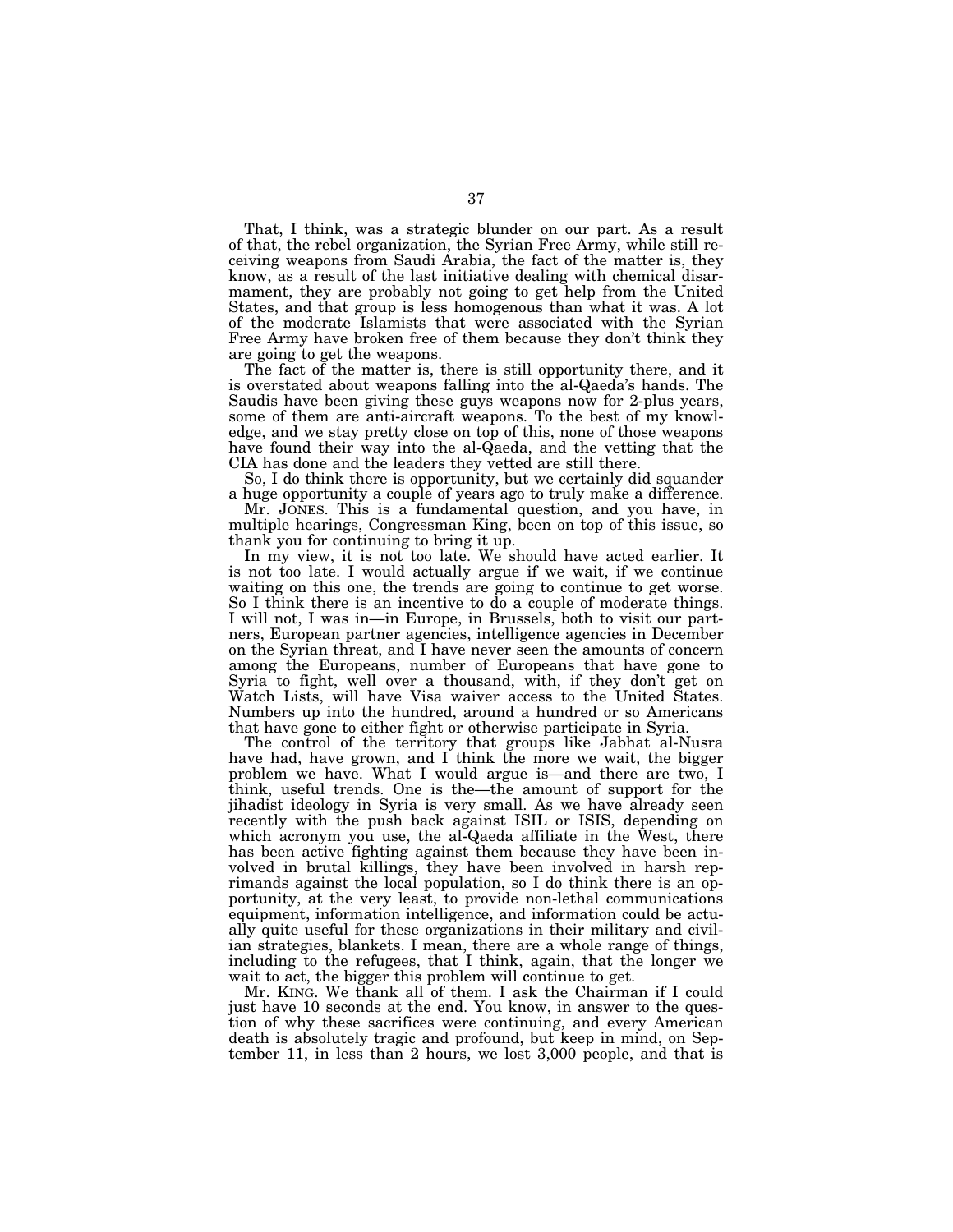That, I think, was a strategic blunder on our part. As a result of that, the rebel organization, the Syrian Free Army, while still receiving weapons from Saudi Arabia, the fact of the matter is, they know, as a result of the last initiative dealing with chemical disarmament, they are probably not going to get help from the United States, and that group is less homogenous than what it was. A lot of the moderate Islamists that were associated with the Syrian Free Army have broken free of them because they don't think they are going to get the weapons.

The fact of the matter is, there is still opportunity there, and it is overstated about weapons falling into the al-Qaeda's hands. The Saudis have been giving these guys weapons now for 2-plus years, some of them are anti-aircraft weapons. To the best of my knowledge, and we stay pretty close on top of this, none of those weapons have found their way into the al-Qaeda, and the vetting that the CIA has done and the leaders they vetted are still there.

So, I do think there is opportunity, but we certainly did squander a huge opportunity a couple of years ago to truly make a difference.

Mr. JONES. This is a fundamental question, and you have, in multiple hearings, Congressman King, been on top of this issue, so thank you for continuing to bring it up.

In my view, it is not too late. We should have acted earlier. It is not too late. I would actually argue if we wait, if we continue waiting on this one, the trends are going to continue to get worse. So I think there is an incentive to do a couple of moderate things. I will not, I was in—in Europe, in Brussels, both to visit our partners, European partner agencies, intelligence agencies in December on the Syrian threat, and I have never seen the amounts of concern among the Europeans, number of Europeans that have gone to Syria to fight, well over a thousand, with, if they don't get on Watch Lists, will have Visa waiver access to the United States. Numbers up into the hundred, around a hundred or so Americans that have gone to either fight or otherwise participate in Syria.

The control of the territory that groups like Jabhat al-Nusra have had, have grown, and I think the more we wait, the bigger problem we have. What I would argue is—and there are two, I think, useful trends. One is the—the amount of support for the jihadist ideology in Syria is very small. As we have already seen recently with the push back against ISIL or ISIS, depending on which acronym you use, the al-Qaeda affiliate in the West, there has been active fighting against them because they have been involved in brutal killings, they have been involved in harsh reprimands against the local population, so I do think there is an opportunity, at the very least, to provide non-lethal communications equipment, information intelligence, and information could be actually quite useful for these organizations in their military and civilian strategies, blankets. I mean, there are a whole range of things, including to the refugees, that I think, again, that the longer we wait to act, the bigger this problem will continue to get.

Mr. KING. We thank all of them. I ask the Chairman if I could just have 10 seconds at the end. You know, in answer to the question of why these sacrifices were continuing, and every American death is absolutely tragic and profound, but keep in mind, on September 11, in less than 2 hours, we lost 3,000 people, and that is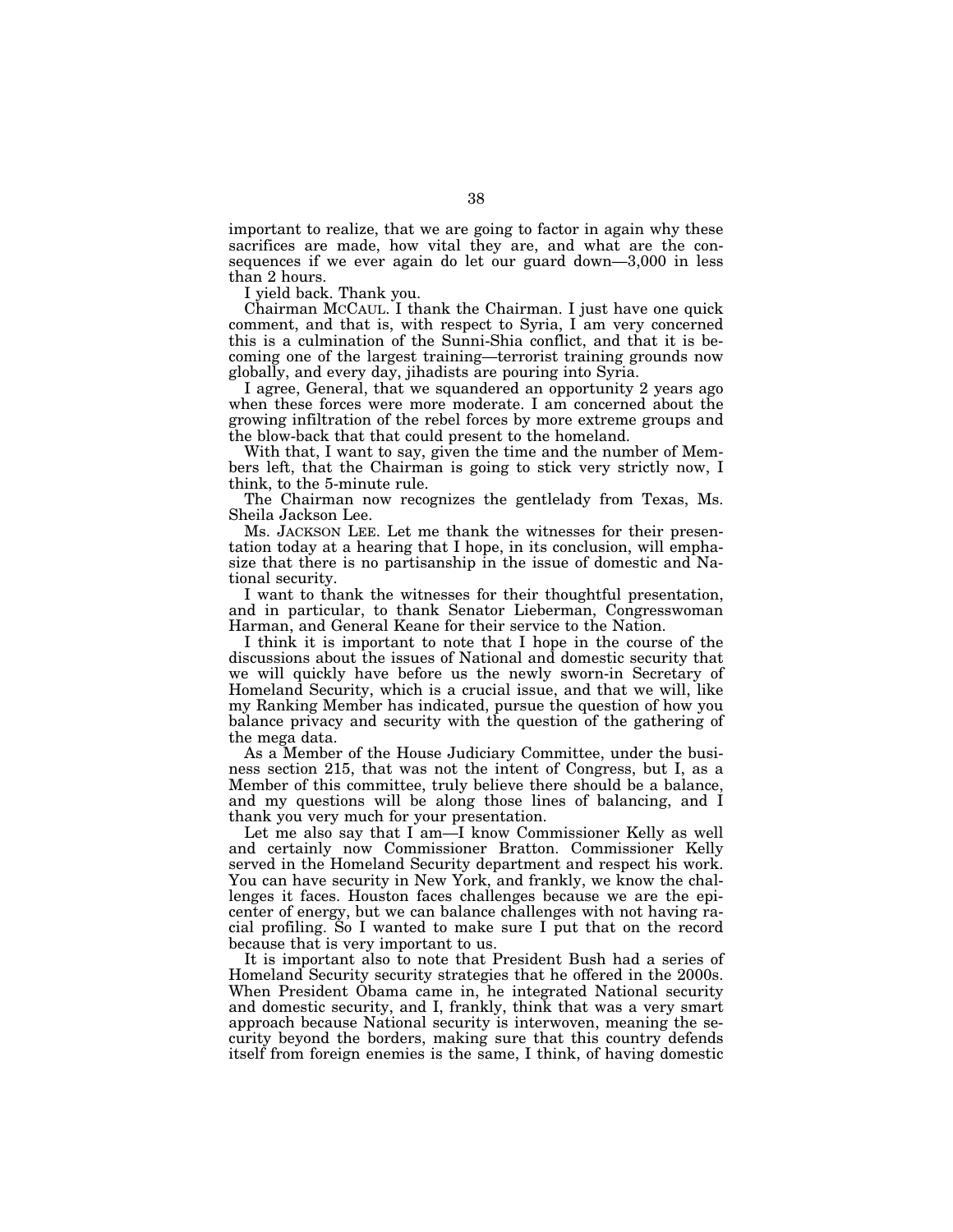important to realize, that we are going to factor in again why these sacrifices are made, how vital they are, and what are the consequences if we ever again do let our guard down—3,000 in less than 2 hours.

I yield back. Thank you.

Chairman MCCAUL. I thank the Chairman. I just have one quick comment, and that is, with respect to Syria, I am very concerned this is a culmination of the Sunni-Shia conflict, and that it is becoming one of the largest training—terrorist training grounds now globally, and every day, jihadists are pouring into Syria.

I agree, General, that we squandered an opportunity 2 years ago when these forces were more moderate. I am concerned about the growing infiltration of the rebel forces by more extreme groups and the blow-back that that could present to the homeland.

With that, I want to say, given the time and the number of Members left, that the Chairman is going to stick very strictly now, I think, to the 5-minute rule.

The Chairman now recognizes the gentlelady from Texas, Ms. Sheila Jackson Lee.

Ms. JACKSON LEE. Let me thank the witnesses for their presentation today at a hearing that I hope, in its conclusion, will emphasize that there is no partisanship in the issue of domestic and National security.

I want to thank the witnesses for their thoughtful presentation, and in particular, to thank Senator Lieberman, Congresswoman Harman, and General Keane for their service to the Nation.

I think it is important to note that I hope in the course of the discussions about the issues of National and domestic security that we will quickly have before us the newly sworn-in Secretary of Homeland Security, which is a crucial issue, and that we will, like my Ranking Member has indicated, pursue the question of how you balance privacy and security with the question of the gathering of the mega data.

As a Member of the House Judiciary Committee, under the business section 215, that was not the intent of Congress, but I, as a Member of this committee, truly believe there should be a balance, and my questions will be along those lines of balancing, and I thank you very much for your presentation.

Let me also say that I am—I know Commissioner Kelly as well and certainly now Commissioner Bratton. Commissioner Kelly served in the Homeland Security department and respect his work. You can have security in New York, and frankly, we know the challenges it faces. Houston faces challenges because we are the epicenter of energy, but we can balance challenges with not having racial profiling. So I wanted to make sure I put that on the record because that is very important to us.

It is important also to note that President Bush had a series of Homeland Security security strategies that he offered in the 2000s. When President Obama came in, he integrated National security and domestic security, and I, frankly, think that was a very smart approach because National security is interwoven, meaning the security beyond the borders, making sure that this country defends itself from foreign enemies is the same, I think, of having domestic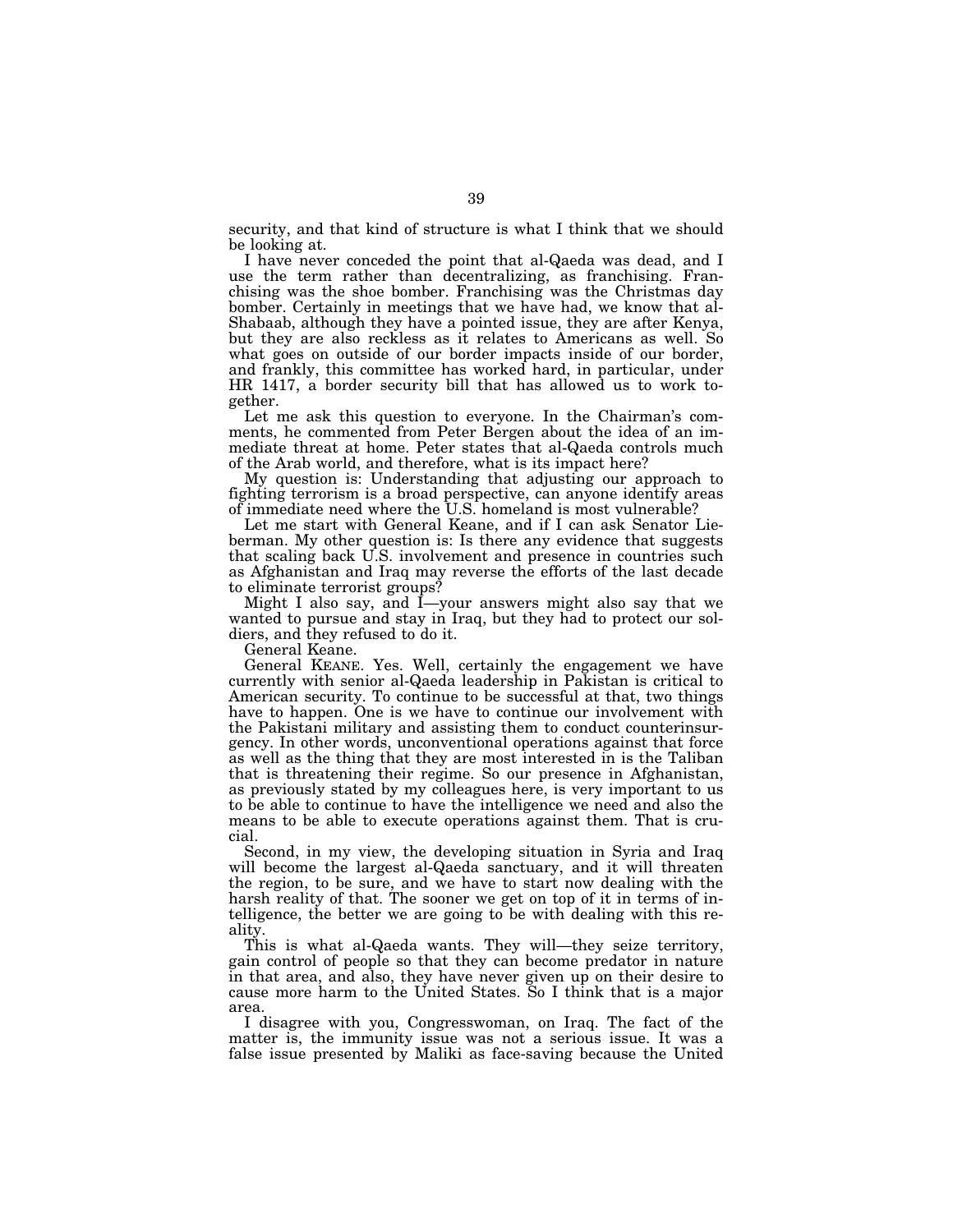security, and that kind of structure is what I think that we should be looking at.

I have never conceded the point that al-Qaeda was dead, and I use the term rather than decentralizing, as franchising. Franchising was the shoe bomber. Franchising was the Christmas day bomber. Certainly in meetings that we have had, we know that al-Shabaab, although they have a pointed issue, they are after Kenya, but they are also reckless as it relates to Americans as well. So what goes on outside of our border impacts inside of our border, and frankly, this committee has worked hard, in particular, under HR 1417, a border security bill that has allowed us to work together.

Let me ask this question to everyone. In the Chairman's comments, he commented from Peter Bergen about the idea of an immediate threat at home. Peter states that al-Qaeda controls much of the Arab world, and therefore, what is its impact here?

My question is: Understanding that adjusting our approach to fighting terrorism is a broad perspective, can anyone identify areas of immediate need where the U.S. homeland is most vulnerable?

Let me start with General Keane, and if I can ask Senator Lieberman. My other question is: Is there any evidence that suggests that scaling back U.S. involvement and presence in countries such as Afghanistan and Iraq may reverse the efforts of the last decade to eliminate terrorist groups?

Might I also say, and I—your answers might also say that we wanted to pursue and stay in Iraq, but they had to protect our soldiers, and they refused to do it.

General Keane.

General KEANE. Yes. Well, certainly the engagement we have currently with senior al-Qaeda leadership in Pakistan is critical to American security. To continue to be successful at that, two things have to happen. One is we have to continue our involvement with the Pakistani military and assisting them to conduct counterinsurgency. In other words, unconventional operations against that force as well as the thing that they are most interested in is the Taliban that is threatening their regime. So our presence in Afghanistan, as previously stated by my colleagues here, is very important to us to be able to continue to have the intelligence we need and also the means to be able to execute operations against them. That is crucial.

Second, in my view, the developing situation in Syria and Iraq will become the largest al-Qaeda sanctuary, and it will threaten the region, to be sure, and we have to start now dealing with the harsh reality of that. The sooner we get on top of it in terms of intelligence, the better we are going to be with dealing with this reality.

This is what al-Qaeda wants. They will—they seize territory, gain control of people so that they can become predator in nature in that area, and also, they have never given up on their desire to cause more harm to the United States. So I think that is a major area.

I disagree with you, Congresswoman, on Iraq. The fact of the matter is, the immunity issue was not a serious issue. It was a false issue presented by Maliki as face-saving because the United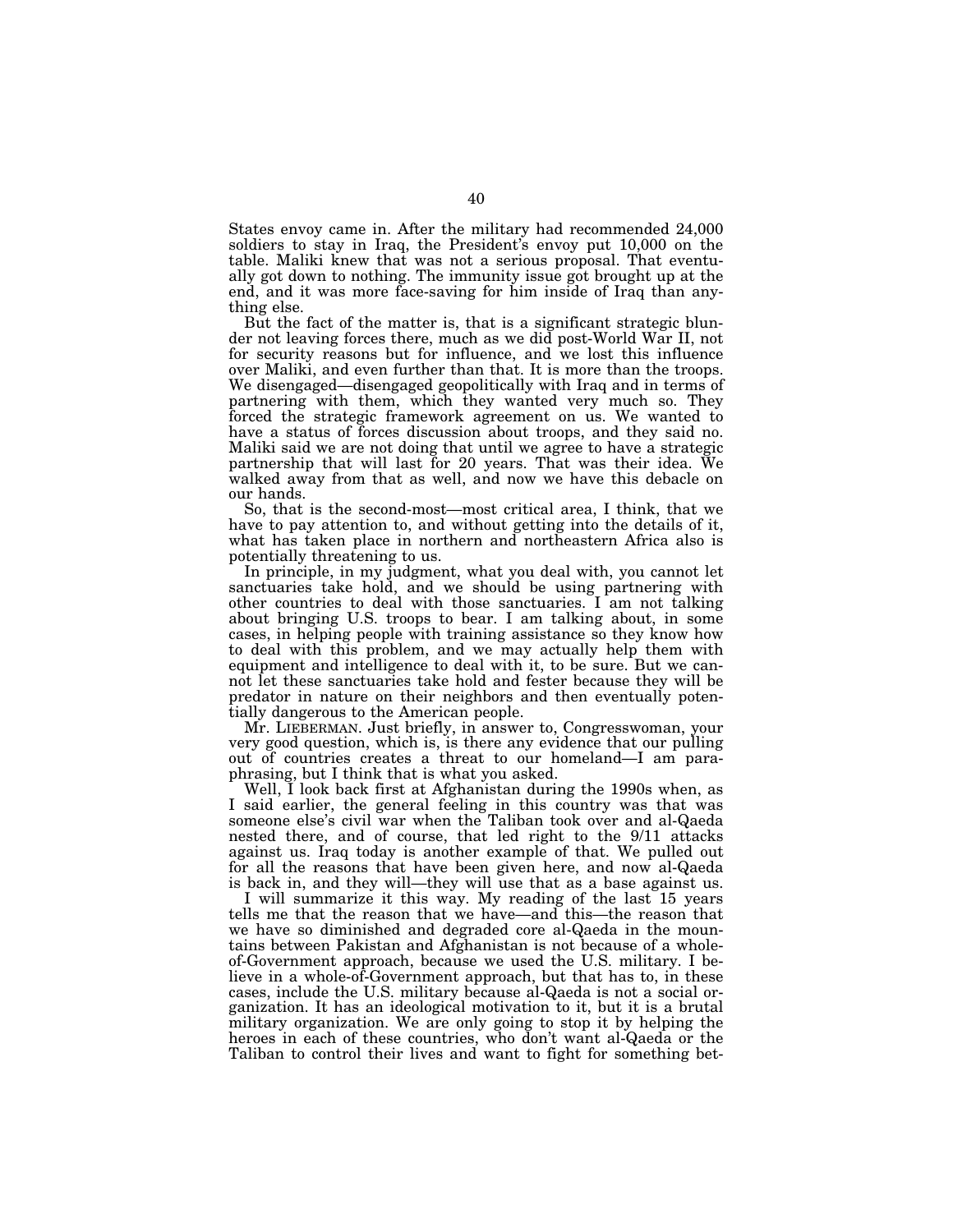States envoy came in. After the military had recommended 24,000 soldiers to stay in Iraq, the President's envoy put 10,000 on the table. Maliki knew that was not a serious proposal. That eventually got down to nothing. The immunity issue got brought up at the end, and it was more face-saving for him inside of Iraq than anything else.

But the fact of the matter is, that is a significant strategic blunder not leaving forces there, much as we did post-World War II, not for security reasons but for influence, and we lost this influence over Maliki, and even further than that. It is more than the troops. We disengaged—disengaged geopolitically with Iraq and in terms of partnering with them, which they wanted very much so. They forced the strategic framework agreement on us. We wanted to have a status of forces discussion about troops, and they said no. Maliki said we are not doing that until we agree to have a strategic partnership that will last for 20 years. That was their idea. We walked away from that as well, and now we have this debacle on our hands.

So, that is the second-most—most critical area, I think, that we have to pay attention to, and without getting into the details of it, what has taken place in northern and northeastern Africa also is potentially threatening to us.

In principle, in my judgment, what you deal with, you cannot let sanctuaries take hold, and we should be using partnering with other countries to deal with those sanctuaries. I am not talking about bringing U.S. troops to bear. I am talking about, in some cases, in helping people with training assistance so they know how to deal with this problem, and we may actually help them with equipment and intelligence to deal with it, to be sure. But we cannot let these sanctuaries take hold and fester because they will be predator in nature on their neighbors and then eventually potentially dangerous to the American people.

Mr. LIEBERMAN. Just briefly, in answer to, Congresswoman, your very good question, which is, is there any evidence that our pulling out of countries creates a threat to our homeland—I am paraphrasing, but I think that is what you asked.

Well, I look back first at Afghanistan during the 1990s when, as I said earlier, the general feeling in this country was that was someone else's civil war when the Taliban took over and al-Qaeda nested there, and of course, that led right to the 9/11 attacks against us. Iraq today is another example of that. We pulled out for all the reasons that have been given here, and now al-Qaeda is back in, and they will—they will use that as a base against us.

I will summarize it this way. My reading of the last 15 years tells me that the reason that we have—and this—the reason that we have so diminished and degraded core al-Qaeda in the mountains between Pakistan and Afghanistan is not because of a wholeof-Government approach, because we used the U.S. military. I believe in a whole-of-Government approach, but that has to, in these cases, include the U.S. military because al-Qaeda is not a social organization. It has an ideological motivation to it, but it is a brutal military organization. We are only going to stop it by helping the heroes in each of these countries, who don't want al-Qaeda or the Taliban to control their lives and want to fight for something bet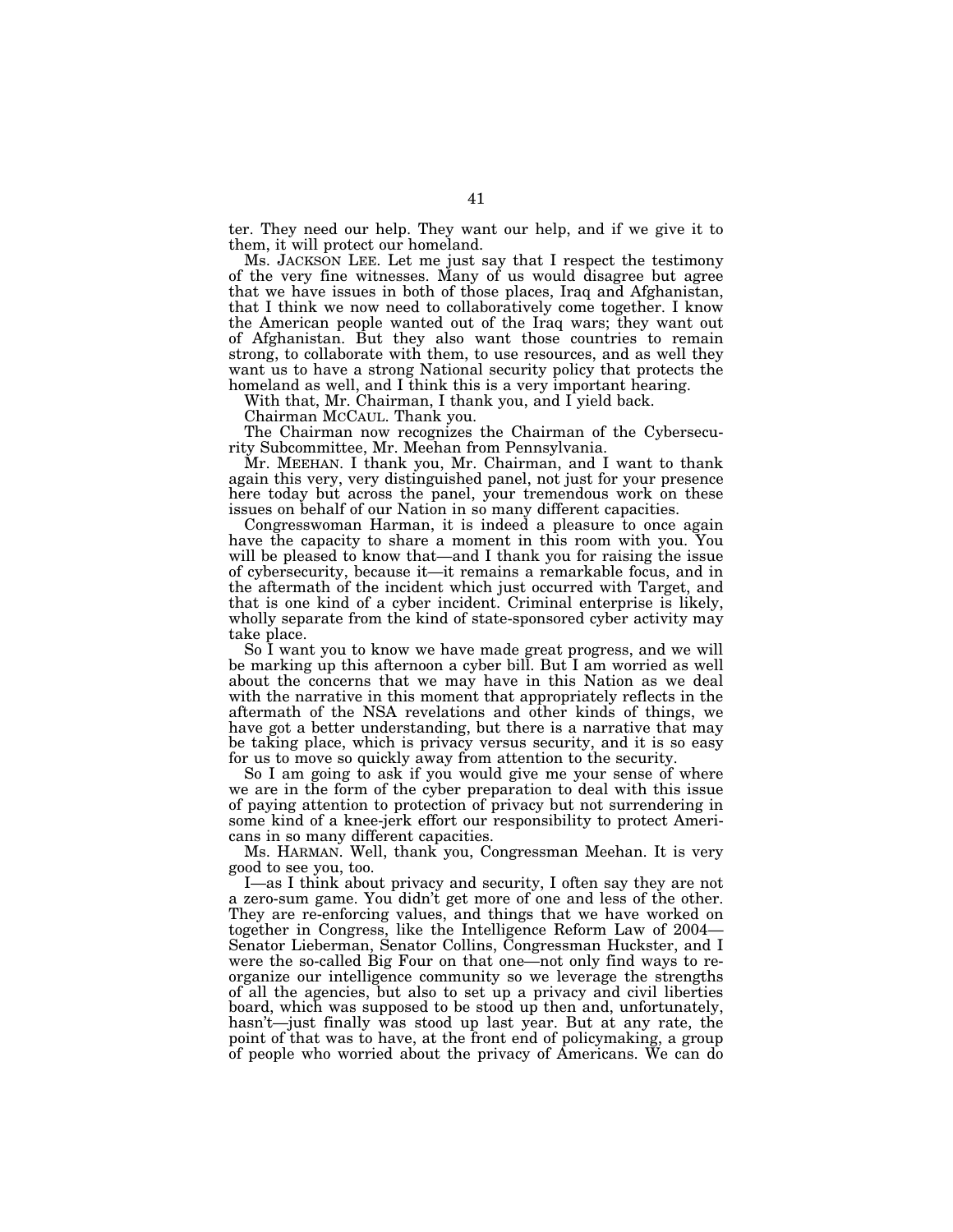ter. They need our help. They want our help, and if we give it to them, it will protect our homeland.

Ms. JACKSON LEE. Let me just say that I respect the testimony of the very fine witnesses. Many of us would disagree but agree that we have issues in both of those places, Iraq and Afghanistan, that I think we now need to collaboratively come together. I know the American people wanted out of the Iraq wars; they want out of Afghanistan. But they also want those countries to remain strong, to collaborate with them, to use resources, and as well they want us to have a strong National security policy that protects the homeland as well, and I think this is a very important hearing.

With that, Mr. Chairman, I thank you, and I yield back.

Chairman MCCAUL. Thank you.

The Chairman now recognizes the Chairman of the Cybersecurity Subcommittee, Mr. Meehan from Pennsylvania.

Mr. MEEHAN. I thank you, Mr. Chairman, and I want to thank again this very, very distinguished panel, not just for your presence here today but across the panel, your tremendous work on these issues on behalf of our Nation in so many different capacities.

Congresswoman Harman, it is indeed a pleasure to once again have the capacity to share a moment in this room with you. You will be pleased to know that—and I thank you for raising the issue of cybersecurity, because it—it remains a remarkable focus, and in the aftermath of the incident which just occurred with Target, and that is one kind of a cyber incident. Criminal enterprise is likely, wholly separate from the kind of state-sponsored cyber activity may take place.

So I want you to know we have made great progress, and we will be marking up this afternoon a cyber bill. But I am worried as well about the concerns that we may have in this Nation as we deal with the narrative in this moment that appropriately reflects in the aftermath of the NSA revelations and other kinds of things, we have got a better understanding, but there is a narrative that may be taking place, which is privacy versus security, and it is so easy for us to move so quickly away from attention to the security.

So I am going to ask if you would give me your sense of where we are in the form of the cyber preparation to deal with this issue of paying attention to protection of privacy but not surrendering in some kind of a knee-jerk effort our responsibility to protect Americans in so many different capacities.

Ms. HARMAN. Well, thank you, Congressman Meehan. It is very good to see you, too.

I—as I think about privacy and security, I often say they are not a zero-sum game. You didn't get more of one and less of the other. They are re-enforcing values, and things that we have worked on together in Congress, like the Intelligence Reform Law of 2004— Senator Lieberman, Senator Collins, Congressman Huckster, and I were the so-called Big Four on that one—not only find ways to reorganize our intelligence community so we leverage the strengths of all the agencies, but also to set up a privacy and civil liberties board, which was supposed to be stood up then and, unfortunately, hasn't—just finally was stood up last year. But at any rate, the point of that was to have, at the front end of policymaking, a group of people who worried about the privacy of Americans. We can do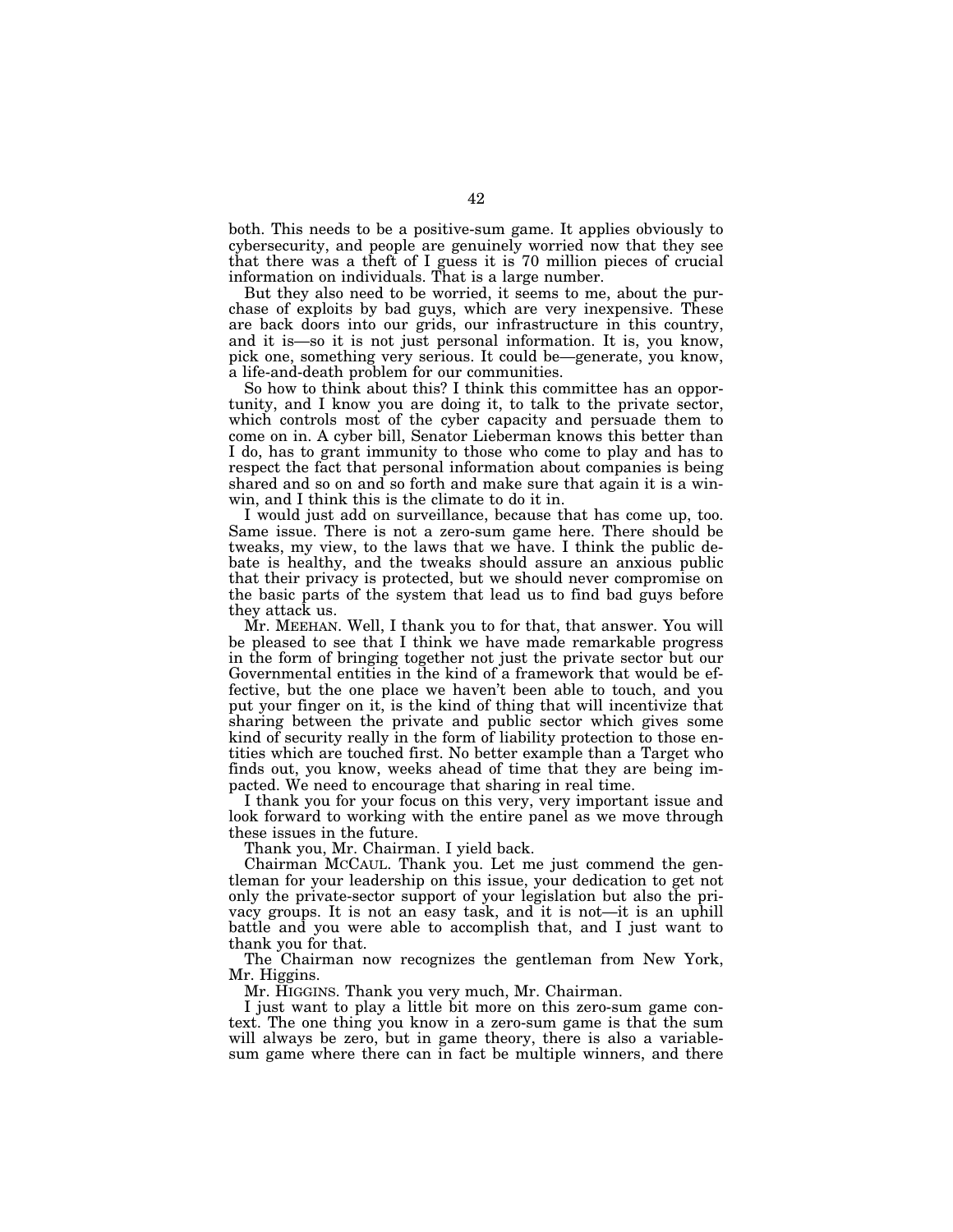both. This needs to be a positive-sum game. It applies obviously to cybersecurity, and people are genuinely worried now that they see that there was a theft of I guess it is 70 million pieces of crucial information on individuals. That is a large number.

But they also need to be worried, it seems to me, about the purchase of exploits by bad guys, which are very inexpensive. These are back doors into our grids, our infrastructure in this country, and it is—so it is not just personal information. It is, you know, pick one, something very serious. It could be—generate, you know, a life-and-death problem for our communities.

So how to think about this? I think this committee has an opportunity, and I know you are doing it, to talk to the private sector, which controls most of the cyber capacity and persuade them to come on in. A cyber bill, Senator Lieberman knows this better than I do, has to grant immunity to those who come to play and has to respect the fact that personal information about companies is being shared and so on and so forth and make sure that again it is a winwin, and I think this is the climate to do it in.

I would just add on surveillance, because that has come up, too. Same issue. There is not a zero-sum game here. There should be tweaks, my view, to the laws that we have. I think the public debate is healthy, and the tweaks should assure an anxious public that their privacy is protected, but we should never compromise on the basic parts of the system that lead us to find bad guys before they attack us.

Mr. MEEHAN. Well, I thank you to for that, that answer. You will be pleased to see that I think we have made remarkable progress in the form of bringing together not just the private sector but our Governmental entities in the kind of a framework that would be effective, but the one place we haven't been able to touch, and you put your finger on it, is the kind of thing that will incentivize that sharing between the private and public sector which gives some kind of security really in the form of liability protection to those entities which are touched first. No better example than a Target who finds out, you know, weeks ahead of time that they are being impacted. We need to encourage that sharing in real time.

I thank you for your focus on this very, very important issue and look forward to working with the entire panel as we move through these issues in the future.

Thank you, Mr. Chairman. I yield back.

Chairman MCCAUL. Thank you. Let me just commend the gentleman for your leadership on this issue, your dedication to get not only the private-sector support of your legislation but also the privacy groups. It is not an easy task, and it is not—it is an uphill battle and you were able to accomplish that, and I just want to thank you for that.

The Chairman now recognizes the gentleman from New York, Mr. Higgins.

Mr. HIGGINS. Thank you very much, Mr. Chairman.

I just want to play a little bit more on this zero-sum game context. The one thing you know in a zero-sum game is that the sum will always be zero, but in game theory, there is also a variablesum game where there can in fact be multiple winners, and there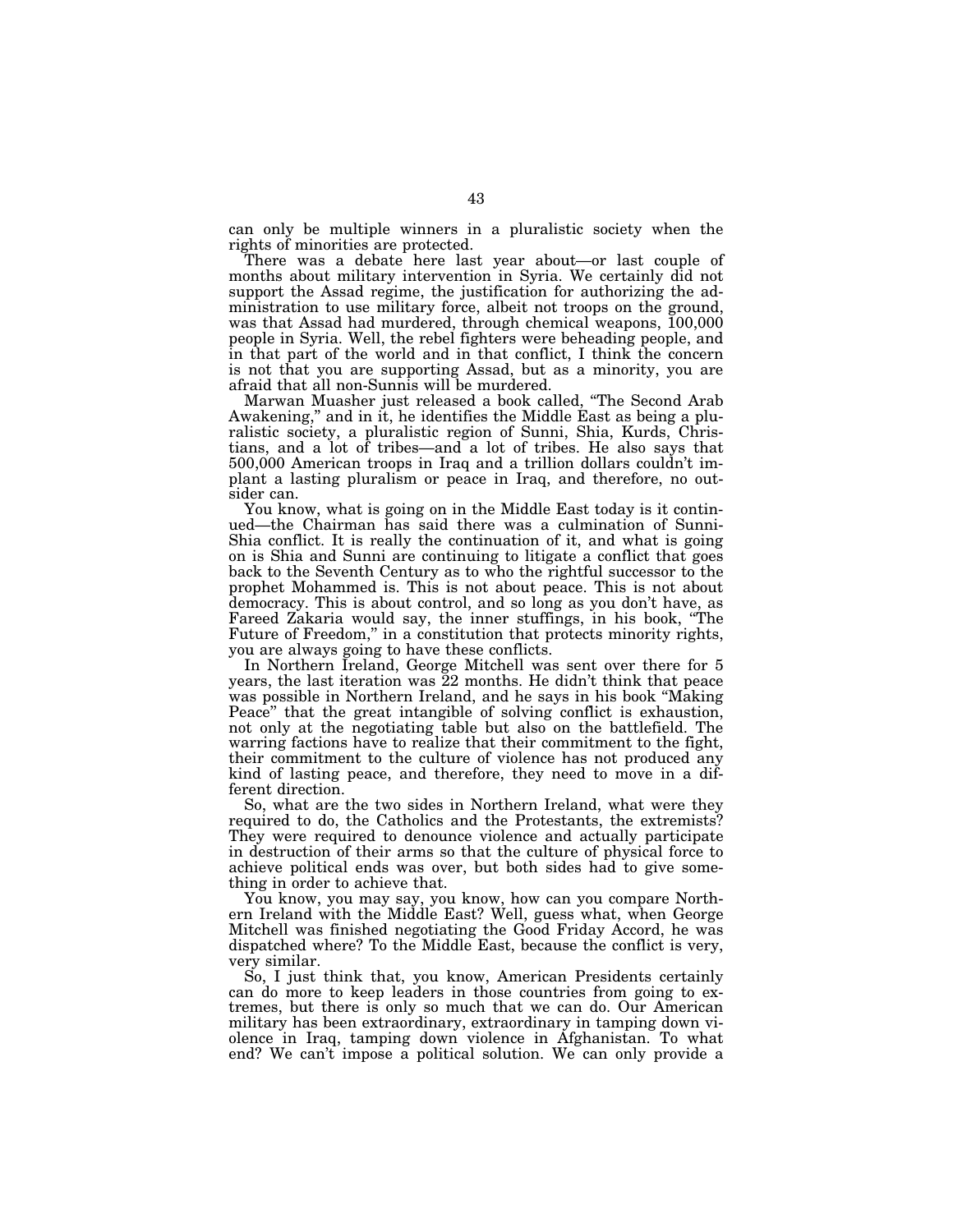can only be multiple winners in a pluralistic society when the rights of minorities are protected.

There was a debate here last year about—or last couple of months about military intervention in Syria. We certainly did not support the Assad regime, the justification for authorizing the administration to use military force, albeit not troops on the ground, was that Assad had murdered, through chemical weapons,  $100,000$ people in Syria. Well, the rebel fighters were beheading people, and in that part of the world and in that conflict, I think the concern is not that you are supporting Assad, but as a minority, you are afraid that all non-Sunnis will be murdered.

Marwan Muasher just released a book called, ''The Second Arab Awakening," and in it, he identifies the Middle East as being a pluralistic society, a pluralistic region of Sunni, Shia, Kurds, Christians, and a lot of tribes—and a lot of tribes. He also says that 500,000 American troops in Iraq and a trillion dollars couldn't implant a lasting pluralism or peace in Iraq, and therefore, no outsider can.

You know, what is going on in the Middle East today is it continued—the Chairman has said there was a culmination of Sunni-Shia conflict. It is really the continuation of it, and what is going on is Shia and Sunni are continuing to litigate a conflict that goes back to the Seventh Century as to who the rightful successor to the prophet Mohammed is. This is not about peace. This is not about democracy. This is about control, and so long as you don't have, as Fareed Zakaria would say, the inner stuffings, in his book, ''The Future of Freedom," in a constitution that protects minority rights, you are always going to have these conflicts.

In Northern Ireland, George Mitchell was sent over there for 5 years, the last iteration was 22 months. He didn't think that peace was possible in Northern Ireland, and he says in his book ''Making Peace'' that the great intangible of solving conflict is exhaustion, not only at the negotiating table but also on the battlefield. The warring factions have to realize that their commitment to the fight, their commitment to the culture of violence has not produced any kind of lasting peace, and therefore, they need to move in a different direction.

So, what are the two sides in Northern Ireland, what were they required to do, the Catholics and the Protestants, the extremists? They were required to denounce violence and actually participate in destruction of their arms so that the culture of physical force to achieve political ends was over, but both sides had to give something in order to achieve that.

You know, you may say, you know, how can you compare Northern Ireland with the Middle East? Well, guess what, when George Mitchell was finished negotiating the Good Friday Accord, he was dispatched where? To the Middle East, because the conflict is very, very similar.

So, I just think that, you know, American Presidents certainly can do more to keep leaders in those countries from going to extremes, but there is only so much that we can do. Our American military has been extraordinary, extraordinary in tamping down violence in Iraq, tamping down violence in Afghanistan. To what end? We can't impose a political solution. We can only provide a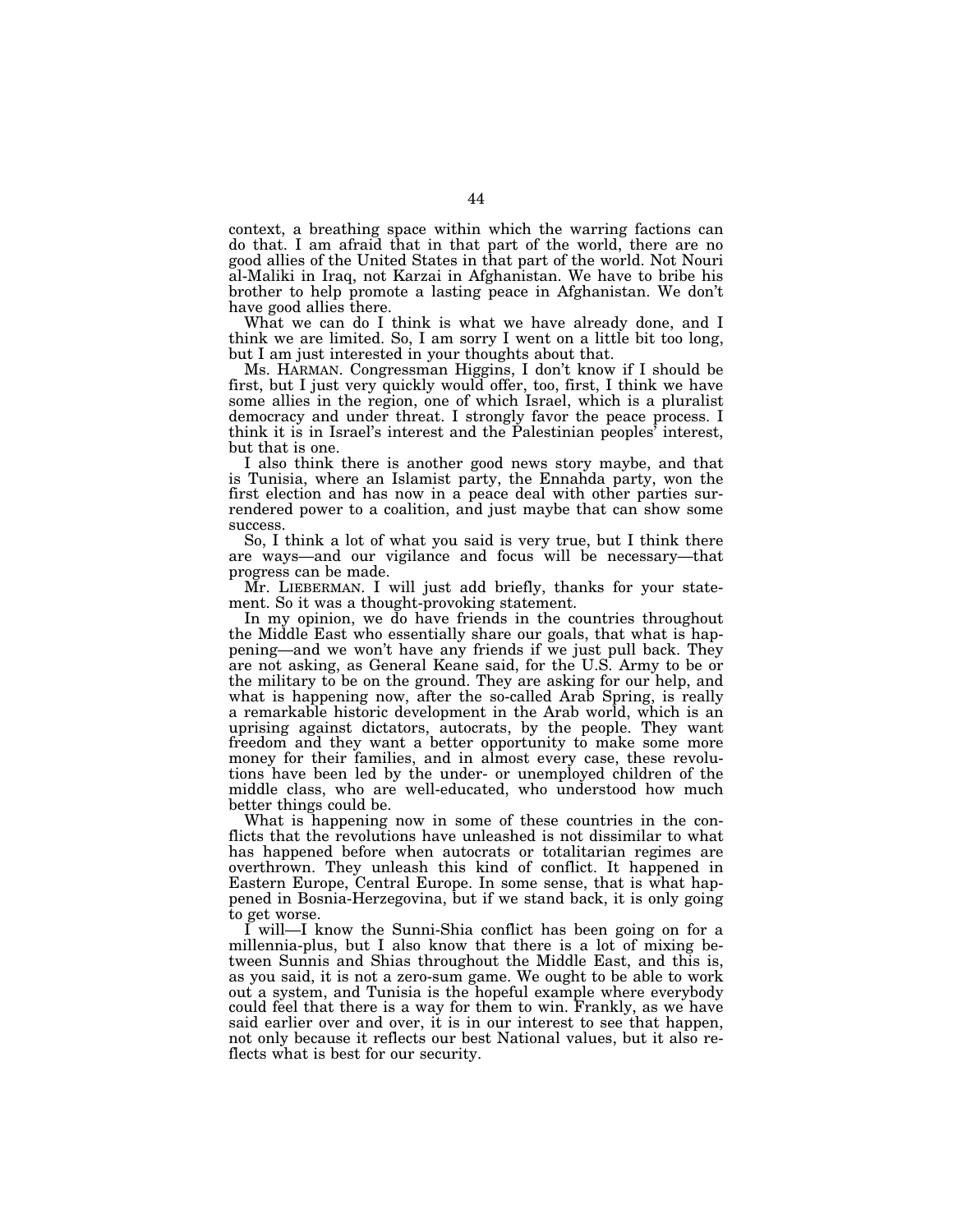context, a breathing space within which the warring factions can do that. I am afraid that in that part of the world, there are no good allies of the United States in that part of the world. Not Nouri al-Maliki in Iraq, not Karzai in Afghanistan. We have to bribe his brother to help promote a lasting peace in Afghanistan. We don't have good allies there.

What we can do I think is what we have already done, and I think we are limited. So, I am sorry I went on a little bit too long, but I am just interested in your thoughts about that.

Ms. HARMAN. Congressman Higgins, I don't know if I should be first, but I just very quickly would offer, too, first, I think we have some allies in the region, one of which Israel, which is a pluralist democracy and under threat. I strongly favor the peace process. I think it is in Israel's interest and the Palestinian peoples' interest, but that is one.

I also think there is another good news story maybe, and that is Tunisia, where an Islamist party, the Ennahda party, won the first election and has now in a peace deal with other parties surrendered power to a coalition, and just maybe that can show some success.

So, I think a lot of what you said is very true, but I think there are ways—and our vigilance and focus will be necessary—that progress can be made.

Mr. LIEBERMAN. I will just add briefly, thanks for your statement. So it was a thought-provoking statement.

In my opinion, we do have friends in the countries throughout the Middle East who essentially share our goals, that what is happening—and we won't have any friends if we just pull back. They are not asking, as General Keane said, for the U.S. Army to be or the military to be on the ground. They are asking for our help, and what is happening now, after the so-called Arab Spring, is really a remarkable historic development in the Arab world, which is an uprising against dictators, autocrats, by the people. They want freedom and they want a better opportunity to make some more money for their families, and in almost every case, these revolutions have been led by the under- or unemployed children of the middle class, who are well-educated, who understood how much better things could be.

What is happening now in some of these countries in the conflicts that the revolutions have unleashed is not dissimilar to what has happened before when autocrats or totalitarian regimes are overthrown. They unleash this kind of conflict. It happened in Eastern Europe, Central Europe. In some sense, that is what happened in Bosnia-Herzegovina, but if we stand back, it is only going to get worse.

I will—I know the Sunni-Shia conflict has been going on for a millennia-plus, but I also know that there is a lot of mixing between Sunnis and Shias throughout the Middle East, and this is, as you said, it is not a zero-sum game. We ought to be able to work out a system, and Tunisia is the hopeful example where everybody could feel that there is a way for them to win. Frankly, as we have said earlier over and over, it is in our interest to see that happen, not only because it reflects our best National values, but it also reflects what is best for our security.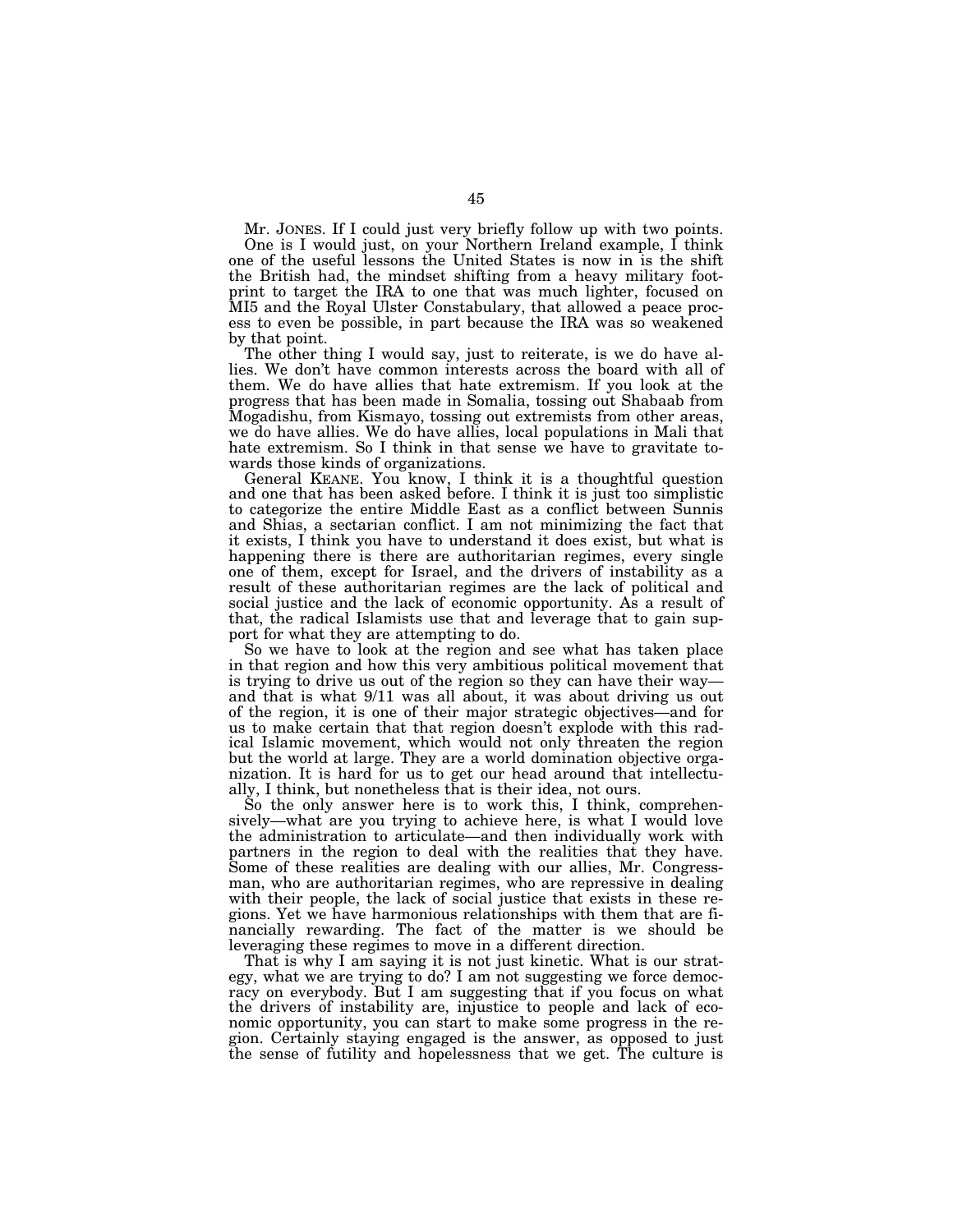Mr. JONES. If I could just very briefly follow up with two points. One is I would just, on your Northern Ireland example, I think one of the useful lessons the United States is now in is the shift the British had, the mindset shifting from a heavy military footprint to target the IRA to one that was much lighter, focused on MI5 and the Royal Ulster Constabulary, that allowed a peace process to even be possible, in part because the IRA was so weakened

by that point. The other thing I would say, just to reiterate, is we do have allies. We don't have common interests across the board with all of them. We do have allies that hate extremism. If you look at the progress that has been made in Somalia, tossing out Shabaab from Mogadishu, from Kismayo, tossing out extremists from other areas, we do have allies. We do have allies, local populations in Mali that hate extremism. So I think in that sense we have to gravitate towards those kinds of organizations.

General KEANE. You know, I think it is a thoughtful question and one that has been asked before. I think it is just too simplistic to categorize the entire Middle East as a conflict between Sunnis and Shias, a sectarian conflict. I am not minimizing the fact that it exists, I think you have to understand it does exist, but what is happening there is there are authoritarian regimes, every single one of them, except for Israel, and the drivers of instability as a result of these authoritarian regimes are the lack of political and social justice and the lack of economic opportunity. As a result of that, the radical Islamists use that and leverage that to gain support for what they are attempting to do.

So we have to look at the region and see what has taken place in that region and how this very ambitious political movement that is trying to drive us out of the region so they can have their way and that is what 9/11 was all about, it was about driving us out of the region, it is one of their major strategic objectives—and for us to make certain that that region doesn't explode with this radical Islamic movement, which would not only threaten the region but the world at large. They are a world domination objective organization. It is hard for us to get our head around that intellectually, I think, but nonetheless that is their idea, not ours.

So the only answer here is to work this, I think, comprehensively—what are you trying to achieve here, is what I would love the administration to articulate—and then individually work with partners in the region to deal with the realities that they have. Some of these realities are dealing with our allies, Mr. Congressman, who are authoritarian regimes, who are repressive in dealing with their people, the lack of social justice that exists in these regions. Yet we have harmonious relationships with them that are financially rewarding. The fact of the matter is we should be leveraging these regimes to move in a different direction.

That is why I am saying it is not just kinetic. What is our strategy, what we are trying to do? I am not suggesting we force democracy on everybody. But I am suggesting that if you focus on what the drivers of instability are, injustice to people and lack of economic opportunity, you can start to make some progress in the region. Certainly staying engaged is the answer, as opposed to just the sense of futility and hopelessness that we get. The culture is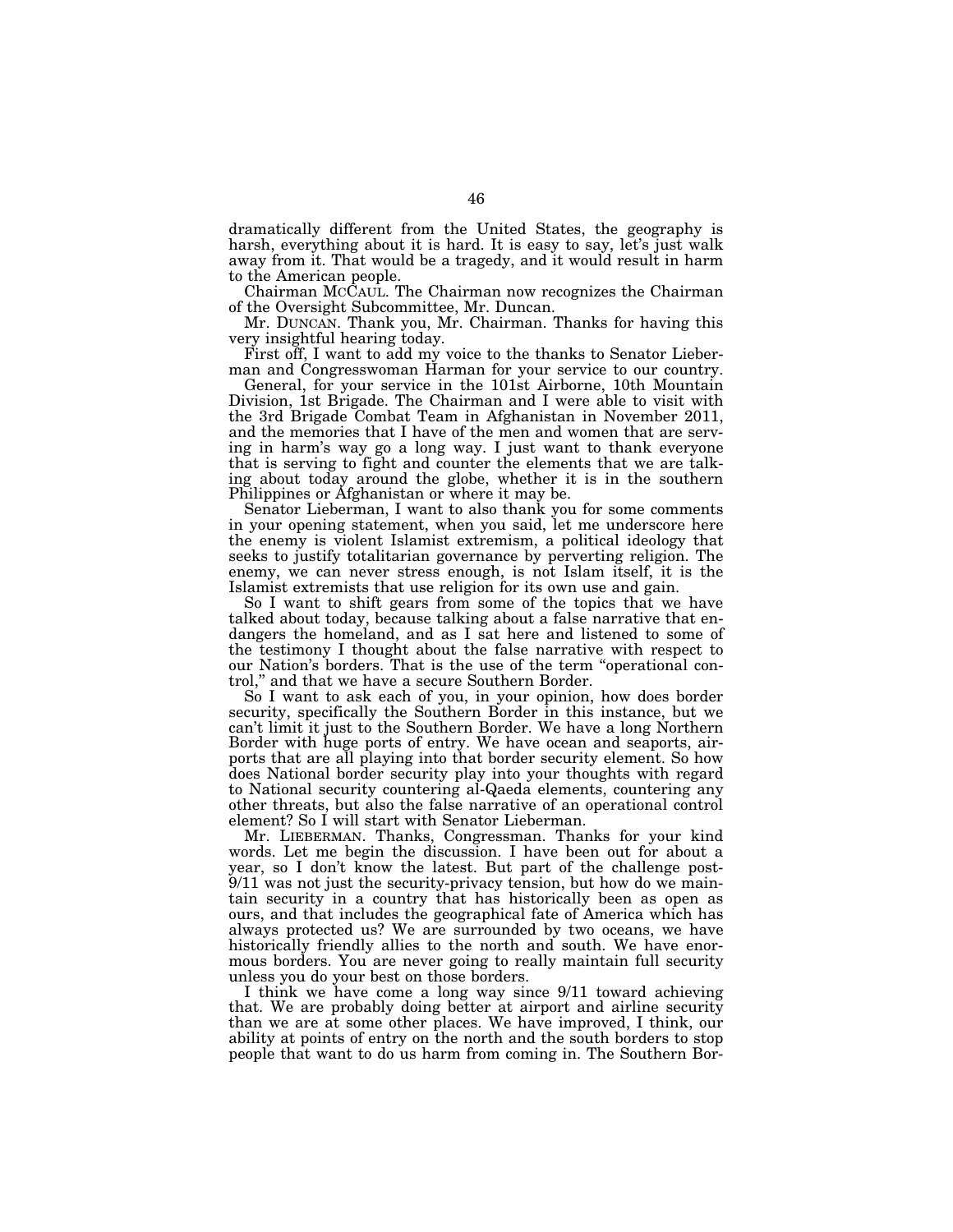dramatically different from the United States, the geography is harsh, everything about it is hard. It is easy to say, let's just walk away from it. That would be a tragedy, and it would result in harm to the American people.

Chairman MCCAUL. The Chairman now recognizes the Chairman of the Oversight Subcommittee, Mr. Duncan.

Mr. DUNCAN. Thank you, Mr. Chairman. Thanks for having this very insightful hearing today.

First off, I want to add my voice to the thanks to Senator Lieberman and Congresswoman Harman for your service to our country.

General, for your service in the 101st Airborne, 10th Mountain Division, 1st Brigade. The Chairman and I were able to visit with the 3rd Brigade Combat Team in Afghanistan in November 2011, and the memories that I have of the men and women that are serving in harm's way go a long way. I just want to thank everyone that is serving to fight and counter the elements that we are talking about today around the globe, whether it is in the southern Philippines or Afghanistan or where it may be.

Senator Lieberman, I want to also thank you for some comments in your opening statement, when you said, let me underscore here the enemy is violent Islamist extremism, a political ideology that seeks to justify totalitarian governance by perverting religion. The enemy, we can never stress enough, is not Islam itself, it is the Islamist extremists that use religion for its own use and gain.

So I want to shift gears from some of the topics that we have talked about today, because talking about a false narrative that endangers the homeland, and as I sat here and listened to some of the testimony I thought about the false narrative with respect to our Nation's borders. That is the use of the term "operational control," and that we have a secure Southern Border. ' and that we have a secure Southern Border.

So I want to ask each of you, in your opinion, how does border security, specifically the Southern Border in this instance, but we can't limit it just to the Southern Border. We have a long Northern Border with huge ports of entry. We have ocean and seaports, airports that are all playing into that border security element. So how does National border security play into your thoughts with regard to National security countering al-Qaeda elements, countering any other threats, but also the false narrative of an operational control element? So I will start with Senator Lieberman.

Mr. LIEBERMAN. Thanks, Congressman. Thanks for your kind words. Let me begin the discussion. I have been out for about a year, so I don't know the latest. But part of the challenge post-9/11 was not just the security-privacy tension, but how do we maintain security in a country that has historically been as open as ours, and that includes the geographical fate of America which has always protected us? We are surrounded by two oceans, we have historically friendly allies to the north and south. We have enormous borders. You are never going to really maintain full security unless you do your best on those borders.

I think we have come a long way since 9/11 toward achieving that. We are probably doing better at airport and airline security than we are at some other places. We have improved, I think, our ability at points of entry on the north and the south borders to stop people that want to do us harm from coming in. The Southern Bor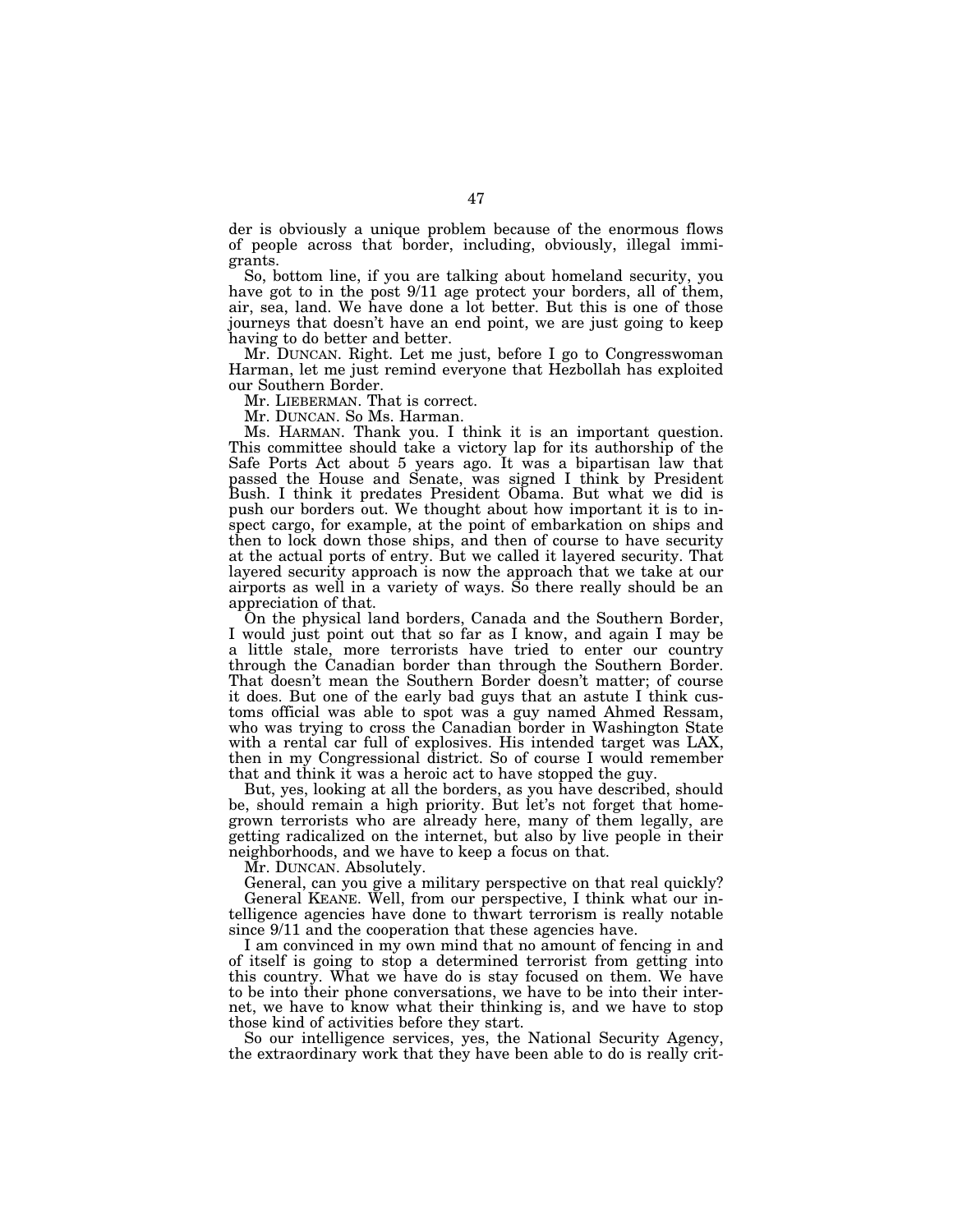der is obviously a unique problem because of the enormous flows of people across that border, including, obviously, illegal immigrants.

So, bottom line, if you are talking about homeland security, you have got to in the post 9/11 age protect your borders, all of them, air, sea, land. We have done a lot better. But this is one of those journeys that doesn't have an end point, we are just going to keep having to do better and better.

Mr. DUNCAN. Right. Let me just, before I go to Congresswoman Harman, let me just remind everyone that Hezbollah has exploited our Southern Border.

Mr. LIEBERMAN. That is correct.

Mr. DUNCAN. So Ms. Harman.

Ms. HARMAN. Thank you. I think it is an important question. This committee should take a victory lap for its authorship of the Safe Ports Act about 5 years ago. It was a bipartisan law that passed the House and Senate, was signed I think by President Bush. I think it predates President Obama. But what we did is push our borders out. We thought about how important it is to inspect cargo, for example, at the point of embarkation on ships and then to lock down those ships, and then of course to have security at the actual ports of entry. But we called it layered security. That layered security approach is now the approach that we take at our airports as well in a variety of ways. So there really should be an appreciation of that.

On the physical land borders, Canada and the Southern Border, I would just point out that so far as I know, and again I may be a little stale, more terrorists have tried to enter our country through the Canadian border than through the Southern Border. That doesn't mean the Southern Border doesn't matter; of course it does. But one of the early bad guys that an astute I think customs official was able to spot was a guy named Ahmed Ressam, who was trying to cross the Canadian border in Washington State with a rental car full of explosives. His intended target was LAX, then in my Congressional district. So of course I would remember that and think it was a heroic act to have stopped the guy.

But, yes, looking at all the borders, as you have described, should be, should remain a high priority. But let's not forget that homegrown terrorists who are already here, many of them legally, are getting radicalized on the internet, but also by live people in their neighborhoods, and we have to keep a focus on that.

Mr. DUNCAN. Absolutely.

General, can you give a military perspective on that real quickly? General KEANE. Well, from our perspective, I think what our intelligence agencies have done to thwart terrorism is really notable since  $9/11$  and the cooperation that these agencies have.

I am convinced in my own mind that no amount of fencing in and of itself is going to stop a determined terrorist from getting into this country. What we have do is stay focused on them. We have to be into their phone conversations, we have to be into their internet, we have to know what their thinking is, and we have to stop those kind of activities before they start.

So our intelligence services, yes, the National Security Agency, the extraordinary work that they have been able to do is really crit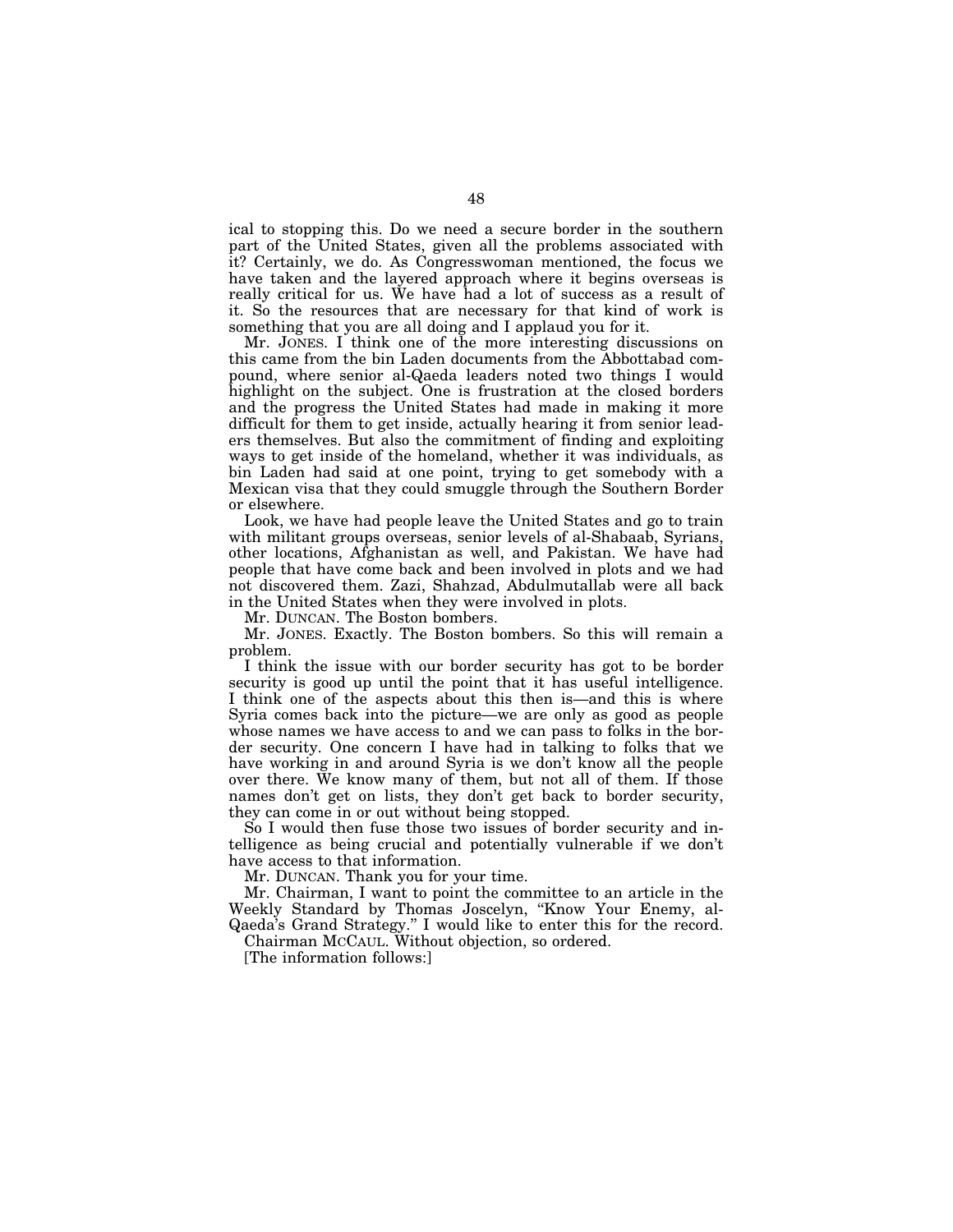ical to stopping this. Do we need a secure border in the southern part of the United States, given all the problems associated with it? Certainly, we do. As Congresswoman mentioned, the focus we have taken and the layered approach where it begins overseas is really critical for us. We have had a lot of success as a result of it. So the resources that are necessary for that kind of work is something that you are all doing and I applaud you for it.

Mr. JONES. I think one of the more interesting discussions on this came from the bin Laden documents from the Abbottabad compound, where senior al-Qaeda leaders noted two things I would highlight on the subject. One is frustration at the closed borders and the progress the United States had made in making it more difficult for them to get inside, actually hearing it from senior leaders themselves. But also the commitment of finding and exploiting ways to get inside of the homeland, whether it was individuals, as bin Laden had said at one point, trying to get somebody with a Mexican visa that they could smuggle through the Southern Border or elsewhere.

Look, we have had people leave the United States and go to train with militant groups overseas, senior levels of al-Shabaab, Syrians, other locations, Afghanistan as well, and Pakistan. We have had people that have come back and been involved in plots and we had not discovered them. Zazi, Shahzad, Abdulmutallab were all back in the United States when they were involved in plots.

Mr. DUNCAN. The Boston bombers.

Mr. JONES. Exactly. The Boston bombers. So this will remain a problem.

I think the issue with our border security has got to be border security is good up until the point that it has useful intelligence. I think one of the aspects about this then is—and this is where Syria comes back into the picture—we are only as good as people whose names we have access to and we can pass to folks in the border security. One concern I have had in talking to folks that we have working in and around Syria is we don't know all the people over there. We know many of them, but not all of them. If those names don't get on lists, they don't get back to border security, they can come in or out without being stopped.

So I would then fuse those two issues of border security and intelligence as being crucial and potentially vulnerable if we don't have access to that information.

Mr. DUNCAN. Thank you for your time.

Mr. Chairman, I want to point the committee to an article in the Weekly Standard by Thomas Joscelyn, ''Know Your Enemy, al-Qaeda's Grand Strategy.'' I would like to enter this for the record.

Chairman MCCAUL. Without objection, so ordered.

[The information follows:]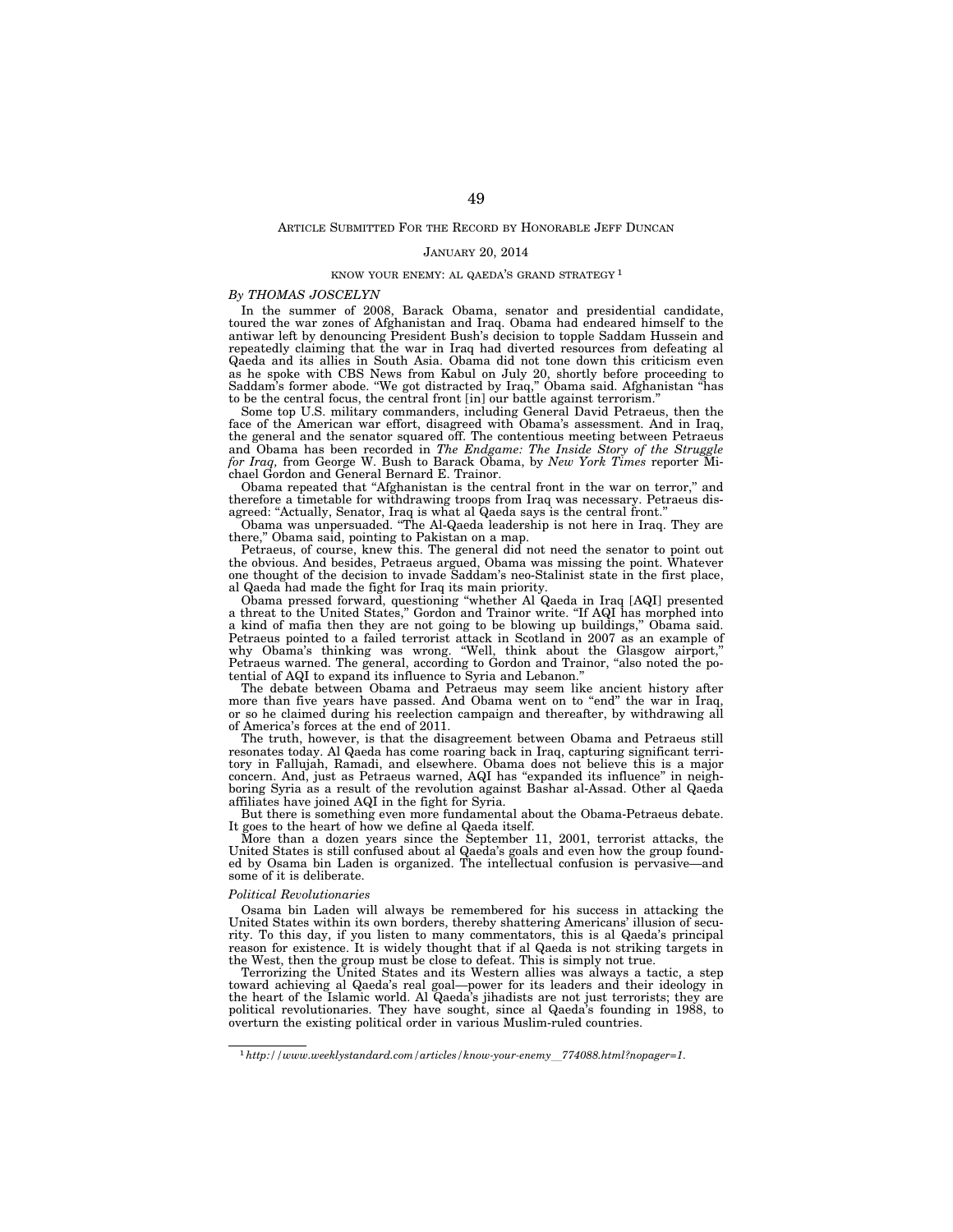#### JANUARY 20, 2014

## KNOW YOUR ENEMY: AL QAEDA'S GRAND STRATEGY 1

### *By THOMAS JOSCELYN*

In the summer of 2008, Barack Obama, senator and presidential candidate, toured the war zones of Afghanistan and Iraq. Obama had endeared himself to the antiwar left by denouncing President Bush's decision to topple Saddam Hussein and repeatedly claiming that the war in Iraq had diverted resources from defeating al Qaeda and its allies in South Asia. Obama did not tone down this criticism even as he spoke with CBS News from Kabul on July 20, shortly before proceeding to Saddam's former abode. ''We got distracted by Iraq,'' Obama said. Afghanistan ''has to be the central focus, the central front [in] our battle against terrorism.''

Some top U.S. military commanders, including General David Petraeus, then the face of the American war effort, disagreed with Obama's assessment. And in Iraq, the general and the senator squared off. The contentious meeting between Petraeus and Obama has been recorded in *The Endgame: The Inside Story of the Struggle for Iraq,* from George W. Bush to Barack Obama, by *New York Times* reporter Michael Gordon and General Bernard E. Trainor.

Obama repeated that ''Afghanistan is the central front in the war on terror,'' and therefore a timetable for withdrawing troops from Iraq was necessary. Petraeus disagreed: ''Actually, Senator, Iraq is what al Qaeda says is the central front.''

Obama was unpersuaded. ''The Al-Qaeda leadership is not here in Iraq. They are there,'' Obama said, pointing to Pakistan on a map.

Petraeus, of course, knew this. The general did not need the senator to point out the obvious. And besides, Petraeus argued, Obama was missing the point. Whatever one thought of the decision to invade Saddam's neo-Stalinist state in the first place, al Qaeda had made the fight for Iraq its main priority.

Obama pressed forward, questioning ''whether Al Qaeda in Iraq [AQI] presented a threat to the United States,'' Gordon and Trainor write. ''If AQI has morphed into a kind of mafia then they are not going to be blowing up buildings,'' Obama said. Petraeus pointed to a failed terrorist attack in Scotland in 2007 as an example of why Obama's thinking was wrong. ''Well, think about the Glasgow airport,'' Petraeus warned. The general, according to Gordon and Trainor, ''also noted the potential of AQI to expand its influence to Syria and Lebanon.''

The debate between Obama and Petraeus may seem like ancient history after more than five years have passed. And Obama went on to "end" the war in Iraq, or so he claimed during his reelection campaign and thereafter, by withdrawing all of America's forces at the end of 2011.

The truth, however, is that the disagreement between Obama and Petraeus still resonates today. Al Qaeda has come roaring back in Iraq, capturing significant territory in Fallujah, Ramadi, and elsewhere. Obama does not believe this is a major concern. And, just as Petraeus warned, AQI has ''expanded its influence'' in neighboring Syria as a result of the revolution against Bashar al-Assad. Other al Qaeda affiliates have joined AQI in the fight for Syria.

But there is something even more fundamental about the Obama-Petraeus debate. It goes to the heart of how we define al Qaeda itself.

More than a dozen years since the September 11, 2001, terrorist attacks, the United States is still confused about al Qaeda's goals and even how the group founded by Osama bin Laden is organized. The intellectual confusion is pervasive—and some of it is deliberate.

### *Political Revolutionaries*

Osama bin Laden will always be remembered for his success in attacking the United States within its own borders, thereby shattering Americans' illusion of security. To this day, if you listen to many commentators, this is al Qaeda's principal reason for existence. It is widely thought that if al Qaeda is not striking targets in the West, then the group must be close to defeat. This is simply not true.

Terrorizing the United States and its Western allies was always a tactic, a step toward achieving al Qaeda's real goal—power for its leaders and their ideology in the heart of the Islamic world. Al Qaeda's jihadists are not just terrorists; they are political revolutionaries. They have sought, since al Qaeda's founding in 1988, to overturn the existing political order in various Muslim-ruled countries.

<sup>1</sup>*http://www.weeklystandard.com/articles/know-your-enemy*l*774088.html?nopager=1*.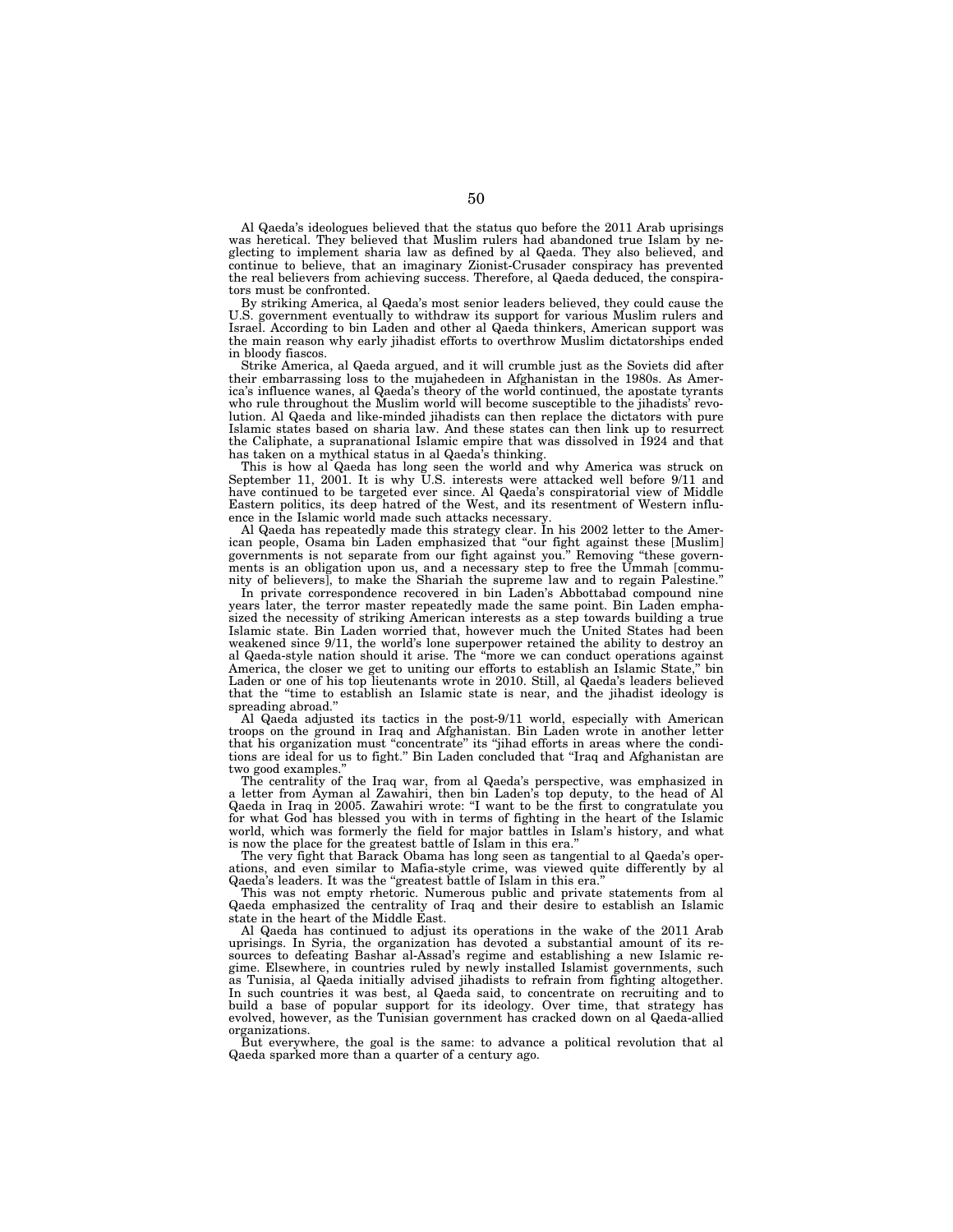Al Qaeda's ideologues believed that the status quo before the 2011 Arab uprisings was heretical. They believed that Muslim rulers had abandoned true Islam by neglecting to implement sharia law as defined by al Qaeda. They also believed, and continue to believe, that an imaginary Zionist-Crusader conspiracy has prevented the real believers from achieving success. Therefore, al Qaeda deduced, the conspirators must be confronted.

By striking America, al Qaeda's most senior leaders believed, they could cause the U.S. government eventually to withdraw its support for various Muslim rulers and Israel. According to bin Laden and other al Qaeda thinkers, American support was the main reason why early jihadist efforts to overthrow Muslim dictatorships ended in bloody fiascos.

Strike America, al Qaeda argued, and it will crumble just as the Soviets did after their embarrassing loss to the mujahedeen in Afghanistan in the 1980s. As America's influence wanes, al Qaeda's theory of the world continued, the apostate tyrants who rule throughout the Muslim world will become susceptible to the jihadists' revolution. Al Qaeda and like-minded jihadists can then replace the dictators with pure Islamic states based on sharia law. And these states can then link up to resurrect the Caliphate, a supranational Islamic empire that was dissolved in 1924 and that has taken on a mythical status in al Qaeda's thinking.

This is how al Qaeda has long seen the world and why America was struck on September 11, 2001. It is why U.S. interests were attacked well before 9/11 and have continued to be targeted ever since. Al Qaeda's conspiratorial view of Middle Eastern politics, its deep hatred of the West, and its resentment of Western influence in the Islamic world made such attacks necessary.

Al Qaeda has repeatedly made this strategy clear. In his 2002 letter to the American people, Osama bin Laden emphasized that ''our fight against these [Muslim] governments is not separate from our fight against you.'' Removing ''these governments is an obligation upon us, and a necessary step to free the Ummah [community of believers], to make the Shariah the supreme law and to regain Palestine.''

In private correspondence recovered in bin Laden's Abbottabad compound nine years later, the terror master repeatedly made the same point. Bin Laden emphasized the necessity of striking American interests as a step towards building a true Islamic state. Bin Laden worried that, however much the United States had been weakened since 9/11, the world's lone superpower retained the ability to destroy an al Qaeda-style nation should it arise. The ''more we can conduct operations against America, the closer we get to uniting our efforts to establish an Islamic State,'' bin Laden or one of his top lieutenants wrote in 2010. Still, al Qaeda's leaders believed that the ''time to establish an Islamic state is near, and the jihadist ideology is spreading abroad.''

Al Qaeda adjusted its tactics in the post-9/11 world, especially with American troops on the ground in Iraq and Afghanistan. Bin Laden wrote in another letter that his organization must ''concentrate'' its ''jihad efforts in areas where the conditions are ideal for us to fight.'' Bin Laden concluded that ''Iraq and Afghanistan are two good examples.''

The centrality of the Iraq war, from al Qaeda's perspective, was emphasized in a letter from Ayman al Zawahiri, then bin Laden's top deputy, to the head of Al Qaeda in Iraq in 2005. Zawahiri wrote: ''I want to be the first to congratulate you for what God has blessed you with in terms of fighting in the heart of the Islamic world, which was formerly the field for major battles in Islam's history, and what is now the place for the greatest battle of Islam in this era.''

The very fight that Barack Obama has long seen as tangential to al Qaeda's operations, and even similar to Mafia-style crime, was viewed quite differently by al Qaeda's leaders. It was the "greatest battle of Islam in this era.

This was not empty rhetoric. Numerous public and private statements from al Qaeda emphasized the centrality of Iraq and their desire to establish an Islamic state in the heart of the Middle East.

Al Qaeda has continued to adjust its operations in the wake of the 2011 Arab uprisings. In Syria, the organization has devoted a substantial amount of its resources to defeating Bashar al-Assad's regime and establishing a new Islamic regime. Elsewhere, in countries ruled by newly installed Islamist governments, such as Tunisia, al Qaeda initially advised jihadists to refrain from fighting altogether. In such countries it was best, al Qaeda said, to concentrate on recruiting and to build a base of popular support for its ideology. Over time, that strategy has evolved, however, as the Tunisian government has cracked down on al Qaeda-allied organizations.

But everywhere, the goal is the same: to advance a political revolution that al Qaeda sparked more than a quarter of a century ago.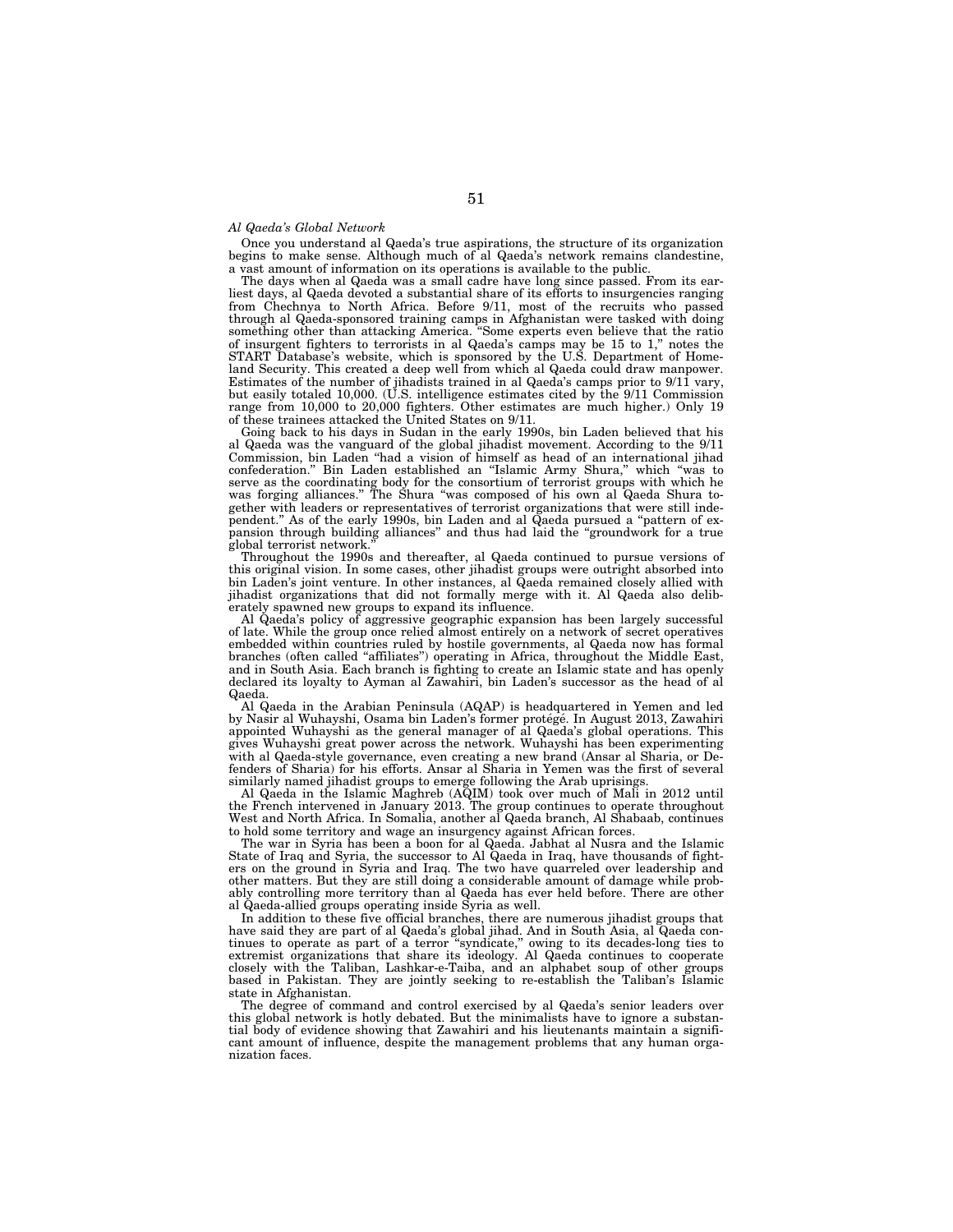### *Al Qaeda's Global Network*

Once you understand al Qaeda's true aspirations, the structure of its organization begins to make sense. Although much of al Qaeda's network remains clandestine, a vast amount of information on its operations is available to the public.

The days when al Qaeda was a small cadre have long since passed. From its earliest days, al Qaeda devoted a substantial share of its efforts to insurgencies ranging from Chechnya to North Africa. Before 9/11, most of the recruits who passed through al Qaeda-sponsored training camps in Afghanistan were tasked with doing something other than attacking America. ''Some experts even believe that the ratio of insurgent fighters to terrorists in al Qaeda's camps may be 15 to 1,'' notes the START Database's website, which is sponsored by the U.S. Department of Homeland Security. This created a deep well from which al Qaeda could draw manpower. Estimates of the number of jihadists trained in al Qaeda's camps prior to 9/11 vary, but easily totaled 10,000. (U.S. intelligence estimates cited by the 9/11 Commission range from 10,000 to 20,000 fighters. Other estimates are much higher.) Only 19 of these trainees attacked the United States on 9/11.

Going back to his days in Sudan in the early 1990s, bin Laden believed that his al Qaeda was the vanguard of the global jihadist movement. According to the 9/11 Commission, bin Laden ''had a vision of himself as head of an international jihad confederation.'' Bin Laden established an ''Islamic Army Shura,'' which ''was to serve as the coordinating body for the consortium of terrorist groups with which he was forging alliances." The Shura "was composed of his own al Qaeda Shura together with leaders or representatives of terrorist organizations that were still independent.'' As of the early 1990s, bin Laden and al Qaeda pursued a ''pattern of expansion through building alliances'' and thus had laid the ''groundwork for a true global terrorist network.''

Throughout the 1990s and thereafter, al Qaeda continued to pursue versions of this original vision. In some cases, other jihadist groups were outright absorbed into bin Laden's joint venture. In other instances, al Qaeda remained closely allied with jihadist organizations that did not formally merge with it. Al Qaeda also deliberately spawned new groups to expand its influence.

Al Qaeda's policy of aggressive geographic expansion has been largely successful of late. While the group once relied almost entirely on a network of secret operatives embedded within countries ruled by hostile governments, al Qaeda now has formal branches (often called ''affiliates'') operating in Africa, throughout the Middle East, and in South Asia. Each branch is fighting to create an Islamic state and has openly declared its loyalty to Ayman al Zawahiri, bin Laden's successor as the head of al Qaeda.

Al Qaeda in the Arabian Peninsula (AQAP) is headquartered in Yemen and led by Nasir al Wuhayshi, Osama bin Laden's former protégé. In August 2013, Zawahiri appointed Wuhayshi as the general manager of al Qaeda's global operations. This gives Wuhayshi great power across the network. Wuhayshi has been experimenting with al Qaeda-style governance, even creating a new brand (Ansar al Sharia, or Defenders of Sharia) for his efforts. Ansar al Sharia in Yemen was the first of several similarly named jihadist groups to emerge following the Arab uprisings.

Al Qaeda in the Islamic Maghreb (AQIM) took over much of Mali in 2012 until the French intervened in January 2013. The group continues to operate throughout West and North Africa. In Somalia, another al Qaeda branch, Al Shabaab, continues to hold some territory and wage an insurgency against African forces.

The war in Syria has been a boon for al Qaeda. Jabhat al Nusra and the Islamic State of Iraq and Syria, the successor to Al Qaeda in Iraq, have thousands of fighters on the ground in Syria and Iraq. The two have quarreled over leadership and other matters. But they are still doing a considerable amount of damage while probably controlling more territory than al Qaeda has ever held before. There are other al Qaeda-allied groups operating inside Syria as well.

In addition to these five official branches, there are numerous jihadist groups that have said they are part of al Qaeda's global jihad. And in South Asia, al Qaeda continues to operate as part of a terror ''syndicate,'' owing to its decades-long ties to extremist organizations that share its ideology. Al Qaeda continues to cooperate closely with the Taliban, Lashkar-e-Taiba, and an alphabet soup of other groups based in Pakistan. They are jointly seeking to re-establish the Taliban's Islamic state in Afghanistan.

The degree of command and control exercised by al Qaeda's senior leaders over this global network is hotly debated. But the minimalists have to ignore a substantial body of evidence showing that Zawahiri and his lieutenants maintain a significant amount of influence, despite the management problems that any human organization faces.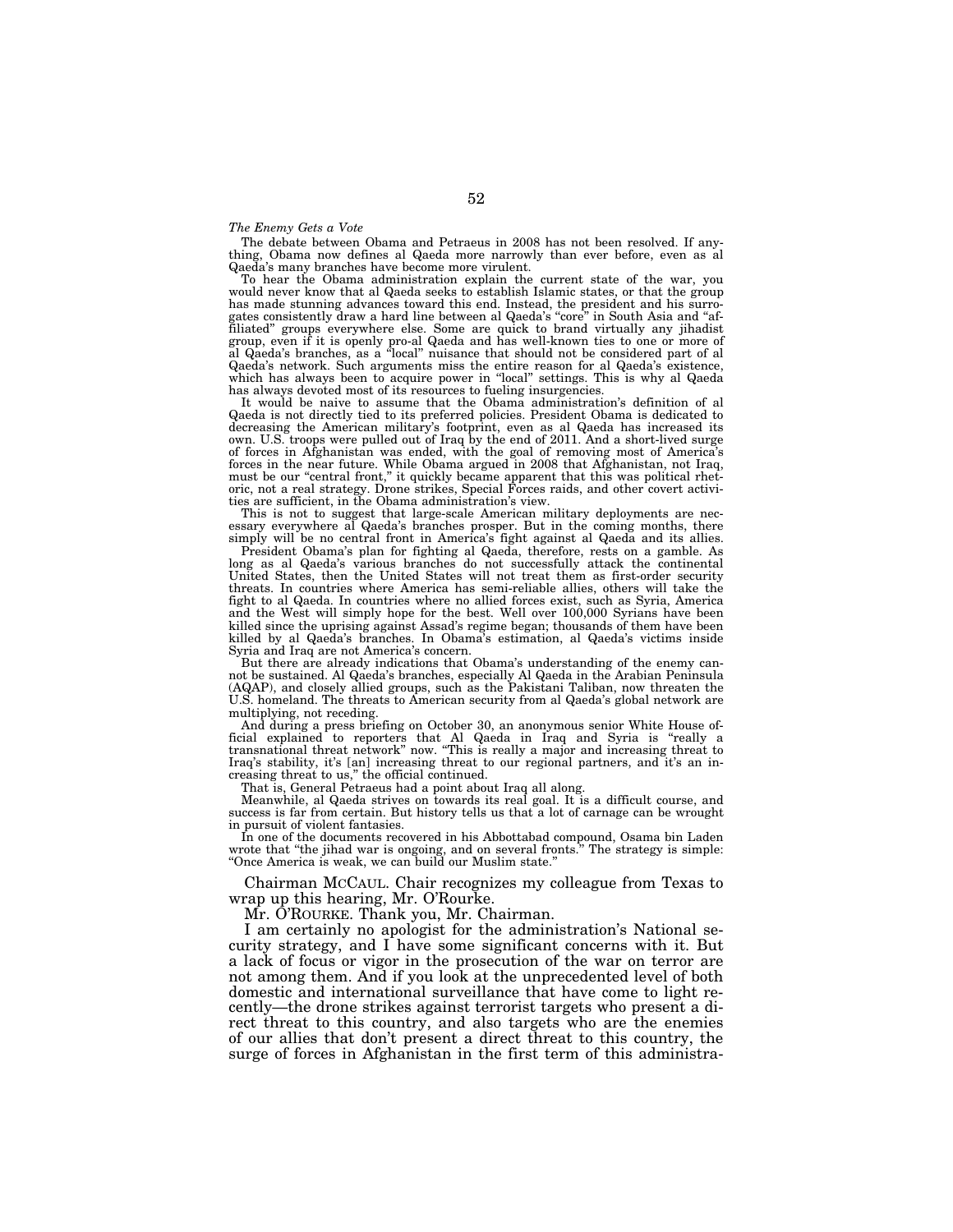### *The Enemy Gets a Vote*

The debate between Obama and Petraeus in 2008 has not been resolved. If anything, Obama now defines al Qaeda more narrowly than ever before, even as al Qaeda's many branches have become more virulent.

To hear the Obama administration explain the current state of the war, you would never know that al Qaeda seeks to establish Islamic states, or that the group has made stunning advances toward this end. Instead, the president and his surrogates consistently draw a hard line between al Qaeda's "core" in South Asia and "affiliated" groups everywhere else. Some are quick to brand v Qaeda's network. Such arguments miss the entire reason for al Qaeda's existence, which has always been to acquire power in "local" settings. This is why al Qaeda has always devoted most of its resources to fueling insurgencies.

It would be naive to assume that the Obama administration's definition of al Qaeda is not directly tied to its preferred policies. President Obama is dedicated to decreasing the American military's footprint, even as al Qaeda has increased its own. U.S. troops were pulled out of Iraq by the end of 2011. And a short-lived surge of forces in Afghanistan was ended, with the goal of removing most of America's forces in the near future. While Obama argued in 2008 that Afghanistan, not Iraq, must be our "central front," it quickly became apparent that this was political rhetoric, not a real strategy. Drone strikes, Special Forces raids, and other covert activities are sufficient, in the Obama administration's view.

This is not to suggest that large-scale American military deployments are necessary everywhere al Qaeda's branches prosper. But in the coming months, there simply will be no central front in America's fight against al Qaeda and its allies.

President Obama's plan for fighting al Qaeda, therefore, rests on a gamble. As long as al Qaeda's various branches do not successfully attack the continental United States, then the United States will not treat them as first-order security threats. In countries where America has semi-reliable allies, others will take the fight to al Qaeda. In countries where no allied forces exist, such as Syria, America and the West will simply hope for the best. Well over 100,000 Syrians have been killed since the uprising against Assad's regime began; thousands of them have been killed by al Qaeda's branches. In Obama's estimation, al Qaeda's victims inside Syria and Iraq are not America's concern.

But there are already indications that Obama's understanding of the enemy cannot be sustained. Al Qaeda's branches, especially Al Qaeda in the Arabian Peninsula (AQAP), and closely allied groups, such as the Pakistani Taliban, now threaten the U.S. homeland. The threats to American security from al Qaeda's global network are multiplying, not receding.

And during a press briefing on October 30, an anonymous senior White House official explained to reporters that Al Qaeda in Iraq and Syria is ''really a transnational threat network'' now. ''This is really a major and increasing threat to Iraq's stability, it's [an] increasing threat to our regional partners, and it's an increasing threat to us,'' the official continued.

That is, General Petraeus had a point about Iraq all along.

Meanwhile, al Qaeda strives on towards its real goal. It is a difficult course, and success is far from certain. But history tells us that a lot of carnage can be wrought in pursuit of violent fantasies.

In one of the documents recovered in his Abbottabad compound, Osama bin Laden wrote that ''the jihad war is ongoing, and on several fronts.'' The strategy is simple: ''Once America is weak, we can build our Muslim state.''

Chairman MCCAUL. Chair recognizes my colleague from Texas to wrap up this hearing, Mr. O'Rourke.

Mr. O'ROURKE. Thank you, Mr. Chairman.

I am certainly no apologist for the administration's National security strategy, and I have some significant concerns with it. But a lack of focus or vigor in the prosecution of the war on terror are not among them. And if you look at the unprecedented level of both domestic and international surveillance that have come to light recently—the drone strikes against terrorist targets who present a direct threat to this country, and also targets who are the enemies of our allies that don't present a direct threat to this country, the surge of forces in Afghanistan in the first term of this administra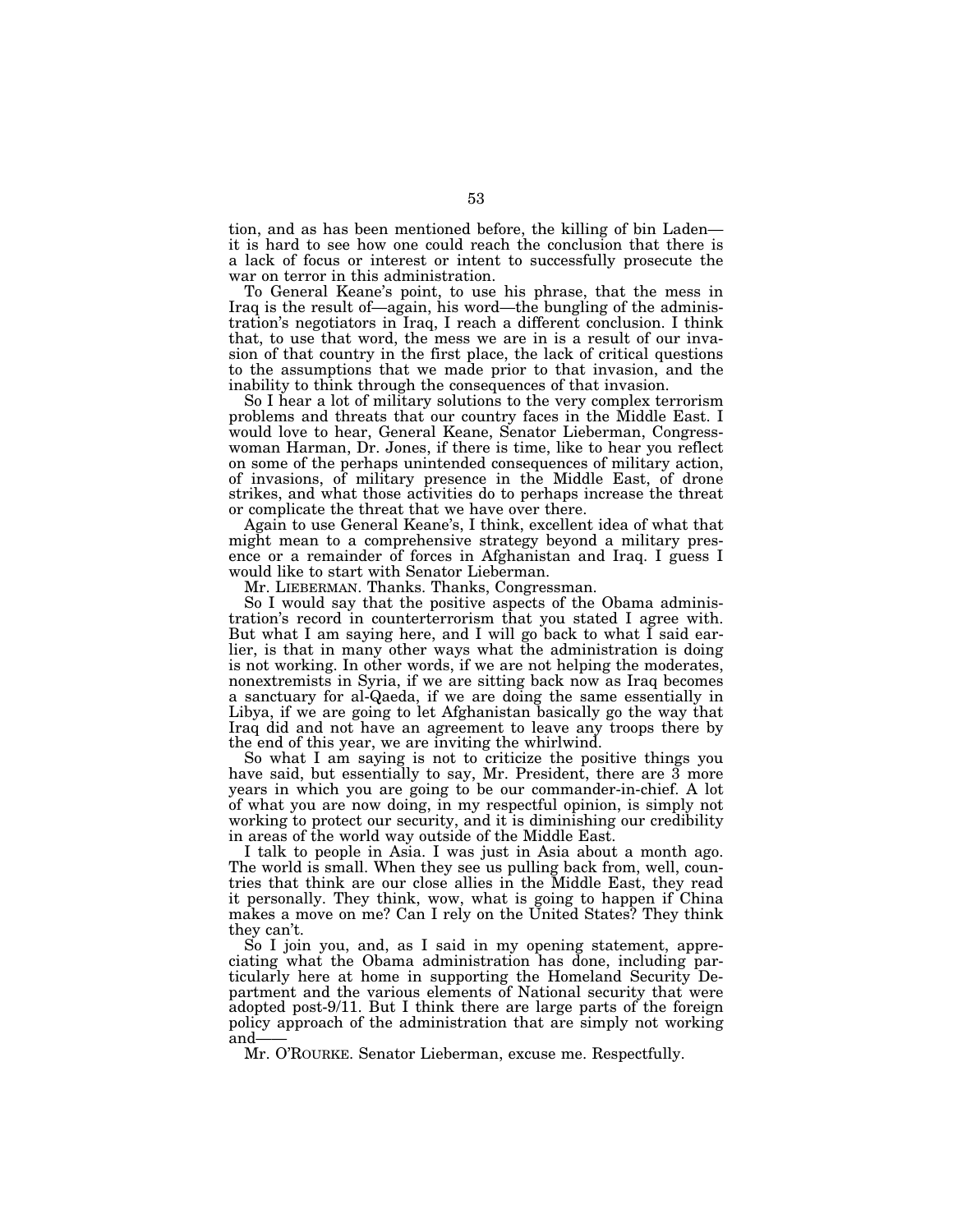tion, and as has been mentioned before, the killing of bin Laden it is hard to see how one could reach the conclusion that there is a lack of focus or interest or intent to successfully prosecute the war on terror in this administration.

To General Keane's point, to use his phrase, that the mess in Iraq is the result of—again, his word—the bungling of the administration's negotiators in Iraq, I reach a different conclusion. I think that, to use that word, the mess we are in is a result of our invasion of that country in the first place, the lack of critical questions to the assumptions that we made prior to that invasion, and the inability to think through the consequences of that invasion.

So I hear a lot of military solutions to the very complex terrorism problems and threats that our country faces in the Middle East. I would love to hear, General Keane, Senator Lieberman, Congresswoman Harman, Dr. Jones, if there is time, like to hear you reflect on some of the perhaps unintended consequences of military action, of invasions, of military presence in the Middle East, of drone strikes, and what those activities do to perhaps increase the threat or complicate the threat that we have over there.

Again to use General Keane's, I think, excellent idea of what that might mean to a comprehensive strategy beyond a military presence or a remainder of forces in Afghanistan and Iraq. I guess I would like to start with Senator Lieberman.

Mr. LIEBERMAN. Thanks. Thanks, Congressman.

So I would say that the positive aspects of the Obama administration's record in counterterrorism that you stated I agree with. But what I am saying here, and I will go back to what I said earlier, is that in many other ways what the administration is doing is not working. In other words, if we are not helping the moderates, nonextremists in Syria, if we are sitting back now as Iraq becomes a sanctuary for al-Qaeda, if we are doing the same essentially in Libya, if we are going to let Afghanistan basically go the way that Iraq did and not have an agreement to leave any troops there by the end of this year, we are inviting the whirlwind.

So what I am saying is not to criticize the positive things you have said, but essentially to say, Mr. President, there are 3 more years in which you are going to be our commander-in-chief. A lot of what you are now doing, in my respectful opinion, is simply not working to protect our security, and it is diminishing our credibility in areas of the world way outside of the Middle East.

I talk to people in Asia. I was just in Asia about a month ago. The world is small. When they see us pulling back from, well, countries that think are our close allies in the Middle East, they read it personally. They think, wow, what is going to happen if China makes a move on me? Can I rely on the United States? They think they can't.

So I join you, and, as I said in my opening statement, appreciating what the Obama administration has done, including particularly here at home in supporting the Homeland Security Department and the various elements of National security that were adopted post-9/11. But I think there are large parts of the foreign policy approach of the administration that are simply not working and-

Mr. O'ROURKE. Senator Lieberman, excuse me. Respectfully.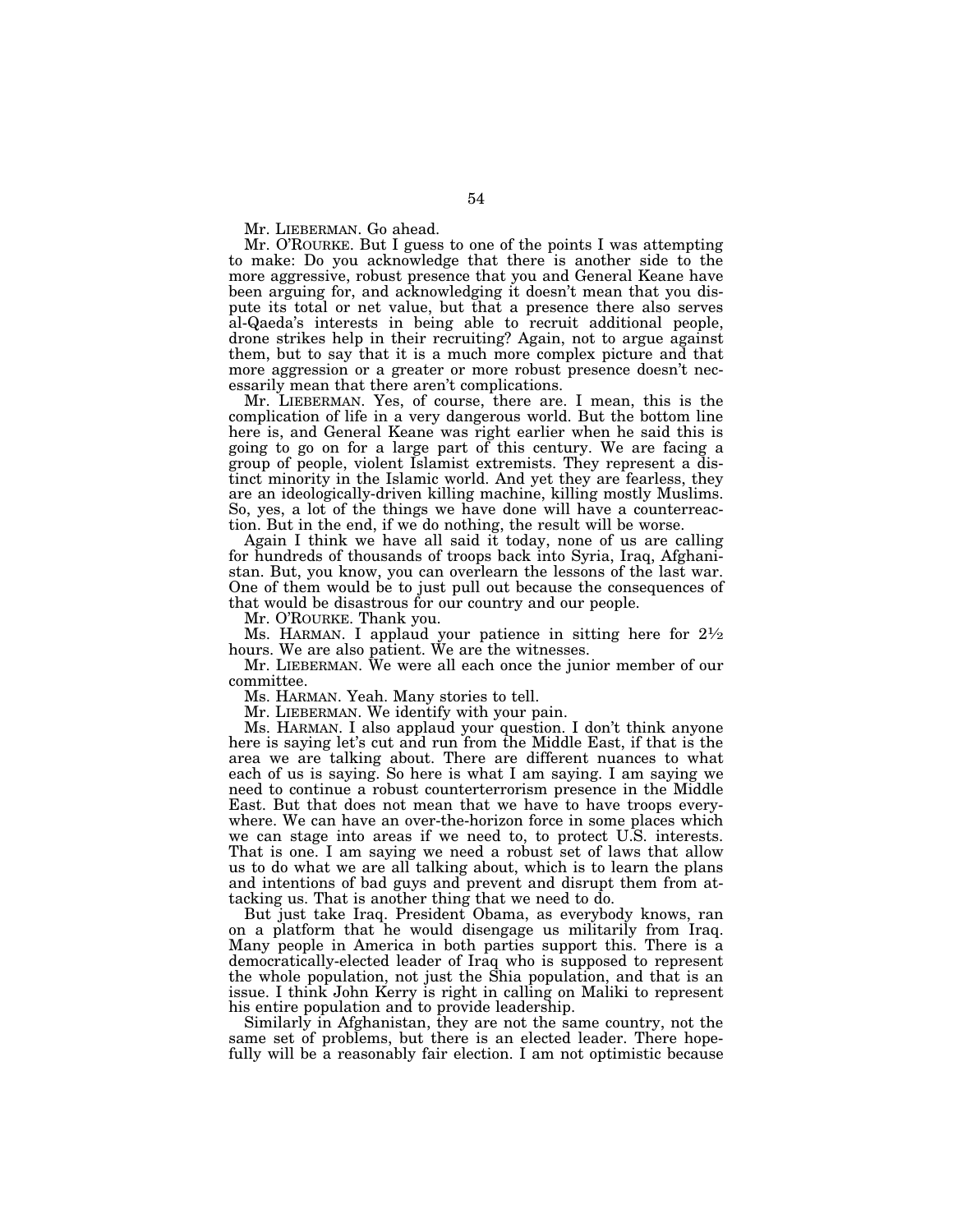Mr. LIEBERMAN. Go ahead.

Mr. O'ROURKE. But I guess to one of the points I was attempting to make: Do you acknowledge that there is another side to the more aggressive, robust presence that you and General Keane have been arguing for, and acknowledging it doesn't mean that you dispute its total or net value, but that a presence there also serves al-Qaeda's interests in being able to recruit additional people, drone strikes help in their recruiting? Again, not to argue against them, but to say that it is a much more complex picture and that more aggression or a greater or more robust presence doesn't necessarily mean that there aren't complications.

Mr. LIEBERMAN. Yes, of course, there are. I mean, this is the complication of life in a very dangerous world. But the bottom line here is, and General Keane was right earlier when he said this is going to go on for a large part of this century. We are facing a group of people, violent Islamist extremists. They represent a distinct minority in the Islamic world. And yet they are fearless, they are an ideologically-driven killing machine, killing mostly Muslims. So, yes, a lot of the things we have done will have a counterreaction. But in the end, if we do nothing, the result will be worse.

Again I think we have all said it today, none of us are calling for hundreds of thousands of troops back into Syria, Iraq, Afghanistan. But, you know, you can overlearn the lessons of the last war. One of them would be to just pull out because the consequences of that would be disastrous for our country and our people.

Mr. O'ROURKE. Thank you.

Ms. HARMAN. I applaud your patience in sitting here for  $2\frac{1}{2}$ hours. We are also patient. We are the witnesses.

Mr. LIEBERMAN. We were all each once the junior member of our committee.

Ms. HARMAN. Yeah. Many stories to tell.

Mr. LIEBERMAN. We identify with your pain.

Ms. HARMAN. I also applaud your question. I don't think anyone here is saying let's cut and run from the Middle East, if that is the area we are talking about. There are different nuances to what each of us is saying. So here is what I am saying. I am saying we need to continue a robust counterterrorism presence in the Middle East. But that does not mean that we have to have troops everywhere. We can have an over-the-horizon force in some places which we can stage into areas if we need to, to protect U.S. interests. That is one. I am saying we need a robust set of laws that allow us to do what we are all talking about, which is to learn the plans and intentions of bad guys and prevent and disrupt them from attacking us. That is another thing that we need to do.

But just take Iraq. President Obama, as everybody knows, ran on a platform that he would disengage us militarily from Iraq. Many people in America in both parties support this. There is a democratically-elected leader of Iraq who is supposed to represent the whole population, not just the Shia population, and that is an issue. I think John Kerry is right in calling on Maliki to represent his entire population and to provide leadership.

Similarly in Afghanistan, they are not the same country, not the same set of problems, but there is an elected leader. There hopefully will be a reasonably fair election. I am not optimistic because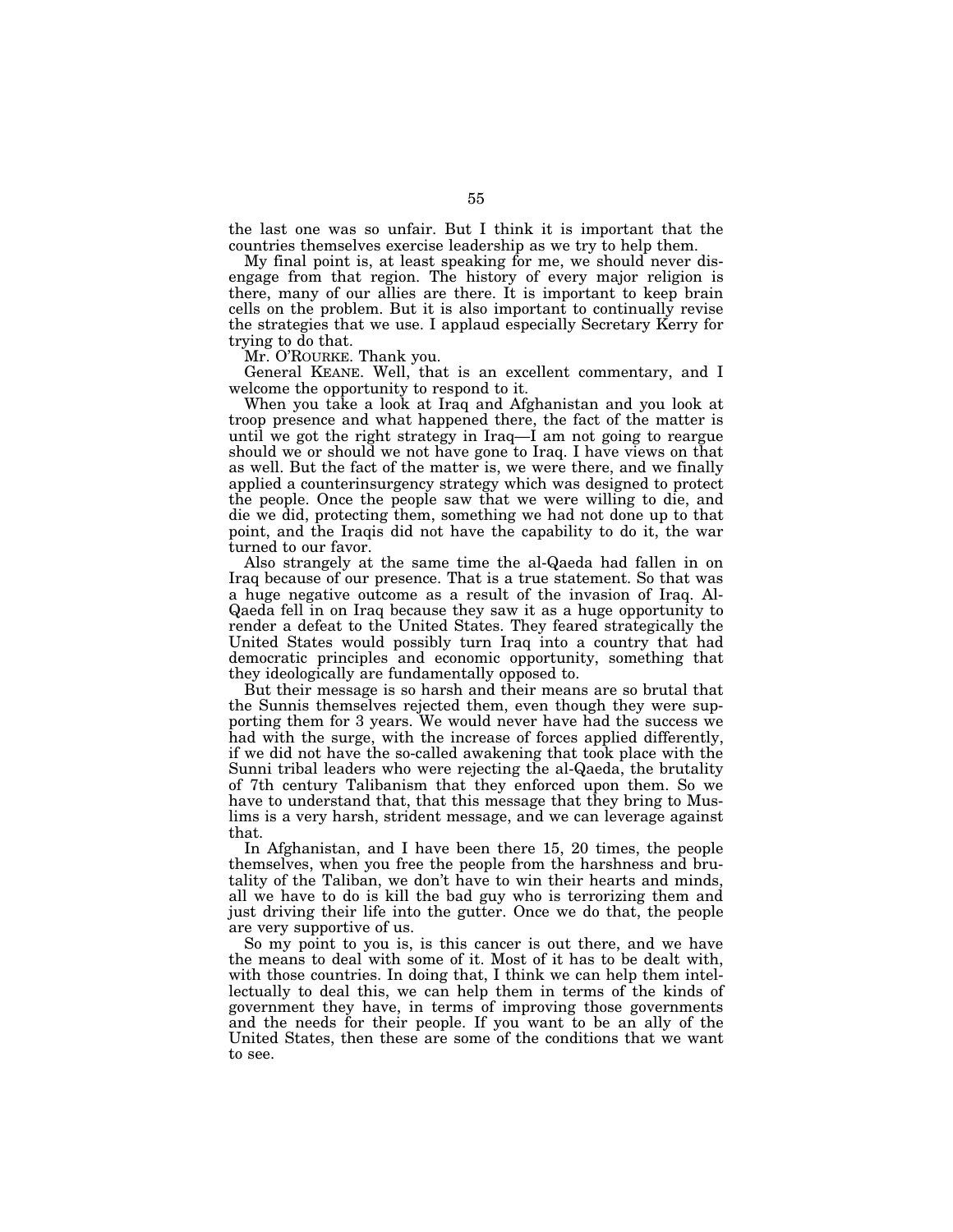the last one was so unfair. But I think it is important that the countries themselves exercise leadership as we try to help them.

My final point is, at least speaking for me, we should never disengage from that region. The history of every major religion is there, many of our allies are there. It is important to keep brain cells on the problem. But it is also important to continually revise the strategies that we use. I applaud especially Secretary Kerry for trying to do that.

Mr. O'ROURKE. Thank you.

General KEANE. Well, that is an excellent commentary, and I welcome the opportunity to respond to it.

When you take a look at Iraq and Afghanistan and you look at troop presence and what happened there, the fact of the matter is until we got the right strategy in Iraq—I am not going to reargue should we or should we not have gone to Iraq. I have views on that as well. But the fact of the matter is, we were there, and we finally applied a counterinsurgency strategy which was designed to protect the people. Once the people saw that we were willing to die, and die we did, protecting them, something we had not done up to that point, and the Iraqis did not have the capability to do it, the war turned to our favor.

Also strangely at the same time the al-Qaeda had fallen in on Iraq because of our presence. That is a true statement. So that was a huge negative outcome as a result of the invasion of Iraq. Al-Qaeda fell in on Iraq because they saw it as a huge opportunity to render a defeat to the United States. They feared strategically the United States would possibly turn Iraq into a country that had democratic principles and economic opportunity, something that they ideologically are fundamentally opposed to.

But their message is so harsh and their means are so brutal that the Sunnis themselves rejected them, even though they were supporting them for 3 years. We would never have had the success we had with the surge, with the increase of forces applied differently, if we did not have the so-called awakening that took place with the Sunni tribal leaders who were rejecting the al-Qaeda, the brutality of 7th century Talibanism that they enforced upon them. So we have to understand that, that this message that they bring to Muslims is a very harsh, strident message, and we can leverage against that.

In Afghanistan, and I have been there 15, 20 times, the people themselves, when you free the people from the harshness and brutality of the Taliban, we don't have to win their hearts and minds, all we have to do is kill the bad guy who is terrorizing them and just driving their life into the gutter. Once we do that, the people are very supportive of us.

So my point to you is, is this cancer is out there, and we have the means to deal with some of it. Most of it has to be dealt with, with those countries. In doing that, I think we can help them intellectually to deal this, we can help them in terms of the kinds of government they have, in terms of improving those governments and the needs for their people. If you want to be an ally of the United States, then these are some of the conditions that we want to see.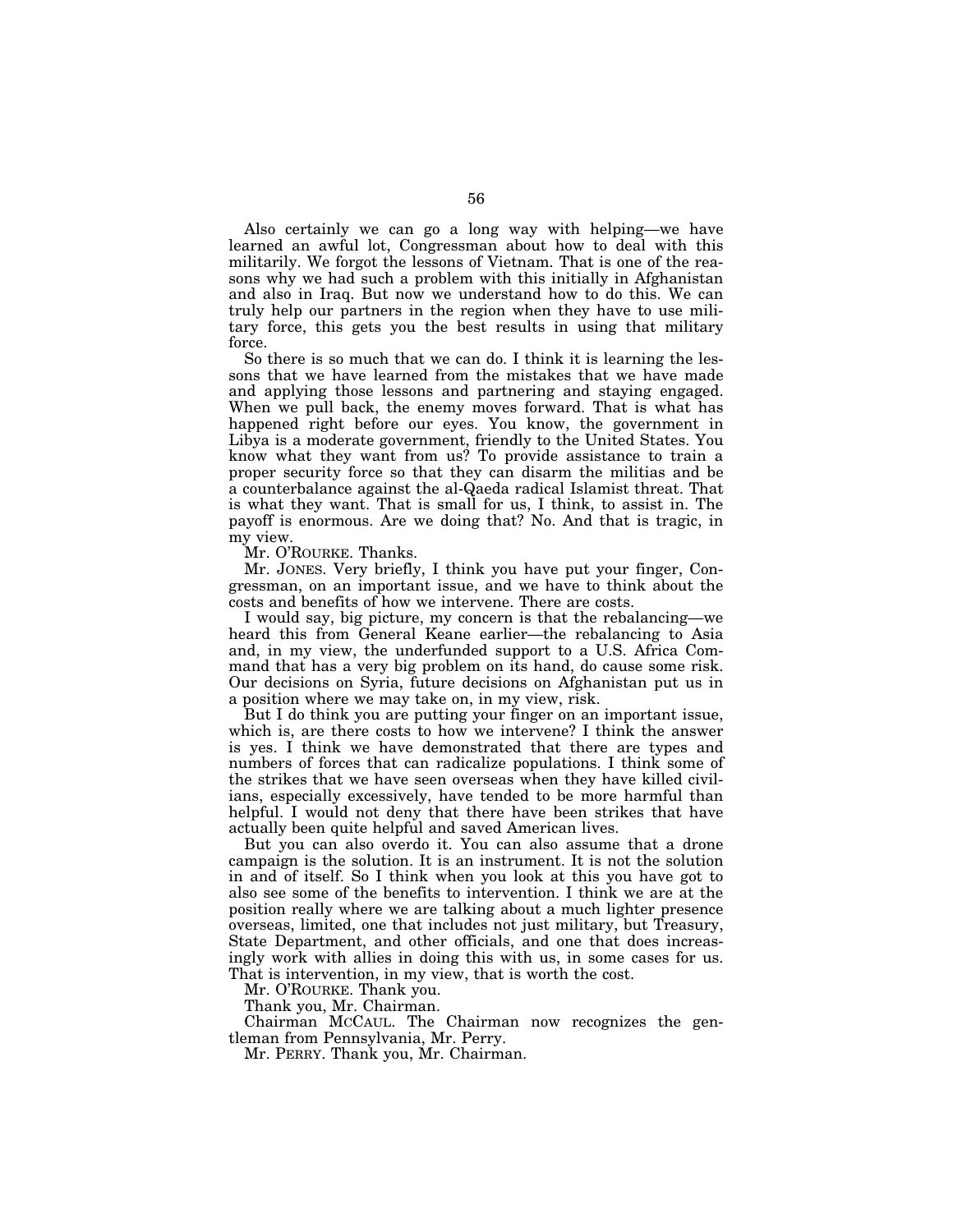Also certainly we can go a long way with helping—we have learned an awful lot, Congressman about how to deal with this militarily. We forgot the lessons of Vietnam. That is one of the reasons why we had such a problem with this initially in Afghanistan and also in Iraq. But now we understand how to do this. We can truly help our partners in the region when they have to use military force, this gets you the best results in using that military force.

So there is so much that we can do. I think it is learning the lessons that we have learned from the mistakes that we have made and applying those lessons and partnering and staying engaged. When we pull back, the enemy moves forward. That is what has happened right before our eyes. You know, the government in Libya is a moderate government, friendly to the United States. You know what they want from us? To provide assistance to train a proper security force so that they can disarm the militias and be a counterbalance against the al-Qaeda radical Islamist threat. That is what they want. That is small for us, I think, to assist in. The payoff is enormous. Are we doing that? No. And that is tragic, in my view.

Mr. O'ROURKE. Thanks.

Mr. JONES. Very briefly, I think you have put your finger, Congressman, on an important issue, and we have to think about the costs and benefits of how we intervene. There are costs.

I would say, big picture, my concern is that the rebalancing—we heard this from General Keane earlier—the rebalancing to Asia and, in my view, the underfunded support to a U.S. Africa Command that has a very big problem on its hand, do cause some risk. Our decisions on Syria, future decisions on Afghanistan put us in a position where we may take on, in my view, risk.

But I do think you are putting your finger on an important issue, which is, are there costs to how we intervene? I think the answer is yes. I think we have demonstrated that there are types and numbers of forces that can radicalize populations. I think some of the strikes that we have seen overseas when they have killed civilians, especially excessively, have tended to be more harmful than helpful. I would not deny that there have been strikes that have actually been quite helpful and saved American lives.

But you can also overdo it. You can also assume that a drone campaign is the solution. It is an instrument. It is not the solution in and of itself. So I think when you look at this you have got to also see some of the benefits to intervention. I think we are at the position really where we are talking about a much lighter presence overseas, limited, one that includes not just military, but Treasury, State Department, and other officials, and one that does increasingly work with allies in doing this with us, in some cases for us. That is intervention, in my view, that is worth the cost.

Mr. O'ROURKE. Thank you.

Thank you, Mr. Chairman.

Chairman MCCAUL. The Chairman now recognizes the gentleman from Pennsylvania, Mr. Perry.

Mr. PERRY. Thank you, Mr. Chairman.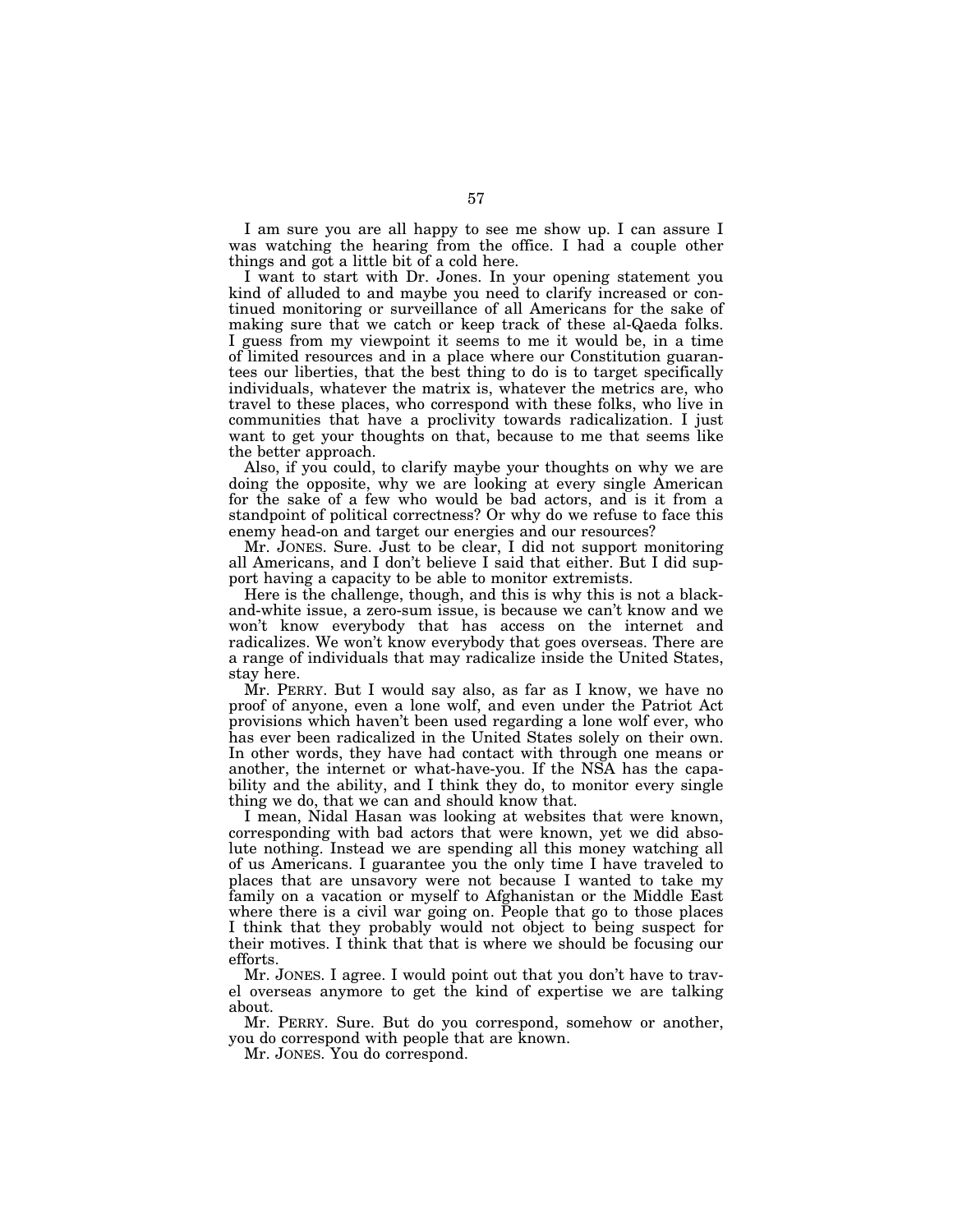I am sure you are all happy to see me show up. I can assure I was watching the hearing from the office. I had a couple other things and got a little bit of a cold here.

I want to start with Dr. Jones. In your opening statement you kind of alluded to and maybe you need to clarify increased or continued monitoring or surveillance of all Americans for the sake of making sure that we catch or keep track of these al-Qaeda folks. I guess from my viewpoint it seems to me it would be, in a time of limited resources and in a place where our Constitution guarantees our liberties, that the best thing to do is to target specifically individuals, whatever the matrix is, whatever the metrics are, who travel to these places, who correspond with these folks, who live in communities that have a proclivity towards radicalization. I just want to get your thoughts on that, because to me that seems like the better approach.

Also, if you could, to clarify maybe your thoughts on why we are doing the opposite, why we are looking at every single American for the sake of a few who would be bad actors, and is it from a standpoint of political correctness? Or why do we refuse to face this enemy head-on and target our energies and our resources?

Mr. JONES. Sure. Just to be clear, I did not support monitoring all Americans, and I don't believe I said that either. But I did support having a capacity to be able to monitor extremists.

Here is the challenge, though, and this is why this is not a blackand-white issue, a zero-sum issue, is because we can't know and we won't know everybody that has access on the internet and radicalizes. We won't know everybody that goes overseas. There are a range of individuals that may radicalize inside the United States, stay here.

Mr. PERRY. But I would say also, as far as I know, we have no proof of anyone, even a lone wolf, and even under the Patriot Act provisions which haven't been used regarding a lone wolf ever, who has ever been radicalized in the United States solely on their own. In other words, they have had contact with through one means or another, the internet or what-have-you. If the NSA has the capability and the ability, and I think they do, to monitor every single thing we do, that we can and should know that.

I mean, Nidal Hasan was looking at websites that were known, corresponding with bad actors that were known, yet we did absolute nothing. Instead we are spending all this money watching all of us Americans. I guarantee you the only time I have traveled to places that are unsavory were not because I wanted to take my family on a vacation or myself to Afghanistan or the Middle East where there is a civil war going on. People that go to those places I think that they probably would not object to being suspect for their motives. I think that that is where we should be focusing our efforts.

Mr. JONES. I agree. I would point out that you don't have to travel overseas anymore to get the kind of expertise we are talking about.

Mr. PERRY. Sure. But do you correspond, somehow or another, you do correspond with people that are known.

Mr. JONES. You do correspond.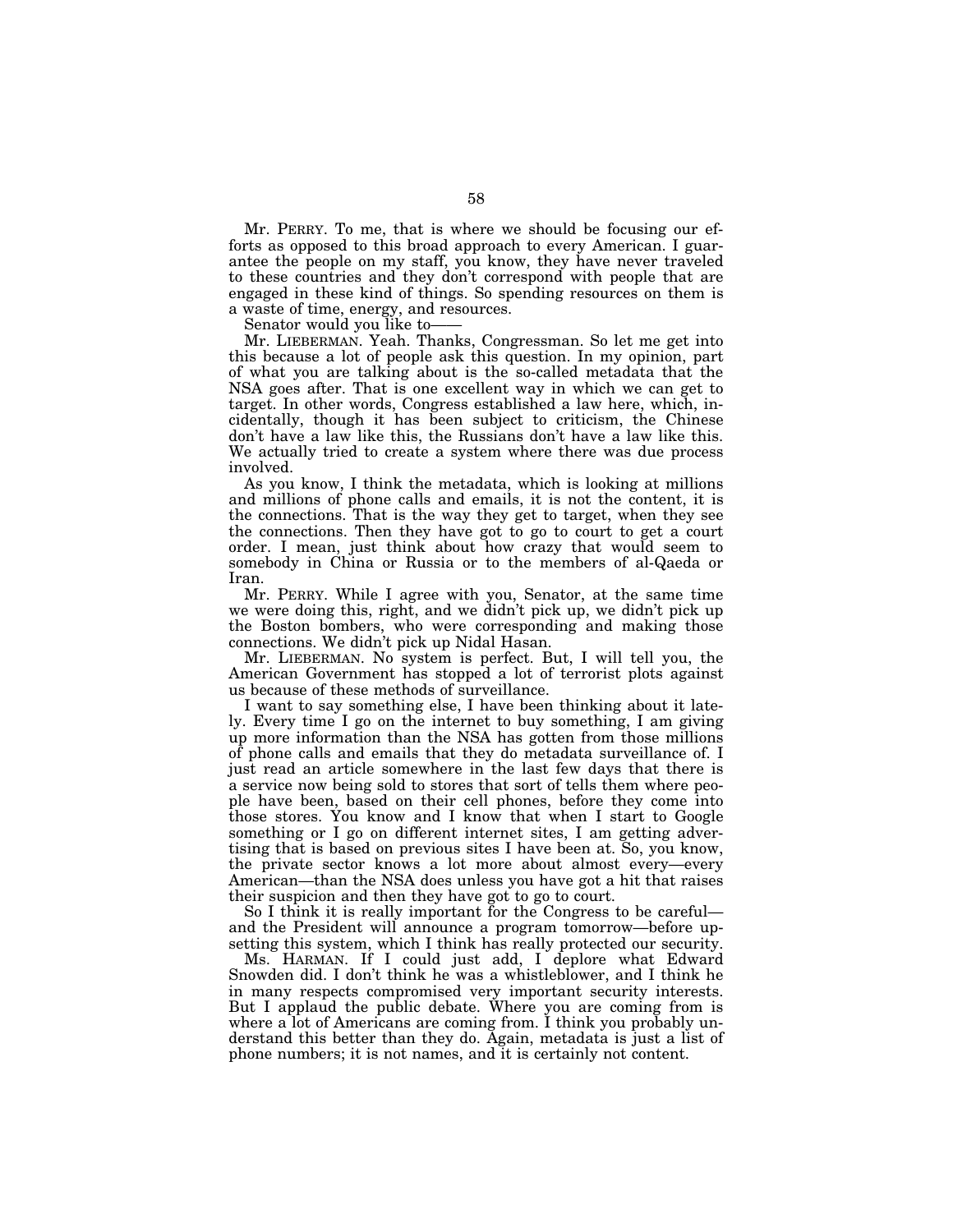Mr. PERRY. To me, that is where we should be focusing our efforts as opposed to this broad approach to every American. I guarantee the people on my staff, you know, they have never traveled to these countries and they don't correspond with people that are engaged in these kind of things. So spending resources on them is a waste of time, energy, and resources.

Senator would you like to——

Mr. LIEBERMAN. Yeah. Thanks, Congressman. So let me get into this because a lot of people ask this question. In my opinion, part of what you are talking about is the so-called metadata that the NSA goes after. That is one excellent way in which we can get to target. In other words, Congress established a law here, which, incidentally, though it has been subject to criticism, the Chinese don't have a law like this, the Russians don't have a law like this. We actually tried to create a system where there was due process involved.

As you know, I think the metadata, which is looking at millions and millions of phone calls and emails, it is not the content, it is the connections. That is the way they get to target, when they see the connections. Then they have got to go to court to get a court order. I mean, just think about how crazy that would seem to somebody in China or Russia or to the members of al-Qaeda or Iran.

Mr. PERRY. While I agree with you, Senator, at the same time we were doing this, right, and we didn't pick up, we didn't pick up the Boston bombers, who were corresponding and making those connections. We didn't pick up Nidal Hasan.

Mr. LIEBERMAN. No system is perfect. But, I will tell you, the American Government has stopped a lot of terrorist plots against us because of these methods of surveillance.

I want to say something else, I have been thinking about it lately. Every time I go on the internet to buy something, I am giving up more information than the NSA has gotten from those millions of phone calls and emails that they do metadata surveillance of. I just read an article somewhere in the last few days that there is a service now being sold to stores that sort of tells them where people have been, based on their cell phones, before they come into those stores. You know and I know that when I start to Google something or I go on different internet sites, I am getting advertising that is based on previous sites I have been at. So, you know, the private sector knows a lot more about almost every—every American—than the NSA does unless you have got a hit that raises their suspicion and then they have got to go to court.

So I think it is really important for the Congress to be careful and the President will announce a program tomorrow—before upsetting this system, which I think has really protected our security.

Ms. HARMAN. If I could just add, I deplore what Edward Snowden did. I don't think he was a whistleblower, and I think he in many respects compromised very important security interests. But I applaud the public debate. Where you are coming from is where a lot of Americans are coming from. I think you probably understand this better than they do. Again, metadata is just a list of phone numbers; it is not names, and it is certainly not content.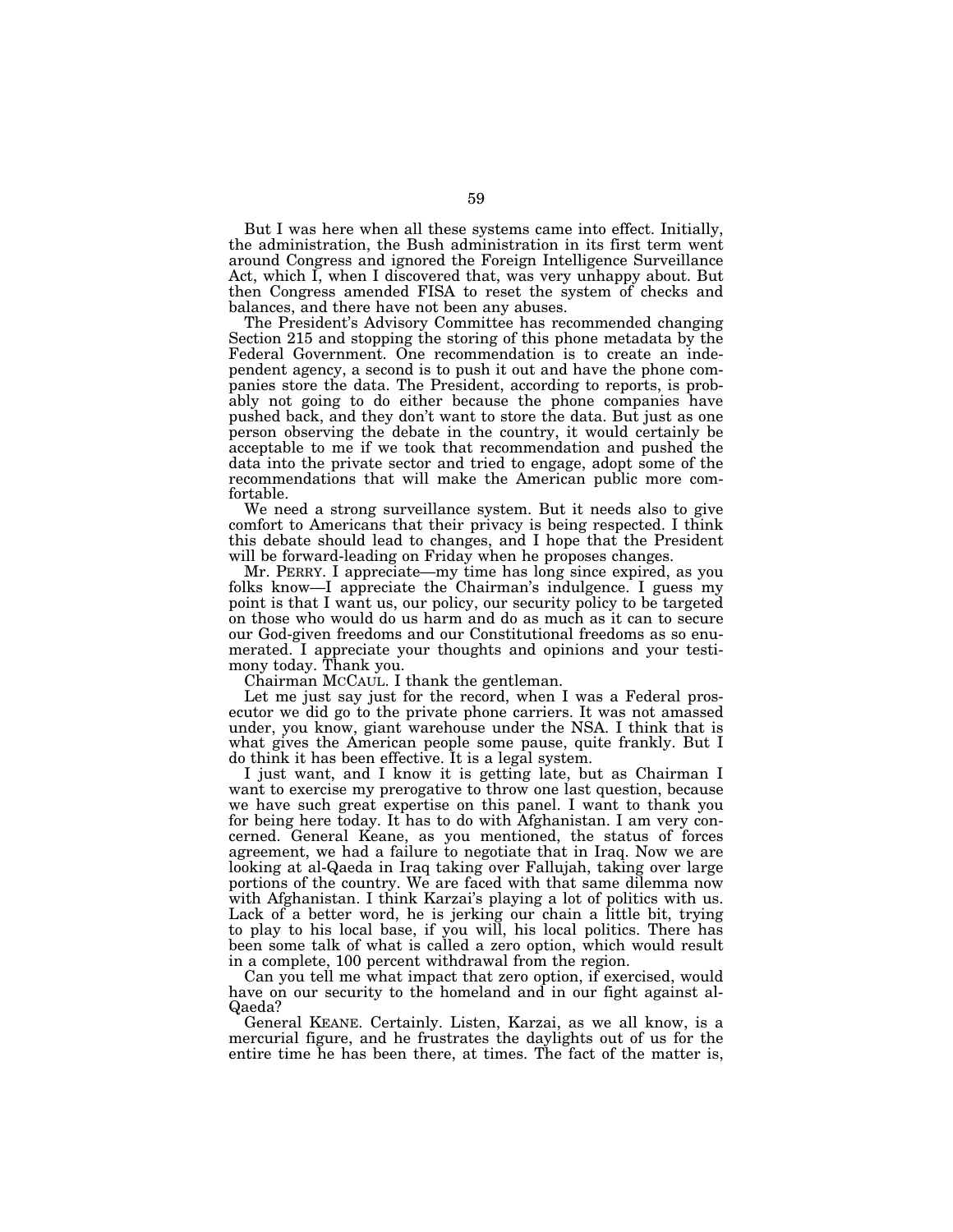But I was here when all these systems came into effect. Initially, the administration, the Bush administration in its first term went around Congress and ignored the Foreign Intelligence Surveillance Act, which I, when I discovered that, was very unhappy about. But then Congress amended FISA to reset the system of checks and balances, and there have not been any abuses.

The President's Advisory Committee has recommended changing Section 215 and stopping the storing of this phone metadata by the Federal Government. One recommendation is to create an independent agency, a second is to push it out and have the phone companies store the data. The President, according to reports, is probably not going to do either because the phone companies have pushed back, and they don't want to store the data. But just as one person observing the debate in the country, it would certainly be acceptable to me if we took that recommendation and pushed the data into the private sector and tried to engage, adopt some of the recommendations that will make the American public more comfortable.

We need a strong surveillance system. But it needs also to give comfort to Americans that their privacy is being respected. I think this debate should lead to changes, and I hope that the President will be forward-leading on Friday when he proposes changes.

Mr. PERRY. I appreciate—my time has long since expired, as you folks know—I appreciate the Chairman's indulgence. I guess my point is that I want us, our policy, our security policy to be targeted on those who would do us harm and do as much as it can to secure our God-given freedoms and our Constitutional freedoms as so enumerated. I appreciate your thoughts and opinions and your testimony today. Thank you.

Chairman MCCAUL. I thank the gentleman.

Let me just say just for the record, when I was a Federal prosecutor we did go to the private phone carriers. It was not amassed under, you know, giant warehouse under the NSA. I think that is what gives the American people some pause, quite frankly. But I do think it has been effective. It is a legal system.

I just want, and I know it is getting late, but as Chairman I want to exercise my prerogative to throw one last question, because we have such great expertise on this panel. I want to thank you for being here today. It has to do with Afghanistan. I am very concerned. General Keane, as you mentioned, the status of forces agreement, we had a failure to negotiate that in Iraq. Now we are looking at al-Qaeda in Iraq taking over Fallujah, taking over large portions of the country. We are faced with that same dilemma now with Afghanistan. I think Karzai's playing a lot of politics with us. Lack of a better word, he is jerking our chain a little bit, trying to play to his local base, if you will, his local politics. There has been some talk of what is called a zero option, which would result in a complete, 100 percent withdrawal from the region.

Can you tell me what impact that zero option, if exercised, would have on our security to the homeland and in our fight against al-Qaeda?

General KEANE. Certainly. Listen, Karzai, as we all know, is a mercurial figure, and he frustrates the daylights out of us for the entire time he has been there, at times. The fact of the matter is,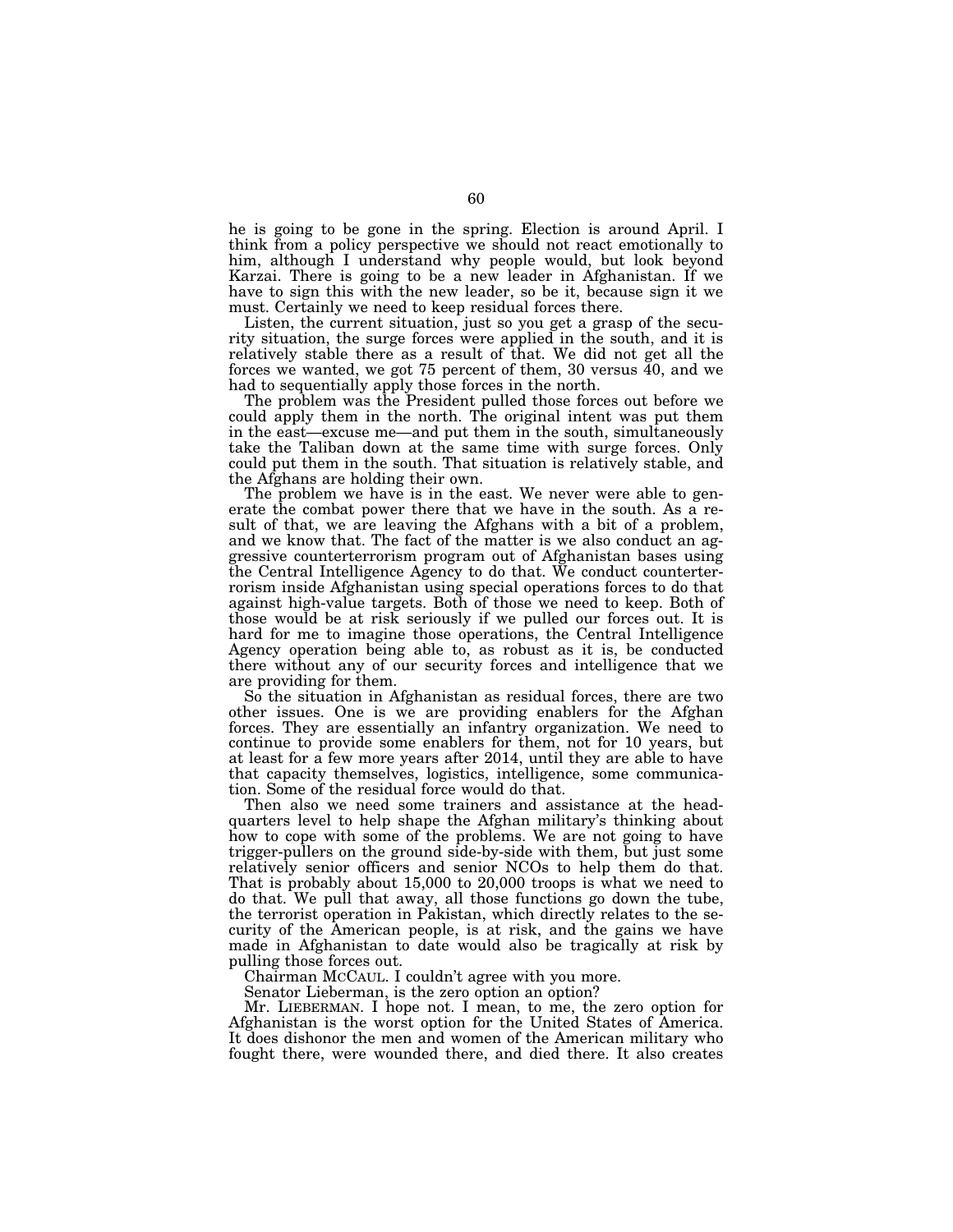he is going to be gone in the spring. Election is around April. I think from a policy perspective we should not react emotionally to him, although I understand why people would, but look beyond Karzai. There is going to be a new leader in Afghanistan. If we have to sign this with the new leader, so be it, because sign it we must. Certainly we need to keep residual forces there.

Listen, the current situation, just so you get a grasp of the security situation, the surge forces were applied in the south, and it is relatively stable there as a result of that. We did not get all the forces we wanted, we got 75 percent of them, 30 versus  $\overline{40}$ , and we had to sequentially apply those forces in the north.

The problem was the President pulled those forces out before we could apply them in the north. The original intent was put them in the east—excuse me—and put them in the south, simultaneously take the Taliban down at the same time with surge forces. Only could put them in the south. That situation is relatively stable, and the Afghans are holding their own.

The problem we have is in the east. We never were able to generate the combat power there that we have in the south. As a result of that, we are leaving the Afghans with a bit of a problem, and we know that. The fact of the matter is we also conduct an aggressive counterterrorism program out of Afghanistan bases using the Central Intelligence Agency to do that. We conduct counterterrorism inside Afghanistan using special operations forces to do that against high-value targets. Both of those we need to keep. Both of those would be at risk seriously if we pulled our forces out. It is hard for me to imagine those operations, the Central Intelligence Agency operation being able to, as robust as it is, be conducted there without any of our security forces and intelligence that we are providing for them.

So the situation in Afghanistan as residual forces, there are two other issues. One is we are providing enablers for the Afghan forces. They are essentially an infantry organization. We need to continue to provide some enablers for them, not for 10 years, but at least for a few more years after 2014, until they are able to have that capacity themselves, logistics, intelligence, some communication. Some of the residual force would do that.

Then also we need some trainers and assistance at the headquarters level to help shape the Afghan military's thinking about how to cope with some of the problems. We are not going to have trigger-pullers on the ground side-by-side with them, but just some relatively senior officers and senior NCOs to help them do that. That is probably about 15,000 to 20,000 troops is what we need to do that. We pull that away, all those functions go down the tube, the terrorist operation in Pakistan, which directly relates to the security of the American people, is at risk, and the gains we have made in Afghanistan to date would also be tragically at risk by pulling those forces out.

Chairman MCCAUL. I couldn't agree with you more.

Senator Lieberman, is the zero option an option?

Mr. LIEBERMAN. I hope not. I mean, to me, the zero option for Afghanistan is the worst option for the United States of America. It does dishonor the men and women of the American military who fought there, were wounded there, and died there. It also creates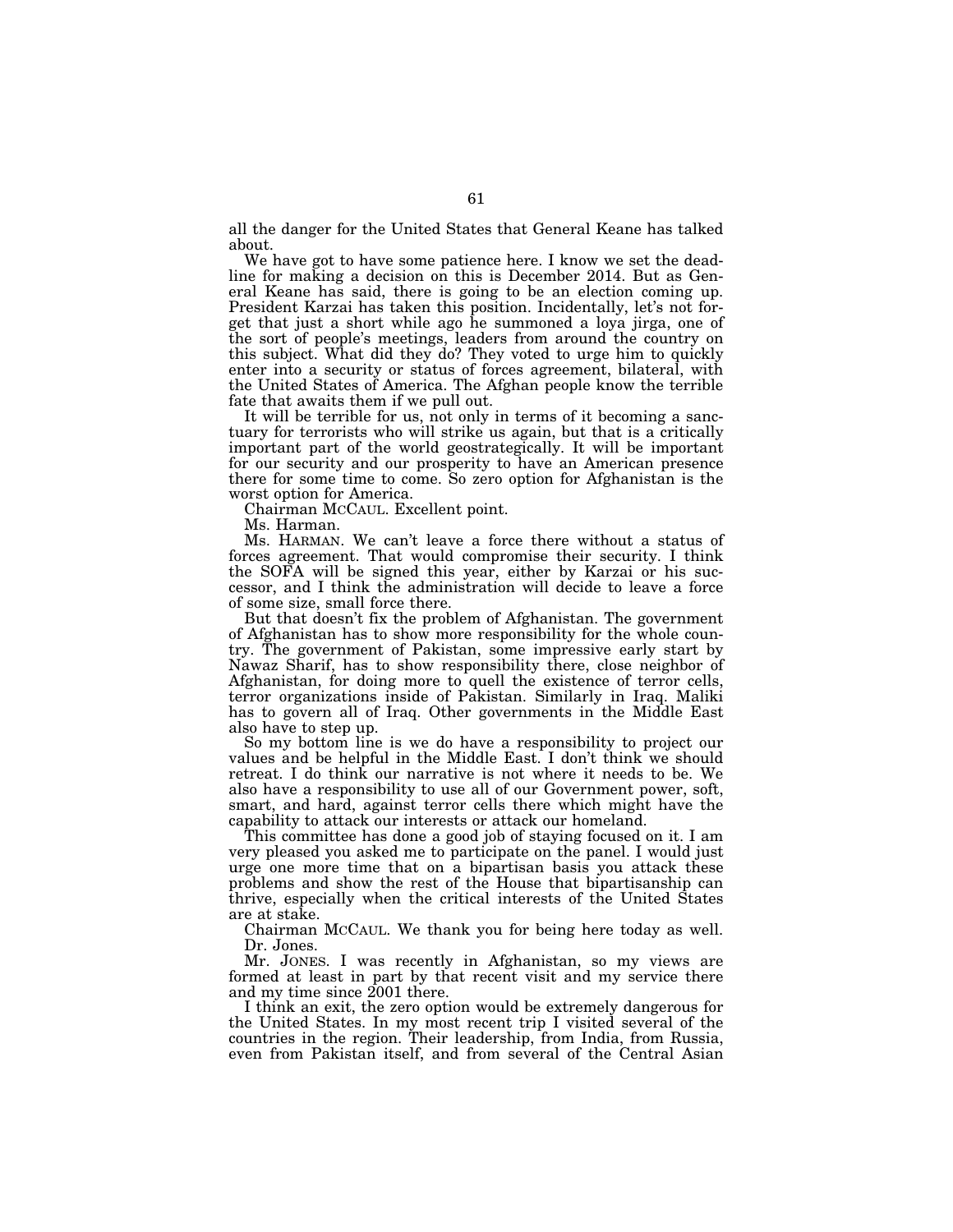all the danger for the United States that General Keane has talked about.

We have got to have some patience here. I know we set the deadline for making a decision on this is December 2014. But as General Keane has said, there is going to be an election coming up. President Karzai has taken this position. Incidentally, let's not forget that just a short while ago he summoned a loya jirga, one of the sort of people's meetings, leaders from around the country on this subject. What did they do? They voted to urge him to quickly enter into a security or status of forces agreement, bilateral, with the United States of America. The Afghan people know the terrible fate that awaits them if we pull out.

It will be terrible for us, not only in terms of it becoming a sanctuary for terrorists who will strike us again, but that is a critically important part of the world geostrategically. It will be important for our security and our prosperity to have an American presence there for some time to come. So zero option for Afghanistan is the worst option for America.

Chairman MCCAUL. Excellent point.

Ms. Harman.

Ms. HARMAN. We can't leave a force there without a status of forces agreement. That would compromise their security. I think the SOFA will be signed this year, either by Karzai or his successor, and I think the administration will decide to leave a force of some size, small force there.

But that doesn't fix the problem of Afghanistan. The government of Afghanistan has to show more responsibility for the whole country. The government of Pakistan, some impressive early start by Nawaz Sharif, has to show responsibility there, close neighbor of Afghanistan, for doing more to quell the existence of terror cells, terror organizations inside of Pakistan. Similarly in Iraq. Maliki has to govern all of Iraq. Other governments in the Middle East also have to step up.

So my bottom line is we do have a responsibility to project our values and be helpful in the Middle East. I don't think we should retreat. I do think our narrative is not where it needs to be. We also have a responsibility to use all of our Government power, soft, smart, and hard, against terror cells there which might have the capability to attack our interests or attack our homeland.

This committee has done a good job of staying focused on it. I am very pleased you asked me to participate on the panel. I would just urge one more time that on a bipartisan basis you attack these problems and show the rest of the House that bipartisanship can thrive, especially when the critical interests of the United States are at stake.

Chairman MCCAUL. We thank you for being here today as well. Dr. Jones.

Mr. JONES. I was recently in Afghanistan, so my views are formed at least in part by that recent visit and my service there and my time since 2001 there.

I think an exit, the zero option would be extremely dangerous for the United States. In my most recent trip I visited several of the countries in the region. Their leadership, from India, from Russia, even from Pakistan itself, and from several of the Central Asian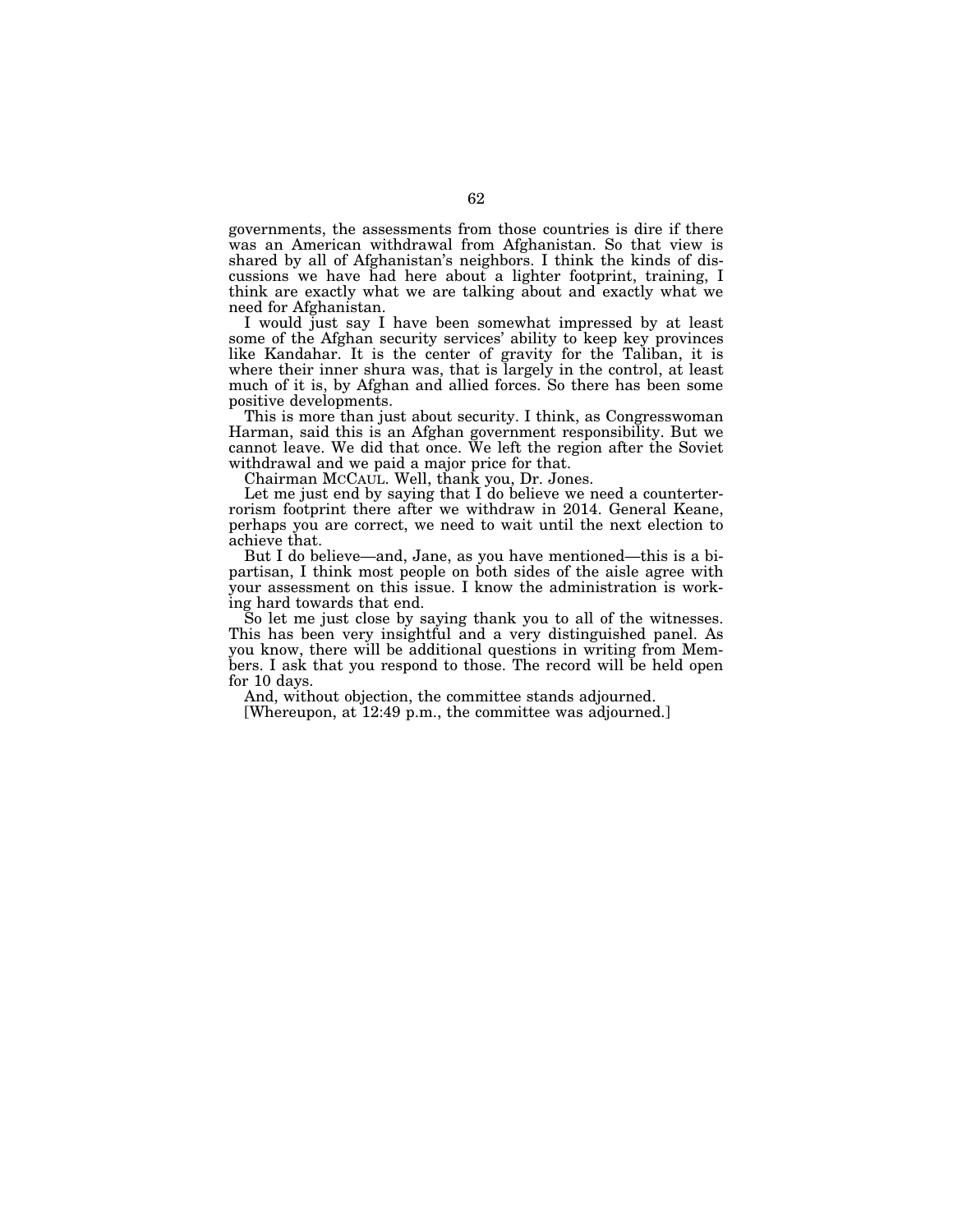governments, the assessments from those countries is dire if there was an American withdrawal from Afghanistan. So that view is shared by all of Afghanistan's neighbors. I think the kinds of discussions we have had here about a lighter footprint, training, I think are exactly what we are talking about and exactly what we need for Afghanistan.

I would just say I have been somewhat impressed by at least some of the Afghan security services' ability to keep key provinces like Kandahar. It is the center of gravity for the Taliban, it is where their inner shura was, that is largely in the control, at least much of it is, by Afghan and allied forces. So there has been some positive developments.

This is more than just about security. I think, as Congresswoman Harman, said this is an Afghan government responsibility. But we cannot leave. We did that once. We left the region after the Soviet withdrawal and we paid a major price for that.

Chairman MCCAUL. Well, thank you, Dr. Jones.

Let me just end by saying that I do believe we need a counterterrorism footprint there after we withdraw in 2014. General Keane, perhaps you are correct, we need to wait until the next election to achieve that.

But I do believe—and, Jane, as you have mentioned—this is a bipartisan, I think most people on both sides of the aisle agree with your assessment on this issue. I know the administration is working hard towards that end.

So let me just close by saying thank you to all of the witnesses. This has been very insightful and a very distinguished panel. As you know, there will be additional questions in writing from Members. I ask that you respond to those. The record will be held open for 10 days.

And, without objection, the committee stands adjourned.

[Whereupon, at 12:49 p.m., the committee was adjourned.]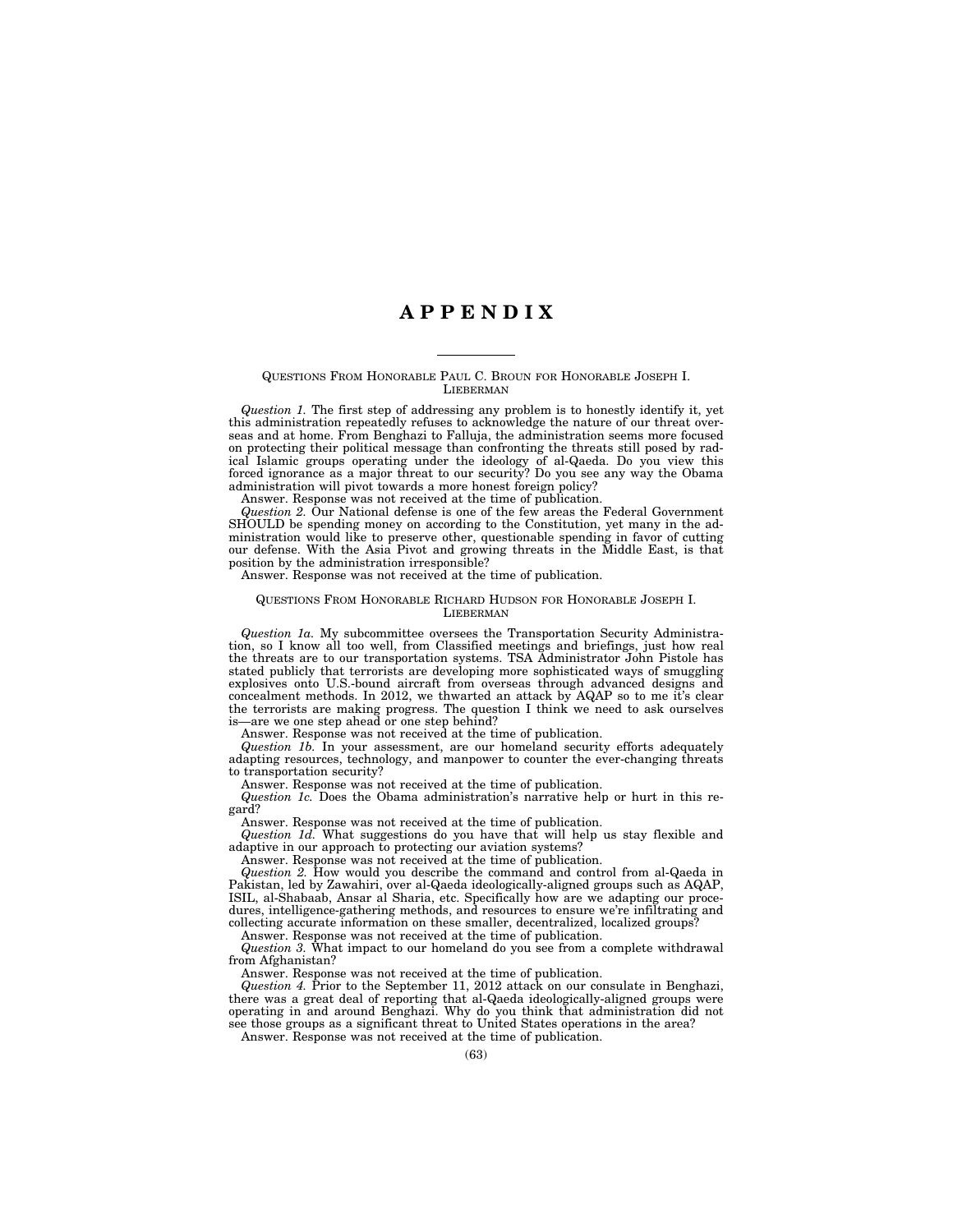# **A P P E N D I X**

### QUESTIONS FROM HONORABLE PAUL C. BROUN FOR HONORABLE JOSEPH I. LIEBERMAN

*Question 1.* The first step of addressing any problem is to honestly identify it, yet this administration repeatedly refuses to acknowledge the nature of our threat overseas and at home. From Benghazi to Falluja, the administration seems more focused on protecting their political message than confronting the threats still posed by radical Islamic groups operating under the ideology of al-Qaeda. Do you view this forced ignorance as a major threat to our security? Do you see any way the Obama administration will pivot towards a more honest foreign policy?

Answer. Response was not received at the time of publication.

*Question 2.* Our National defense is one of the few areas the Federal Government SHOULD be spending money on according to the Constitution, yet many in the administration would like to preserve other, questionable spending in favor of cutting our defense. With the Asia Pivot and growing threats in the Middle East, is that position by the administration irresponsible?

# Answer. Response was not received at the time of publication.

### QUESTIONS FROM HONORABLE RICHARD HUDSON FOR HONORABLE JOSEPH I. **LIEBERMAN**

*Question 1a.* My subcommittee oversees the Transportation Security Administration, so I know all too well, from Classified meetings and briefings, just how real the threats are to our transportation systems. TSA Administrator John Pistole has stated publicly that terrorists are developing more sophisticated ways of smuggling explosives onto U.S.-bound aircraft from overseas through advanced designs and concealment methods. In 2012, we thwarted an attack by AQAP so to me it's clear the terrorists are making progress. The question I think we need to ask ourselves is—are we one step ahead or one step behind?

Answer. Response was not received at the time of publication.

*Question 1b.* In your assessment, are our homeland security efforts adequately adapting resources, technology, and manpower to counter the ever-changing threats to transportation security?

Answer. Response was not received at the time of publication.

*Question 1c.* Does the Obama administration's narrative help or hurt in this regard?

Answer. Response was not received at the time of publication.

*Question 1d.* What suggestions do you have that will help us stay flexible and adaptive in our approach to protecting our aviation systems?

Answer. Response was not received at the time of publication.

*Question 2.* How would you describe the command and control from al-Qaeda in Pakistan, led by Zawahiri, over al-Qaeda ideologically-aligned groups such as AQAP, ISIL, al-Shabaab, Ansar al Sharia, etc. Specifically how are we adapting our procedures, intelligence-gathering methods, and resources to ensure we're infiltrating and collecting accurate information on these smaller, decentralized, localized groups?

Answer. Response was not received at the time of publication.

*Question 3.* What impact to our homeland do you see from a complete withdrawal from Afghanistan?

Answer. Response was not received at the time of publication.

*Question 4.* Prior to the September 11, 2012 attack on our consulate in Benghazi, there was a great deal of reporting that al-Qaeda ideologically-aligned groups were operating in and around Benghazi. Why do you think that administration did not see those groups as a significant threat to United States operations in the area?

Answer. Response was not received at the time of publication.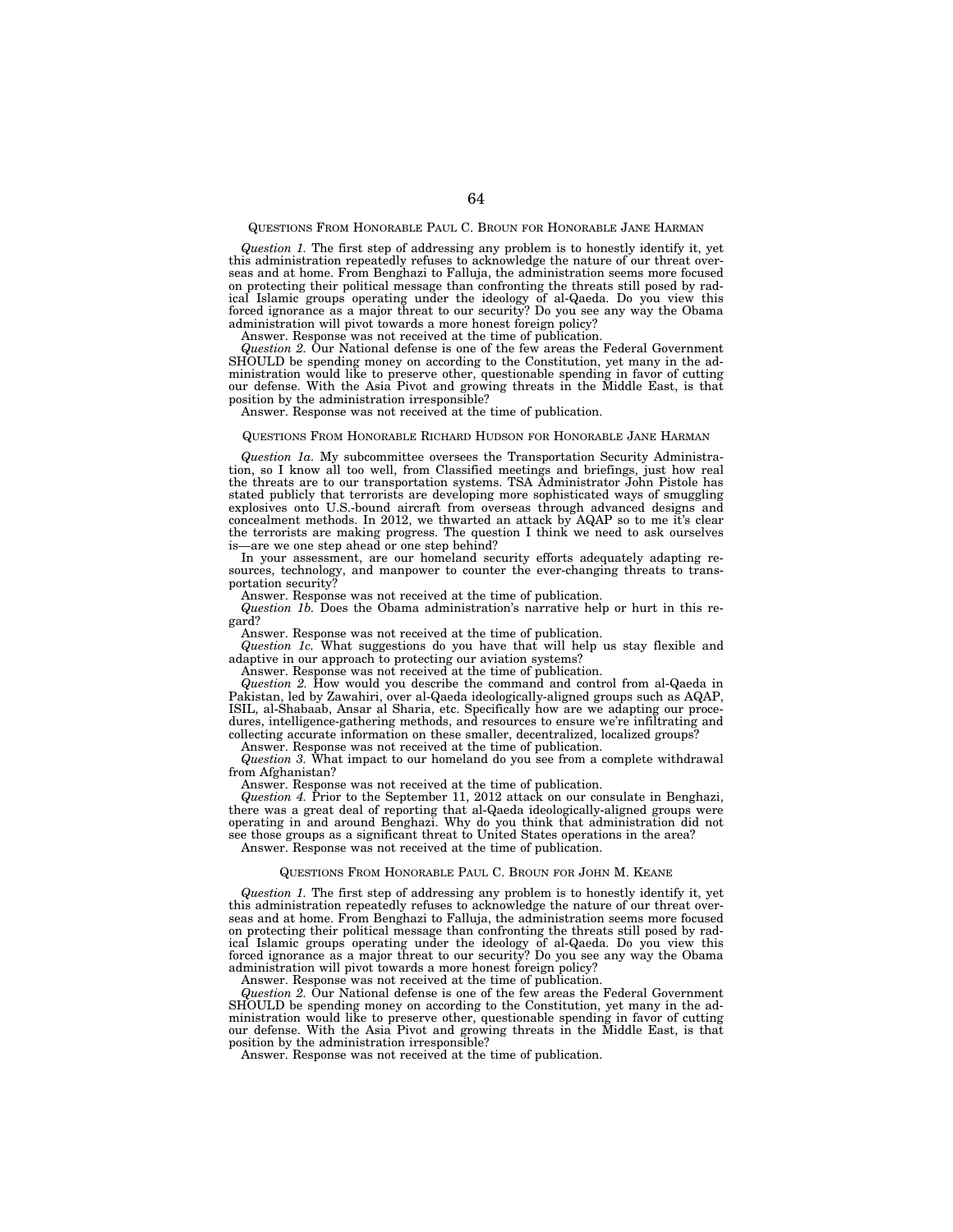## QUESTIONS FROM HONORABLE PAUL C. BROUN FOR HONORABLE JANE HARMAN

*Question 1.* The first step of addressing any problem is to honestly identify it, yet this administration repeatedly refuses to acknowledge the nature of our threat overseas and at home. From Benghazi to Falluja, the administration seems more focused on protecting their political message than confronting the threats still posed by radical Islamic groups operating under the ideology of al-Qaeda. Do you view this forced ignorance as a major threat to our security? Do you see any way the Obama administration will pivot towards a more honest foreign policy?

Answer. Response was not received at the time of publication.

*Question 2.* Our National defense is one of the few areas the Federal Government SHOULD be spending money on according to the Constitution, yet many in the administration would like to preserve other, questionable spending in favor of cutting our defense. With the Asia Pivot and growing threats in the Middle East, is that position by the administration irresponsible?

Answer. Response was not received at the time of publication.

### QUESTIONS FROM HONORABLE RICHARD HUDSON FOR HONORABLE JANE HARMAN

*Question 1a.* My subcommittee oversees the Transportation Security Administration, so I know all too well, from Classified meetings and briefings, just how real the threats are to our transportation systems. TSA Administrator John Pistole has stated publicly that terrorists are developing more sophisticated ways of smuggling explosives onto U.S.-bound aircraft from overseas through advanced designs and concealment methods. In 2012, we thwarted an attack by AQAP so to me it's clear the terrorists are making progress. The question I think we need to ask ourselves is—are we one step ahead or one step behind?

In your assessment, are our homeland security efforts adequately adapting resources, technology, and manpower to counter the ever-changing threats to transportation security?

Answer. Response was not received at the time of publication.

*Question 1b.* Does the Obama administration's narrative help or hurt in this regard?

Answer. Response was not received at the time of publication.

*Question 1c.* What suggestions do you have that will help us stay flexible and adaptive in our approach to protecting our aviation systems?

Answer. Response was not received at the time of publication.

*Question 2.* How would you describe the command and control from al-Qaeda in Pakistan, led by Zawahiri, over al-Qaeda ideologically-aligned groups such as AQAP, ISIL, al-Shabaab, Ansar al Sharia, etc. Specifically how are we adapting our procedures, intelligence-gathering methods, and resources to ensure we're infiltrating and collecting accurate information on these smaller, decentralized, localized groups?

Answer. Response was not received at the time of publication.

*Question 3.* What impact to our homeland do you see from a complete withdrawal from Afghanistan?

Answer. Response was not received at the time of publication.

*Question 4.* Prior to the September 11, 2012 attack on our consulate in Benghazi, there was a great deal of reporting that al-Qaeda ideologically-aligned groups were operating in and around Benghazi. Why do you think that administration did not see those groups as a significant threat to United States operations in the area? Answer. Response was not received at the time of publication.

### QUESTIONS FROM HONORABLE PAUL C. BROUN FOR JOHN M. KEANE

*Question 1.* The first step of addressing any problem is to honestly identify it, yet this administration repeatedly refuses to acknowledge the nature of our threat overseas and at home. From Benghazi to Falluja, the administration seems more focused on protecting their political message than confronting the threats still posed by radical Islamic groups operating under the ideology of al-Qaeda. Do you view this forced ignorance as a major threat to our security? Do you see any way the Obama administration will pivot towards a more honest foreign policy?

Answer. Response was not received at the time of publication.

*Question 2.* Our National defense is one of the few areas the Federal Government SHOULD be spending money on according to the Constitution, yet many in the administration would like to preserve other, questionable spending in favor of cutting our defense. With the Asia Pivot and growing threats in the Middle East, is that position by the administration irresponsible?

Answer. Response was not received at the time of publication.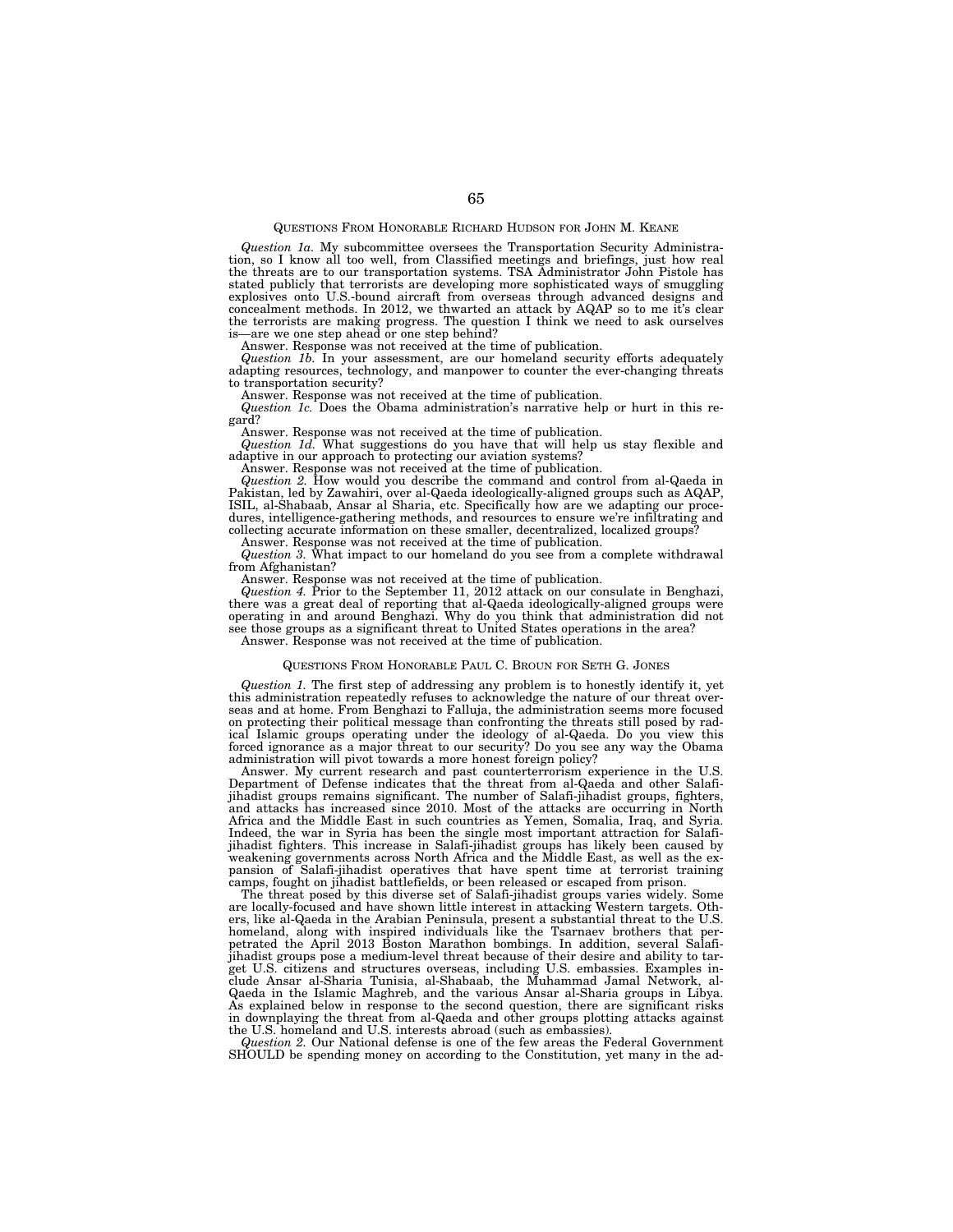# QUESTIONS FROM HONORABLE RICHARD HUDSON FOR JOHN M. KEANE

*Question 1a.* My subcommittee oversees the Transportation Security Administration, so I know all too well, from Classified meetings and briefings, just how real the threats are to our transportation systems. TSA Administrator John Pistole has stated publicly that terrorists are developing more sophisticated ways of smuggling explosives onto U.S.-bound aircraft from overseas through advanced designs and concealment methods. In 2012, we thwarted an attack by AQAP so to me it's clear the terrorists are making progress. The question I think we need to ask ourselves is—are we one step ahead or one step behind?

Answer. Response was not received at the time of publication.

*Question 1b.* In your assessment, are our homeland security efforts adequately adapting resources, technology, and manpower to counter the ever-changing threats to transportation security?

Answer. Response was not received at the time of publication.

*Question 1c.* Does the Obama administration's narrative help or hurt in this regard?

Answer. Response was not received at the time of publication. *Question 1d.* What suggestions do you have that will help us stay flexible and adaptive in our approach to protecting our aviation systems?

Answer. Response was not received at the time of publication.

*Question 2.* How would you describe the command and control from al-Qaeda in Pakistan, led by Zawahiri, over al-Qaeda ideologically-aligned groups such as AQAP, ISIL, al-Shabaab, Ansar al Sharia, etc. Specifically how are we adapting our procedures, intelligence-gathering methods, and resources to ensure we're infiltrating and collecting accurate information on these smaller, decentralized, localized groups?

Answer. Response was not received at the time of publication. *Question 3.* What impact to our homeland do you see from a complete withdrawal from Afghanistan?

Answer. Response was not received at the time of publication.

*Question 4.* Prior to the September 11, 2012 attack on our consulate in Benghazi, there was a great deal of reporting that al-Qaeda ideologically-aligned groups were<br>operating in and around Benghazi. Why do you think that administration did not<br>see those groups as a significant threat to United States o Answer. Response was not received at the time of publication.

# QUESTIONS FROM HONORABLE PAUL C. BROUN FOR SETH G. JONES

*Question 1.* The first step of addressing any problem is to honestly identify it, yet this administration repeatedly refuses to acknowledge the nature of our threat overseas and at home. From Benghazi to Falluja, the administration seems more focused on protecting their political message than confronting the threats still posed by radical Islamic groups operating under the ideology of al-Qaeda. Do you view this forced ignorance as a major threat to our security? Do you administration will pivot towards a more honest foreign policy?

Answer. My current research and past counterterrorism experience in the U.S. Department of Defense indicates that the threat from al-Qaeda and other Salafijihadist groups remains significant. The number of Salafi-jihadist groups, fighters, and attacks has increased since 2010. Most of the attacks are occurring in North Africa and the Middle East in such countries as Yemen, Somalia, Iraq, and Syria. Indeed, the war in Syria has been the single most important attraction for Salafijihadist fighters. This increase in Salafi-jihadist groups has likely been caused by weakening governments across North Africa and the Middle East, as well as the expansion of Salafi-jihadist operatives that have spent time at terrorist training camps, fought on jihadist battlefields, or been released or escaped from prison.

The threat posed by this diverse set of Salafi-jihadist groups varies widely. Some are locally-focused and have shown little interest in attacking Western targets. Others, like al-Qaeda in the Arabian Peninsula, present a substantial threat to the U.S. homeland, along with inspired individuals like the Tsarnaev brothers that perpetrated the April 2013 Boston Marathon bombings. In addition, several Salafi-jihadist groups pose a medium-level threat because of their desire and ability to target U.S. citizens and structures overseas, including U.S. embassies. Examples in-clude Ansar al-Sharia Tunisia, al-Shabaab, the Muhammad Jamal Network, al-Qaeda in the Islamic Maghreb, and the various Ansar al-Sharia groups in Libya. As explained below in response to the second question, there are significant risks in downplaying the threat from al-Qaeda and other groups plotting attacks against the U.S. homeland and U.S. interests abroad (such as embassies).

*Question 2.* Our National defense is one of the few areas the Federal Government SHOULD be spending money on according to the Constitution, yet many in the ad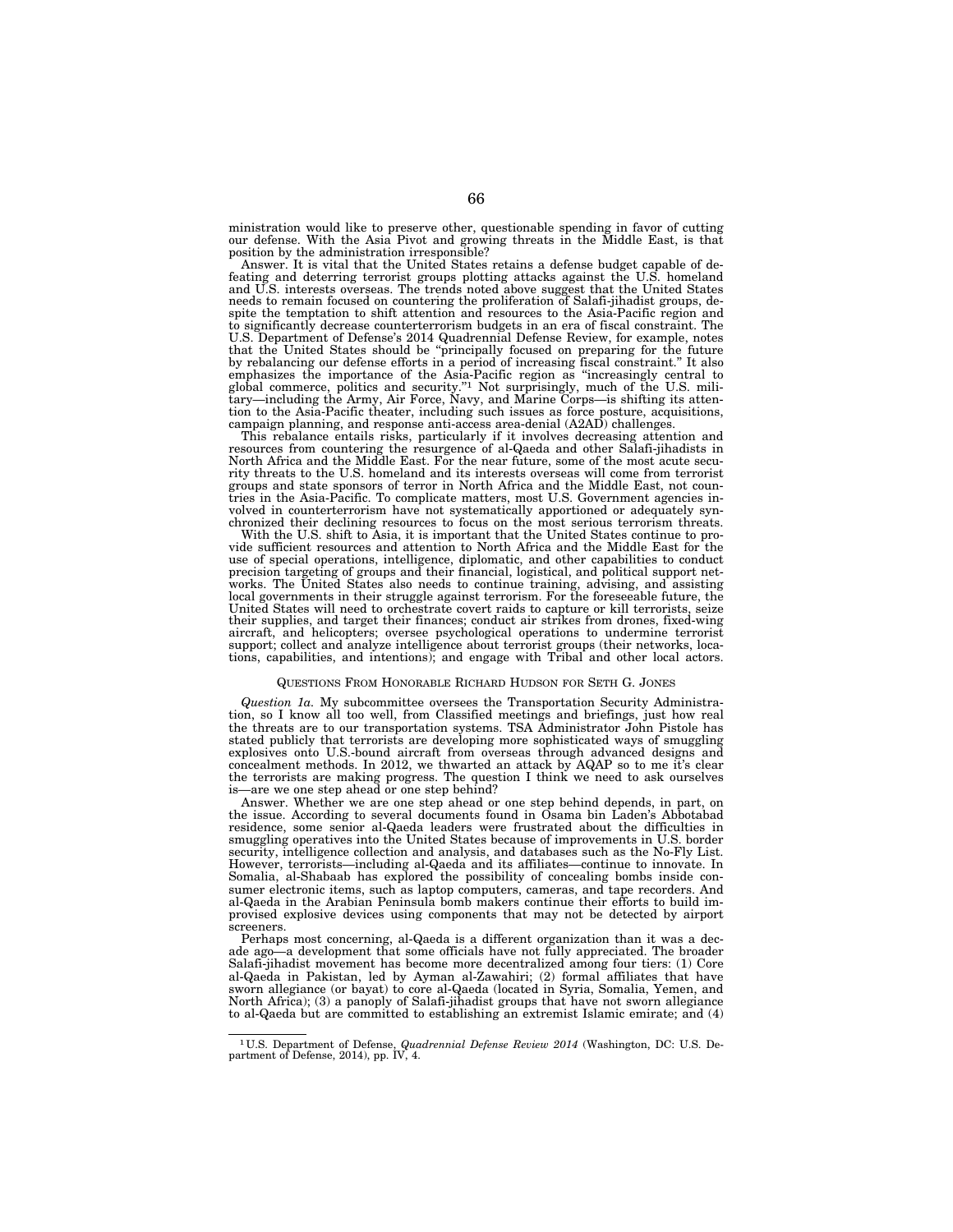ministration would like to preserve other, questionable spending in favor of cutting our defense. With the Asia Pivot and growing threats in the Middle East, is that position by the administration irresponsible?

Answer. It is vital that the United States retains a defense budget capable of defeating and deterring terrorist groups plotting attacks against the U.S. homeland and U.S. interests overseas. The trends noted above suggest that the United States needs to remain focused on countering the proliferation of Salafi-jihadist groups, despite the temptation to shift attention and resources to the Asia-Pacific region and to significantly decrease counterterrorism budgets in an era of fiscal constraint. The U.S. Department of Defense's 2014 Quadrennial Defense Review, for example, notes that the United States should be ''principally focused on preparing for the future by rebalancing our defense efforts in a period of increasing fiscal constraint.'' It also emphasizes the importance of the Asia-Pacific region as ''increasingly central to global commerce, politics and security.''1 Not surprisingly, much of the U.S. mili-tary—including the Army, Air Force, Navy, and Marine Corps—is shifting its attention to the Asia-Pacific theater, including such issues as force posture, acquisitions, campaign planning, and response anti-access area-denial (A2AD) challenges.

This rebalance entails risks, particularly if it involves decreasing attention and resources from countering the resurgence of al-Qaeda and other Salafi-jihadists in North Africa and the Middle East. For the near future, some of the most acute secu-rity threats to the U.S. homeland and its interests overseas will come from terrorist groups and state sponsors of terror in North Africa and the Middle East, not coun-tries in the Asia-Pacific. To complicate matters, most U.S. Government agencies involved in counterterrorism have not systematically apportioned or adequately synchronized their declining resources to focus on the most serious terrorism threats.

With the U.S. shift to Asia, it is important that the United States continue to provide sufficient resources and attention to North Africa and the Middle East for the use of special operations, intelligence, diplomatic, and other capabilities to conduct<br>precision targeting of groups and their financial, logistical, and political support net-<br>works. The United States also needs to contin United States will need to orchestrate covert raids to capture or kill terrorists, seize their supplies, and target their finances; conduct air strikes from drones, fixed-wing aircraft, and helicopters; oversee psychological operations to undermine terrorist support; collect and analyze intelligence about terrorist groups (their networks, locations, capabilities, and intentions); and engage with Tribal and other local actors.

### QUESTIONS FROM HONORABLE RICHARD HUDSON FOR SETH G. JONES

*Question 1a.* My subcommittee oversees the Transportation Security Administration, so I know all too well, from Classified meetings and briefings, just how real the threats are to our transportation systems. TSA Administrator John Pistole has stated publicly that terrorists are developing more sophisticated ways of smuggling explosives onto U.S.-bound aircraft from overseas through advanced designs and concealment methods. In 2012, we thwarted an attack by AQAP so to me it's clear the terrorists are making progress. The question I think we need to ask ourselves is—are we one step ahead or one step behind?

Answer. Whether we are one step ahead or one step behind depends, in part, on the issue. According to several documents found in Osama bin Laden's Abbotabad residence, some senior al-Qaeda leaders were frustrated about the difficulties in smuggling operatives into the United States because of improvements in U.S. border security, intelligence collection and analysis, and databases such as the No-Fly List. However, terrorists—including al-Qaeda and its affiliates—continue to innovate. In Somalia, al-Shabaab has explored the possibility of concealing bombs inside consumer electronic items, such as laptop computers, cameras, and tape recorders. And al-Qaeda in the Arabian Peninsula bomb makers continue their efforts to build improvised explosive devices using components that may not be detected by airport screeners.

Perhaps most concerning, al-Qaeda is a different organization than it was a decade ago—a development that some officials have not fully appreciated. The broader Salafi-jihadist movement has become more decentralized among four tiers: (1) Core al-Qaeda in Pakistan, led by Ayman al-Zawahiri; (2) formal affiliates that have sworn allegiance (or bayat) to core al-Qaeda (located in Syria, Somalia, Yemen, and North Africa); (3) a panoply of Salafi-jihadist groups that have not sworn allegiance to al-Qaeda but are committed to establishing an extremist Islamic emirate; and (4)

<sup>1</sup> U.S. Department of Defense, *Quadrennial Defense Review 2014* (Washington, DC: U.S. De-partment of Defense, 2014), pp. IV, 4.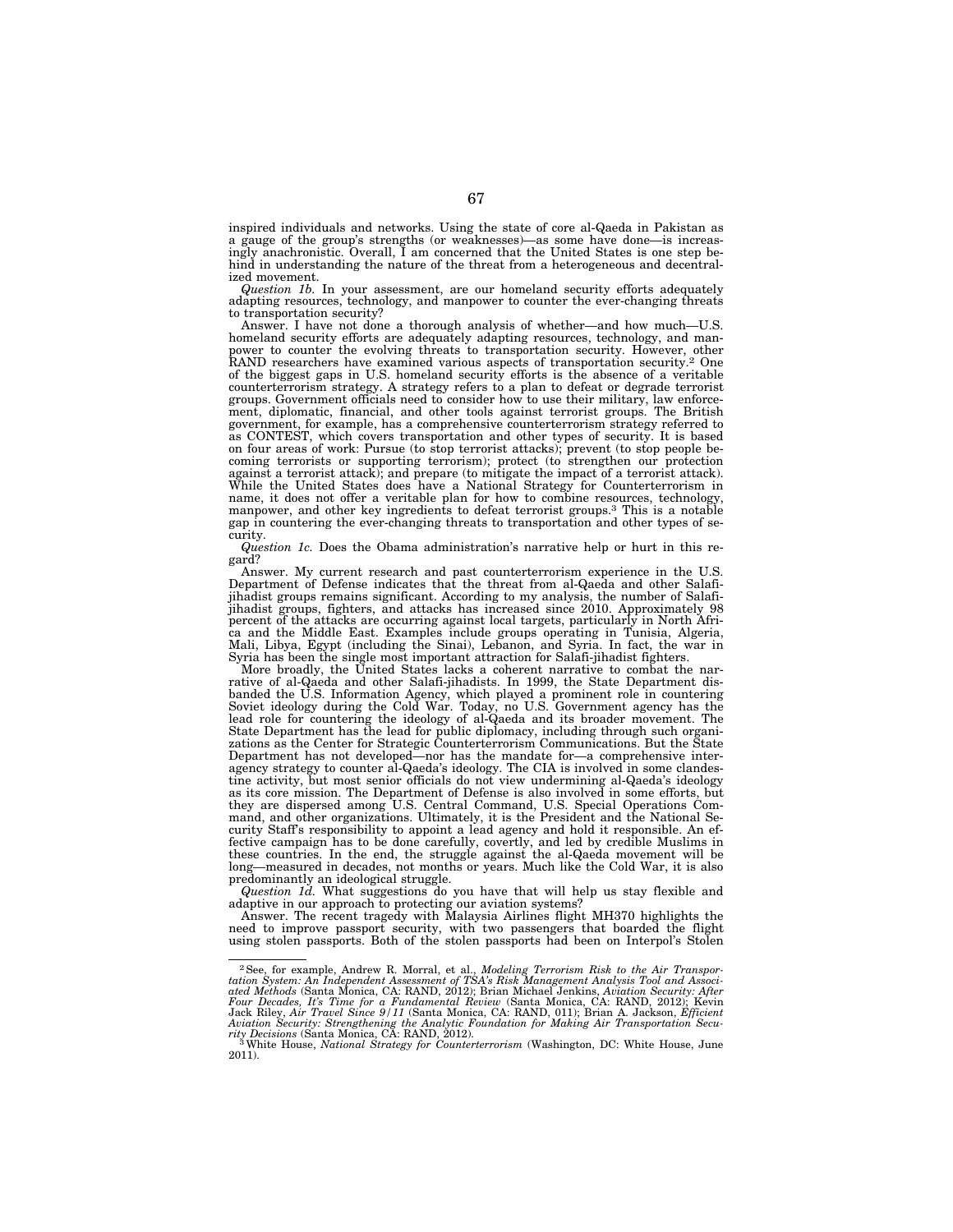inspired individuals and networks. Using the state of core al-Qaeda in Pakistan as a gauge of the group's strengths (or weaknesses)—as some have done—is increasingly anachronistic. Overall, I am concerned that the United States is one step behind in understanding the nature of the threat from a heterogeneous and decentralized movement.

*Question 1b.* In your assessment, are our homeland security efforts adequately adapting resources, technology, and manpower to counter the ever-changing threats to transportation security?

Answer. I have not done a thorough analysis of whether—and how much—U.S. homeland security efforts are adequately adapting resources, technology, and manpower to counter the evolving threats to transportation security. However, other RAND researchers have examined various aspects of transportation security.2 One of the biggest gaps in U.S. homeland security efforts is the absence of a veritable counterterrorism strategy. A strategy refers to a plan to defeat or degrade terrorist groups. Government officials need to consider how to use their military, law enforcement, diplomatic, financial, and other tools against terrorist groups. The British government, for example, has a comprehensive counterterrorism strategy referred to as CONTEST, which covers transportation and other types of security. It is based on four areas of work: Pursue (to stop terrorist attacks); prevent (to stop people becoming terrorists or supporting terrorism); protect (to strengthen our protection against a terrorist attack); and prepare (to mitigate the impact of a terrorist attack). While the United States does have a National Strategy for Counterterrorism in name, it does not offer a veritable plan for how to combine resources, technology, manpower, and other key ingredients to defeat terrorist groups.3 This is a notable gap in countering the ever-changing threats to transportation and other types of security.

*Question 1c.* Does the Obama administration's narrative help or hurt in this regard?

Answer. My current research and past counterterrorism experience in the U.S. Department of Defense indicates that the threat from al-Qaeda and other Salafijihadist groups remains significant. According to my analysis, the number of Salafijihadist groups, fighters, and attacks has increased since 2010. Approximately 98<br>percent of the attacks are occurring against local targets, particularly in North Afri-<br>ca and the Middle East. Examples include groups oper Syria has been the single most important attraction for Salafi-jihadist fighters.

More broadly, the United States lacks a coherent narrative to combat the narrative of al-Qaeda and other Salafi-jihadists. In 1999, the State Department disbanded the U.S. Information Agency, which played a prominent role in countering<br>Soviet ideology during the Cold War. Today, no U.S. Government agency has the<br>lead role for countering the ideology of al-Qaeda and its broade State Department has the lead for public diplomacy, including through such organi-zations as the Center for Strategic Counterterrorism Communications. But the State Department has not developed—nor has the mandate for—a comprehensive inter-agency strategy to counter al-Qaeda's ideology. The CIA is involved in some clandestine activity, but most senior officials do not view undermining al-Qaeda's ideology as its core mission. The Department of Defense is also involved in some efforts, but they are dispersed among U.S. Central Command, U.S. Special Operations Com-mand, and other organizations. Ultimately, it is the President and the National Security Staff's responsibility to appoint a lead agency and hold it responsible. An effective campaign has to be done carefully, covertly, and led by credible Muslims in these countries. In the end, the struggle against the al-Qaeda movement will be long—measured in decades, not months or years. Much like t predominantly an ideological struggle.

*Question 1d.* What suggestions do you have that will help us stay flexible and

adaptive in our approach to protecting our aviation systems? Answer. The recent tragedy with Malaysia Airlines flight MH370 highlights the need to improve passport security, with two passengers that boarded the flight using stolen passports. Both of the stolen passports had been on Interpol's Stolen

<sup>&</sup>lt;sup>2</sup> See, for example, Andrew R. Morral, et al., *Modeling Terrorism Risk to the Air Transportated Methods (Santa Monica, CA: RAND, 2012); Brian Michael Jenkins, Aviation Security: After four Decades, It's Time for a Funda*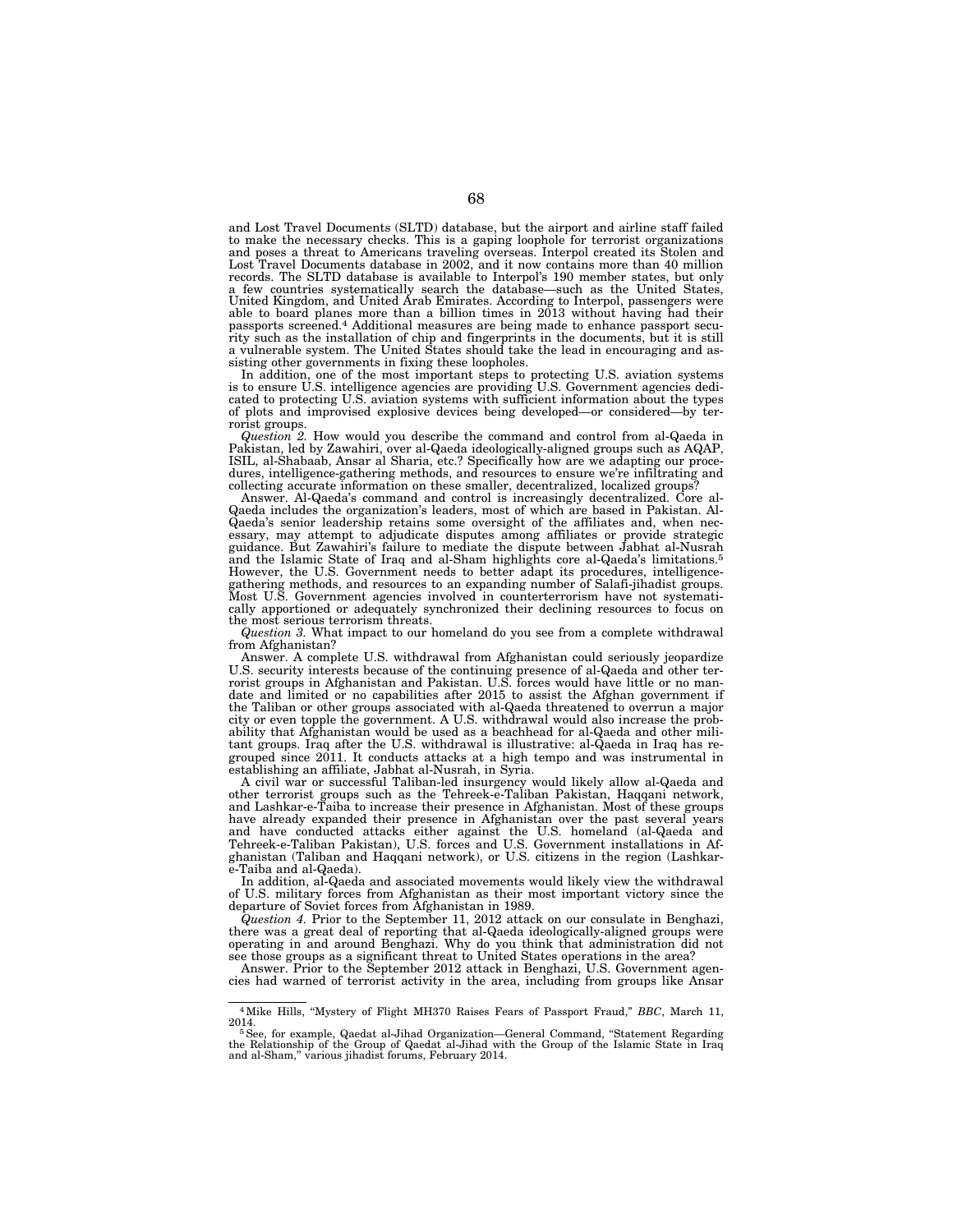and Lost Travel Documents (SLTD) database, but the airport and airline staff failed to make the necessary checks. This is a gaping loophole for terrorist organizations and poses a threat to Americans traveling overseas. Interpol created its Stolen and Lost Travel Documents database in 2002, and it now contains more than 40 million records. The SLTD database is available to Interpol's 190 member states, but only a few countries systematically search the database—such as the United States, United Kingdom, and United Arab Emirates. According to Interpol, passengers were able to board planes more than a billion times in 2013 without having had their passports screened.<sup>4</sup> Additional measures are being made to rity such as the installation of chip and fingerprints in the documents, but it is still a vulnerable system. The United States should take the lead in encouraging and assisting other governments in fixing these loopholes.

In addition, one of the most important steps to protecting U.S. aviation systems is to ensure U.S. intelligence agencies are providing U.S. Government agencies dedi-cated to protecting U.S. aviation systems with sufficient information about the types of plots and improvised explosive devices being developed—or considered—by terrorist groups.

*Question 2.* How would you describe the command and control from al-Qaeda in Pakistan, led by Zawahiri, over al-Qaeda ideologically-aligned groups such as AQAP, ISIL, al-Shabaab, Ansar al Sharia, etc.? Specifically how are we adapting our proce-dures, intelligence-gathering methods, and resources to ensure we're infiltrating and collecting accurate information on these smaller, decentralized, localized groups? Answer. Al-Qaeda's command and control is increasingly decentralized. Core al-

Qaeda includes the organization's leaders, most of which are based in Pakistan. Al-Qaeda's senior leadership retains some oversight of the affiliates and, when necessary, may attempt to adjudicate disputes among affiliates or provide strategic guidance. But Zawahiri's failure to mediate the dispute between Jabhat al-Nusrah and the Islamic State of Iraq and al-Sham highlights core al-Qaeda's limitations.5 However, the U.S. Government needs to better adapt its procedures, intelligencegathering methods, and resources to an expanding number of Salafi-jihadist groups. Most U.S. Government agencies involved in counterterrorism have not systematically apportioned or adequately synchronized their declining resources to focus on the most serious terrorism threats.

*Question 3.* What impact to our homeland do you see from a complete withdrawal from Afghanistan?

Answer. A complete U.S. withdrawal from Afghanistan could seriously jeopardize U.S. security interests because of the continuing presence of al-Qaeda and other terrorist groups in Afghanistan and Pakistan. U.S. forces would have little or no mandate and limited or no capabilities after 2015 to assist the Afghan government if the Taliban or other groups associated with al-Qaeda threatened to overrun a major city or even topple the government. A U.S. withdrawal would also increase the probability that Afghanistan would be used as a beachhead for al-Qaeda and other militant groups. Iraq after the U.S. withdrawal is illustrative: al-Qaeda in Iraq has regrouped since 2011. It conducts attacks at a high tempo and was instrumental in establishing an affiliate, Jabhat al-Nusrah, in Syria.

A civil war or successful Taliban-led insurgency would likely allow al-Qaeda and other terrorist groups such as the Tehreek-e-Taliban Pakistan, Haqqani network, and Lashkar-e-Taiba to increase their presence in Afghanistan. Most of these groups have already expanded their presence in Afghanistan over the past several years and have conducted attacks either against the U.S. homeland (al-Qaeda and Tehreek-e-Taliban Pakistan), U.S. forces and U.S. Government installations in Afghanistan (Taliban and Haqqani network), or U.S. citizens in the region (Lashkare-Taiba and al-Qaeda).

In addition, al-Qaeda and associated movements would likely view the withdrawal of U.S. military forces from Afghanistan as their most important victory since the departure of Soviet forces from Afghanistan in 1989.

*Question 4.* Prior to the September 11, 2012 attack on our consulate in Benghazi, there was a great deal of reporting that al-Qaeda ideologically-aligned groups were operating in and around Benghazi. Why do you think that administration did not see those groups as a significant threat to United States operations in the area?

Answer. Prior to the September 2012 attack in Benghazi, U.S. Government agencies had warned of terrorist activity in the area, including from groups like Ansar

<sup>&</sup>lt;sup>4</sup> Mike Hills, "Mystery of Flight MH370 Raises Fears of Passport Fraud," *BBC*, March 11, 2014.

<sup>&</sup>lt;sup>5</sup> See, for example, Qaedat al-Jihad Organization—General Command, "Statement Regarding the Relationship of the Group of Qaedat al-Jihad with the Group of the Islamic State in Iraq and al-Sham,'' various jihadist forums, February 2014.